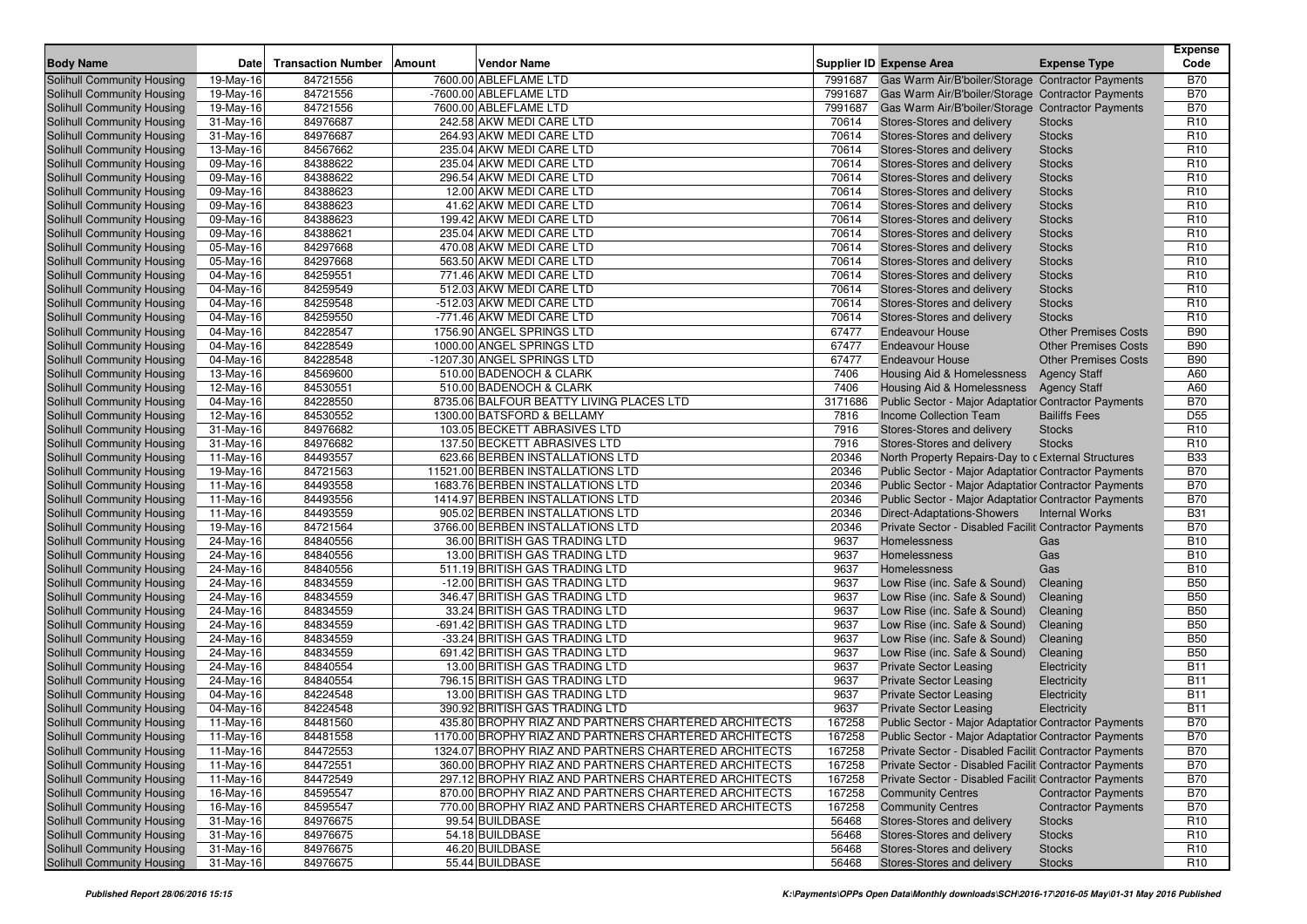| <b>Body Name</b>                                         | Date                     | <b>Transaction Number</b> | Vendor Name<br>Amount                                                   |         | Supplier ID Expense Area                                                                                       | <b>Expense Type</b>         | <b>Expense</b><br>Code |
|----------------------------------------------------------|--------------------------|---------------------------|-------------------------------------------------------------------------|---------|----------------------------------------------------------------------------------------------------------------|-----------------------------|------------------------|
| Solihull Community Housing                               | 19-May-16                | 84721556                  | 7600.00 ABLEFLAME LTD                                                   | 7991687 | Gas Warm Air/B'boiler/Storage Contractor Payments                                                              |                             | B70                    |
| Solihull Community Housing                               | 19-May-16                | 84721556                  | -7600.00 ABLEFLAME LTD                                                  | 7991687 | Gas Warm Air/B'boiler/Storage   Contractor Payments                                                            |                             | <b>B70</b>             |
| Solihull Community Housing                               | 19-May-16                | 84721556                  | 7600.00 ABLEFLAME LTD                                                   | 7991687 | Gas Warm Air/B'boiler/Storage   Contractor Payments                                                            |                             | <b>B70</b>             |
| Solihull Community Housing                               | 31-May-16                | 84976687                  | 242.58 AKW MEDI CARE LTD                                                | 70614   | Stores-Stores and delivery                                                                                     | <b>Stocks</b>               | R <sub>10</sub>        |
| Solihull Community Housing                               | 31-May-16                | 84976687                  | 264.93 AKW MEDI CARE LTD                                                | 70614   | Stores-Stores and delivery                                                                                     | <b>Stocks</b>               | R <sub>10</sub>        |
| Solihull Community Housing                               | 13-May-16                | 84567662                  | 235.04 AKW MEDI CARE LTD                                                | 70614   | Stores-Stores and delivery                                                                                     | <b>Stocks</b>               | R <sub>10</sub>        |
| Solihull Community Housing                               | 09-May-16                | 84388622                  | 235.04 AKW MEDI CARE LTD                                                | 70614   | Stores-Stores and delivery                                                                                     | <b>Stocks</b>               | R <sub>10</sub>        |
| Solihull Community Housing                               | 09-May-16                | 84388622                  | 296.54 AKW MEDI CARE LTD                                                | 70614   | Stores-Stores and delivery                                                                                     | <b>Stocks</b>               | R <sub>10</sub>        |
| Solihull Community Housing                               | 09-May-16                | 84388623                  | 12.00 AKW MEDI CARE LTD                                                 | 70614   | Stores-Stores and delivery                                                                                     | <b>Stocks</b>               | R <sub>10</sub>        |
| Solihull Community Housing                               | 09-May-16                | 84388623                  | 41.62 AKW MEDI CARE LTD                                                 | 70614   | Stores-Stores and delivery                                                                                     | <b>Stocks</b>               | R <sub>10</sub>        |
| Solihull Community Housing                               | 09-May-16                | 84388623                  | 199.42 AKW MEDI CARE LTD                                                | 70614   | Stores-Stores and delivery                                                                                     | <b>Stocks</b>               | R <sub>10</sub>        |
| Solihull Community Housing                               | 09-May-16                | 84388621                  | 235.04 AKW MEDI CARE LTD                                                | 70614   | Stores-Stores and delivery                                                                                     | <b>Stocks</b>               | R <sub>10</sub>        |
| Solihull Community Housing                               | 05-May-16                | 84297668                  | 470.08 AKW MEDI CARE LTD                                                | 70614   | Stores-Stores and delivery                                                                                     | <b>Stocks</b>               | R <sub>10</sub>        |
| Solihull Community Housing                               | 05-May-16                | 84297668                  | 563.50 AKW MEDI CARE LTD                                                | 70614   | Stores-Stores and delivery                                                                                     | <b>Stocks</b>               | R <sub>10</sub>        |
| Solihull Community Housing                               | 04-May-16                | 84259551                  | 771.46 AKW MEDI CARE LTD                                                | 70614   | Stores-Stores and delivery                                                                                     | <b>Stocks</b>               | R <sub>10</sub>        |
| Solihull Community Housing                               | 04-May-16                | 84259549                  | 512.03 AKW MEDI CARE LTD                                                | 70614   | Stores-Stores and delivery                                                                                     | <b>Stocks</b>               | R <sub>10</sub>        |
| Solihull Community Housing                               | 04-May-16                | 84259548                  | -512.03 AKW MEDI CARE LTD                                               | 70614   | Stores-Stores and delivery                                                                                     | <b>Stocks</b>               | R <sub>10</sub>        |
| Solihull Community Housing                               | 04-May-16                | 84259550                  | -771.46 AKW MEDI CARE LTD                                               | 70614   | Stores-Stores and delivery                                                                                     | <b>Stocks</b>               | R <sub>10</sub>        |
| Solihull Community Housing                               | 04-May-16                | 84228547                  | 1756.90 ANGEL SPRINGS LTD                                               | 67477   | <b>Endeavour House</b>                                                                                         | <b>Other Premises Costs</b> | <b>B90</b>             |
| Solihull Community Housing                               | 04-May-16                | 84228549                  | 1000.00 ANGEL SPRINGS LTD                                               | 67477   | <b>Endeavour House</b>                                                                                         | <b>Other Premises Costs</b> | <b>B90</b>             |
| Solihull Community Housing                               | 04-May-16                | 84228548                  | -1207.30 ANGEL SPRINGS LTD                                              | 67477   | <b>Endeavour House</b>                                                                                         | <b>Other Premises Costs</b> | <b>B90</b>             |
| Solihull Community Housing                               | 13-May-16                | 84569600                  | 510.00 BADENOCH & CLARK                                                 | 7406    | Housing Aid & Homelessness                                                                                     | <b>Agency Staff</b>         | A60                    |
| Solihull Community Housing                               | 12-May-16                | 84530551                  | 510.00 BADENOCH & CLARK                                                 | 7406    | Housing Aid & Homelessness                                                                                     | <b>Agency Staff</b>         | A60                    |
| Solihull Community Housing                               | 04-May-16                | 84228550                  | 8735.06 BALFOUR BEATTY LIVING PLACES LTD                                | 3171686 | Public Sector - Major Adaptatior Contractor Payments                                                           |                             | <b>B70</b>             |
| Solihull Community Housing                               | 12-May-16                | 84530552                  | 1300.00 BATSFORD & BELLAMY                                              | 7816    | Income Collection Team                                                                                         | <b>Bailiffs Fees</b>        | D <sub>55</sub>        |
| Solihull Community Housing                               | 31-May-16                | 84976682                  | 103.05 BECKETT ABRASIVES LTD                                            | 7916    | Stores-Stores and delivery                                                                                     | <b>Stocks</b>               | R <sub>10</sub>        |
| Solihull Community Housing                               | 31-May-16                | 84976682                  | 137.50 BECKETT ABRASIVES LTD                                            | 7916    | Stores-Stores and delivery                                                                                     | <b>Stocks</b>               | R <sub>10</sub>        |
| Solihull Community Housing                               | 11-May-16                | 84493557                  | 623.66 BERBEN INSTALLATIONS LTD                                         | 20346   | North Property Repairs-Day to c External Structures                                                            |                             | <b>B33</b>             |
| Solihull Community Housing                               | 19-May-16                | 84721563                  | 11521.00 BERBEN INSTALLATIONS LTD                                       | 20346   | Public Sector - Major Adaptatior Contractor Payments                                                           |                             | <b>B70</b>             |
| Solihull Community Housing                               | 11-May-16                | 84493558                  | 1683.76 BERBEN INSTALLATIONS LTD                                        | 20346   | Public Sector - Major Adaptatior Contractor Payments                                                           |                             | <b>B70</b>             |
| Solihull Community Housing                               | 11-May-16                | 84493556                  | 1414.97 BERBEN INSTALLATIONS LTD                                        | 20346   | Public Sector - Major Adaptatior Contractor Payments                                                           |                             | <b>B70</b>             |
| Solihull Community Housing                               | 11-May-16                | 84493559                  | 905.02 BERBEN INSTALLATIONS LTD                                         | 20346   | Direct-Adaptations-Showers                                                                                     | <b>Internal Works</b>       | <b>B31</b>             |
| Solihull Community Housing                               | 19-May-16                | 84721564                  | 3766.00 BERBEN INSTALLATIONS LTD                                        | 20346   | Private Sector - Disabled Faciliti Contractor Payments                                                         |                             | <b>B70</b>             |
| Solihull Community Housing                               | 24-May-16                | 84840556                  | 36.00 BRITISH GAS TRADING LTD                                           | 9637    | Homelessness                                                                                                   | Gas                         | <b>B10</b>             |
| <b>Solihull Community Housing</b>                        | 24-May-16                | 84840556                  | 13.00 BRITISH GAS TRADING LTD                                           | 9637    | Homelessness                                                                                                   | Gas                         | <b>B10</b>             |
| Solihull Community Housing                               | 24-May-16                | 84840556                  | 511.19 BRITISH GAS TRADING LTD                                          | 9637    | Homelessness                                                                                                   | Gas                         | <b>B10</b>             |
| Solihull Community Housing                               | 24-May-16                | 84834559                  | -12.00 BRITISH GAS TRADING LTD                                          | 9637    | Low Rise (inc. Safe & Sound)                                                                                   | Cleaning                    | <b>B50</b>             |
| Solihull Community Housing                               | 24-May-16                | 84834559                  | 346.47 BRITISH GAS TRADING LTD                                          | 9637    | Low Rise (inc. Safe & Sound)                                                                                   | Cleaning                    | <b>B50</b>             |
| <b>Solihull Community Housing</b>                        | 24-May-16                | 84834559                  | 33.24 BRITISH GAS TRADING LTD                                           | 9637    | Low Rise (inc. Safe & Sound)                                                                                   | Cleaning                    | <b>B50</b>             |
| Solihull Community Housing                               | 24-May-16                | 84834559                  | -691.42 BRITISH GAS TRADING LTD                                         | 9637    | Low Rise (inc. Safe & Sound)                                                                                   | Cleaning                    | <b>B50</b>             |
| <b>Solihull Community Housing</b>                        | 24-May-16                | 84834559                  | -33.24 BRITISH GAS TRADING LTD                                          | 9637    | Low Rise (inc. Safe & Sound)                                                                                   | Cleaning                    | <b>B50</b>             |
| Solihull Community Housing                               | 24-May-16                | 84834559                  | 691.42 BRITISH GAS TRADING LTD                                          | 9637    | Low Rise (inc. Safe & Sound)                                                                                   | Cleaning                    | <b>B50</b>             |
| <b>Solihull Community Housing</b>                        | 24-May-16                | 84840554                  | 13.00 BRITISH GAS TRADING LTD                                           | 9637    | <b>Private Sector Leasing</b>                                                                                  | Electricity                 | <b>B11</b>             |
| Solihull Community Housing                               | 24-May-16                | 84840554                  | 796.15 BRITISH GAS TRADING LTD                                          | 9637    | <b>Private Sector Leasing</b>                                                                                  | Electricity                 | <b>B11</b>             |
| <b>Solihull Community Housing</b>                        | 04-May-16                | 84224548                  | 13.00 BRITISH GAS TRADING LTD                                           | 9637    | <b>Private Sector Leasing</b>                                                                                  | Electricity                 | <b>B11</b>             |
| Solihull Community Housing                               | 04-May-16                | 84224548                  | 390.92 BRITISH GAS TRADING LTD                                          | 9637    | <b>Private Sector Leasing</b>                                                                                  | Electricity                 | <b>B11</b>             |
|                                                          | 11-May-16                | 84481560                  | 435.80 BROPHY RIAZ AND PARTNERS CHARTERED ARCHITECTS                    | 167258  | Public Sector - Major Adaptatior Contractor Payments                                                           |                             | <b>B70</b>             |
| Solihull Community Housing                               | $\overline{1}$ 1-May-16  | 84481558                  | 1170.00 BROPHY RIAZ AND PARTNERS CHARTERED ARCHITECTS                   | 167258  |                                                                                                                |                             | <b>B70</b>             |
| Solihull Community Housing<br>Solihull Community Housing |                          | 84472553                  | 1324.07 BROPHY RIAZ AND PARTNERS CHARTERED ARCHITECTS                   | 167258  | Public Sector - Major Adaptatior Contractor Payments<br>Private Sector - Disabled Faciliti Contractor Payments |                             |                        |
| <b>Solihull Community Housing</b>                        | 11-May-16<br>$11-May-16$ | 84472551                  | 360.00 BROPHY RIAZ AND PARTNERS CHARTERED ARCHITECTS                    | 167258  | Private Sector - Disabled Faciliti Contractor Payments                                                         |                             | B70                    |
| Solihull Community Housing                               |                          |                           |                                                                         |         |                                                                                                                |                             | B70                    |
|                                                          | 11-May-16                | 84472549                  | 297.12 BROPHY RIAZ AND PARTNERS CHARTERED ARCHITECTS                    | 167258  | Private Sector - Disabled Faciliti Contractor Payments                                                         |                             | <b>B70</b>             |
| <b>Solihull Community Housing</b>                        | 16-May-16                | 84595547                  | 870.00 BROPHY RIAZ AND PARTNERS CHARTERED ARCHITECTS                    | 167258  | <b>Community Centres</b>                                                                                       | <b>Contractor Payments</b>  | <b>B70</b>             |
| Solihull Community Housing                               | $16$ -May-16             | 84595547                  | 770.00 BROPHY RIAZ AND PARTNERS CHARTERED ARCHITECTS<br>99.54 BUILDBASE | 167258  | <b>Community Centres</b>                                                                                       | <b>Contractor Payments</b>  | <b>B70</b>             |
| Solihull Community Housing                               | 31-May-16                | 84976675                  |                                                                         | 56468   | Stores-Stores and delivery                                                                                     | <b>Stocks</b>               | R <sub>10</sub>        |
| Solihull Community Housing                               | $31$ -May-16             | 84976675                  | 54.18 BUILDBASE                                                         | 56468   | Stores-Stores and delivery                                                                                     | <b>Stocks</b>               | R <sub>10</sub>        |
| Solihull Community Housing                               | 31-May-16                | 84976675                  | 46.20 BUILDBASE                                                         | 56468   | Stores-Stores and delivery                                                                                     | <b>Stocks</b>               | R <sub>10</sub>        |
| Solihull Community Housing                               | 31-May-16                | 84976675                  | 55.44 BUILDBASE                                                         | 56468   | Stores-Stores and delivery                                                                                     | <b>Stocks</b>               | R <sub>10</sub>        |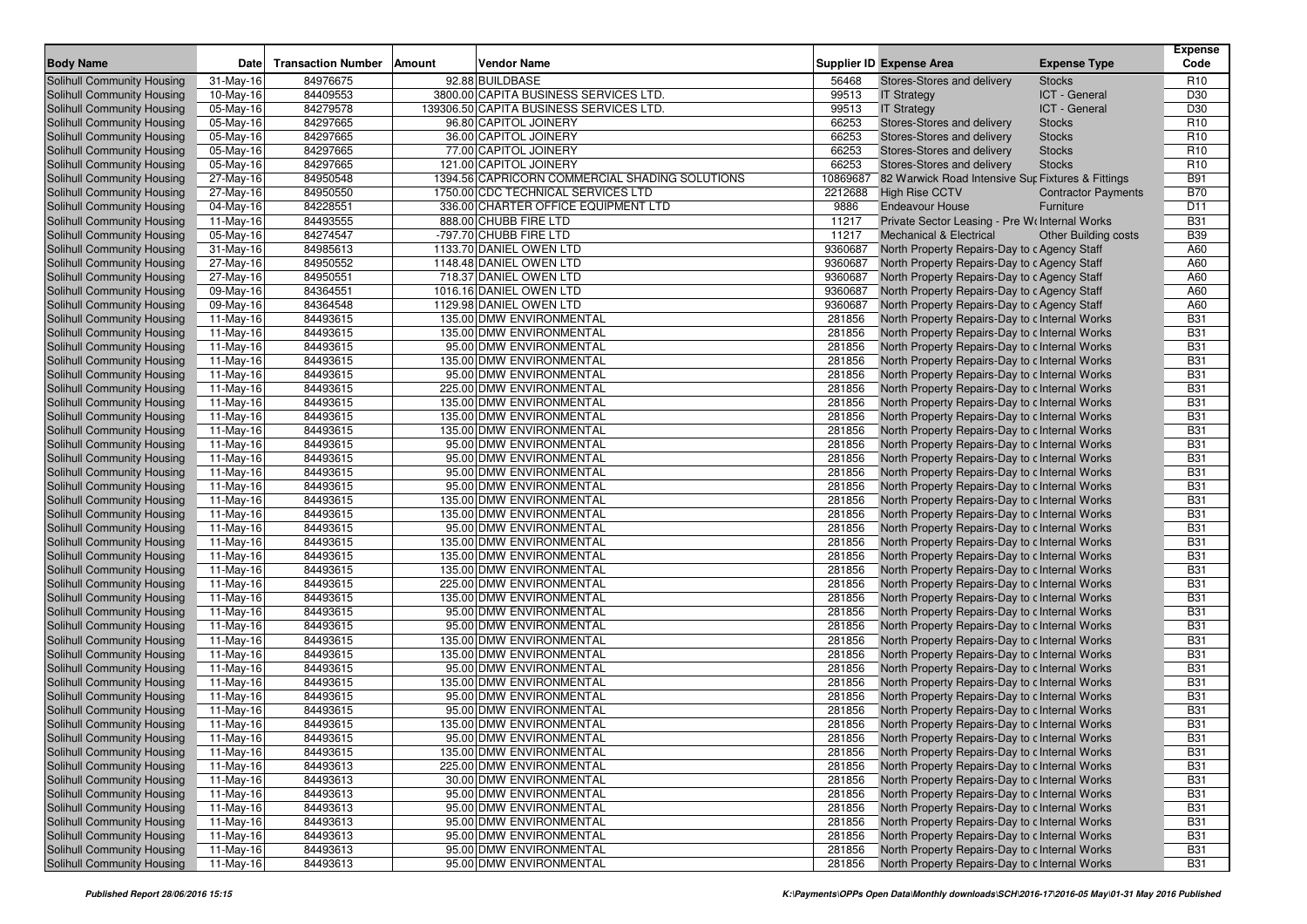| 92.88 BUILDBASE<br>84976675<br>R <sub>10</sub><br>Solihull Community Housing<br>$31$ -May-16<br>56468<br>Stores-Stores and delivery<br><b>Stocks</b><br>3800.00 CAPITA BUSINESS SERVICES LTD<br>84409553<br>99513<br>ICT - General<br>D <sub>30</sub><br>Solihull Community Housing<br>10-May-16<br><b>IT Strategy</b><br>84279578<br>139306.50 CAPITA BUSINESS SERVICES LTD<br>99513<br>ICT - General<br>D <sub>30</sub><br>Solihull Community Housing<br>05-May-16<br><b>IT Strategy</b><br>84297665<br>96.80 CAPITOL JOINERY<br>66253<br>R <sub>10</sub><br>Solihull Community Housing<br>05-May-16<br>Stores-Stores and delivery<br><b>Stocks</b><br>84297665<br>36.00 CAPITOL JOINERY<br>66253<br>R <sub>10</sub><br>Solihull Community Housing<br>05-May-16<br>Stores-Stores and delivery<br><b>Stocks</b><br>84297665<br>77.00 CAPITOL JOINERY<br>66253<br>R <sub>10</sub><br>Solihull Community Housing<br>05-May-16<br><b>Stores-Stores and delivery</b><br><b>Stocks</b><br>84297665<br>121.00 CAPITOL JOINERY<br>66253<br><b>Stocks</b><br>R <sub>10</sub><br>Solihull Community Housing<br>05-May-16<br>Stores-Stores and delivery<br>84950548<br>1394.56 CAPRICORN COMMERCIAL SHADING SOLUTIONS<br>10869687<br><b>B91</b><br>Solihull Community Housing<br>27-May-16<br>82 Warwick Road Intensive Sur Fixtures & Fittings<br>84950550<br>1750.00 CDC TECHNICAL SERVICES LTD<br><b>High Rise CCTV</b><br><b>B70</b><br>Solihull Community Housing<br>27-May-16<br>2212688<br><b>Contractor Payments</b><br>84228551<br>336.00 CHARTER OFFICE EQUIPMENT LTD<br>9886<br>D <sub>11</sub><br>Solihull Community Housing<br>04-May-16<br>Endeavour House<br>Furniture<br>84493555<br>888.00 CHUBB FIRE LTD<br><b>B31</b><br>Solihull Community Housing<br>11-May-16<br>11217<br>Private Sector Leasing - Pre We Internal Works<br>84274547<br>-797.70 CHUBB FIRE LTD<br>11217<br><b>B39</b><br>Solihull Community Housing<br>05-May-16<br><b>Mechanical &amp; Electrical</b><br><b>Other Building costs</b><br>84985613<br>1133.70 DANIEL OWEN LTD<br>9360687<br>A60<br>Solihull Community Housing<br>31-May-16<br>North Property Repairs-Day to c Agency Staff<br>84950552<br>1148.48 DANIEL OWEN LTD<br>9360687<br>A60<br>Solihull Community Housing<br>27-May-16<br>North Property Repairs-Day to c Agency Staff<br>$\overline{27}$ -May-16<br>84950551<br>718.37 DANIEL OWEN LTD<br>9360687<br>North Property Repairs-Day to c Agency Staff<br>A60<br>Solihull Community Housing<br>84364551<br>1016.16 DANIEL OWEN LTD<br>9360687<br>A60<br>Solihull Community Housing<br>09-May-16<br>North Property Repairs-Day to c Agency Staff<br>84364548<br>1129.98 DANIEL OWEN LTD<br>Solihull Community Housing<br>09-May-16<br>9360687<br>North Property Repairs-Day to c Agency Staff<br>A60<br>84493615<br>135.00 DMW ENVIRONMENTAL<br>281856<br><b>B31</b><br>Solihull Community Housing<br>11-May-16<br>North Property Repairs-Day to c Internal Works<br>84493615<br>135.00 DMW ENVIRONMENTAL<br>281856<br><b>B31</b><br>Solihull Community Housing<br>11-May-16<br>North Property Repairs-Day to c Internal Works<br>84493615<br>95.00 DMW ENVIRONMENTAL<br>281856<br><b>B31</b><br>Solihull Community Housing<br>11-May-16<br>North Property Repairs-Day to c Internal Works<br>84493615<br>135.00 DMW ENVIRONMENTAL<br>281856<br><b>B31</b><br>Solihull Community Housing<br>11-May-16<br>North Property Repairs-Day to c Internal Works<br>84493615<br>95.00 DMW ENVIRONMENTAL<br>281856<br><b>B31</b><br>Solihull Community Housing<br>11-May-16<br>North Property Repairs-Day to c Internal Works<br>84493615<br>225.00 DMW ENVIRONMENTAL<br>281856<br><b>B31</b><br>Solihull Community Housing<br>11-May-16<br>North Property Repairs-Day to c Internal Works<br><b>B31</b><br>84493615<br>135.00 DMW ENVIRONMENTAL<br>281856<br>Solihull Community Housing<br>11-May-16<br>North Property Repairs-Day to c Internal Works<br>84493615<br>135.00 DMW ENVIRONMENTAL<br>281856<br><b>B31</b><br>Solihull Community Housing<br>11-May-16<br>North Property Repairs-Day to c Internal Works<br><b>B31</b><br>84493615<br>135.00 DMW ENVIRONMENTAL<br>281856<br>Solihull Community Housing<br>11-May-16<br>North Property Repairs-Day to c Internal Works<br>84493615<br>95.00 DMW ENVIRONMENTAL<br>281856<br><b>B31</b><br>Solihull Community Housing<br>11-May-16<br>North Property Repairs-Day to c Internal Works<br>84493615<br>95.00 DMW ENVIRONMENTAL<br>281856<br><b>B31</b><br>Solihull Community Housing<br>11-May-16<br>North Property Repairs-Day to c Internal Works<br>84493615<br>95.00 DMW ENVIRONMENTAL<br>281856<br><b>B31</b><br>Solihull Community Housing<br>11-May-16<br>North Property Repairs-Day to c Internal Works<br>84493615<br>95.00 DMW ENVIRONMENTAL<br>281856<br><b>B31</b><br>Solihull Community Housing<br>11-May-16<br>North Property Repairs-Day to c Internal Works<br>84493615<br>135.00 DMW ENVIRONMENTAL<br>281856<br><b>B31</b><br>Solihull Community Housing<br>11-May-16<br>North Property Repairs-Day to c Internal Works<br>84493615<br>135.00 DMW ENVIRONMENTAL<br>281856<br><b>B31</b><br>Solihull Community Housing<br>11-May-16<br>North Property Repairs-Day to c Internal Works<br>84493615<br>95.00 DMW ENVIRONMENTAL<br>281856<br><b>B31</b><br>Solihull Community Housing<br>11-May-16<br>North Property Repairs-Day to c Internal Works<br>84493615<br>135.00 DMW ENVIRONMENTAL<br>281856<br><b>B31</b><br>Solihull Community Housing<br>11-May-16<br>North Property Repairs-Day to c Internal Works<br>84493615<br>135.00 DMW ENVIRONMENTAL<br>281856<br><b>B31</b><br>Solihull Community Housing<br>11-May-16<br>North Property Repairs-Day to c Internal Works<br>84493615<br>135.00 DMW ENVIRONMENTAL<br>281856<br><b>B31</b><br>Solihull Community Housing<br>11-May-16<br>North Property Repairs-Day to c Internal Works<br>84493615<br>225.00 DMW ENVIRONMENTAL<br>281856<br><b>B31</b><br>Solihull Community Housing<br>11-May-16<br>North Property Repairs-Day to c Internal Works<br>84493615<br>135.00 DMW ENVIRONMENTAL<br>281856<br><b>B31</b><br>Solihull Community Housing<br>11-May-16<br>North Property Repairs-Day to c Internal Works<br>84493615<br>95.00 DMW ENVIRONMENTAL<br>281856<br><b>B31</b><br>Solihull Community Housing<br>11-May-16<br>North Property Repairs-Day to c Internal Works<br>84493615<br>95.00 DMW ENVIRONMENTAL<br>281856<br><b>B31</b><br>Solihull Community Housing<br>11-May-16<br>North Property Repairs-Day to c Internal Works<br>84493615<br>135.00 DMW ENVIRONMENTAL<br>281856<br><b>B31</b><br>Solihull Community Housing<br>11-May-16<br>North Property Repairs-Day to c Internal Works<br>84493615<br>135.00 DMW ENVIRONMENTAL<br>281856<br><b>B31</b><br>Solihull Community Housing<br>11-May-16<br>North Property Repairs-Day to c Internal Works<br>84493615<br>95.00 DMW ENVIRONMENTAL<br>281856<br><b>B31</b><br>Solihull Community Housing<br>11-May-16<br>North Property Repairs-Day to c Internal Works<br>84493615<br>135.00 DMW ENVIRONMENTAL<br>281856<br><b>B31</b><br>Solihull Community Housing<br>11-May-16<br>North Property Repairs-Day to c Internal Works<br>84493615<br>95.00 DMW ENVIRONMENTAL<br>281856<br><b>B31</b><br>Solihull Community Housing<br>11-May-16<br>North Property Repairs-Day to c Internal Works<br>84493615<br>95.00 DMW ENVIRONMENTAL<br>281856<br><b>B31</b><br>Solihull Community Housing<br>11-May-16<br>North Property Repairs-Day to c Internal Works<br><b>B31</b><br>Solihull Community Housing<br>84493615<br>135.00 DMW ENVIRONMENTAL<br>281856<br>North Property Repairs-Day to c Internal Works<br>11-May-16<br><b>B31</b><br>Solihull Community Housing<br>$11-May-16$<br>84493615<br>95.00 DMW ENVIRONMENTAL<br>281856 North Property Repairs-Day to c Internal Works<br>135.00 DMW ENVIRONMENTAL<br><b>B31</b><br>Solihull Community Housing<br>11-May-16<br>84493615<br>281856<br>North Property Repairs-Day to c Internal Works<br>Solihull Community Housing<br>11-May-16<br>84493613<br>225.00 DMW ENVIRONMENTAL<br>North Property Repairs-Day to c Internal Works<br><b>B31</b><br>281856<br>Solihull Community Housing<br>11-May-16<br>30.00 DMW ENVIRONMENTAL<br>North Property Repairs-Day to c Internal Works<br><b>B31</b><br>84493613<br>281856<br>Solihull Community Housing<br>11-May-16<br>84493613<br>95.00 DMW ENVIRONMENTAL<br>281856<br>North Property Repairs-Day to c Internal Works<br><b>B31</b><br>Solihull Community Housing<br>95.00 DMW ENVIRONMENTAL<br>281856<br>North Property Repairs-Day to c Internal Works<br><b>B31</b><br>11-May-16<br>84493613<br>Solihull Community Housing<br>11-May-16<br>84493613<br>95.00 DMW ENVIRONMENTAL<br>281856<br>North Property Repairs-Day to c Internal Works<br><b>B31</b><br>Solihull Community Housing<br>95.00 DMW ENVIRONMENTAL<br>281856<br>North Property Repairs-Day to c Internal Works<br><b>B31</b><br>11-May-16<br>84493613<br>Solihull Community Housing<br>84493613<br>95.00 DMW ENVIRONMENTAL<br>281856<br>North Property Repairs-Day to c Internal Works<br><b>B31</b><br>11-May-16<br>95.00 DMW ENVIRONMENTAL<br>North Property Repairs-Day to c Internal Works<br><b>B31</b><br>281856 | <b>Body Name</b>           | <b>Date</b> | <b>Transaction Number</b> | Amount | Vendor Name | Supplier ID Expense Area | <b>Expense Type</b> | <b>Expense</b><br>Code |
|-----------------------------------------------------------------------------------------------------------------------------------------------------------------------------------------------------------------------------------------------------------------------------------------------------------------------------------------------------------------------------------------------------------------------------------------------------------------------------------------------------------------------------------------------------------------------------------------------------------------------------------------------------------------------------------------------------------------------------------------------------------------------------------------------------------------------------------------------------------------------------------------------------------------------------------------------------------------------------------------------------------------------------------------------------------------------------------------------------------------------------------------------------------------------------------------------------------------------------------------------------------------------------------------------------------------------------------------------------------------------------------------------------------------------------------------------------------------------------------------------------------------------------------------------------------------------------------------------------------------------------------------------------------------------------------------------------------------------------------------------------------------------------------------------------------------------------------------------------------------------------------------------------------------------------------------------------------------------------------------------------------------------------------------------------------------------------------------------------------------------------------------------------------------------------------------------------------------------------------------------------------------------------------------------------------------------------------------------------------------------------------------------------------------------------------------------------------------------------------------------------------------------------------------------------------------------------------------------------------------------------------------------------------------------------------------------------------------------------------------------------------------------------------------------------------------------------------------------------------------------------------------------------------------------------------------------------------------------------------------------------------------------------------------------------------------------------------------------------------------------------------------------------------------------------------------------------------------------------------------------------------------------------------------------------------------------------------------------------------------------------------------------------------------------------------------------------------------------------------------------------------------------------------------------------------------------------------------------------------------------------------------------------------------------------------------------------------------------------------------------------------------------------------------------------------------------------------------------------------------------------------------------------------------------------------------------------------------------------------------------------------------------------------------------------------------------------------------------------------------------------------------------------------------------------------------------------------------------------------------------------------------------------------------------------------------------------------------------------------------------------------------------------------------------------------------------------------------------------------------------------------------------------------------------------------------------------------------------------------------------------------------------------------------------------------------------------------------------------------------------------------------------------------------------------------------------------------------------------------------------------------------------------------------------------------------------------------------------------------------------------------------------------------------------------------------------------------------------------------------------------------------------------------------------------------------------------------------------------------------------------------------------------------------------------------------------------------------------------------------------------------------------------------------------------------------------------------------------------------------------------------------------------------------------------------------------------------------------------------------------------------------------------------------------------------------------------------------------------------------------------------------------------------------------------------------------------------------------------------------------------------------------------------------------------------------------------------------------------------------------------------------------------------------------------------------------------------------------------------------------------------------------------------------------------------------------------------------------------------------------------------------------------------------------------------------------------------------------------------------------------------------------------------------------------------------------------------------------------------------------------------------------------------------------------------------------------------------------------------------------------------------------------------------------------------------------------------------------------------------------------------------------------------------------------------------------------------------------------------------------------------------------------------------------------------------------------------------------------------------------------------------------------------------------------------------------------------------------------------------------------------------------------------------------------------------------------------------------------------------------------------------------------------------------------------------------------------------------------------------------------------------------------------------------------------------------------------------------------------------------------------------------------------------------------------------------------------------------------------------------------------------------------------------------------------------------------------------------------------------------------------------------------------------------------------------------------------------------------------------------------------------------------------------------------------------------------------------------------------------------------------------------------------------------------------------------------------------------------------------------------------------------------------------------------------------------------------------------------------------------------------------------------------------------------------------------------------------------------------------------------------------------------------------------------------------------------------------------------------------------------------------------------------------------------------------------------------------------------------------------------------------------------------------------------------------------------------------------------------------------------------------------------------------------------------------------------------------------------------------------------------------------------------------------------------------------------------------------------------------------------------------------------------------------------------------------------------------------------------------------------------------------------------------------------------------------------------------------------------------------------------------|----------------------------|-------------|---------------------------|--------|-------------|--------------------------|---------------------|------------------------|
|                                                                                                                                                                                                                                                                                                                                                                                                                                                                                                                                                                                                                                                                                                                                                                                                                                                                                                                                                                                                                                                                                                                                                                                                                                                                                                                                                                                                                                                                                                                                                                                                                                                                                                                                                                                                                                                                                                                                                                                                                                                                                                                                                                                                                                                                                                                                                                                                                                                                                                                                                                                                                                                                                                                                                                                                                                                                                                                                                                                                                                                                                                                                                                                                                                                                                                                                                                                                                                                                                                                                                                                                                                                                                                                                                                                                                                                                                                                                                                                                                                                                                                                                                                                                                                                                                                                                                                                                                                                                                                                                                                                                                                                                                                                                                                                                                                                                                                                                                                                                                                                                                                                                                                                                                                                                                                                                                                                                                                                                                                                                                                                                                                                                                                                                                                                                                                                                                                                                                                                                                                                                                                                                                                                                                                                                                                                                                                                                                                                                                                                                                                                                                                                                                                                                                                                                                                                                                                                                                                                                                                                                                                                                                                                                                                                                                                                                                                                                                                                                                                                                                                                                                                                                                                                                                                                                                                                                                                                                                                                                                                                                                                                                                                                                                                                                                                                                                                                                                                                                                                                                                                                                                                                                                                                                                                                                                                                                                                                                                                                                                                                                                                                                                                                                                                                                 |                            |             |                           |        |             |                          |                     |                        |
|                                                                                                                                                                                                                                                                                                                                                                                                                                                                                                                                                                                                                                                                                                                                                                                                                                                                                                                                                                                                                                                                                                                                                                                                                                                                                                                                                                                                                                                                                                                                                                                                                                                                                                                                                                                                                                                                                                                                                                                                                                                                                                                                                                                                                                                                                                                                                                                                                                                                                                                                                                                                                                                                                                                                                                                                                                                                                                                                                                                                                                                                                                                                                                                                                                                                                                                                                                                                                                                                                                                                                                                                                                                                                                                                                                                                                                                                                                                                                                                                                                                                                                                                                                                                                                                                                                                                                                                                                                                                                                                                                                                                                                                                                                                                                                                                                                                                                                                                                                                                                                                                                                                                                                                                                                                                                                                                                                                                                                                                                                                                                                                                                                                                                                                                                                                                                                                                                                                                                                                                                                                                                                                                                                                                                                                                                                                                                                                                                                                                                                                                                                                                                                                                                                                                                                                                                                                                                                                                                                                                                                                                                                                                                                                                                                                                                                                                                                                                                                                                                                                                                                                                                                                                                                                                                                                                                                                                                                                                                                                                                                                                                                                                                                                                                                                                                                                                                                                                                                                                                                                                                                                                                                                                                                                                                                                                                                                                                                                                                                                                                                                                                                                                                                                                                                                                 |                            |             |                           |        |             |                          |                     |                        |
|                                                                                                                                                                                                                                                                                                                                                                                                                                                                                                                                                                                                                                                                                                                                                                                                                                                                                                                                                                                                                                                                                                                                                                                                                                                                                                                                                                                                                                                                                                                                                                                                                                                                                                                                                                                                                                                                                                                                                                                                                                                                                                                                                                                                                                                                                                                                                                                                                                                                                                                                                                                                                                                                                                                                                                                                                                                                                                                                                                                                                                                                                                                                                                                                                                                                                                                                                                                                                                                                                                                                                                                                                                                                                                                                                                                                                                                                                                                                                                                                                                                                                                                                                                                                                                                                                                                                                                                                                                                                                                                                                                                                                                                                                                                                                                                                                                                                                                                                                                                                                                                                                                                                                                                                                                                                                                                                                                                                                                                                                                                                                                                                                                                                                                                                                                                                                                                                                                                                                                                                                                                                                                                                                                                                                                                                                                                                                                                                                                                                                                                                                                                                                                                                                                                                                                                                                                                                                                                                                                                                                                                                                                                                                                                                                                                                                                                                                                                                                                                                                                                                                                                                                                                                                                                                                                                                                                                                                                                                                                                                                                                                                                                                                                                                                                                                                                                                                                                                                                                                                                                                                                                                                                                                                                                                                                                                                                                                                                                                                                                                                                                                                                                                                                                                                                                                 |                            |             |                           |        |             |                          |                     |                        |
|                                                                                                                                                                                                                                                                                                                                                                                                                                                                                                                                                                                                                                                                                                                                                                                                                                                                                                                                                                                                                                                                                                                                                                                                                                                                                                                                                                                                                                                                                                                                                                                                                                                                                                                                                                                                                                                                                                                                                                                                                                                                                                                                                                                                                                                                                                                                                                                                                                                                                                                                                                                                                                                                                                                                                                                                                                                                                                                                                                                                                                                                                                                                                                                                                                                                                                                                                                                                                                                                                                                                                                                                                                                                                                                                                                                                                                                                                                                                                                                                                                                                                                                                                                                                                                                                                                                                                                                                                                                                                                                                                                                                                                                                                                                                                                                                                                                                                                                                                                                                                                                                                                                                                                                                                                                                                                                                                                                                                                                                                                                                                                                                                                                                                                                                                                                                                                                                                                                                                                                                                                                                                                                                                                                                                                                                                                                                                                                                                                                                                                                                                                                                                                                                                                                                                                                                                                                                                                                                                                                                                                                                                                                                                                                                                                                                                                                                                                                                                                                                                                                                                                                                                                                                                                                                                                                                                                                                                                                                                                                                                                                                                                                                                                                                                                                                                                                                                                                                                                                                                                                                                                                                                                                                                                                                                                                                                                                                                                                                                                                                                                                                                                                                                                                                                                                                 |                            |             |                           |        |             |                          |                     |                        |
|                                                                                                                                                                                                                                                                                                                                                                                                                                                                                                                                                                                                                                                                                                                                                                                                                                                                                                                                                                                                                                                                                                                                                                                                                                                                                                                                                                                                                                                                                                                                                                                                                                                                                                                                                                                                                                                                                                                                                                                                                                                                                                                                                                                                                                                                                                                                                                                                                                                                                                                                                                                                                                                                                                                                                                                                                                                                                                                                                                                                                                                                                                                                                                                                                                                                                                                                                                                                                                                                                                                                                                                                                                                                                                                                                                                                                                                                                                                                                                                                                                                                                                                                                                                                                                                                                                                                                                                                                                                                                                                                                                                                                                                                                                                                                                                                                                                                                                                                                                                                                                                                                                                                                                                                                                                                                                                                                                                                                                                                                                                                                                                                                                                                                                                                                                                                                                                                                                                                                                                                                                                                                                                                                                                                                                                                                                                                                                                                                                                                                                                                                                                                                                                                                                                                                                                                                                                                                                                                                                                                                                                                                                                                                                                                                                                                                                                                                                                                                                                                                                                                                                                                                                                                                                                                                                                                                                                                                                                                                                                                                                                                                                                                                                                                                                                                                                                                                                                                                                                                                                                                                                                                                                                                                                                                                                                                                                                                                                                                                                                                                                                                                                                                                                                                                                                                 |                            |             |                           |        |             |                          |                     |                        |
|                                                                                                                                                                                                                                                                                                                                                                                                                                                                                                                                                                                                                                                                                                                                                                                                                                                                                                                                                                                                                                                                                                                                                                                                                                                                                                                                                                                                                                                                                                                                                                                                                                                                                                                                                                                                                                                                                                                                                                                                                                                                                                                                                                                                                                                                                                                                                                                                                                                                                                                                                                                                                                                                                                                                                                                                                                                                                                                                                                                                                                                                                                                                                                                                                                                                                                                                                                                                                                                                                                                                                                                                                                                                                                                                                                                                                                                                                                                                                                                                                                                                                                                                                                                                                                                                                                                                                                                                                                                                                                                                                                                                                                                                                                                                                                                                                                                                                                                                                                                                                                                                                                                                                                                                                                                                                                                                                                                                                                                                                                                                                                                                                                                                                                                                                                                                                                                                                                                                                                                                                                                                                                                                                                                                                                                                                                                                                                                                                                                                                                                                                                                                                                                                                                                                                                                                                                                                                                                                                                                                                                                                                                                                                                                                                                                                                                                                                                                                                                                                                                                                                                                                                                                                                                                                                                                                                                                                                                                                                                                                                                                                                                                                                                                                                                                                                                                                                                                                                                                                                                                                                                                                                                                                                                                                                                                                                                                                                                                                                                                                                                                                                                                                                                                                                                                                 |                            |             |                           |        |             |                          |                     |                        |
|                                                                                                                                                                                                                                                                                                                                                                                                                                                                                                                                                                                                                                                                                                                                                                                                                                                                                                                                                                                                                                                                                                                                                                                                                                                                                                                                                                                                                                                                                                                                                                                                                                                                                                                                                                                                                                                                                                                                                                                                                                                                                                                                                                                                                                                                                                                                                                                                                                                                                                                                                                                                                                                                                                                                                                                                                                                                                                                                                                                                                                                                                                                                                                                                                                                                                                                                                                                                                                                                                                                                                                                                                                                                                                                                                                                                                                                                                                                                                                                                                                                                                                                                                                                                                                                                                                                                                                                                                                                                                                                                                                                                                                                                                                                                                                                                                                                                                                                                                                                                                                                                                                                                                                                                                                                                                                                                                                                                                                                                                                                                                                                                                                                                                                                                                                                                                                                                                                                                                                                                                                                                                                                                                                                                                                                                                                                                                                                                                                                                                                                                                                                                                                                                                                                                                                                                                                                                                                                                                                                                                                                                                                                                                                                                                                                                                                                                                                                                                                                                                                                                                                                                                                                                                                                                                                                                                                                                                                                                                                                                                                                                                                                                                                                                                                                                                                                                                                                                                                                                                                                                                                                                                                                                                                                                                                                                                                                                                                                                                                                                                                                                                                                                                                                                                                                                 |                            |             |                           |        |             |                          |                     |                        |
|                                                                                                                                                                                                                                                                                                                                                                                                                                                                                                                                                                                                                                                                                                                                                                                                                                                                                                                                                                                                                                                                                                                                                                                                                                                                                                                                                                                                                                                                                                                                                                                                                                                                                                                                                                                                                                                                                                                                                                                                                                                                                                                                                                                                                                                                                                                                                                                                                                                                                                                                                                                                                                                                                                                                                                                                                                                                                                                                                                                                                                                                                                                                                                                                                                                                                                                                                                                                                                                                                                                                                                                                                                                                                                                                                                                                                                                                                                                                                                                                                                                                                                                                                                                                                                                                                                                                                                                                                                                                                                                                                                                                                                                                                                                                                                                                                                                                                                                                                                                                                                                                                                                                                                                                                                                                                                                                                                                                                                                                                                                                                                                                                                                                                                                                                                                                                                                                                                                                                                                                                                                                                                                                                                                                                                                                                                                                                                                                                                                                                                                                                                                                                                                                                                                                                                                                                                                                                                                                                                                                                                                                                                                                                                                                                                                                                                                                                                                                                                                                                                                                                                                                                                                                                                                                                                                                                                                                                                                                                                                                                                                                                                                                                                                                                                                                                                                                                                                                                                                                                                                                                                                                                                                                                                                                                                                                                                                                                                                                                                                                                                                                                                                                                                                                                                                                 |                            |             |                           |        |             |                          |                     |                        |
|                                                                                                                                                                                                                                                                                                                                                                                                                                                                                                                                                                                                                                                                                                                                                                                                                                                                                                                                                                                                                                                                                                                                                                                                                                                                                                                                                                                                                                                                                                                                                                                                                                                                                                                                                                                                                                                                                                                                                                                                                                                                                                                                                                                                                                                                                                                                                                                                                                                                                                                                                                                                                                                                                                                                                                                                                                                                                                                                                                                                                                                                                                                                                                                                                                                                                                                                                                                                                                                                                                                                                                                                                                                                                                                                                                                                                                                                                                                                                                                                                                                                                                                                                                                                                                                                                                                                                                                                                                                                                                                                                                                                                                                                                                                                                                                                                                                                                                                                                                                                                                                                                                                                                                                                                                                                                                                                                                                                                                                                                                                                                                                                                                                                                                                                                                                                                                                                                                                                                                                                                                                                                                                                                                                                                                                                                                                                                                                                                                                                                                                                                                                                                                                                                                                                                                                                                                                                                                                                                                                                                                                                                                                                                                                                                                                                                                                                                                                                                                                                                                                                                                                                                                                                                                                                                                                                                                                                                                                                                                                                                                                                                                                                                                                                                                                                                                                                                                                                                                                                                                                                                                                                                                                                                                                                                                                                                                                                                                                                                                                                                                                                                                                                                                                                                                                                 |                            |             |                           |        |             |                          |                     |                        |
|                                                                                                                                                                                                                                                                                                                                                                                                                                                                                                                                                                                                                                                                                                                                                                                                                                                                                                                                                                                                                                                                                                                                                                                                                                                                                                                                                                                                                                                                                                                                                                                                                                                                                                                                                                                                                                                                                                                                                                                                                                                                                                                                                                                                                                                                                                                                                                                                                                                                                                                                                                                                                                                                                                                                                                                                                                                                                                                                                                                                                                                                                                                                                                                                                                                                                                                                                                                                                                                                                                                                                                                                                                                                                                                                                                                                                                                                                                                                                                                                                                                                                                                                                                                                                                                                                                                                                                                                                                                                                                                                                                                                                                                                                                                                                                                                                                                                                                                                                                                                                                                                                                                                                                                                                                                                                                                                                                                                                                                                                                                                                                                                                                                                                                                                                                                                                                                                                                                                                                                                                                                                                                                                                                                                                                                                                                                                                                                                                                                                                                                                                                                                                                                                                                                                                                                                                                                                                                                                                                                                                                                                                                                                                                                                                                                                                                                                                                                                                                                                                                                                                                                                                                                                                                                                                                                                                                                                                                                                                                                                                                                                                                                                                                                                                                                                                                                                                                                                                                                                                                                                                                                                                                                                                                                                                                                                                                                                                                                                                                                                                                                                                                                                                                                                                                                                 |                            |             |                           |        |             |                          |                     |                        |
|                                                                                                                                                                                                                                                                                                                                                                                                                                                                                                                                                                                                                                                                                                                                                                                                                                                                                                                                                                                                                                                                                                                                                                                                                                                                                                                                                                                                                                                                                                                                                                                                                                                                                                                                                                                                                                                                                                                                                                                                                                                                                                                                                                                                                                                                                                                                                                                                                                                                                                                                                                                                                                                                                                                                                                                                                                                                                                                                                                                                                                                                                                                                                                                                                                                                                                                                                                                                                                                                                                                                                                                                                                                                                                                                                                                                                                                                                                                                                                                                                                                                                                                                                                                                                                                                                                                                                                                                                                                                                                                                                                                                                                                                                                                                                                                                                                                                                                                                                                                                                                                                                                                                                                                                                                                                                                                                                                                                                                                                                                                                                                                                                                                                                                                                                                                                                                                                                                                                                                                                                                                                                                                                                                                                                                                                                                                                                                                                                                                                                                                                                                                                                                                                                                                                                                                                                                                                                                                                                                                                                                                                                                                                                                                                                                                                                                                                                                                                                                                                                                                                                                                                                                                                                                                                                                                                                                                                                                                                                                                                                                                                                                                                                                                                                                                                                                                                                                                                                                                                                                                                                                                                                                                                                                                                                                                                                                                                                                                                                                                                                                                                                                                                                                                                                                                                 |                            |             |                           |        |             |                          |                     |                        |
|                                                                                                                                                                                                                                                                                                                                                                                                                                                                                                                                                                                                                                                                                                                                                                                                                                                                                                                                                                                                                                                                                                                                                                                                                                                                                                                                                                                                                                                                                                                                                                                                                                                                                                                                                                                                                                                                                                                                                                                                                                                                                                                                                                                                                                                                                                                                                                                                                                                                                                                                                                                                                                                                                                                                                                                                                                                                                                                                                                                                                                                                                                                                                                                                                                                                                                                                                                                                                                                                                                                                                                                                                                                                                                                                                                                                                                                                                                                                                                                                                                                                                                                                                                                                                                                                                                                                                                                                                                                                                                                                                                                                                                                                                                                                                                                                                                                                                                                                                                                                                                                                                                                                                                                                                                                                                                                                                                                                                                                                                                                                                                                                                                                                                                                                                                                                                                                                                                                                                                                                                                                                                                                                                                                                                                                                                                                                                                                                                                                                                                                                                                                                                                                                                                                                                                                                                                                                                                                                                                                                                                                                                                                                                                                                                                                                                                                                                                                                                                                                                                                                                                                                                                                                                                                                                                                                                                                                                                                                                                                                                                                                                                                                                                                                                                                                                                                                                                                                                                                                                                                                                                                                                                                                                                                                                                                                                                                                                                                                                                                                                                                                                                                                                                                                                                                                 |                            |             |                           |        |             |                          |                     |                        |
|                                                                                                                                                                                                                                                                                                                                                                                                                                                                                                                                                                                                                                                                                                                                                                                                                                                                                                                                                                                                                                                                                                                                                                                                                                                                                                                                                                                                                                                                                                                                                                                                                                                                                                                                                                                                                                                                                                                                                                                                                                                                                                                                                                                                                                                                                                                                                                                                                                                                                                                                                                                                                                                                                                                                                                                                                                                                                                                                                                                                                                                                                                                                                                                                                                                                                                                                                                                                                                                                                                                                                                                                                                                                                                                                                                                                                                                                                                                                                                                                                                                                                                                                                                                                                                                                                                                                                                                                                                                                                                                                                                                                                                                                                                                                                                                                                                                                                                                                                                                                                                                                                                                                                                                                                                                                                                                                                                                                                                                                                                                                                                                                                                                                                                                                                                                                                                                                                                                                                                                                                                                                                                                                                                                                                                                                                                                                                                                                                                                                                                                                                                                                                                                                                                                                                                                                                                                                                                                                                                                                                                                                                                                                                                                                                                                                                                                                                                                                                                                                                                                                                                                                                                                                                                                                                                                                                                                                                                                                                                                                                                                                                                                                                                                                                                                                                                                                                                                                                                                                                                                                                                                                                                                                                                                                                                                                                                                                                                                                                                                                                                                                                                                                                                                                                                                                 |                            |             |                           |        |             |                          |                     |                        |
|                                                                                                                                                                                                                                                                                                                                                                                                                                                                                                                                                                                                                                                                                                                                                                                                                                                                                                                                                                                                                                                                                                                                                                                                                                                                                                                                                                                                                                                                                                                                                                                                                                                                                                                                                                                                                                                                                                                                                                                                                                                                                                                                                                                                                                                                                                                                                                                                                                                                                                                                                                                                                                                                                                                                                                                                                                                                                                                                                                                                                                                                                                                                                                                                                                                                                                                                                                                                                                                                                                                                                                                                                                                                                                                                                                                                                                                                                                                                                                                                                                                                                                                                                                                                                                                                                                                                                                                                                                                                                                                                                                                                                                                                                                                                                                                                                                                                                                                                                                                                                                                                                                                                                                                                                                                                                                                                                                                                                                                                                                                                                                                                                                                                                                                                                                                                                                                                                                                                                                                                                                                                                                                                                                                                                                                                                                                                                                                                                                                                                                                                                                                                                                                                                                                                                                                                                                                                                                                                                                                                                                                                                                                                                                                                                                                                                                                                                                                                                                                                                                                                                                                                                                                                                                                                                                                                                                                                                                                                                                                                                                                                                                                                                                                                                                                                                                                                                                                                                                                                                                                                                                                                                                                                                                                                                                                                                                                                                                                                                                                                                                                                                                                                                                                                                                                                 |                            |             |                           |        |             |                          |                     |                        |
|                                                                                                                                                                                                                                                                                                                                                                                                                                                                                                                                                                                                                                                                                                                                                                                                                                                                                                                                                                                                                                                                                                                                                                                                                                                                                                                                                                                                                                                                                                                                                                                                                                                                                                                                                                                                                                                                                                                                                                                                                                                                                                                                                                                                                                                                                                                                                                                                                                                                                                                                                                                                                                                                                                                                                                                                                                                                                                                                                                                                                                                                                                                                                                                                                                                                                                                                                                                                                                                                                                                                                                                                                                                                                                                                                                                                                                                                                                                                                                                                                                                                                                                                                                                                                                                                                                                                                                                                                                                                                                                                                                                                                                                                                                                                                                                                                                                                                                                                                                                                                                                                                                                                                                                                                                                                                                                                                                                                                                                                                                                                                                                                                                                                                                                                                                                                                                                                                                                                                                                                                                                                                                                                                                                                                                                                                                                                                                                                                                                                                                                                                                                                                                                                                                                                                                                                                                                                                                                                                                                                                                                                                                                                                                                                                                                                                                                                                                                                                                                                                                                                                                                                                                                                                                                                                                                                                                                                                                                                                                                                                                                                                                                                                                                                                                                                                                                                                                                                                                                                                                                                                                                                                                                                                                                                                                                                                                                                                                                                                                                                                                                                                                                                                                                                                                                                 |                            |             |                           |        |             |                          |                     |                        |
|                                                                                                                                                                                                                                                                                                                                                                                                                                                                                                                                                                                                                                                                                                                                                                                                                                                                                                                                                                                                                                                                                                                                                                                                                                                                                                                                                                                                                                                                                                                                                                                                                                                                                                                                                                                                                                                                                                                                                                                                                                                                                                                                                                                                                                                                                                                                                                                                                                                                                                                                                                                                                                                                                                                                                                                                                                                                                                                                                                                                                                                                                                                                                                                                                                                                                                                                                                                                                                                                                                                                                                                                                                                                                                                                                                                                                                                                                                                                                                                                                                                                                                                                                                                                                                                                                                                                                                                                                                                                                                                                                                                                                                                                                                                                                                                                                                                                                                                                                                                                                                                                                                                                                                                                                                                                                                                                                                                                                                                                                                                                                                                                                                                                                                                                                                                                                                                                                                                                                                                                                                                                                                                                                                                                                                                                                                                                                                                                                                                                                                                                                                                                                                                                                                                                                                                                                                                                                                                                                                                                                                                                                                                                                                                                                                                                                                                                                                                                                                                                                                                                                                                                                                                                                                                                                                                                                                                                                                                                                                                                                                                                                                                                                                                                                                                                                                                                                                                                                                                                                                                                                                                                                                                                                                                                                                                                                                                                                                                                                                                                                                                                                                                                                                                                                                                                 |                            |             |                           |        |             |                          |                     |                        |
|                                                                                                                                                                                                                                                                                                                                                                                                                                                                                                                                                                                                                                                                                                                                                                                                                                                                                                                                                                                                                                                                                                                                                                                                                                                                                                                                                                                                                                                                                                                                                                                                                                                                                                                                                                                                                                                                                                                                                                                                                                                                                                                                                                                                                                                                                                                                                                                                                                                                                                                                                                                                                                                                                                                                                                                                                                                                                                                                                                                                                                                                                                                                                                                                                                                                                                                                                                                                                                                                                                                                                                                                                                                                                                                                                                                                                                                                                                                                                                                                                                                                                                                                                                                                                                                                                                                                                                                                                                                                                                                                                                                                                                                                                                                                                                                                                                                                                                                                                                                                                                                                                                                                                                                                                                                                                                                                                                                                                                                                                                                                                                                                                                                                                                                                                                                                                                                                                                                                                                                                                                                                                                                                                                                                                                                                                                                                                                                                                                                                                                                                                                                                                                                                                                                                                                                                                                                                                                                                                                                                                                                                                                                                                                                                                                                                                                                                                                                                                                                                                                                                                                                                                                                                                                                                                                                                                                                                                                                                                                                                                                                                                                                                                                                                                                                                                                                                                                                                                                                                                                                                                                                                                                                                                                                                                                                                                                                                                                                                                                                                                                                                                                                                                                                                                                                                 |                            |             |                           |        |             |                          |                     |                        |
|                                                                                                                                                                                                                                                                                                                                                                                                                                                                                                                                                                                                                                                                                                                                                                                                                                                                                                                                                                                                                                                                                                                                                                                                                                                                                                                                                                                                                                                                                                                                                                                                                                                                                                                                                                                                                                                                                                                                                                                                                                                                                                                                                                                                                                                                                                                                                                                                                                                                                                                                                                                                                                                                                                                                                                                                                                                                                                                                                                                                                                                                                                                                                                                                                                                                                                                                                                                                                                                                                                                                                                                                                                                                                                                                                                                                                                                                                                                                                                                                                                                                                                                                                                                                                                                                                                                                                                                                                                                                                                                                                                                                                                                                                                                                                                                                                                                                                                                                                                                                                                                                                                                                                                                                                                                                                                                                                                                                                                                                                                                                                                                                                                                                                                                                                                                                                                                                                                                                                                                                                                                                                                                                                                                                                                                                                                                                                                                                                                                                                                                                                                                                                                                                                                                                                                                                                                                                                                                                                                                                                                                                                                                                                                                                                                                                                                                                                                                                                                                                                                                                                                                                                                                                                                                                                                                                                                                                                                                                                                                                                                                                                                                                                                                                                                                                                                                                                                                                                                                                                                                                                                                                                                                                                                                                                                                                                                                                                                                                                                                                                                                                                                                                                                                                                                                                 |                            |             |                           |        |             |                          |                     |                        |
|                                                                                                                                                                                                                                                                                                                                                                                                                                                                                                                                                                                                                                                                                                                                                                                                                                                                                                                                                                                                                                                                                                                                                                                                                                                                                                                                                                                                                                                                                                                                                                                                                                                                                                                                                                                                                                                                                                                                                                                                                                                                                                                                                                                                                                                                                                                                                                                                                                                                                                                                                                                                                                                                                                                                                                                                                                                                                                                                                                                                                                                                                                                                                                                                                                                                                                                                                                                                                                                                                                                                                                                                                                                                                                                                                                                                                                                                                                                                                                                                                                                                                                                                                                                                                                                                                                                                                                                                                                                                                                                                                                                                                                                                                                                                                                                                                                                                                                                                                                                                                                                                                                                                                                                                                                                                                                                                                                                                                                                                                                                                                                                                                                                                                                                                                                                                                                                                                                                                                                                                                                                                                                                                                                                                                                                                                                                                                                                                                                                                                                                                                                                                                                                                                                                                                                                                                                                                                                                                                                                                                                                                                                                                                                                                                                                                                                                                                                                                                                                                                                                                                                                                                                                                                                                                                                                                                                                                                                                                                                                                                                                                                                                                                                                                                                                                                                                                                                                                                                                                                                                                                                                                                                                                                                                                                                                                                                                                                                                                                                                                                                                                                                                                                                                                                                                                 |                            |             |                           |        |             |                          |                     |                        |
|                                                                                                                                                                                                                                                                                                                                                                                                                                                                                                                                                                                                                                                                                                                                                                                                                                                                                                                                                                                                                                                                                                                                                                                                                                                                                                                                                                                                                                                                                                                                                                                                                                                                                                                                                                                                                                                                                                                                                                                                                                                                                                                                                                                                                                                                                                                                                                                                                                                                                                                                                                                                                                                                                                                                                                                                                                                                                                                                                                                                                                                                                                                                                                                                                                                                                                                                                                                                                                                                                                                                                                                                                                                                                                                                                                                                                                                                                                                                                                                                                                                                                                                                                                                                                                                                                                                                                                                                                                                                                                                                                                                                                                                                                                                                                                                                                                                                                                                                                                                                                                                                                                                                                                                                                                                                                                                                                                                                                                                                                                                                                                                                                                                                                                                                                                                                                                                                                                                                                                                                                                                                                                                                                                                                                                                                                                                                                                                                                                                                                                                                                                                                                                                                                                                                                                                                                                                                                                                                                                                                                                                                                                                                                                                                                                                                                                                                                                                                                                                                                                                                                                                                                                                                                                                                                                                                                                                                                                                                                                                                                                                                                                                                                                                                                                                                                                                                                                                                                                                                                                                                                                                                                                                                                                                                                                                                                                                                                                                                                                                                                                                                                                                                                                                                                                                                 |                            |             |                           |        |             |                          |                     |                        |
|                                                                                                                                                                                                                                                                                                                                                                                                                                                                                                                                                                                                                                                                                                                                                                                                                                                                                                                                                                                                                                                                                                                                                                                                                                                                                                                                                                                                                                                                                                                                                                                                                                                                                                                                                                                                                                                                                                                                                                                                                                                                                                                                                                                                                                                                                                                                                                                                                                                                                                                                                                                                                                                                                                                                                                                                                                                                                                                                                                                                                                                                                                                                                                                                                                                                                                                                                                                                                                                                                                                                                                                                                                                                                                                                                                                                                                                                                                                                                                                                                                                                                                                                                                                                                                                                                                                                                                                                                                                                                                                                                                                                                                                                                                                                                                                                                                                                                                                                                                                                                                                                                                                                                                                                                                                                                                                                                                                                                                                                                                                                                                                                                                                                                                                                                                                                                                                                                                                                                                                                                                                                                                                                                                                                                                                                                                                                                                                                                                                                                                                                                                                                                                                                                                                                                                                                                                                                                                                                                                                                                                                                                                                                                                                                                                                                                                                                                                                                                                                                                                                                                                                                                                                                                                                                                                                                                                                                                                                                                                                                                                                                                                                                                                                                                                                                                                                                                                                                                                                                                                                                                                                                                                                                                                                                                                                                                                                                                                                                                                                                                                                                                                                                                                                                                                                                 |                            |             |                           |        |             |                          |                     |                        |
|                                                                                                                                                                                                                                                                                                                                                                                                                                                                                                                                                                                                                                                                                                                                                                                                                                                                                                                                                                                                                                                                                                                                                                                                                                                                                                                                                                                                                                                                                                                                                                                                                                                                                                                                                                                                                                                                                                                                                                                                                                                                                                                                                                                                                                                                                                                                                                                                                                                                                                                                                                                                                                                                                                                                                                                                                                                                                                                                                                                                                                                                                                                                                                                                                                                                                                                                                                                                                                                                                                                                                                                                                                                                                                                                                                                                                                                                                                                                                                                                                                                                                                                                                                                                                                                                                                                                                                                                                                                                                                                                                                                                                                                                                                                                                                                                                                                                                                                                                                                                                                                                                                                                                                                                                                                                                                                                                                                                                                                                                                                                                                                                                                                                                                                                                                                                                                                                                                                                                                                                                                                                                                                                                                                                                                                                                                                                                                                                                                                                                                                                                                                                                                                                                                                                                                                                                                                                                                                                                                                                                                                                                                                                                                                                                                                                                                                                                                                                                                                                                                                                                                                                                                                                                                                                                                                                                                                                                                                                                                                                                                                                                                                                                                                                                                                                                                                                                                                                                                                                                                                                                                                                                                                                                                                                                                                                                                                                                                                                                                                                                                                                                                                                                                                                                                                                 |                            |             |                           |        |             |                          |                     |                        |
|                                                                                                                                                                                                                                                                                                                                                                                                                                                                                                                                                                                                                                                                                                                                                                                                                                                                                                                                                                                                                                                                                                                                                                                                                                                                                                                                                                                                                                                                                                                                                                                                                                                                                                                                                                                                                                                                                                                                                                                                                                                                                                                                                                                                                                                                                                                                                                                                                                                                                                                                                                                                                                                                                                                                                                                                                                                                                                                                                                                                                                                                                                                                                                                                                                                                                                                                                                                                                                                                                                                                                                                                                                                                                                                                                                                                                                                                                                                                                                                                                                                                                                                                                                                                                                                                                                                                                                                                                                                                                                                                                                                                                                                                                                                                                                                                                                                                                                                                                                                                                                                                                                                                                                                                                                                                                                                                                                                                                                                                                                                                                                                                                                                                                                                                                                                                                                                                                                                                                                                                                                                                                                                                                                                                                                                                                                                                                                                                                                                                                                                                                                                                                                                                                                                                                                                                                                                                                                                                                                                                                                                                                                                                                                                                                                                                                                                                                                                                                                                                                                                                                                                                                                                                                                                                                                                                                                                                                                                                                                                                                                                                                                                                                                                                                                                                                                                                                                                                                                                                                                                                                                                                                                                                                                                                                                                                                                                                                                                                                                                                                                                                                                                                                                                                                                                                 |                            |             |                           |        |             |                          |                     |                        |
|                                                                                                                                                                                                                                                                                                                                                                                                                                                                                                                                                                                                                                                                                                                                                                                                                                                                                                                                                                                                                                                                                                                                                                                                                                                                                                                                                                                                                                                                                                                                                                                                                                                                                                                                                                                                                                                                                                                                                                                                                                                                                                                                                                                                                                                                                                                                                                                                                                                                                                                                                                                                                                                                                                                                                                                                                                                                                                                                                                                                                                                                                                                                                                                                                                                                                                                                                                                                                                                                                                                                                                                                                                                                                                                                                                                                                                                                                                                                                                                                                                                                                                                                                                                                                                                                                                                                                                                                                                                                                                                                                                                                                                                                                                                                                                                                                                                                                                                                                                                                                                                                                                                                                                                                                                                                                                                                                                                                                                                                                                                                                                                                                                                                                                                                                                                                                                                                                                                                                                                                                                                                                                                                                                                                                                                                                                                                                                                                                                                                                                                                                                                                                                                                                                                                                                                                                                                                                                                                                                                                                                                                                                                                                                                                                                                                                                                                                                                                                                                                                                                                                                                                                                                                                                                                                                                                                                                                                                                                                                                                                                                                                                                                                                                                                                                                                                                                                                                                                                                                                                                                                                                                                                                                                                                                                                                                                                                                                                                                                                                                                                                                                                                                                                                                                                                                 |                            |             |                           |        |             |                          |                     |                        |
|                                                                                                                                                                                                                                                                                                                                                                                                                                                                                                                                                                                                                                                                                                                                                                                                                                                                                                                                                                                                                                                                                                                                                                                                                                                                                                                                                                                                                                                                                                                                                                                                                                                                                                                                                                                                                                                                                                                                                                                                                                                                                                                                                                                                                                                                                                                                                                                                                                                                                                                                                                                                                                                                                                                                                                                                                                                                                                                                                                                                                                                                                                                                                                                                                                                                                                                                                                                                                                                                                                                                                                                                                                                                                                                                                                                                                                                                                                                                                                                                                                                                                                                                                                                                                                                                                                                                                                                                                                                                                                                                                                                                                                                                                                                                                                                                                                                                                                                                                                                                                                                                                                                                                                                                                                                                                                                                                                                                                                                                                                                                                                                                                                                                                                                                                                                                                                                                                                                                                                                                                                                                                                                                                                                                                                                                                                                                                                                                                                                                                                                                                                                                                                                                                                                                                                                                                                                                                                                                                                                                                                                                                                                                                                                                                                                                                                                                                                                                                                                                                                                                                                                                                                                                                                                                                                                                                                                                                                                                                                                                                                                                                                                                                                                                                                                                                                                                                                                                                                                                                                                                                                                                                                                                                                                                                                                                                                                                                                                                                                                                                                                                                                                                                                                                                                                                 |                            |             |                           |        |             |                          |                     |                        |
|                                                                                                                                                                                                                                                                                                                                                                                                                                                                                                                                                                                                                                                                                                                                                                                                                                                                                                                                                                                                                                                                                                                                                                                                                                                                                                                                                                                                                                                                                                                                                                                                                                                                                                                                                                                                                                                                                                                                                                                                                                                                                                                                                                                                                                                                                                                                                                                                                                                                                                                                                                                                                                                                                                                                                                                                                                                                                                                                                                                                                                                                                                                                                                                                                                                                                                                                                                                                                                                                                                                                                                                                                                                                                                                                                                                                                                                                                                                                                                                                                                                                                                                                                                                                                                                                                                                                                                                                                                                                                                                                                                                                                                                                                                                                                                                                                                                                                                                                                                                                                                                                                                                                                                                                                                                                                                                                                                                                                                                                                                                                                                                                                                                                                                                                                                                                                                                                                                                                                                                                                                                                                                                                                                                                                                                                                                                                                                                                                                                                                                                                                                                                                                                                                                                                                                                                                                                                                                                                                                                                                                                                                                                                                                                                                                                                                                                                                                                                                                                                                                                                                                                                                                                                                                                                                                                                                                                                                                                                                                                                                                                                                                                                                                                                                                                                                                                                                                                                                                                                                                                                                                                                                                                                                                                                                                                                                                                                                                                                                                                                                                                                                                                                                                                                                                                                 |                            |             |                           |        |             |                          |                     |                        |
|                                                                                                                                                                                                                                                                                                                                                                                                                                                                                                                                                                                                                                                                                                                                                                                                                                                                                                                                                                                                                                                                                                                                                                                                                                                                                                                                                                                                                                                                                                                                                                                                                                                                                                                                                                                                                                                                                                                                                                                                                                                                                                                                                                                                                                                                                                                                                                                                                                                                                                                                                                                                                                                                                                                                                                                                                                                                                                                                                                                                                                                                                                                                                                                                                                                                                                                                                                                                                                                                                                                                                                                                                                                                                                                                                                                                                                                                                                                                                                                                                                                                                                                                                                                                                                                                                                                                                                                                                                                                                                                                                                                                                                                                                                                                                                                                                                                                                                                                                                                                                                                                                                                                                                                                                                                                                                                                                                                                                                                                                                                                                                                                                                                                                                                                                                                                                                                                                                                                                                                                                                                                                                                                                                                                                                                                                                                                                                                                                                                                                                                                                                                                                                                                                                                                                                                                                                                                                                                                                                                                                                                                                                                                                                                                                                                                                                                                                                                                                                                                                                                                                                                                                                                                                                                                                                                                                                                                                                                                                                                                                                                                                                                                                                                                                                                                                                                                                                                                                                                                                                                                                                                                                                                                                                                                                                                                                                                                                                                                                                                                                                                                                                                                                                                                                                                                 |                            |             |                           |        |             |                          |                     |                        |
|                                                                                                                                                                                                                                                                                                                                                                                                                                                                                                                                                                                                                                                                                                                                                                                                                                                                                                                                                                                                                                                                                                                                                                                                                                                                                                                                                                                                                                                                                                                                                                                                                                                                                                                                                                                                                                                                                                                                                                                                                                                                                                                                                                                                                                                                                                                                                                                                                                                                                                                                                                                                                                                                                                                                                                                                                                                                                                                                                                                                                                                                                                                                                                                                                                                                                                                                                                                                                                                                                                                                                                                                                                                                                                                                                                                                                                                                                                                                                                                                                                                                                                                                                                                                                                                                                                                                                                                                                                                                                                                                                                                                                                                                                                                                                                                                                                                                                                                                                                                                                                                                                                                                                                                                                                                                                                                                                                                                                                                                                                                                                                                                                                                                                                                                                                                                                                                                                                                                                                                                                                                                                                                                                                                                                                                                                                                                                                                                                                                                                                                                                                                                                                                                                                                                                                                                                                                                                                                                                                                                                                                                                                                                                                                                                                                                                                                                                                                                                                                                                                                                                                                                                                                                                                                                                                                                                                                                                                                                                                                                                                                                                                                                                                                                                                                                                                                                                                                                                                                                                                                                                                                                                                                                                                                                                                                                                                                                                                                                                                                                                                                                                                                                                                                                                                                                 |                            |             |                           |        |             |                          |                     |                        |
|                                                                                                                                                                                                                                                                                                                                                                                                                                                                                                                                                                                                                                                                                                                                                                                                                                                                                                                                                                                                                                                                                                                                                                                                                                                                                                                                                                                                                                                                                                                                                                                                                                                                                                                                                                                                                                                                                                                                                                                                                                                                                                                                                                                                                                                                                                                                                                                                                                                                                                                                                                                                                                                                                                                                                                                                                                                                                                                                                                                                                                                                                                                                                                                                                                                                                                                                                                                                                                                                                                                                                                                                                                                                                                                                                                                                                                                                                                                                                                                                                                                                                                                                                                                                                                                                                                                                                                                                                                                                                                                                                                                                                                                                                                                                                                                                                                                                                                                                                                                                                                                                                                                                                                                                                                                                                                                                                                                                                                                                                                                                                                                                                                                                                                                                                                                                                                                                                                                                                                                                                                                                                                                                                                                                                                                                                                                                                                                                                                                                                                                                                                                                                                                                                                                                                                                                                                                                                                                                                                                                                                                                                                                                                                                                                                                                                                                                                                                                                                                                                                                                                                                                                                                                                                                                                                                                                                                                                                                                                                                                                                                                                                                                                                                                                                                                                                                                                                                                                                                                                                                                                                                                                                                                                                                                                                                                                                                                                                                                                                                                                                                                                                                                                                                                                                                                 |                            |             |                           |        |             |                          |                     |                        |
|                                                                                                                                                                                                                                                                                                                                                                                                                                                                                                                                                                                                                                                                                                                                                                                                                                                                                                                                                                                                                                                                                                                                                                                                                                                                                                                                                                                                                                                                                                                                                                                                                                                                                                                                                                                                                                                                                                                                                                                                                                                                                                                                                                                                                                                                                                                                                                                                                                                                                                                                                                                                                                                                                                                                                                                                                                                                                                                                                                                                                                                                                                                                                                                                                                                                                                                                                                                                                                                                                                                                                                                                                                                                                                                                                                                                                                                                                                                                                                                                                                                                                                                                                                                                                                                                                                                                                                                                                                                                                                                                                                                                                                                                                                                                                                                                                                                                                                                                                                                                                                                                                                                                                                                                                                                                                                                                                                                                                                                                                                                                                                                                                                                                                                                                                                                                                                                                                                                                                                                                                                                                                                                                                                                                                                                                                                                                                                                                                                                                                                                                                                                                                                                                                                                                                                                                                                                                                                                                                                                                                                                                                                                                                                                                                                                                                                                                                                                                                                                                                                                                                                                                                                                                                                                                                                                                                                                                                                                                                                                                                                                                                                                                                                                                                                                                                                                                                                                                                                                                                                                                                                                                                                                                                                                                                                                                                                                                                                                                                                                                                                                                                                                                                                                                                                                                 |                            |             |                           |        |             |                          |                     |                        |
|                                                                                                                                                                                                                                                                                                                                                                                                                                                                                                                                                                                                                                                                                                                                                                                                                                                                                                                                                                                                                                                                                                                                                                                                                                                                                                                                                                                                                                                                                                                                                                                                                                                                                                                                                                                                                                                                                                                                                                                                                                                                                                                                                                                                                                                                                                                                                                                                                                                                                                                                                                                                                                                                                                                                                                                                                                                                                                                                                                                                                                                                                                                                                                                                                                                                                                                                                                                                                                                                                                                                                                                                                                                                                                                                                                                                                                                                                                                                                                                                                                                                                                                                                                                                                                                                                                                                                                                                                                                                                                                                                                                                                                                                                                                                                                                                                                                                                                                                                                                                                                                                                                                                                                                                                                                                                                                                                                                                                                                                                                                                                                                                                                                                                                                                                                                                                                                                                                                                                                                                                                                                                                                                                                                                                                                                                                                                                                                                                                                                                                                                                                                                                                                                                                                                                                                                                                                                                                                                                                                                                                                                                                                                                                                                                                                                                                                                                                                                                                                                                                                                                                                                                                                                                                                                                                                                                                                                                                                                                                                                                                                                                                                                                                                                                                                                                                                                                                                                                                                                                                                                                                                                                                                                                                                                                                                                                                                                                                                                                                                                                                                                                                                                                                                                                                                                 |                            |             |                           |        |             |                          |                     |                        |
|                                                                                                                                                                                                                                                                                                                                                                                                                                                                                                                                                                                                                                                                                                                                                                                                                                                                                                                                                                                                                                                                                                                                                                                                                                                                                                                                                                                                                                                                                                                                                                                                                                                                                                                                                                                                                                                                                                                                                                                                                                                                                                                                                                                                                                                                                                                                                                                                                                                                                                                                                                                                                                                                                                                                                                                                                                                                                                                                                                                                                                                                                                                                                                                                                                                                                                                                                                                                                                                                                                                                                                                                                                                                                                                                                                                                                                                                                                                                                                                                                                                                                                                                                                                                                                                                                                                                                                                                                                                                                                                                                                                                                                                                                                                                                                                                                                                                                                                                                                                                                                                                                                                                                                                                                                                                                                                                                                                                                                                                                                                                                                                                                                                                                                                                                                                                                                                                                                                                                                                                                                                                                                                                                                                                                                                                                                                                                                                                                                                                                                                                                                                                                                                                                                                                                                                                                                                                                                                                                                                                                                                                                                                                                                                                                                                                                                                                                                                                                                                                                                                                                                                                                                                                                                                                                                                                                                                                                                                                                                                                                                                                                                                                                                                                                                                                                                                                                                                                                                                                                                                                                                                                                                                                                                                                                                                                                                                                                                                                                                                                                                                                                                                                                                                                                                                                 |                            |             |                           |        |             |                          |                     |                        |
|                                                                                                                                                                                                                                                                                                                                                                                                                                                                                                                                                                                                                                                                                                                                                                                                                                                                                                                                                                                                                                                                                                                                                                                                                                                                                                                                                                                                                                                                                                                                                                                                                                                                                                                                                                                                                                                                                                                                                                                                                                                                                                                                                                                                                                                                                                                                                                                                                                                                                                                                                                                                                                                                                                                                                                                                                                                                                                                                                                                                                                                                                                                                                                                                                                                                                                                                                                                                                                                                                                                                                                                                                                                                                                                                                                                                                                                                                                                                                                                                                                                                                                                                                                                                                                                                                                                                                                                                                                                                                                                                                                                                                                                                                                                                                                                                                                                                                                                                                                                                                                                                                                                                                                                                                                                                                                                                                                                                                                                                                                                                                                                                                                                                                                                                                                                                                                                                                                                                                                                                                                                                                                                                                                                                                                                                                                                                                                                                                                                                                                                                                                                                                                                                                                                                                                                                                                                                                                                                                                                                                                                                                                                                                                                                                                                                                                                                                                                                                                                                                                                                                                                                                                                                                                                                                                                                                                                                                                                                                                                                                                                                                                                                                                                                                                                                                                                                                                                                                                                                                                                                                                                                                                                                                                                                                                                                                                                                                                                                                                                                                                                                                                                                                                                                                                                                 |                            |             |                           |        |             |                          |                     |                        |
|                                                                                                                                                                                                                                                                                                                                                                                                                                                                                                                                                                                                                                                                                                                                                                                                                                                                                                                                                                                                                                                                                                                                                                                                                                                                                                                                                                                                                                                                                                                                                                                                                                                                                                                                                                                                                                                                                                                                                                                                                                                                                                                                                                                                                                                                                                                                                                                                                                                                                                                                                                                                                                                                                                                                                                                                                                                                                                                                                                                                                                                                                                                                                                                                                                                                                                                                                                                                                                                                                                                                                                                                                                                                                                                                                                                                                                                                                                                                                                                                                                                                                                                                                                                                                                                                                                                                                                                                                                                                                                                                                                                                                                                                                                                                                                                                                                                                                                                                                                                                                                                                                                                                                                                                                                                                                                                                                                                                                                                                                                                                                                                                                                                                                                                                                                                                                                                                                                                                                                                                                                                                                                                                                                                                                                                                                                                                                                                                                                                                                                                                                                                                                                                                                                                                                                                                                                                                                                                                                                                                                                                                                                                                                                                                                                                                                                                                                                                                                                                                                                                                                                                                                                                                                                                                                                                                                                                                                                                                                                                                                                                                                                                                                                                                                                                                                                                                                                                                                                                                                                                                                                                                                                                                                                                                                                                                                                                                                                                                                                                                                                                                                                                                                                                                                                                                 |                            |             |                           |        |             |                          |                     |                        |
|                                                                                                                                                                                                                                                                                                                                                                                                                                                                                                                                                                                                                                                                                                                                                                                                                                                                                                                                                                                                                                                                                                                                                                                                                                                                                                                                                                                                                                                                                                                                                                                                                                                                                                                                                                                                                                                                                                                                                                                                                                                                                                                                                                                                                                                                                                                                                                                                                                                                                                                                                                                                                                                                                                                                                                                                                                                                                                                                                                                                                                                                                                                                                                                                                                                                                                                                                                                                                                                                                                                                                                                                                                                                                                                                                                                                                                                                                                                                                                                                                                                                                                                                                                                                                                                                                                                                                                                                                                                                                                                                                                                                                                                                                                                                                                                                                                                                                                                                                                                                                                                                                                                                                                                                                                                                                                                                                                                                                                                                                                                                                                                                                                                                                                                                                                                                                                                                                                                                                                                                                                                                                                                                                                                                                                                                                                                                                                                                                                                                                                                                                                                                                                                                                                                                                                                                                                                                                                                                                                                                                                                                                                                                                                                                                                                                                                                                                                                                                                                                                                                                                                                                                                                                                                                                                                                                                                                                                                                                                                                                                                                                                                                                                                                                                                                                                                                                                                                                                                                                                                                                                                                                                                                                                                                                                                                                                                                                                                                                                                                                                                                                                                                                                                                                                                                                 |                            |             |                           |        |             |                          |                     |                        |
|                                                                                                                                                                                                                                                                                                                                                                                                                                                                                                                                                                                                                                                                                                                                                                                                                                                                                                                                                                                                                                                                                                                                                                                                                                                                                                                                                                                                                                                                                                                                                                                                                                                                                                                                                                                                                                                                                                                                                                                                                                                                                                                                                                                                                                                                                                                                                                                                                                                                                                                                                                                                                                                                                                                                                                                                                                                                                                                                                                                                                                                                                                                                                                                                                                                                                                                                                                                                                                                                                                                                                                                                                                                                                                                                                                                                                                                                                                                                                                                                                                                                                                                                                                                                                                                                                                                                                                                                                                                                                                                                                                                                                                                                                                                                                                                                                                                                                                                                                                                                                                                                                                                                                                                                                                                                                                                                                                                                                                                                                                                                                                                                                                                                                                                                                                                                                                                                                                                                                                                                                                                                                                                                                                                                                                                                                                                                                                                                                                                                                                                                                                                                                                                                                                                                                                                                                                                                                                                                                                                                                                                                                                                                                                                                                                                                                                                                                                                                                                                                                                                                                                                                                                                                                                                                                                                                                                                                                                                                                                                                                                                                                                                                                                                                                                                                                                                                                                                                                                                                                                                                                                                                                                                                                                                                                                                                                                                                                                                                                                                                                                                                                                                                                                                                                                                                 |                            |             |                           |        |             |                          |                     |                        |
|                                                                                                                                                                                                                                                                                                                                                                                                                                                                                                                                                                                                                                                                                                                                                                                                                                                                                                                                                                                                                                                                                                                                                                                                                                                                                                                                                                                                                                                                                                                                                                                                                                                                                                                                                                                                                                                                                                                                                                                                                                                                                                                                                                                                                                                                                                                                                                                                                                                                                                                                                                                                                                                                                                                                                                                                                                                                                                                                                                                                                                                                                                                                                                                                                                                                                                                                                                                                                                                                                                                                                                                                                                                                                                                                                                                                                                                                                                                                                                                                                                                                                                                                                                                                                                                                                                                                                                                                                                                                                                                                                                                                                                                                                                                                                                                                                                                                                                                                                                                                                                                                                                                                                                                                                                                                                                                                                                                                                                                                                                                                                                                                                                                                                                                                                                                                                                                                                                                                                                                                                                                                                                                                                                                                                                                                                                                                                                                                                                                                                                                                                                                                                                                                                                                                                                                                                                                                                                                                                                                                                                                                                                                                                                                                                                                                                                                                                                                                                                                                                                                                                                                                                                                                                                                                                                                                                                                                                                                                                                                                                                                                                                                                                                                                                                                                                                                                                                                                                                                                                                                                                                                                                                                                                                                                                                                                                                                                                                                                                                                                                                                                                                                                                                                                                                                                 |                            |             |                           |        |             |                          |                     |                        |
|                                                                                                                                                                                                                                                                                                                                                                                                                                                                                                                                                                                                                                                                                                                                                                                                                                                                                                                                                                                                                                                                                                                                                                                                                                                                                                                                                                                                                                                                                                                                                                                                                                                                                                                                                                                                                                                                                                                                                                                                                                                                                                                                                                                                                                                                                                                                                                                                                                                                                                                                                                                                                                                                                                                                                                                                                                                                                                                                                                                                                                                                                                                                                                                                                                                                                                                                                                                                                                                                                                                                                                                                                                                                                                                                                                                                                                                                                                                                                                                                                                                                                                                                                                                                                                                                                                                                                                                                                                                                                                                                                                                                                                                                                                                                                                                                                                                                                                                                                                                                                                                                                                                                                                                                                                                                                                                                                                                                                                                                                                                                                                                                                                                                                                                                                                                                                                                                                                                                                                                                                                                                                                                                                                                                                                                                                                                                                                                                                                                                                                                                                                                                                                                                                                                                                                                                                                                                                                                                                                                                                                                                                                                                                                                                                                                                                                                                                                                                                                                                                                                                                                                                                                                                                                                                                                                                                                                                                                                                                                                                                                                                                                                                                                                                                                                                                                                                                                                                                                                                                                                                                                                                                                                                                                                                                                                                                                                                                                                                                                                                                                                                                                                                                                                                                                                                 |                            |             |                           |        |             |                          |                     |                        |
|                                                                                                                                                                                                                                                                                                                                                                                                                                                                                                                                                                                                                                                                                                                                                                                                                                                                                                                                                                                                                                                                                                                                                                                                                                                                                                                                                                                                                                                                                                                                                                                                                                                                                                                                                                                                                                                                                                                                                                                                                                                                                                                                                                                                                                                                                                                                                                                                                                                                                                                                                                                                                                                                                                                                                                                                                                                                                                                                                                                                                                                                                                                                                                                                                                                                                                                                                                                                                                                                                                                                                                                                                                                                                                                                                                                                                                                                                                                                                                                                                                                                                                                                                                                                                                                                                                                                                                                                                                                                                                                                                                                                                                                                                                                                                                                                                                                                                                                                                                                                                                                                                                                                                                                                                                                                                                                                                                                                                                                                                                                                                                                                                                                                                                                                                                                                                                                                                                                                                                                                                                                                                                                                                                                                                                                                                                                                                                                                                                                                                                                                                                                                                                                                                                                                                                                                                                                                                                                                                                                                                                                                                                                                                                                                                                                                                                                                                                                                                                                                                                                                                                                                                                                                                                                                                                                                                                                                                                                                                                                                                                                                                                                                                                                                                                                                                                                                                                                                                                                                                                                                                                                                                                                                                                                                                                                                                                                                                                                                                                                                                                                                                                                                                                                                                                                                 |                            |             |                           |        |             |                          |                     |                        |
|                                                                                                                                                                                                                                                                                                                                                                                                                                                                                                                                                                                                                                                                                                                                                                                                                                                                                                                                                                                                                                                                                                                                                                                                                                                                                                                                                                                                                                                                                                                                                                                                                                                                                                                                                                                                                                                                                                                                                                                                                                                                                                                                                                                                                                                                                                                                                                                                                                                                                                                                                                                                                                                                                                                                                                                                                                                                                                                                                                                                                                                                                                                                                                                                                                                                                                                                                                                                                                                                                                                                                                                                                                                                                                                                                                                                                                                                                                                                                                                                                                                                                                                                                                                                                                                                                                                                                                                                                                                                                                                                                                                                                                                                                                                                                                                                                                                                                                                                                                                                                                                                                                                                                                                                                                                                                                                                                                                                                                                                                                                                                                                                                                                                                                                                                                                                                                                                                                                                                                                                                                                                                                                                                                                                                                                                                                                                                                                                                                                                                                                                                                                                                                                                                                                                                                                                                                                                                                                                                                                                                                                                                                                                                                                                                                                                                                                                                                                                                                                                                                                                                                                                                                                                                                                                                                                                                                                                                                                                                                                                                                                                                                                                                                                                                                                                                                                                                                                                                                                                                                                                                                                                                                                                                                                                                                                                                                                                                                                                                                                                                                                                                                                                                                                                                                                                 |                            |             |                           |        |             |                          |                     |                        |
|                                                                                                                                                                                                                                                                                                                                                                                                                                                                                                                                                                                                                                                                                                                                                                                                                                                                                                                                                                                                                                                                                                                                                                                                                                                                                                                                                                                                                                                                                                                                                                                                                                                                                                                                                                                                                                                                                                                                                                                                                                                                                                                                                                                                                                                                                                                                                                                                                                                                                                                                                                                                                                                                                                                                                                                                                                                                                                                                                                                                                                                                                                                                                                                                                                                                                                                                                                                                                                                                                                                                                                                                                                                                                                                                                                                                                                                                                                                                                                                                                                                                                                                                                                                                                                                                                                                                                                                                                                                                                                                                                                                                                                                                                                                                                                                                                                                                                                                                                                                                                                                                                                                                                                                                                                                                                                                                                                                                                                                                                                                                                                                                                                                                                                                                                                                                                                                                                                                                                                                                                                                                                                                                                                                                                                                                                                                                                                                                                                                                                                                                                                                                                                                                                                                                                                                                                                                                                                                                                                                                                                                                                                                                                                                                                                                                                                                                                                                                                                                                                                                                                                                                                                                                                                                                                                                                                                                                                                                                                                                                                                                                                                                                                                                                                                                                                                                                                                                                                                                                                                                                                                                                                                                                                                                                                                                                                                                                                                                                                                                                                                                                                                                                                                                                                                                                 |                            |             |                           |        |             |                          |                     |                        |
|                                                                                                                                                                                                                                                                                                                                                                                                                                                                                                                                                                                                                                                                                                                                                                                                                                                                                                                                                                                                                                                                                                                                                                                                                                                                                                                                                                                                                                                                                                                                                                                                                                                                                                                                                                                                                                                                                                                                                                                                                                                                                                                                                                                                                                                                                                                                                                                                                                                                                                                                                                                                                                                                                                                                                                                                                                                                                                                                                                                                                                                                                                                                                                                                                                                                                                                                                                                                                                                                                                                                                                                                                                                                                                                                                                                                                                                                                                                                                                                                                                                                                                                                                                                                                                                                                                                                                                                                                                                                                                                                                                                                                                                                                                                                                                                                                                                                                                                                                                                                                                                                                                                                                                                                                                                                                                                                                                                                                                                                                                                                                                                                                                                                                                                                                                                                                                                                                                                                                                                                                                                                                                                                                                                                                                                                                                                                                                                                                                                                                                                                                                                                                                                                                                                                                                                                                                                                                                                                                                                                                                                                                                                                                                                                                                                                                                                                                                                                                                                                                                                                                                                                                                                                                                                                                                                                                                                                                                                                                                                                                                                                                                                                                                                                                                                                                                                                                                                                                                                                                                                                                                                                                                                                                                                                                                                                                                                                                                                                                                                                                                                                                                                                                                                                                                                                 |                            |             |                           |        |             |                          |                     |                        |
|                                                                                                                                                                                                                                                                                                                                                                                                                                                                                                                                                                                                                                                                                                                                                                                                                                                                                                                                                                                                                                                                                                                                                                                                                                                                                                                                                                                                                                                                                                                                                                                                                                                                                                                                                                                                                                                                                                                                                                                                                                                                                                                                                                                                                                                                                                                                                                                                                                                                                                                                                                                                                                                                                                                                                                                                                                                                                                                                                                                                                                                                                                                                                                                                                                                                                                                                                                                                                                                                                                                                                                                                                                                                                                                                                                                                                                                                                                                                                                                                                                                                                                                                                                                                                                                                                                                                                                                                                                                                                                                                                                                                                                                                                                                                                                                                                                                                                                                                                                                                                                                                                                                                                                                                                                                                                                                                                                                                                                                                                                                                                                                                                                                                                                                                                                                                                                                                                                                                                                                                                                                                                                                                                                                                                                                                                                                                                                                                                                                                                                                                                                                                                                                                                                                                                                                                                                                                                                                                                                                                                                                                                                                                                                                                                                                                                                                                                                                                                                                                                                                                                                                                                                                                                                                                                                                                                                                                                                                                                                                                                                                                                                                                                                                                                                                                                                                                                                                                                                                                                                                                                                                                                                                                                                                                                                                                                                                                                                                                                                                                                                                                                                                                                                                                                                                                 |                            |             |                           |        |             |                          |                     |                        |
|                                                                                                                                                                                                                                                                                                                                                                                                                                                                                                                                                                                                                                                                                                                                                                                                                                                                                                                                                                                                                                                                                                                                                                                                                                                                                                                                                                                                                                                                                                                                                                                                                                                                                                                                                                                                                                                                                                                                                                                                                                                                                                                                                                                                                                                                                                                                                                                                                                                                                                                                                                                                                                                                                                                                                                                                                                                                                                                                                                                                                                                                                                                                                                                                                                                                                                                                                                                                                                                                                                                                                                                                                                                                                                                                                                                                                                                                                                                                                                                                                                                                                                                                                                                                                                                                                                                                                                                                                                                                                                                                                                                                                                                                                                                                                                                                                                                                                                                                                                                                                                                                                                                                                                                                                                                                                                                                                                                                                                                                                                                                                                                                                                                                                                                                                                                                                                                                                                                                                                                                                                                                                                                                                                                                                                                                                                                                                                                                                                                                                                                                                                                                                                                                                                                                                                                                                                                                                                                                                                                                                                                                                                                                                                                                                                                                                                                                                                                                                                                                                                                                                                                                                                                                                                                                                                                                                                                                                                                                                                                                                                                                                                                                                                                                                                                                                                                                                                                                                                                                                                                                                                                                                                                                                                                                                                                                                                                                                                                                                                                                                                                                                                                                                                                                                                                                 |                            |             |                           |        |             |                          |                     |                        |
|                                                                                                                                                                                                                                                                                                                                                                                                                                                                                                                                                                                                                                                                                                                                                                                                                                                                                                                                                                                                                                                                                                                                                                                                                                                                                                                                                                                                                                                                                                                                                                                                                                                                                                                                                                                                                                                                                                                                                                                                                                                                                                                                                                                                                                                                                                                                                                                                                                                                                                                                                                                                                                                                                                                                                                                                                                                                                                                                                                                                                                                                                                                                                                                                                                                                                                                                                                                                                                                                                                                                                                                                                                                                                                                                                                                                                                                                                                                                                                                                                                                                                                                                                                                                                                                                                                                                                                                                                                                                                                                                                                                                                                                                                                                                                                                                                                                                                                                                                                                                                                                                                                                                                                                                                                                                                                                                                                                                                                                                                                                                                                                                                                                                                                                                                                                                                                                                                                                                                                                                                                                                                                                                                                                                                                                                                                                                                                                                                                                                                                                                                                                                                                                                                                                                                                                                                                                                                                                                                                                                                                                                                                                                                                                                                                                                                                                                                                                                                                                                                                                                                                                                                                                                                                                                                                                                                                                                                                                                                                                                                                                                                                                                                                                                                                                                                                                                                                                                                                                                                                                                                                                                                                                                                                                                                                                                                                                                                                                                                                                                                                                                                                                                                                                                                                                                 |                            |             |                           |        |             |                          |                     |                        |
|                                                                                                                                                                                                                                                                                                                                                                                                                                                                                                                                                                                                                                                                                                                                                                                                                                                                                                                                                                                                                                                                                                                                                                                                                                                                                                                                                                                                                                                                                                                                                                                                                                                                                                                                                                                                                                                                                                                                                                                                                                                                                                                                                                                                                                                                                                                                                                                                                                                                                                                                                                                                                                                                                                                                                                                                                                                                                                                                                                                                                                                                                                                                                                                                                                                                                                                                                                                                                                                                                                                                                                                                                                                                                                                                                                                                                                                                                                                                                                                                                                                                                                                                                                                                                                                                                                                                                                                                                                                                                                                                                                                                                                                                                                                                                                                                                                                                                                                                                                                                                                                                                                                                                                                                                                                                                                                                                                                                                                                                                                                                                                                                                                                                                                                                                                                                                                                                                                                                                                                                                                                                                                                                                                                                                                                                                                                                                                                                                                                                                                                                                                                                                                                                                                                                                                                                                                                                                                                                                                                                                                                                                                                                                                                                                                                                                                                                                                                                                                                                                                                                                                                                                                                                                                                                                                                                                                                                                                                                                                                                                                                                                                                                                                                                                                                                                                                                                                                                                                                                                                                                                                                                                                                                                                                                                                                                                                                                                                                                                                                                                                                                                                                                                                                                                                                                 |                            |             |                           |        |             |                          |                     |                        |
|                                                                                                                                                                                                                                                                                                                                                                                                                                                                                                                                                                                                                                                                                                                                                                                                                                                                                                                                                                                                                                                                                                                                                                                                                                                                                                                                                                                                                                                                                                                                                                                                                                                                                                                                                                                                                                                                                                                                                                                                                                                                                                                                                                                                                                                                                                                                                                                                                                                                                                                                                                                                                                                                                                                                                                                                                                                                                                                                                                                                                                                                                                                                                                                                                                                                                                                                                                                                                                                                                                                                                                                                                                                                                                                                                                                                                                                                                                                                                                                                                                                                                                                                                                                                                                                                                                                                                                                                                                                                                                                                                                                                                                                                                                                                                                                                                                                                                                                                                                                                                                                                                                                                                                                                                                                                                                                                                                                                                                                                                                                                                                                                                                                                                                                                                                                                                                                                                                                                                                                                                                                                                                                                                                                                                                                                                                                                                                                                                                                                                                                                                                                                                                                                                                                                                                                                                                                                                                                                                                                                                                                                                                                                                                                                                                                                                                                                                                                                                                                                                                                                                                                                                                                                                                                                                                                                                                                                                                                                                                                                                                                                                                                                                                                                                                                                                                                                                                                                                                                                                                                                                                                                                                                                                                                                                                                                                                                                                                                                                                                                                                                                                                                                                                                                                                                                 |                            |             |                           |        |             |                          |                     |                        |
|                                                                                                                                                                                                                                                                                                                                                                                                                                                                                                                                                                                                                                                                                                                                                                                                                                                                                                                                                                                                                                                                                                                                                                                                                                                                                                                                                                                                                                                                                                                                                                                                                                                                                                                                                                                                                                                                                                                                                                                                                                                                                                                                                                                                                                                                                                                                                                                                                                                                                                                                                                                                                                                                                                                                                                                                                                                                                                                                                                                                                                                                                                                                                                                                                                                                                                                                                                                                                                                                                                                                                                                                                                                                                                                                                                                                                                                                                                                                                                                                                                                                                                                                                                                                                                                                                                                                                                                                                                                                                                                                                                                                                                                                                                                                                                                                                                                                                                                                                                                                                                                                                                                                                                                                                                                                                                                                                                                                                                                                                                                                                                                                                                                                                                                                                                                                                                                                                                                                                                                                                                                                                                                                                                                                                                                                                                                                                                                                                                                                                                                                                                                                                                                                                                                                                                                                                                                                                                                                                                                                                                                                                                                                                                                                                                                                                                                                                                                                                                                                                                                                                                                                                                                                                                                                                                                                                                                                                                                                                                                                                                                                                                                                                                                                                                                                                                                                                                                                                                                                                                                                                                                                                                                                                                                                                                                                                                                                                                                                                                                                                                                                                                                                                                                                                                                                 |                            |             |                           |        |             |                          |                     |                        |
|                                                                                                                                                                                                                                                                                                                                                                                                                                                                                                                                                                                                                                                                                                                                                                                                                                                                                                                                                                                                                                                                                                                                                                                                                                                                                                                                                                                                                                                                                                                                                                                                                                                                                                                                                                                                                                                                                                                                                                                                                                                                                                                                                                                                                                                                                                                                                                                                                                                                                                                                                                                                                                                                                                                                                                                                                                                                                                                                                                                                                                                                                                                                                                                                                                                                                                                                                                                                                                                                                                                                                                                                                                                                                                                                                                                                                                                                                                                                                                                                                                                                                                                                                                                                                                                                                                                                                                                                                                                                                                                                                                                                                                                                                                                                                                                                                                                                                                                                                                                                                                                                                                                                                                                                                                                                                                                                                                                                                                                                                                                                                                                                                                                                                                                                                                                                                                                                                                                                                                                                                                                                                                                                                                                                                                                                                                                                                                                                                                                                                                                                                                                                                                                                                                                                                                                                                                                                                                                                                                                                                                                                                                                                                                                                                                                                                                                                                                                                                                                                                                                                                                                                                                                                                                                                                                                                                                                                                                                                                                                                                                                                                                                                                                                                                                                                                                                                                                                                                                                                                                                                                                                                                                                                                                                                                                                                                                                                                                                                                                                                                                                                                                                                                                                                                                                                 |                            |             |                           |        |             |                          |                     |                        |
|                                                                                                                                                                                                                                                                                                                                                                                                                                                                                                                                                                                                                                                                                                                                                                                                                                                                                                                                                                                                                                                                                                                                                                                                                                                                                                                                                                                                                                                                                                                                                                                                                                                                                                                                                                                                                                                                                                                                                                                                                                                                                                                                                                                                                                                                                                                                                                                                                                                                                                                                                                                                                                                                                                                                                                                                                                                                                                                                                                                                                                                                                                                                                                                                                                                                                                                                                                                                                                                                                                                                                                                                                                                                                                                                                                                                                                                                                                                                                                                                                                                                                                                                                                                                                                                                                                                                                                                                                                                                                                                                                                                                                                                                                                                                                                                                                                                                                                                                                                                                                                                                                                                                                                                                                                                                                                                                                                                                                                                                                                                                                                                                                                                                                                                                                                                                                                                                                                                                                                                                                                                                                                                                                                                                                                                                                                                                                                                                                                                                                                                                                                                                                                                                                                                                                                                                                                                                                                                                                                                                                                                                                                                                                                                                                                                                                                                                                                                                                                                                                                                                                                                                                                                                                                                                                                                                                                                                                                                                                                                                                                                                                                                                                                                                                                                                                                                                                                                                                                                                                                                                                                                                                                                                                                                                                                                                                                                                                                                                                                                                                                                                                                                                                                                                                                                                 |                            |             |                           |        |             |                          |                     |                        |
|                                                                                                                                                                                                                                                                                                                                                                                                                                                                                                                                                                                                                                                                                                                                                                                                                                                                                                                                                                                                                                                                                                                                                                                                                                                                                                                                                                                                                                                                                                                                                                                                                                                                                                                                                                                                                                                                                                                                                                                                                                                                                                                                                                                                                                                                                                                                                                                                                                                                                                                                                                                                                                                                                                                                                                                                                                                                                                                                                                                                                                                                                                                                                                                                                                                                                                                                                                                                                                                                                                                                                                                                                                                                                                                                                                                                                                                                                                                                                                                                                                                                                                                                                                                                                                                                                                                                                                                                                                                                                                                                                                                                                                                                                                                                                                                                                                                                                                                                                                                                                                                                                                                                                                                                                                                                                                                                                                                                                                                                                                                                                                                                                                                                                                                                                                                                                                                                                                                                                                                                                                                                                                                                                                                                                                                                                                                                                                                                                                                                                                                                                                                                                                                                                                                                                                                                                                                                                                                                                                                                                                                                                                                                                                                                                                                                                                                                                                                                                                                                                                                                                                                                                                                                                                                                                                                                                                                                                                                                                                                                                                                                                                                                                                                                                                                                                                                                                                                                                                                                                                                                                                                                                                                                                                                                                                                                                                                                                                                                                                                                                                                                                                                                                                                                                                                                 |                            |             |                           |        |             |                          |                     |                        |
|                                                                                                                                                                                                                                                                                                                                                                                                                                                                                                                                                                                                                                                                                                                                                                                                                                                                                                                                                                                                                                                                                                                                                                                                                                                                                                                                                                                                                                                                                                                                                                                                                                                                                                                                                                                                                                                                                                                                                                                                                                                                                                                                                                                                                                                                                                                                                                                                                                                                                                                                                                                                                                                                                                                                                                                                                                                                                                                                                                                                                                                                                                                                                                                                                                                                                                                                                                                                                                                                                                                                                                                                                                                                                                                                                                                                                                                                                                                                                                                                                                                                                                                                                                                                                                                                                                                                                                                                                                                                                                                                                                                                                                                                                                                                                                                                                                                                                                                                                                                                                                                                                                                                                                                                                                                                                                                                                                                                                                                                                                                                                                                                                                                                                                                                                                                                                                                                                                                                                                                                                                                                                                                                                                                                                                                                                                                                                                                                                                                                                                                                                                                                                                                                                                                                                                                                                                                                                                                                                                                                                                                                                                                                                                                                                                                                                                                                                                                                                                                                                                                                                                                                                                                                                                                                                                                                                                                                                                                                                                                                                                                                                                                                                                                                                                                                                                                                                                                                                                                                                                                                                                                                                                                                                                                                                                                                                                                                                                                                                                                                                                                                                                                                                                                                                                                                 |                            |             |                           |        |             |                          |                     |                        |
|                                                                                                                                                                                                                                                                                                                                                                                                                                                                                                                                                                                                                                                                                                                                                                                                                                                                                                                                                                                                                                                                                                                                                                                                                                                                                                                                                                                                                                                                                                                                                                                                                                                                                                                                                                                                                                                                                                                                                                                                                                                                                                                                                                                                                                                                                                                                                                                                                                                                                                                                                                                                                                                                                                                                                                                                                                                                                                                                                                                                                                                                                                                                                                                                                                                                                                                                                                                                                                                                                                                                                                                                                                                                                                                                                                                                                                                                                                                                                                                                                                                                                                                                                                                                                                                                                                                                                                                                                                                                                                                                                                                                                                                                                                                                                                                                                                                                                                                                                                                                                                                                                                                                                                                                                                                                                                                                                                                                                                                                                                                                                                                                                                                                                                                                                                                                                                                                                                                                                                                                                                                                                                                                                                                                                                                                                                                                                                                                                                                                                                                                                                                                                                                                                                                                                                                                                                                                                                                                                                                                                                                                                                                                                                                                                                                                                                                                                                                                                                                                                                                                                                                                                                                                                                                                                                                                                                                                                                                                                                                                                                                                                                                                                                                                                                                                                                                                                                                                                                                                                                                                                                                                                                                                                                                                                                                                                                                                                                                                                                                                                                                                                                                                                                                                                                                                 |                            |             |                           |        |             |                          |                     |                        |
|                                                                                                                                                                                                                                                                                                                                                                                                                                                                                                                                                                                                                                                                                                                                                                                                                                                                                                                                                                                                                                                                                                                                                                                                                                                                                                                                                                                                                                                                                                                                                                                                                                                                                                                                                                                                                                                                                                                                                                                                                                                                                                                                                                                                                                                                                                                                                                                                                                                                                                                                                                                                                                                                                                                                                                                                                                                                                                                                                                                                                                                                                                                                                                                                                                                                                                                                                                                                                                                                                                                                                                                                                                                                                                                                                                                                                                                                                                                                                                                                                                                                                                                                                                                                                                                                                                                                                                                                                                                                                                                                                                                                                                                                                                                                                                                                                                                                                                                                                                                                                                                                                                                                                                                                                                                                                                                                                                                                                                                                                                                                                                                                                                                                                                                                                                                                                                                                                                                                                                                                                                                                                                                                                                                                                                                                                                                                                                                                                                                                                                                                                                                                                                                                                                                                                                                                                                                                                                                                                                                                                                                                                                                                                                                                                                                                                                                                                                                                                                                                                                                                                                                                                                                                                                                                                                                                                                                                                                                                                                                                                                                                                                                                                                                                                                                                                                                                                                                                                                                                                                                                                                                                                                                                                                                                                                                                                                                                                                                                                                                                                                                                                                                                                                                                                                                                 |                            |             |                           |        |             |                          |                     |                        |
|                                                                                                                                                                                                                                                                                                                                                                                                                                                                                                                                                                                                                                                                                                                                                                                                                                                                                                                                                                                                                                                                                                                                                                                                                                                                                                                                                                                                                                                                                                                                                                                                                                                                                                                                                                                                                                                                                                                                                                                                                                                                                                                                                                                                                                                                                                                                                                                                                                                                                                                                                                                                                                                                                                                                                                                                                                                                                                                                                                                                                                                                                                                                                                                                                                                                                                                                                                                                                                                                                                                                                                                                                                                                                                                                                                                                                                                                                                                                                                                                                                                                                                                                                                                                                                                                                                                                                                                                                                                                                                                                                                                                                                                                                                                                                                                                                                                                                                                                                                                                                                                                                                                                                                                                                                                                                                                                                                                                                                                                                                                                                                                                                                                                                                                                                                                                                                                                                                                                                                                                                                                                                                                                                                                                                                                                                                                                                                                                                                                                                                                                                                                                                                                                                                                                                                                                                                                                                                                                                                                                                                                                                                                                                                                                                                                                                                                                                                                                                                                                                                                                                                                                                                                                                                                                                                                                                                                                                                                                                                                                                                                                                                                                                                                                                                                                                                                                                                                                                                                                                                                                                                                                                                                                                                                                                                                                                                                                                                                                                                                                                                                                                                                                                                                                                                                                 |                            |             |                           |        |             |                          |                     |                        |
|                                                                                                                                                                                                                                                                                                                                                                                                                                                                                                                                                                                                                                                                                                                                                                                                                                                                                                                                                                                                                                                                                                                                                                                                                                                                                                                                                                                                                                                                                                                                                                                                                                                                                                                                                                                                                                                                                                                                                                                                                                                                                                                                                                                                                                                                                                                                                                                                                                                                                                                                                                                                                                                                                                                                                                                                                                                                                                                                                                                                                                                                                                                                                                                                                                                                                                                                                                                                                                                                                                                                                                                                                                                                                                                                                                                                                                                                                                                                                                                                                                                                                                                                                                                                                                                                                                                                                                                                                                                                                                                                                                                                                                                                                                                                                                                                                                                                                                                                                                                                                                                                                                                                                                                                                                                                                                                                                                                                                                                                                                                                                                                                                                                                                                                                                                                                                                                                                                                                                                                                                                                                                                                                                                                                                                                                                                                                                                                                                                                                                                                                                                                                                                                                                                                                                                                                                                                                                                                                                                                                                                                                                                                                                                                                                                                                                                                                                                                                                                                                                                                                                                                                                                                                                                                                                                                                                                                                                                                                                                                                                                                                                                                                                                                                                                                                                                                                                                                                                                                                                                                                                                                                                                                                                                                                                                                                                                                                                                                                                                                                                                                                                                                                                                                                                                                                 | Solihull Community Housing | 11-May-16   | 84493613                  |        |             |                          |                     |                        |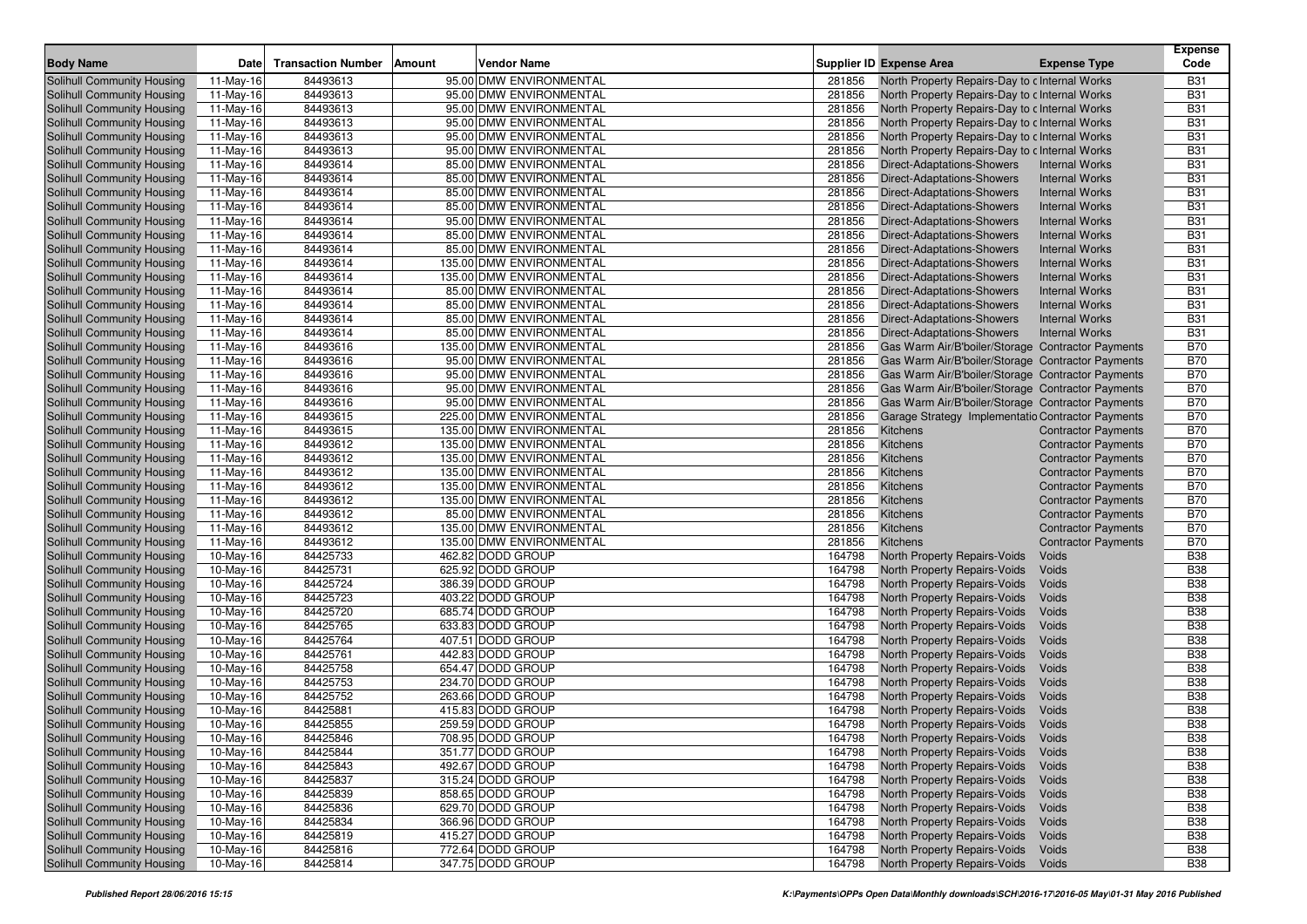|                                   |             |                           |                              |                                                          |                                                     | <b>Expense</b> |
|-----------------------------------|-------------|---------------------------|------------------------------|----------------------------------------------------------|-----------------------------------------------------|----------------|
| <b>Body Name</b>                  | Date        | <b>Transaction Number</b> | <b>Vendor Name</b><br>Amount | <b>Supplier ID Expense Area</b>                          | <b>Expense Type</b>                                 | Code           |
| Solihull Community Housing        | 11-May-16   | 84493613                  | 95.00 DMW ENVIRONMENTAL      | 281856<br>North Property Repairs-Day to c Internal Works |                                                     | <b>B31</b>     |
| Solihull Community Housing        | 11-May-16   | 84493613                  | 95.00 DMW ENVIRONMENTAL      | 281856<br>North Property Repairs-Day to c Internal Works |                                                     | <b>B31</b>     |
| Solihull Community Housing        | 11-May-16   | 84493613                  | 95.00 DMW ENVIRONMENTAL      | 281856<br>North Property Repairs-Day to c Internal Works |                                                     | <b>B31</b>     |
| Solihull Community Housing        | 11-May-16   | 84493613                  | 95.00 DMW ENVIRONMENTAL      | 281856<br>North Property Repairs-Day to c Internal Works |                                                     | <b>B31</b>     |
| Solihull Community Housing        | 11-May-16   | 84493613                  | 95.00 DMW ENVIRONMENTAL      | 281856<br>North Property Repairs-Day to c Internal Works |                                                     | <b>B31</b>     |
| Solihull Community Housing        | 11-May-16   | 84493613                  | 95.00 DMW ENVIRONMENTAL      | 281856<br>North Property Repairs-Day to c Internal Works |                                                     | <b>B31</b>     |
| Solihull Community Housing        | 11-May-16   | 84493614                  | 85.00 DMW ENVIRONMENTAL      | 281856<br>Direct-Adaptations-Showers                     | <b>Internal Works</b>                               | <b>B31</b>     |
| <b>Solihull Community Housing</b> | 11-May-16   | 84493614                  | 85.00 DMW ENVIRONMENTAL      | 281856<br>Direct-Adaptations-Showers                     | <b>Internal Works</b>                               | <b>B31</b>     |
| Solihull Community Housing        | 11-May-16   | 84493614                  | 85.00 DMW ENVIRONMENTAL      | 281856<br><b>Direct-Adaptations-Showers</b>              | <b>Internal Works</b>                               | <b>B31</b>     |
| Solihull Community Housing        | 11-May-16   | 84493614                  | 85.00 DMW ENVIRONMENTAL      | 281856<br><b>Direct-Adaptations-Showers</b>              | <b>Internal Works</b>                               | <b>B31</b>     |
| Solihull Community Housing        | 11-May-16   | 84493614                  | 95.00 DMW ENVIRONMENTAL      | 281856<br>Direct-Adaptations-Showers                     | <b>Internal Works</b>                               | <b>B31</b>     |
| Solihull Community Housing        | 11-May-16   | 84493614                  | 85.00 DMW ENVIRONMENTAL      | 281856<br>Direct-Adaptations-Showers                     | <b>Internal Works</b>                               | <b>B31</b>     |
| Solihull Community Housing        | 11-May-16   | 84493614                  | 85.00 DMW ENVIRONMENTAL      | 281856<br>Direct-Adaptations-Showers                     | <b>Internal Works</b>                               | <b>B31</b>     |
| Solihull Community Housing        | 11-May-16   | 84493614                  | 135.00 DMW ENVIRONMENTAL     | 281856<br><b>Direct-Adaptations-Showers</b>              | <b>Internal Works</b>                               | <b>B31</b>     |
| Solihull Community Housing        | 11-May-16   | 84493614                  | 135.00 DMW ENVIRONMENTAL     | 281856<br>Direct-Adaptations-Showers                     | <b>Internal Works</b>                               | <b>B31</b>     |
| Solihull Community Housing        | 11-May-16   | 84493614                  | 85.00 DMW ENVIRONMENTAL      | 281856<br>Direct-Adaptations-Showers                     | <b>Internal Works</b>                               | <b>B31</b>     |
| Solihull Community Housing        | 11-May-16   | 84493614                  | 85.00 DMW ENVIRONMENTAL      | 281856<br>Direct-Adaptations-Showers                     | <b>Internal Works</b>                               | <b>B31</b>     |
| Solihull Community Housing        | 11-May-16   | 84493614                  | 85.00 DMW ENVIRONMENTAL      | 281856<br><b>Direct-Adaptations-Showers</b>              | <b>Internal Works</b>                               | <b>B31</b>     |
| Solihull Community Housing        | 11-May-16   | 84493614                  | 85.00 DMW ENVIRONMENTAL      | 281856<br>Direct-Adaptations-Showers                     | <b>Internal Works</b>                               | <b>B31</b>     |
| Solihull Community Housing        | 11-May-16   | 84493616                  | 135.00 DMW ENVIRONMENTAL     | 281856                                                   | Gas Warm Air/B'boiler/Storage   Contractor Payments | <b>B70</b>     |
| Solihull Community Housing        | 11-May-16   | 84493616                  | 95.00 DMW ENVIRONMENTAL      | 281856                                                   | Gas Warm Air/B'boiler/Storage   Contractor Payments | <b>B70</b>     |
| Solihull Community Housing        | 11-May-16   | 84493616                  | 95.00 DMW ENVIRONMENTAL      | 281856                                                   | Gas Warm Air/B'boiler/Storage   Contractor Payments | <b>B70</b>     |
| Solihull Community Housing        | 11-May-16   | 84493616                  | 95.00 DMW ENVIRONMENTAL      | 281856                                                   | Gas Warm Air/B'boiler/Storage   Contractor Payments | <b>B70</b>     |
| Solihull Community Housing        | 11-May-16   | 84493616                  | 95.00 DMW ENVIRONMENTAL      | 281856                                                   | Gas Warm Air/B'boiler/Storage   Contractor Payments | <b>B70</b>     |
| Solihull Community Housing        | 11-May-16   | 84493615                  | 225.00 DMW ENVIRONMENTAL     | 281856                                                   | Garage Strategy Implementatio Contractor Payments   | <b>B70</b>     |
| Solihull Community Housing        | 11-May-16   | 84493615                  | 135.00 DMW ENVIRONMENTAL     | 281856<br>Kitchens                                       | <b>Contractor Payments</b>                          | <b>B70</b>     |
| Solihull Community Housing        | 11-May-16   | 84493612                  | 135.00 DMW ENVIRONMENTAL     | 281856<br>Kitchens                                       | <b>Contractor Payments</b>                          | <b>B70</b>     |
| Solihull Community Housing        | 11-May-16   | 84493612                  | 135.00 DMW ENVIRONMENTAL     | 281856<br>Kitchens                                       | <b>Contractor Payments</b>                          | <b>B70</b>     |
| Solihull Community Housing        | 11-May-16   | 84493612                  | 135.00 DMW ENVIRONMENTAL     | 281856<br>Kitchens                                       | <b>Contractor Payments</b>                          | <b>B70</b>     |
| Solihull Community Housing        | 11-May-16   | 84493612                  | 135.00 DMW ENVIRONMENTAL     | 281856<br>Kitchens                                       | <b>Contractor Payments</b>                          | <b>B70</b>     |
| Solihull Community Housing        | 11-May-16   | 84493612                  | 135.00 DMW ENVIRONMENTAL     | 281856<br>Kitchens                                       | <b>Contractor Payments</b>                          | <b>B70</b>     |
| Solihull Community Housing        | 11-May-16   | 84493612                  | 85.00 DMW ENVIRONMENTAL      | 281856<br>Kitchens                                       | <b>Contractor Payments</b>                          | <b>B70</b>     |
| Solihull Community Housing        | 11-May-16   | 84493612                  | 135.00 DMW ENVIRONMENTAL     | 281856<br>Kitchens                                       | <b>Contractor Payments</b>                          | <b>B70</b>     |
| Solihull Community Housing        | 11-May-16   | 84493612                  | 135.00 DMW ENVIRONMENTAL     | 281856<br>Kitchens                                       | <b>Contractor Payments</b>                          | <b>B70</b>     |
| Solihull Community Housing        | 10-May-16   | 84425733                  | 462.82 DODD GROUP            | 164798<br>North Property Repairs-Voids                   | Voids                                               | <b>B38</b>     |
| Solihull Community Housing        | 10-May-16   | 84425731                  | 625.92 DODD GROUP            | 164798<br>North Property Repairs-Voids                   | Voids                                               | <b>B38</b>     |
| Solihull Community Housing        | 10-May-16   | 84425724                  | 386.39 DODD GROUP            | 164798<br>North Property Repairs-Voids                   | Voids                                               | <b>B38</b>     |
| Solihull Community Housing        | 10-May-16   | 84425723                  | 403.22 DODD GROUP            | 164798<br>North Property Repairs-Voids                   | Voids                                               | <b>B38</b>     |
| <b>Solihull Community Housing</b> | 10-May-16   | 84425720                  | 685.74 DODD GROUP            | 164798<br>North Property Repairs-Voids                   | Voids                                               | <b>B38</b>     |
| Solihull Community Housing        | 10-May-16   | 84425765                  | 633.83 DODD GROUP            | 164798<br>North Property Repairs-Voids                   | Voids                                               | <b>B38</b>     |
| Solihull Community Housing        | 10-May-16   | 84425764                  | 407.51 DODD GROUP            | 164798<br>North Property Repairs-Voids                   | Voids                                               | <b>B38</b>     |
| Solihull Community Housing        | 10-May-16   | 84425761                  | 442.83 DODD GROUP            | 164798<br>North Property Repairs-Voids                   | Voids                                               | <b>B38</b>     |
| Solihull Community Housing        | 10-May-16   | 84425758                  | 654.47 DODD GROUP            | 164798<br>North Property Repairs-Voids                   | Voids                                               | <b>B38</b>     |
| Solihull Community Housing        | 10-May-16   | 84425753                  | 234.70 DODD GROUP            | 164798<br>North Property Repairs-Voids                   | Voids                                               | <b>B38</b>     |
| Solihull Community Housing        | 10-May-16   | 84425752                  | 263.66 DODD GROUP            | 164798<br>North Property Repairs-Voids                   | Voids                                               | <b>B38</b>     |
| Solihull Community Housing        | 10-May-16   | 84425881                  | 415.83 DODD GROUP            | 164798<br>North Property Repairs-Voids                   | Voids                                               | <b>B38</b>     |
| Solihull Community Housing        | 10-May-16   | 84425855                  | 259.59 DODD GROUP            | 164798<br>North Property Repairs-Voids                   | Voids                                               | <b>B38</b>     |
| Solihull Community Housing        | $10-May-16$ | 84425846                  | 708.95 DODD GROUP            | 164798 North Property Repairs-Voids                      | Voids                                               | <b>B38</b>     |
| Solihull Community Housing        | 10-May-16   | 84425844                  | 351.77 DODD GROUP            | 164798 North Property Repairs-Voids                      | Voids                                               | <b>B38</b>     |
| Solihull Community Housing        | 10-May-16   | 84425843                  | 492.67 DODD GROUP            | North Property Repairs-Voids<br>164798                   | Voids                                               | <b>B38</b>     |
| Solihull Community Housing        | 10-May-16   | 84425837                  | 315.24 DODD GROUP            | North Property Repairs-Voids<br>164798                   | Voids                                               | <b>B38</b>     |
| Solihull Community Housing        | 10-May-16   | 84425839                  | 858.65 DODD GROUP            | 164798<br>North Property Repairs-Voids                   | Voids                                               | <b>B38</b>     |
| Solihull Community Housing        | 10-May-16   | 84425836                  | 629.70 DODD GROUP            | 164798<br>North Property Repairs-Voids                   | Voids                                               | <b>B38</b>     |
| Solihull Community Housing        | 10-May-16   | 84425834                  | 366.96 DODD GROUP            | 164798<br>North Property Repairs-Voids                   | Voids                                               | <b>B38</b>     |
| Solihull Community Housing        | 10-May-16   | 84425819                  | 415.27 DODD GROUP            | 164798<br>North Property Repairs-Voids                   | Voids                                               | <b>B38</b>     |
| Solihull Community Housing        | 10-May-16   | 84425816                  | 772.64 DODD GROUP            | 164798<br>North Property Repairs-Voids                   | Voids                                               | <b>B38</b>     |
| Solihull Community Housing        | 10-May-16   | 84425814                  | 347.75 DODD GROUP            | 164798<br>North Property Repairs-Voids                   | Voids                                               | <b>B38</b>     |
|                                   |             |                           |                              |                                                          |                                                     |                |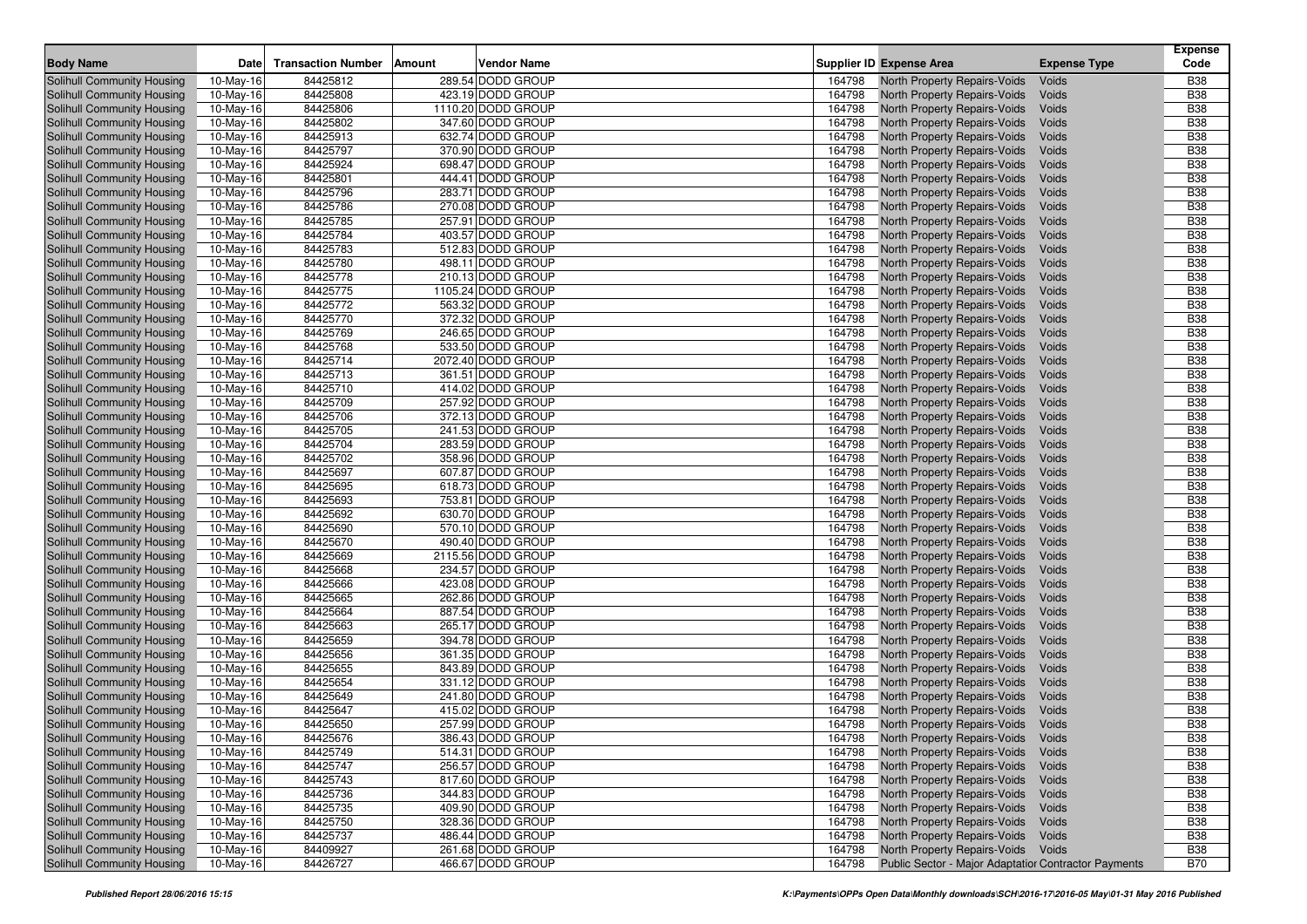| <b>Body Name</b>           | Date      | <b>Transaction Number</b> | <b>Amount</b> | <b>Vendor Name</b> | Supplier ID Expense Area            |                                     | <b>Expense Type</b>                                  | <b>Expense</b><br>Code |
|----------------------------|-----------|---------------------------|---------------|--------------------|-------------------------------------|-------------------------------------|------------------------------------------------------|------------------------|
| Solihull Community Housing | 10-May-16 | 84425812                  |               | 289.54 DODD GROUP  | 164798                              | <b>North Property Repairs-Voids</b> | Voids                                                | <b>B38</b>             |
| Solihull Community Housing | 10-May-16 | 84425808                  |               | 423.19 DODD GROUP  | 164798                              | <b>North Property Repairs-Voids</b> | Voids                                                | <b>B38</b>             |
| Solihull Community Housing | 10-May-16 | 84425806                  |               | 1110.20 DODD GROUP | 164798                              | <b>North Property Repairs-Voids</b> | Voids                                                | <b>B38</b>             |
| Solihull Community Housing | 10-May-16 | 84425802                  |               | 347.60 DODD GROUP  | 164798                              | North Property Repairs-Voids        | Voids                                                | <b>B38</b>             |
| Solihull Community Housing | 10-May-16 | 84425913                  |               | 632.74 DODD GROUP  | 164798                              | <b>North Property Repairs-Voids</b> | Voids                                                | <b>B38</b>             |
| Solihull Community Housing | 10-May-16 | 84425797                  |               | 370.90 DODD GROUP  | 164798                              | North Property Repairs-Voids        | Voids                                                | <b>B38</b>             |
| Solihull Community Housing | 10-May-16 | 84425924                  |               | 698.47 DODD GROUP  | 164798                              | <b>North Property Repairs-Voids</b> | Voids                                                | <b>B38</b>             |
| Solihull Community Housing | 10-May-16 | 84425801                  |               | 444.41 DODD GROUP  | 164798                              | North Property Repairs-Voids        | Voids                                                | <b>B38</b>             |
| Solihull Community Housing | 10-May-16 | 84425796                  |               | 283.71 DODD GROUP  | 164798                              | <b>North Property Repairs-Voids</b> | Voids                                                | <b>B38</b>             |
| Solihull Community Housing | 10-May-16 | 84425786                  |               | 270.08 DODD GROUP  | 164798                              | North Property Repairs-Voids        | Voids                                                | <b>B38</b>             |
| Solihull Community Housing | 10-May-16 | 84425785                  |               | 257.91 DODD GROUP  | 164798                              | <b>North Property Repairs-Voids</b> | Voids                                                | <b>B38</b>             |
| Solihull Community Housing | 10-May-16 | 84425784                  |               | 403.57 DODD GROUP  | 164798                              | North Property Repairs-Voids        | Voids                                                | <b>B38</b>             |
| Solihull Community Housing | 10-May-16 | 84425783                  |               | 512.83 DODD GROUP  | 164798                              | <b>North Property Repairs-Voids</b> | Voids                                                | <b>B38</b>             |
| Solihull Community Housing | 10-May-16 | 84425780                  |               | 498.11 DODD GROUP  | 164798                              | North Property Repairs-Voids        | Voids                                                | <b>B38</b>             |
| Solihull Community Housing | 10-May-16 | 84425778                  |               | 210.13 DODD GROUP  | 164798                              | <b>North Property Repairs-Voids</b> | Voids                                                | <b>B38</b>             |
| Solihull Community Housing | 10-May-16 | 84425775                  |               | 1105.24 DODD GROUP | 164798                              | North Property Repairs-Voids        | Voids                                                | <b>B38</b>             |
| Solihull Community Housing | 10-May-16 | 84425772                  |               | 563.32 DODD GROUP  | 164798                              | <b>North Property Repairs-Voids</b> | Voids                                                | <b>B38</b>             |
| Solihull Community Housing | 10-May-16 | 84425770                  |               | 372.32 DODD GROUP  | 164798                              | North Property Repairs-Voids        | Voids                                                | <b>B38</b>             |
| Solihull Community Housing | 10-May-16 | 84425769                  |               | 246.65 DODD GROUP  | 164798                              | <b>North Property Repairs-Voids</b> | Voids                                                | <b>B38</b>             |
| Solihull Community Housing | 10-May-16 | 84425768                  |               | 533.50 DODD GROUP  | 164798                              | North Property Repairs-Voids        | Voids                                                | <b>B38</b>             |
| Solihull Community Housing | 10-May-16 | 84425714                  |               | 2072.40 DODD GROUP | 164798                              | <b>North Property Repairs-Voids</b> | Voids                                                | <b>B38</b>             |
| Solihull Community Housing | 10-May-16 | 84425713                  |               | 361.51 DODD GROUP  | 164798                              | North Property Repairs-Voids        | Voids                                                | <b>B38</b>             |
| Solihull Community Housing | 10-May-16 | 84425710                  |               | 414.02 DODD GROUP  | 164798                              | <b>North Property Repairs-Voids</b> | Voids                                                | <b>B38</b>             |
| Solihull Community Housing | 10-May-16 | 84425709                  |               | 257.92 DODD GROUP  | 164798                              | North Property Repairs-Voids        | Voids                                                | <b>B38</b>             |
| Solihull Community Housing | 10-May-16 | 84425706                  |               | 372.13 DODD GROUP  | 164798                              | <b>North Property Repairs-Voids</b> | Voids                                                | <b>B38</b>             |
| Solihull Community Housing | 10-May-16 | 84425705                  |               | 241.53 DODD GROUP  | 164798                              | North Property Repairs-Voids        | Voids                                                | <b>B38</b>             |
| Solihull Community Housing | 10-May-16 | 84425704                  |               | 283.59 DODD GROUP  | 164798                              | <b>North Property Repairs-Voids</b> | Voids                                                | <b>B38</b>             |
| Solihull Community Housing | 10-May-16 | 84425702                  |               | 358.96 DODD GROUP  | 164798                              | North Property Repairs-Voids        | Voids                                                | <b>B38</b>             |
| Solihull Community Housing | 10-May-16 | 84425697                  |               | 607.87 DODD GROUP  | 164798                              | <b>North Property Repairs-Voids</b> | Voids                                                | <b>B38</b>             |
| Solihull Community Housing | 10-May-16 | 84425695                  |               | 618.73 DODD GROUP  | 164798                              | North Property Repairs-Voids        | Voids                                                | <b>B38</b>             |
| Solihull Community Housing | 10-May-16 | 84425693                  |               | 753.81 DODD GROUP  | 164798                              | <b>North Property Repairs-Voids</b> | Voids                                                | <b>B38</b>             |
| Solihull Community Housing | 10-May-16 | 84425692                  |               | 630.70 DODD GROUP  | 164798                              | North Property Repairs-Voids        | Voids                                                | <b>B38</b>             |
| Solihull Community Housing | 10-May-16 | 84425690                  |               | 570.10 DODD GROUP  | 164798                              | <b>North Property Repairs-Voids</b> | Voids                                                | <b>B38</b>             |
| Solihull Community Housing | 10-May-16 | 84425670                  |               | 490.40 DODD GROUP  | 164798                              | North Property Repairs-Voids        | Voids                                                | <b>B38</b>             |
| Solihull Community Housing | 10-May-16 | 84425669                  |               | 2115.56 DODD GROUP | 164798                              | <b>North Property Repairs-Voids</b> | Voids                                                | <b>B38</b>             |
| Solihull Community Housing | 10-May-16 | 84425668                  |               | 234.57 DODD GROUP  | 164798                              | North Property Repairs-Voids        | Voids                                                | <b>B38</b>             |
| Solihull Community Housing | 10-May-16 | 84425666                  |               | 423.08 DODD GROUP  | 164798                              | <b>North Property Repairs-Voids</b> | Voids                                                | <b>B38</b>             |
| Solihull Community Housing | 10-May-16 | 84425665                  |               | 262.86 DODD GROUP  | 164798                              | North Property Repairs-Voids        | Voids                                                | <b>B38</b>             |
| Solihull Community Housing | 10-May-16 | 84425664                  |               | 887.54 DODD GROUP  | 164798                              | <b>North Property Repairs-Voids</b> | Voids                                                | <b>B38</b>             |
| Solihull Community Housing | 10-May-16 | 84425663                  |               | 265.17 DODD GROUP  | 164798                              | North Property Repairs-Voids        | Voids                                                | <b>B38</b>             |
| Solihull Community Housing | 10-May-16 | 84425659                  |               | 394.78 DODD GROUP  | 164798                              | <b>North Property Repairs-Voids</b> | Voids                                                | <b>B38</b>             |
| Solihull Community Housing | 10-May-16 | 84425656                  |               | 361.35 DODD GROUP  | 164798                              | North Property Repairs-Voids        | Voids                                                | <b>B38</b>             |
| Solihull Community Housing | 10-May-16 | 84425655                  |               | 843.89 DODD GROUP  | 164798                              | <b>North Property Repairs-Voids</b> | Voids                                                | <b>B38</b>             |
| Solihull Community Housing | 10-May-16 | 84425654                  |               | 331.12 DODD GROUP  | 164798                              | North Property Repairs-Voids        | Voids                                                | <b>B38</b>             |
| Solihull Community Housing | 10-May-16 | 84425649                  |               | 241.80 DODD GROUP  | 164798                              | <b>North Property Repairs-Voids</b> | Voids                                                | <b>B38</b>             |
| Solihull Community Housing | 10-May-16 | 84425647                  |               | 415.02 DODD GROUP  | 164798                              | <b>North Property Repairs-Voids</b> | Voids                                                | <b>B38</b>             |
| Solihull Community Housing | 10-May-16 | 84425650                  |               | 257.99 DODD GROUP  | 164798                              | North Property Repairs-Voids        | Voids                                                | <b>B38</b>             |
| Solihull Community Housing | 10-May-16 | 84425676                  |               | 386.43 DODD GROUP  | 164798 North Property Repairs-Voids |                                     | Voids                                                | <b>B38</b>             |
| Solihull Community Housing | 10-May-16 | 84425749                  |               | 514.31 DODD GROUP  | 164798 North Property Repairs-Voids |                                     | Voids                                                | <b>B38</b>             |
| Solihull Community Housing | 10-May-16 | 84425747                  |               | 256.57 DODD GROUP  | 164798                              | North Property Repairs-Voids        | Voids                                                | <b>B38</b>             |
| Solihull Community Housing | 10-May-16 | 84425743                  |               | 817.60 DODD GROUP  | 164798                              | North Property Repairs-Voids        | Voids                                                | <b>B38</b>             |
| Solihull Community Housing | 10-May-16 | 84425736                  |               | 344.83 DODD GROUP  | 164798                              | North Property Repairs-Voids        | Voids                                                | <b>B38</b>             |
| Solihull Community Housing | 10-May-16 | 84425735                  |               | 409.90 DODD GROUP  | 164798                              | North Property Repairs-Voids        | Voids                                                | <b>B38</b>             |
| Solihull Community Housing | 10-May-16 | 84425750                  |               | 328.36 DODD GROUP  | 164798                              | North Property Repairs-Voids        | Voids                                                | <b>B38</b>             |
| Solihull Community Housing | 10-May-16 | 84425737                  |               | 486.44 DODD GROUP  | 164798                              | North Property Repairs-Voids        | Voids                                                | <b>B38</b>             |
| Solihull Community Housing | 10-May-16 | 84409927                  |               | 261.68 DODD GROUP  | 164798                              | North Property Repairs-Voids Voids  |                                                      | <b>B38</b>             |
| Solihull Community Housing | 10-May-16 | 84426727                  |               | 466.67 DODD GROUP  | 164798                              |                                     | Public Sector - Major Adaptatior Contractor Payments | <b>B70</b>             |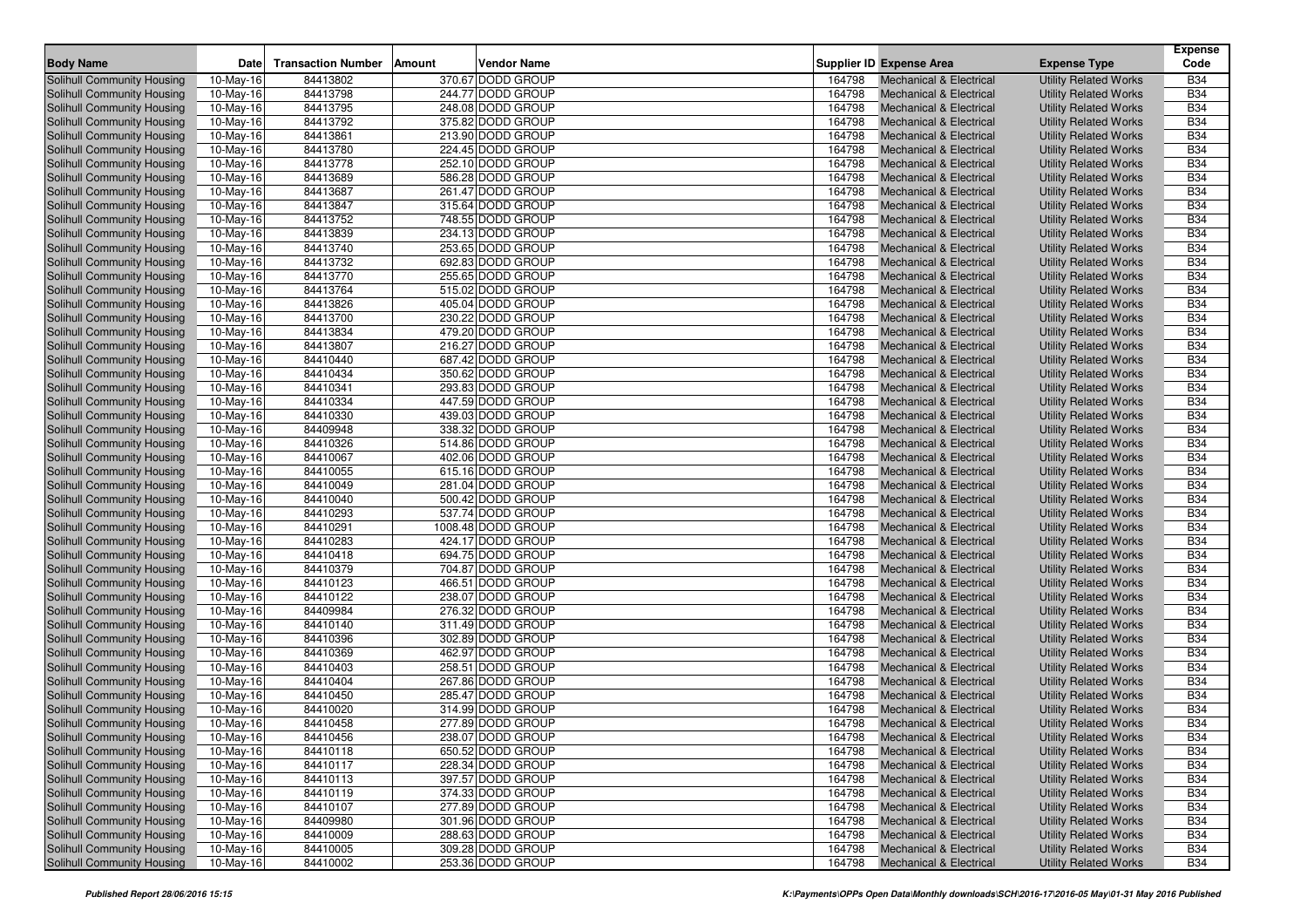|                            |             |                           |        |                                        |        |                                    |                              | <b>Expense</b> |
|----------------------------|-------------|---------------------------|--------|----------------------------------------|--------|------------------------------------|------------------------------|----------------|
| <b>Body Name</b>           | <b>Date</b> | <b>Transaction Number</b> | Amount | <b>Vendor Name</b>                     |        | Supplier ID Expense Area           | <b>Expense Type</b>          | Code           |
| Solihull Community Housing | 10-May-16   | 84413802                  |        | 370.67 DODD GROUP                      | 164798 | <b>Mechanical &amp; Electrical</b> | <b>Utility Related Works</b> | <b>B34</b>     |
| Solihull Community Housing | 10-May-16   | 84413798                  |        | 244.77 DODD GROUP                      | 164798 | <b>Mechanical &amp; Electrical</b> | <b>Utility Related Works</b> | <b>B34</b>     |
| Solihull Community Housing | 10-May-16   | 84413795                  |        | 248.08 DODD GROUP                      | 164798 | <b>Mechanical &amp; Electrical</b> | <b>Utility Related Works</b> | <b>B34</b>     |
| Solihull Community Housing | 10-May-16   | 84413792                  |        | 375.82 DODD GROUP                      | 164798 | <b>Mechanical &amp; Electrical</b> | <b>Utility Related Works</b> | <b>B34</b>     |
| Solihull Community Housing | 10-May-16   | 84413861                  |        | 213.90 DODD GROUP                      | 164798 | <b>Mechanical &amp; Electrical</b> | <b>Utility Related Works</b> | <b>B34</b>     |
| Solihull Community Housing | 10-May-16   | 84413780                  |        | 224.45 DODD GROUP                      | 164798 | <b>Mechanical &amp; Electrical</b> | <b>Utility Related Works</b> | <b>B34</b>     |
| Solihull Community Housing | 10-May-16   | 84413778                  |        | 252.10 DODD GROUP                      | 164798 | <b>Mechanical &amp; Electrical</b> | <b>Utility Related Works</b> | <b>B34</b>     |
| Solihull Community Housing | 10-May-16   | 84413689                  |        | 586.28 DODD GROUP                      | 164798 | <b>Mechanical &amp; Electrical</b> | <b>Utility Related Works</b> | <b>B34</b>     |
| Solihull Community Housing | 10-May-16   | 84413687                  |        | 261.47 DODD GROUP                      | 164798 | <b>Mechanical &amp; Electrical</b> | <b>Utility Related Works</b> | <b>B34</b>     |
| Solihull Community Housing | 10-May-16   | 84413847                  |        | 315.64 DODD GROUP                      | 164798 | <b>Mechanical &amp; Electrical</b> | <b>Utility Related Works</b> | <b>B34</b>     |
| Solihull Community Housing | 10-May-16   | 84413752                  |        | 748.55 DODD GROUP                      | 164798 | <b>Mechanical &amp; Electrical</b> | <b>Utility Related Works</b> | <b>B34</b>     |
| Solihull Community Housing | 10-May-16   | 84413839                  |        | 234.13 DODD GROUP                      | 164798 | <b>Mechanical &amp; Electrical</b> | <b>Utility Related Works</b> | <b>B34</b>     |
| Solihull Community Housing | 10-May-16   | 84413740                  |        | 253.65 DODD GROUP                      | 164798 | <b>Mechanical &amp; Electrical</b> | <b>Utility Related Works</b> | <b>B34</b>     |
| Solihull Community Housing | 10-May-16   | 84413732                  |        | 692.83 DODD GROUP                      | 164798 | <b>Mechanical &amp; Electrical</b> | <b>Utility Related Works</b> | <b>B34</b>     |
| Solihull Community Housing | 10-May-16   | 84413770                  |        | 255.65 DODD GROUP                      | 164798 | <b>Mechanical &amp; Electrical</b> | <b>Utility Related Works</b> | <b>B34</b>     |
| Solihull Community Housing | 10-May-16   | 84413764                  |        | 515.02 DODD GROUP                      | 164798 | <b>Mechanical &amp; Electrical</b> | <b>Utility Related Works</b> | <b>B34</b>     |
| Solihull Community Housing | 10-May-16   | 84413826                  |        | 405.04 DODD GROUP                      | 164798 | <b>Mechanical &amp; Electrical</b> | <b>Utility Related Works</b> | <b>B34</b>     |
| Solihull Community Housing | 10-May-16   | 84413700                  |        | 230.22 DODD GROUP                      | 164798 | <b>Mechanical &amp; Electrical</b> | <b>Utility Related Works</b> | <b>B34</b>     |
| Solihull Community Housing | 10-May-16   | 84413834                  |        | 479.20 DODD GROUP                      | 164798 | <b>Mechanical &amp; Electrical</b> | <b>Utility Related Works</b> | <b>B34</b>     |
| Solihull Community Housing | 10-May-16   | 84413807                  |        | 216.27 DODD GROUP                      | 164798 | <b>Mechanical &amp; Electrical</b> | <b>Utility Related Works</b> | <b>B34</b>     |
| Solihull Community Housing | 10-May-16   | 84410440                  |        | 687.42 DODD GROUP                      | 164798 | <b>Mechanical &amp; Electrical</b> | <b>Utility Related Works</b> | <b>B34</b>     |
| Solihull Community Housing | 10-May-16   | 84410434                  |        | 350.62 DODD GROUP                      | 164798 | <b>Mechanical &amp; Electrical</b> | <b>Utility Related Works</b> | <b>B34</b>     |
| Solihull Community Housing |             | 84410341                  |        | 293.83 DODD GROUP                      | 164798 |                                    |                              | <b>B34</b>     |
|                            | 10-May-16   | 84410334                  |        | 447.59 DODD GROUP                      | 164798 | <b>Mechanical &amp; Electrical</b> | <b>Utility Related Works</b> | <b>B34</b>     |
| Solihull Community Housing | 10-May-16   |                           |        |                                        |        | <b>Mechanical &amp; Electrical</b> | <b>Utility Related Works</b> |                |
| Solihull Community Housing | 10-May-16   | 84410330                  |        | 439.03 DODD GROUP                      | 164798 | <b>Mechanical &amp; Electrical</b> | <b>Utility Related Works</b> | <b>B34</b>     |
| Solihull Community Housing | 10-May-16   | 84409948                  |        | 338.32 DODD GROUP                      | 164798 | <b>Mechanical &amp; Electrical</b> | <b>Utility Related Works</b> | <b>B34</b>     |
| Solihull Community Housing | 10-May-16   | 84410326                  |        | 514.86 DODD GROUP<br>402.06 DODD GROUP | 164798 | <b>Mechanical &amp; Electrical</b> | <b>Utility Related Works</b> | <b>B34</b>     |
| Solihull Community Housing | 10-May-16   | 84410067                  |        | 615.16 DODD GROUP                      | 164798 | <b>Mechanical &amp; Electrical</b> | <b>Utility Related Works</b> | <b>B34</b>     |
| Solihull Community Housing | 10-May-16   | 84410055                  |        |                                        | 164798 | <b>Mechanical &amp; Electrical</b> | <b>Utility Related Works</b> | <b>B34</b>     |
| Solihull Community Housing | 10-May-16   | 84410049                  |        | 281.04 DODD GROUP                      | 164798 | <b>Mechanical &amp; Electrical</b> | <b>Utility Related Works</b> | <b>B34</b>     |
| Solihull Community Housing | 10-May-16   | 84410040                  |        | 500.42 DODD GROUP                      | 164798 | <b>Mechanical &amp; Electrical</b> | <b>Utility Related Works</b> | <b>B34</b>     |
| Solihull Community Housing | 10-May-16   | 84410293                  |        | 537.74 DODD GROUP                      | 164798 | <b>Mechanical &amp; Electrical</b> | <b>Utility Related Works</b> | <b>B34</b>     |
| Solihull Community Housing | 10-May-16   | 84410291                  |        | 1008.48 DODD GROUP                     | 164798 | <b>Mechanical &amp; Electrical</b> | <b>Utility Related Works</b> | <b>B34</b>     |
| Solihull Community Housing | 10-May-16   | 84410283                  |        | 424.17 DODD GROUP                      | 164798 | <b>Mechanical &amp; Electrical</b> | <b>Utility Related Works</b> | <b>B34</b>     |
| Solihull Community Housing | 10-May-16   | 84410418                  |        | 694.75 DODD GROUP                      | 164798 | <b>Mechanical &amp; Electrical</b> | <b>Utility Related Works</b> | <b>B34</b>     |
| Solihull Community Housing | 10-May-16   | 84410379                  |        | 704.87 DODD GROUP                      | 164798 | <b>Mechanical &amp; Electrical</b> | <b>Utility Related Works</b> | <b>B34</b>     |
| Solihull Community Housing | 10-May-16   | 84410123                  |        | 466.51 DODD GROUP                      | 164798 | <b>Mechanical &amp; Electrical</b> | <b>Utility Related Works</b> | <b>B34</b>     |
| Solihull Community Housing | 10-May-16   | 84410122                  |        | 238.07 DODD GROUP                      | 164798 | <b>Mechanical &amp; Electrical</b> | <b>Utility Related Works</b> | <b>B34</b>     |
| Solihull Community Housing | 10-May-16   | 84409984                  |        | 276.32 DODD GROUP                      | 164798 | <b>Mechanical &amp; Electrical</b> | <b>Utility Related Works</b> | <b>B34</b>     |
| Solihull Community Housing | 10-May-16   | 84410140                  |        | 311.49 DODD GROUP                      | 164798 | <b>Mechanical &amp; Electrical</b> | <b>Utility Related Works</b> | <b>B34</b>     |
| Solihull Community Housing | 10-May-16   | 84410396                  |        | 302.89 DODD GROUP                      | 164798 | <b>Mechanical &amp; Electrical</b> | <b>Utility Related Works</b> | <b>B34</b>     |
| Solihull Community Housing | 10-May-16   | 84410369                  |        | 462.97 DODD GROUP                      | 164798 | <b>Mechanical &amp; Electrical</b> | <b>Utility Related Works</b> | <b>B34</b>     |
| Solihull Community Housing | 10-May-16   | 84410403                  |        | 258.51 DODD GROUP                      | 164798 | <b>Mechanical &amp; Electrical</b> | <b>Utility Related Works</b> | <b>B34</b>     |
| Solihull Community Housing | 10-May-16   | 84410404                  |        | 267.86 DODD GROUP                      | 164798 | <b>Mechanical &amp; Electrical</b> | <b>Utility Related Works</b> | <b>B34</b>     |
| Solihull Community Housing | 10-May-16   | 84410450                  |        | 285.47 DODD GROUP                      | 164798 | <b>Mechanical &amp; Electrical</b> | <b>Utility Related Works</b> | <b>B34</b>     |
| Solihull Community Housing | 10-May-16   | 84410020                  |        | 314.99 DODD GROUP                      | 164798 | <b>Mechanical &amp; Electrical</b> | <b>Utility Related Works</b> | <b>B34</b>     |
| Solihull Community Housing | 10-May-16   | 84410458                  |        | 277.89 DODD GROUP                      | 164798 | <b>Mechanical &amp; Electrical</b> | <b>Utility Related Works</b> | <b>B34</b>     |
| Solihull Community Housing | 10-May-16   | 84410456                  |        | 238.07 DODD GROUP                      | 164798 | <b>Mechanical &amp; Electrical</b> | <b>Utility Related Works</b> | <b>B34</b>     |
| Solihull Community Housing | 10-May-16   | 84410118                  |        | 650.52 DODD GROUP                      |        | 164798 Mechanical & Electrical     | <b>Utility Related Works</b> | <b>B34</b>     |
| Solihull Community Housing | 10-May-16   | 84410117                  |        | 228.34 DODD GROUP                      |        | 164798 Mechanical & Electrical     | <b>Utility Related Works</b> | <b>B34</b>     |
| Solihull Community Housing | 10-May-16   | 84410113                  |        | 397.57 DODD GROUP                      | 164798 | <b>Mechanical &amp; Electrical</b> | <b>Utility Related Works</b> | <b>B34</b>     |
| Solihull Community Housing | 10-May-16   | 84410119                  |        | 374.33 DODD GROUP                      |        | 164798 Mechanical & Electrical     | <b>Utility Related Works</b> | <b>B34</b>     |
| Solihull Community Housing | 10-May-16   | 84410107                  |        | 277.89 DODD GROUP                      | 164798 | <b>Mechanical &amp; Electrical</b> | <b>Utility Related Works</b> | <b>B34</b>     |
| Solihull Community Housing | 10-May-16   | 84409980                  |        | 301.96 DODD GROUP                      | 164798 | <b>Mechanical &amp; Electrical</b> | <b>Utility Related Works</b> | <b>B34</b>     |
| Solihull Community Housing | 10-May-16   | 84410009                  |        | 288.63 DODD GROUP                      | 164798 | <b>Mechanical &amp; Electrical</b> | <b>Utility Related Works</b> | <b>B34</b>     |
| Solihull Community Housing | 10-May-16   | 84410005                  |        | 309.28 DODD GROUP                      | 164798 | <b>Mechanical &amp; Electrical</b> | <b>Utility Related Works</b> | <b>B34</b>     |
| Solihull Community Housing | 10-May-16   | 84410002                  |        | 253.36 DODD GROUP                      | 164798 | <b>Mechanical &amp; Electrical</b> | <b>Utility Related Works</b> | B34            |
|                            |             |                           |        |                                        |        |                                    |                              |                |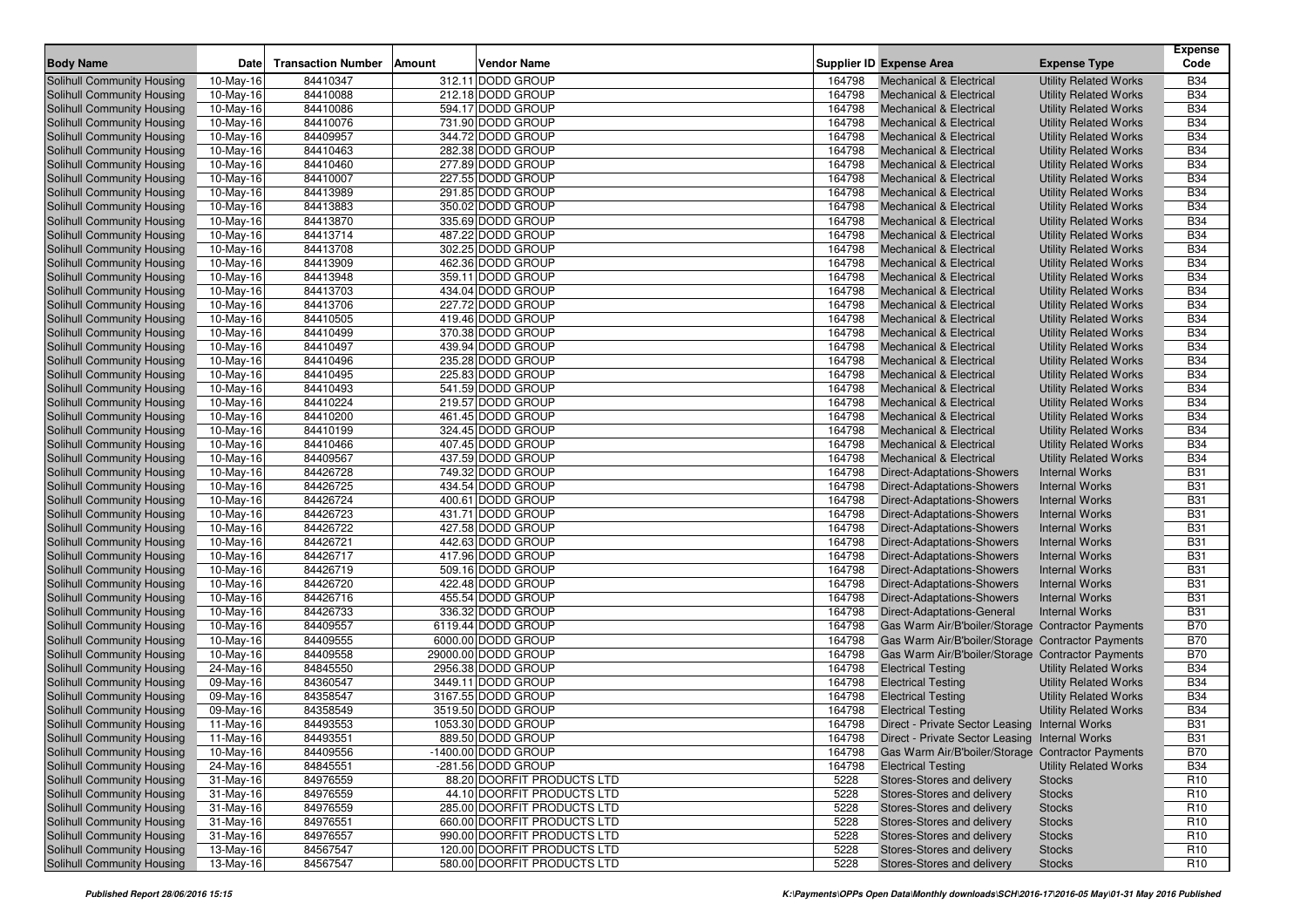| <b>Body Name</b>                  | <b>Date</b> | <b>Transaction Number</b> | Amount | <b>Vendor Name</b>          |                  | Supplier ID Expense Area                            | <b>Expense Type</b>          | <b>Expense</b><br>Code |
|-----------------------------------|-------------|---------------------------|--------|-----------------------------|------------------|-----------------------------------------------------|------------------------------|------------------------|
| Solihull Community Housing        | 10-May-16   | 84410347                  |        | 312.11 DODD GROUP           | 164798           | <b>Mechanical &amp; Electrical</b>                  | <b>Utility Related Works</b> | <b>B34</b>             |
| Solihull Community Housing        | 10-May-16   | 84410088                  |        | 212.18 DODD GROUP           | 164798           | <b>Mechanical &amp; Electrical</b>                  | <b>Utility Related Works</b> | <b>B34</b>             |
| <b>Solihull Community Housing</b> | 10-May-16   | 84410086                  |        | 594.17 DODD GROUP           | 164798           | <b>Mechanical &amp; Electrical</b>                  | <b>Utility Related Works</b> | <b>B34</b>             |
| Solihull Community Housing        | 10-May-16   | 84410076                  |        | 731.90 DODD GROUP           | 164798           | <b>Mechanical &amp; Electrical</b>                  | <b>Utility Related Works</b> | <b>B34</b>             |
| Solihull Community Housing        | 10-May-16   | 84409957                  |        | 344.72 DODD GROUP           | 164798           | <b>Mechanical &amp; Electrical</b>                  | <b>Utility Related Works</b> | <b>B34</b>             |
| Solihull Community Housing        | 10-May-16   | 84410463                  |        | 282.38 DODD GROUP           | 164798           | <b>Mechanical &amp; Electrical</b>                  | <b>Utility Related Works</b> | <b>B34</b>             |
| Solihull Community Housing        | 10-May-16   | 84410460                  |        | 277.89 DODD GROUP           | 164798           | <b>Mechanical &amp; Electrical</b>                  | <b>Utility Related Works</b> | <b>B34</b>             |
| Solihull Community Housing        | 10-May-16   | 84410007                  |        | 227.55 DODD GROUP           | 164798           | <b>Mechanical &amp; Electrical</b>                  | <b>Utility Related Works</b> | <b>B34</b>             |
| Solihull Community Housing        | 10-May-16   | 84413989                  |        | 291.85 DODD GROUP           | 164798           | <b>Mechanical &amp; Electrical</b>                  | <b>Utility Related Works</b> | <b>B34</b>             |
| Solihull Community Housing        | 10-May-16   | 84413883                  |        | 350.02 DODD GROUP           | 164798           | <b>Mechanical &amp; Electrical</b>                  | <b>Utility Related Works</b> | <b>B34</b>             |
| Solihull Community Housing        |             | 84413870                  |        | 335.69 DODD GROUP           |                  | <b>Mechanical &amp; Electrical</b>                  | <b>Utility Related Works</b> | <b>B34</b>             |
|                                   | 10-May-16   |                           |        | 487.22 DODD GROUP           | 164798<br>164798 |                                                     |                              | <b>B34</b>             |
| Solihull Community Housing        | 10-May-16   | 84413714                  |        | 302.25 DODD GROUP           |                  | <b>Mechanical &amp; Electrical</b>                  | <b>Utility Related Works</b> |                        |
| <b>Solihull Community Housing</b> | 10-May-16   | 84413708                  |        |                             | 164798           | <b>Mechanical &amp; Electrical</b>                  | <b>Utility Related Works</b> | <b>B34</b>             |
| Solihull Community Housing        | 10-May-16   | 84413909                  |        | 462.36 DODD GROUP           | 164798           | <b>Mechanical &amp; Electrical</b>                  | <b>Utility Related Works</b> | <b>B34</b>             |
| Solihull Community Housing        | 10-May-16   | 84413948                  |        | 359.11 DODD GROUP           | 164798           | <b>Mechanical &amp; Electrical</b>                  | <b>Utility Related Works</b> | <b>B34</b>             |
| Solihull Community Housing        | 10-May-16   | 84413703                  |        | 434.04 DODD GROUP           | 164798           | <b>Mechanical &amp; Electrical</b>                  | <b>Utility Related Works</b> | <b>B34</b>             |
| Solihull Community Housing        | 10-May-16   | 84413706                  |        | 227.72 DODD GROUP           | 164798           | <b>Mechanical &amp; Electrical</b>                  | <b>Utility Related Works</b> | <b>B34</b>             |
| Solihull Community Housing        | 10-May-16   | 84410505                  |        | 419.46 DODD GROUP           | 164798           | <b>Mechanical &amp; Electrical</b>                  | <b>Utility Related Works</b> | <b>B34</b>             |
| Solihull Community Housing        | 10-May-16   | 84410499                  |        | 370.38 DODD GROUP           | 164798           | <b>Mechanical &amp; Electrical</b>                  | <b>Utility Related Works</b> | <b>B34</b>             |
| Solihull Community Housing        | 10-May-16   | 84410497                  |        | 439.94 DODD GROUP           | 164798           | <b>Mechanical &amp; Electrical</b>                  | <b>Utility Related Works</b> | <b>B34</b>             |
| Solihull Community Housing        | 10-May-16   | 84410496                  |        | 235.28 DODD GROUP           | 164798           | <b>Mechanical &amp; Electrical</b>                  | <b>Utility Related Works</b> | <b>B34</b>             |
| Solihull Community Housing        | 10-May-16   | 84410495                  |        | 225.83 DODD GROUP           | 164798           | <b>Mechanical &amp; Electrical</b>                  | <b>Utility Related Works</b> | <b>B34</b>             |
| Solihull Community Housing        | 10-May-16   | 84410493                  |        | 541.59 DODD GROUP           | 164798           | <b>Mechanical &amp; Electrical</b>                  | <b>Utility Related Works</b> | <b>B34</b>             |
| Solihull Community Housing        | 10-May-16   | 84410224                  |        | 219.57 DODD GROUP           | 164798           | <b>Mechanical &amp; Electrical</b>                  | <b>Utility Related Works</b> | <b>B34</b>             |
| <b>Solihull Community Housing</b> | 10-May-16   | 84410200                  |        | 461.45 DODD GROUP           | 164798           | <b>Mechanical &amp; Electrical</b>                  | <b>Utility Related Works</b> | <b>B34</b>             |
| Solihull Community Housing        | 10-May-16   | 84410199                  |        | 324.45 DODD GROUP           | 164798           | <b>Mechanical &amp; Electrical</b>                  | <b>Utility Related Works</b> | <b>B34</b>             |
| Solihull Community Housing        | 10-May-16   | 84410466                  |        | 407.45 DODD GROUP           | 164798           | <b>Mechanical &amp; Electrical</b>                  | <b>Utility Related Works</b> | <b>B34</b>             |
| Solihull Community Housing        | 10-May-16   | 84409567                  |        | 437.59 DODD GROUP           | 164798           | <b>Mechanical &amp; Electrical</b>                  | <b>Utility Related Works</b> | <b>B34</b>             |
| Solihull Community Housing        | 10-May-16   | 84426728                  |        | 749.32 DODD GROUP           | 164798           | Direct-Adaptations-Showers                          | <b>Internal Works</b>        | <b>B31</b>             |
| Solihull Community Housing        | 10-May-16   | 84426725                  |        | 434.54 DODD GROUP           | 164798           | Direct-Adaptations-Showers                          | <b>Internal Works</b>        | <b>B31</b>             |
| Solihull Community Housing        | 10-May-16   | 84426724                  |        | 400.61 DODD GROUP           | 164798           | <b>Direct-Adaptations-Showers</b>                   | <b>Internal Works</b>        | <b>B31</b>             |
| Solihull Community Housing        | 10-May-16   | 84426723                  |        | 431.71 DODD GROUP           | 164798           | Direct-Adaptations-Showers                          | <b>Internal Works</b>        | <b>B31</b>             |
| Solihull Community Housing        | 10-May-16   | 84426722                  |        | 427.58 DODD GROUP           | 164798           | Direct-Adaptations-Showers                          | <b>Internal Works</b>        | <b>B31</b>             |
| Solihull Community Housing        | 10-May-16   | 84426721                  |        | 442.63 DODD GROUP           | 164798           | Direct-Adaptations-Showers                          | <b>Internal Works</b>        | <b>B31</b>             |
| Solihull Community Housing        | 10-May-16   | 84426717                  |        | 417.96 DODD GROUP           | 164798           | <b>Direct-Adaptations-Showers</b>                   | <b>Internal Works</b>        | <b>B31</b>             |
| Solihull Community Housing        | 10-May-16   | 84426719                  |        | 509.16 DODD GROUP           | 164798           | Direct-Adaptations-Showers                          | <b>Internal Works</b>        | <b>B31</b>             |
| Solihull Community Housing        | 10-May-16   | 84426720                  |        | 422.48 DODD GROUP           | 164798           | <b>Direct-Adaptations-Showers</b>                   | <b>Internal Works</b>        | <b>B31</b>             |
| Solihull Community Housing        | 10-May-16   | 84426716                  |        | 455.54 DODD GROUP           | 164798           | Direct-Adaptations-Showers                          | <b>Internal Works</b>        | <b>B31</b>             |
| Solihull Community Housing        | 10-May-16   | 84426733                  |        | 336.32 DODD GROUP           | 164798           | Direct-Adaptations-General                          | <b>Internal Works</b>        | <b>B31</b>             |
| Solihull Community Housing        | 10-May-16   | 84409557                  |        | 6119.44 DODD GROUP          | 164798           | Gas Warm Air/B'boiler/Storage   Contractor Payments |                              | <b>B70</b>             |
| Solihull Community Housing        | 10-May-16   | 84409555                  |        | 6000.00 DODD GROUP          | 164798           | Gas Warm Air/B'boiler/Storage   Contractor Payments |                              | <b>B70</b>             |
| Solihull Community Housing        | 10-May-16   | 84409558                  |        | 29000.00 DODD GROUP         | 164798           | Gas Warm Air/B'boiler/Storage   Contractor Payments |                              | <b>B70</b>             |
| <b>Solihull Community Housing</b> | 24-May-16   | 84845550                  |        | 2956.38 DODD GROUP          | 164798           | <b>Electrical Testing</b>                           | <b>Utility Related Works</b> | <b>B34</b>             |
| Solihull Community Housing        | 09-May-16   | 84360547                  |        | 3449.11 DODD GROUP          | 164798           | <b>Electrical Testing</b>                           |                              | <b>B34</b>             |
| Solihull Community Housing        |             | 84358547                  |        | 3167.55 DODD GROUP          | 164798           | <b>Electrical Testing</b>                           | <b>Utility Related Works</b> | <b>B34</b>             |
|                                   | 09-May-16   | 84358549                  |        | 3519.50 DODD GROUP          |                  |                                                     | <b>Utility Related Works</b> | <b>B34</b>             |
| Solihull Community Housing        | 09-May-16   |                           |        |                             | 164798           | <b>Electrical Testing</b>                           | <b>Utility Related Works</b> |                        |
| Solihull Community Housing        | 11-May-16   | 84493553                  |        | 1053.30 DODD GROUP          | 164798           | Direct - Private Sector Leasing Internal Works      |                              | <b>B31</b>             |
| Solihull Community Housing        | 11-May-16   | 84493551                  |        | 889.50 DODD GROUP           | 164798           | Direct - Private Sector Leasing Internal Works      |                              | <b>B31</b>             |
| Solihull Community Housing        | 10-May-16   | 84409556                  |        | -1400.00 DODD GROUP         | 164798           | Gas Warm Air/B'boiler/Storage   Contractor Payments |                              | <b>B70</b>             |
| Solihull Community Housing        | 24-May-16   | 84845551                  |        | -281.56 DODD GROUP          | 164798           | <b>Electrical Testing</b>                           | <b>Utility Related Works</b> | <b>B34</b>             |
| Solihull Community Housing        | 31-May-16   | 84976559                  |        | 88.20 DOORFIT PRODUCTS LTD  | 5228             | Stores-Stores and delivery                          | <b>Stocks</b>                | R <sub>10</sub>        |
| Solihull Community Housing        | $31-May-16$ | 84976559                  |        | 44.10 DOORFIT PRODUCTS LTD  | 5228             | Stores-Stores and delivery                          | <b>Stocks</b>                | R <sub>10</sub>        |
| Solihull Community Housing        | $31-May-16$ | 84976559                  |        | 285.00 DOORFIT PRODUCTS LTD | 5228             | Stores-Stores and delivery                          | <b>Stocks</b>                | R <sub>10</sub>        |
| Solihull Community Housing        | $31-May-16$ | 84976551                  |        | 660.00 DOORFIT PRODUCTS LTD | 5228             | Stores-Stores and delivery                          | <b>Stocks</b>                | R <sub>10</sub>        |
| Solihull Community Housing        | $31-May-16$ | 84976557                  |        | 990.00 DOORFIT PRODUCTS LTD | 5228             | Stores-Stores and delivery                          | <b>Stocks</b>                | R <sub>10</sub>        |
| Solihull Community Housing        | 13-May-16   | 84567547                  |        | 120.00 DOORFIT PRODUCTS LTD | 5228             | Stores-Stores and delivery                          | <b>Stocks</b>                | R <sub>10</sub>        |
| Solihull Community Housing        | 13-May-16   | 84567547                  |        | 580.00 DOORFIT PRODUCTS LTD | 5228             | Stores-Stores and delivery                          | <b>Stocks</b>                | R <sub>10</sub>        |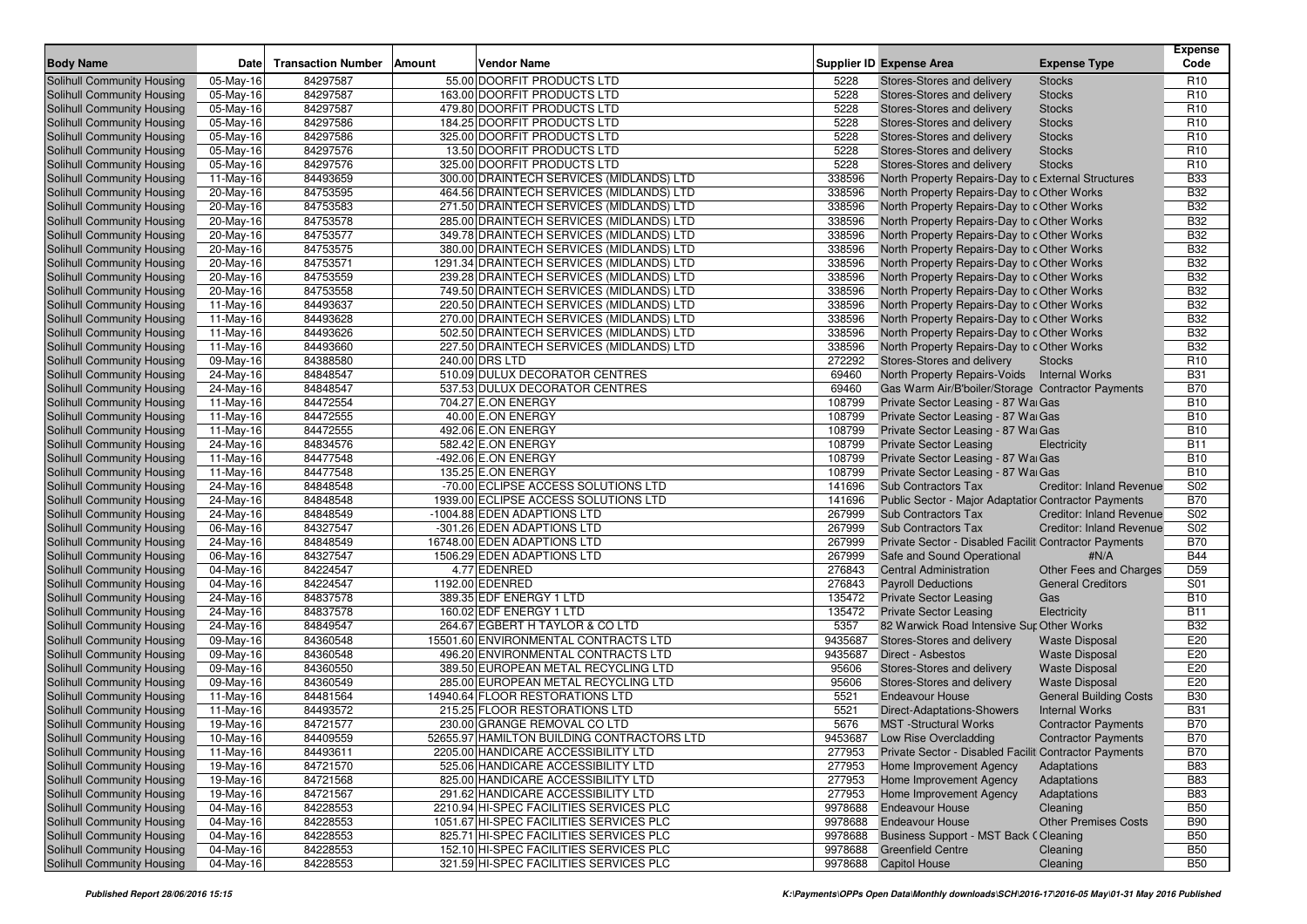|                                   |             |                           |        |                                            |         |                                                        |                                 | <b>Expense</b>  |
|-----------------------------------|-------------|---------------------------|--------|--------------------------------------------|---------|--------------------------------------------------------|---------------------------------|-----------------|
| <b>Body Name</b>                  | <b>Date</b> | <b>Transaction Number</b> | Amount | <b>Vendor Name</b>                         |         | <b>Supplier ID Expense Area</b>                        | <b>Expense Type</b>             | Code            |
| Solihull Community Housing        | 05-May-16   | 84297587                  |        | 55.00 DOORFIT PRODUCTS LTD                 | 5228    | Stores-Stores and delivery                             | <b>Stocks</b>                   | R <sub>10</sub> |
| Solihull Community Housing        | 05-May-16   | 84297587                  |        | 163.00 DOORFIT PRODUCTS LTD                | 5228    | Stores-Stores and delivery                             | <b>Stocks</b>                   | R <sub>10</sub> |
| Solihull Community Housing        | 05-May-16   | 84297587                  |        | 479.80 DOORFIT PRODUCTS LTD                | 5228    | Stores-Stores and delivery                             | <b>Stocks</b>                   | R <sub>10</sub> |
| Solihull Community Housing        | 05-May-16   | 84297586                  |        | 184.25 DOORFIT PRODUCTS LTD                | 5228    | Stores-Stores and delivery                             | <b>Stocks</b>                   | R <sub>10</sub> |
| Solihull Community Housing        | 05-May-16   | 84297586                  |        | 325.00 DOORFIT PRODUCTS LTD                | 5228    | Stores-Stores and delivery                             | <b>Stocks</b>                   | R <sub>10</sub> |
| Solihull Community Housing        | 05-May-16   | 84297576                  |        | 13.50 DOORFIT PRODUCTS LTD                 | 5228    | Stores-Stores and delivery                             | <b>Stocks</b>                   | R <sub>10</sub> |
| Solihull Community Housing        | 05-May-16   | 84297576                  |        | 325.00 DOORFIT PRODUCTS LTD                | 5228    | Stores-Stores and delivery                             | <b>Stocks</b>                   | R <sub>10</sub> |
| Solihull Community Housing        | 11-May-16   | 84493659                  |        | 300.00 DRAINTECH SERVICES (MIDLANDS) LTD   | 338596  | North Property Repairs-Day to c External Structures    |                                 | <b>B33</b>      |
| <b>Solihull Community Housing</b> | 20-May-16   | 84753595                  |        | 464.56 DRAINTECH SERVICES (MIDLANDS) LTD   | 338596  | North Property Repairs-Day to cOther Works             |                                 | <b>B32</b>      |
| Solihull Community Housing        | 20-May-16   | 84753583                  |        | 271.50 DRAINTECH SERVICES (MIDLANDS) LTD   | 338596  | North Property Repairs-Day to cOther Works             |                                 | <b>B32</b>      |
| Solihull Community Housing        | 20-May-16   | 84753578                  |        | 285.00 DRAINTECH SERVICES (MIDLANDS) LTD   | 338596  | North Property Repairs-Day to cOther Works             |                                 | <b>B32</b>      |
| Solihull Community Housing        | 20-May-16   | 84753577                  |        | 349.78 DRAINTECH SERVICES (MIDLANDS) LTD   | 338596  | North Property Repairs-Day to cOther Works             |                                 | <b>B32</b>      |
| <b>Solihull Community Housing</b> | 20-May-16   | 84753575                  |        | 380.00 DRAINTECH SERVICES (MIDLANDS) LTD   | 338596  | North Property Repairs-Day to cOther Works             |                                 | <b>B32</b>      |
| Solihull Community Housing        | 20-May-16   | 84753571                  |        | 1291.34 DRAINTECH SERVICES (MIDLANDS) LTD  | 338596  | North Property Repairs-Day to cOther Works             |                                 | <b>B32</b>      |
| Solihull Community Housing        | 20-May-16   | 84753559                  |        | 239.28 DRAINTECH SERVICES (MIDLANDS) LTD   | 338596  | North Property Repairs-Day to cOther Works             |                                 | <b>B32</b>      |
| Solihull Community Housing        | 20-May-16   | 84753558                  |        | 749.50 DRAINTECH SERVICES (MIDLANDS) LTD   | 338596  | North Property Repairs-Day to cOther Works             |                                 | <b>B32</b>      |
| Solihull Community Housing        | 11-May-16   | 84493637                  |        | 220.50 DRAINTECH SERVICES (MIDLANDS) LTD   | 338596  | North Property Repairs-Day to cOther Works             |                                 | <b>B32</b>      |
| Solihull Community Housing        | 11-May-16   | 84493628                  |        | 270.00 DRAINTECH SERVICES (MIDLANDS) LTD   | 338596  | North Property Repairs-Day to cOther Works             |                                 | <b>B32</b>      |
| Solihull Community Housing        | 11-May-16   | 84493626                  |        | 502.50 DRAINTECH SERVICES (MIDLANDS) LTD   | 338596  | North Property Repairs-Day to cOther Works             |                                 | <b>B32</b>      |
| Solihull Community Housing        | 11-May-16   | 84493660                  |        | 227.50 DRAINTECH SERVICES (MIDLANDS) LTD   | 338596  | North Property Repairs-Day to cOther Works             |                                 | <b>B32</b>      |
| <b>Solihull Community Housing</b> | 09-May-16   | 84388580                  |        | 240.00 DRS LTD                             | 272292  | Stores-Stores and delivery                             | <b>Stocks</b>                   | R <sub>10</sub> |
| Solihull Community Housing        | 24-May-16   | 84848547                  |        | 510.09 DULUX DECORATOR CENTRES             | 69460   | North Property Repairs-Voids Internal Works            |                                 | <b>B31</b>      |
| <b>Solihull Community Housing</b> | 24-May-16   | 84848547                  |        | 537.53 DULUX DECORATOR CENTRES             | 69460   | Gas Warm Air/B'boiler/Storage   Contractor Payments    |                                 | <b>B70</b>      |
| Solihull Community Housing        | 11-May-16   | 84472554                  |        | 704.27 E.ON ENERGY                         | 108799  | Private Sector Leasing - 87 Wai Gas                    |                                 | <b>B10</b>      |
| <b>Solihull Community Housing</b> | 11-May-16   | 84472555                  |        | 40.00 E.ON ENERGY                          | 108799  | Private Sector Leasing - 87 WarGas                     |                                 | <b>B10</b>      |
| Solihull Community Housing        | 11-May-16   | 84472555                  |        | 492.06 E.ON ENERGY                         | 108799  | Private Sector Leasing - 87 WarGas                     |                                 | <b>B10</b>      |
| <b>Solihull Community Housing</b> | 24-May-16   | 84834576                  |        | 582.42 E.ON ENERGY                         | 108799  | <b>Private Sector Leasing</b>                          | Electricity                     | <b>B11</b>      |
| Solihull Community Housing        | 11-May-16   | 84477548                  |        | -492.06 E.ON ENERGY                        | 108799  | Private Sector Leasing - 87 Wai Gas                    |                                 | <b>B10</b>      |
| <b>Solihull Community Housing</b> | 11-May-16   | 84477548                  |        | 135.25 E.ON ENERGY                         | 108799  | Private Sector Leasing - 87 WarGas                     |                                 | <b>B10</b>      |
| Solihull Community Housing        | 24-May-16   | 84848548                  |        | -70.00 ECLIPSE ACCESS SOLUTIONS LTD        | 141696  | <b>Sub Contractors Tax</b>                             | <b>Creditor: Inland Revenue</b> | S <sub>02</sub> |
| Solihull Community Housing        | 24-May-16   | 84848548                  |        | 1939.00 ECLIPSE ACCESS SOLUTIONS LTD       | 141696  | Public Sector - Major Adaptatior Contractor Payments   |                                 | <b>B70</b>      |
| Solihull Community Housing        | 24-May-16   | 84848549                  |        | -1004.88 EDEN ADAPTIONS LTD                | 267999  | <b>Sub Contractors Tax</b>                             | <b>Creditor: Inland Revenue</b> | S <sub>02</sub> |
| Solihull Community Housing        | 06-May-16   | 84327547                  |        | -301.26 EDEN ADAPTIONS LTD                 | 267999  | <b>Sub Contractors Tax</b>                             | <b>Creditor: Inland Revenue</b> | S <sub>02</sub> |
| Solihull Community Housing        | 24-May-16   | 84848549                  |        | 16748.00 EDEN ADAPTIONS LTD                | 267999  | Private Sector - Disabled Faciliti Contractor Payments |                                 | <b>B70</b>      |
| Solihull Community Housing        | 06-May-16   | 84327547                  |        | 1506.29 EDEN ADAPTIONS LTD                 | 267999  | Safe and Sound Operational                             | #N/A                            | <b>B44</b>      |
| Solihull Community Housing        | 04-May-16   | 84224547                  |        | 4.77 EDENRED                               | 276843  | <b>Central Administration</b>                          | Other Fees and Charges          | D <sub>59</sub> |
| Solihull Community Housing        | 04-May-16   | 84224547                  |        | 1192.00 EDENRED                            | 276843  | <b>Payroll Deductions</b>                              | <b>General Creditors</b>        | S01             |
| Solihull Community Housing        | 24-May-16   | 84837578                  |        | 389.35 EDF ENERGY 1 LTD                    | 135472  | <b>Private Sector Leasing</b>                          | Gas                             | <b>B10</b>      |
| <b>Solihull Community Housing</b> | 24-May-16   | 84837578                  |        | 160.02 EDF ENERGY 1 LTD                    | 135472  | <b>Private Sector Leasing</b>                          | Electricity                     | <b>B11</b>      |
| Solihull Community Housing        | 24-May-16   | 84849547                  |        | 264.67 EGBERT H TAYLOR & CO LTD            | 5357    | 82 Warwick Road Intensive Sur Other Works              |                                 | <b>B32</b>      |
| <b>Solihull Community Housing</b> | 09-May-16   | 84360548                  |        | 15501.60 ENVIRONMENTAL CONTRACTS LTD       | 9435687 | Stores-Stores and delivery                             | <b>Waste Disposal</b>           | E20             |
| Solihull Community Housing        | 09-May-16   | 84360548                  |        | 496.20 ENVIRONMENTAL CONTRACTS LTD         | 9435687 | Direct - Asbestos                                      | <b>Waste Disposal</b>           | E20             |
| <b>Solihull Community Housing</b> | 09-May-16   | 84360550                  |        | 389.50 EUROPEAN METAL RECYCLING LTD        | 95606   | Stores-Stores and delivery                             | <b>Waste Disposal</b>           | E20             |
| Solihull Community Housing        | 09-May-16   | 84360549                  |        | 285.00 EUROPEAN METAL RECYCLING LTD        | 95606   | Stores-Stores and delivery                             | <b>Waste Disposal</b>           | E20             |
| Solihull Community Housing        | 11-May-16   | 84481564                  |        | 14940.64 FLOOR RESTORATIONS LTD            | 5521    | <b>Endeavour House</b>                                 | <b>General Building Costs</b>   | <b>B30</b>      |
| Solihull Community Housing        | 11-May-16   | 84493572                  |        | 215.25 FLOOR RESTORATIONS LTD              | 5521    | Direct-Adaptations-Showers                             | <b>Internal Works</b>           | <b>B31</b>      |
| Solihull Community Housing        | 19-May-16   | 84721577                  |        | 230.00 GRANGE REMOVAL CO LTD               | 5676    | <b>MST</b> -Structural Works                           | <b>Contractor Payments</b>      | <b>B70</b>      |
| Solihull Community Housing        | 10-May-16   | 84409559                  |        | 52655.97 HAMILTON BUILDING CONTRACTORS LTD |         | 9453687 Low Rise Overcladding                          | <b>Contractor Payments</b>      | <b>B70</b>      |
| Solihull Community Housing        | 11-May-16   | 84493611                  |        | 2205.00 HANDICARE ACCESSIBILITY LTD        | 277953  | Private Sector - Disabled Faciliti Contractor Payments |                                 | <b>B70</b>      |
| Solihull Community Housing        | 19-May-16   | 84721570                  |        | 525.06 HANDICARE ACCESSIBILITY LTD         | 277953  | Home Improvement Agency                                | Adaptations                     | <b>B83</b>      |
| Solihull Community Housing        | 19-May-16   | 84721568                  |        | 825.00 HANDICARE ACCESSIBILITY LTD         | 277953  | Home Improvement Agency                                | Adaptations                     | <b>B83</b>      |
| Solihull Community Housing        | 19-May-16   | 84721567                  |        | 291.62 HANDICARE ACCESSIBILITY LTD         | 277953  | Home Improvement Agency                                | Adaptations                     | <b>B83</b>      |
| Solihull Community Housing        | 04-May-16   | 84228553                  |        | 2210.94 HI-SPEC FACILITIES SERVICES PLC    |         | 9978688 Endeavour House                                | Cleaning                        | <b>B50</b>      |
| Solihull Community Housing        | 04-May-16   | 84228553                  |        | 1051.67 HI-SPEC FACILITIES SERVICES PLC    |         | 9978688 Endeavour House                                | <b>Other Premises Costs</b>     | <b>B90</b>      |
| Solihull Community Housing        | 04-May-16   | 84228553                  |        | 825.71 HI-SPEC FACILITIES SERVICES PLC     |         | 9978688 Business Support - MST Back (Cleaning          |                                 | <b>B50</b>      |
| Solihull Community Housing        | 04-May-16   | 84228553                  |        | 152.10 HI-SPEC FACILITIES SERVICES PLC     |         | 9978688 Greenfield Centre                              | Cleaning                        | <b>B50</b>      |
| Solihull Community Housing        | 04-May-16   | 84228553                  |        | 321.59 HI-SPEC FACILITIES SERVICES PLC     |         | 9978688 Capitol House                                  | Cleaning                        | <b>B50</b>      |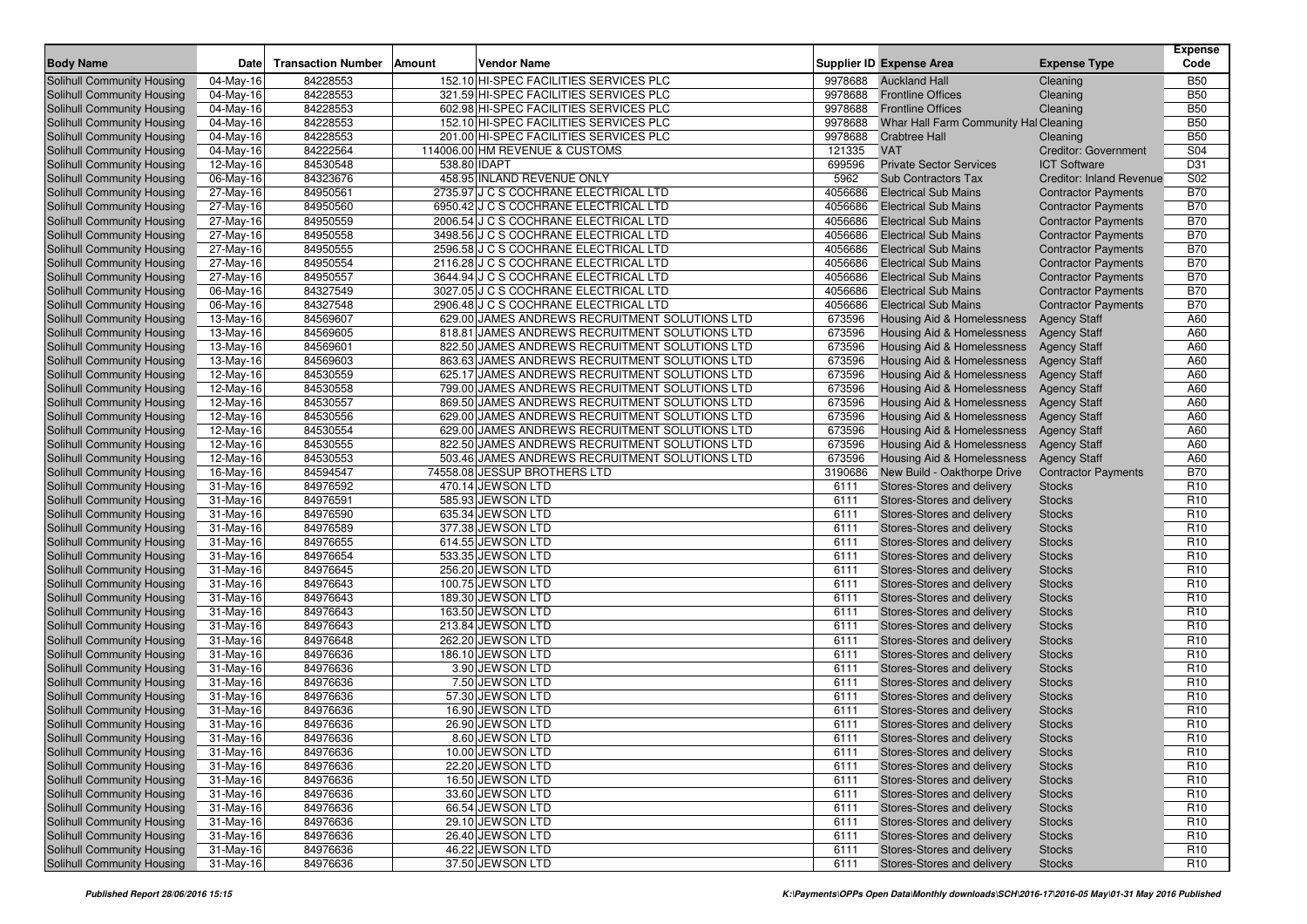|                                                          |                        |                           |                                                |              |                                                          |                                 | <b>Expense</b>                     |
|----------------------------------------------------------|------------------------|---------------------------|------------------------------------------------|--------------|----------------------------------------------------------|---------------------------------|------------------------------------|
| <b>Body Name</b>                                         | Date                   | <b>Transaction Number</b> | Vendor Name<br>Amount                          |              | <b>Supplier ID Expense Area</b>                          | <b>Expense Type</b>             | Code                               |
| Solihull Community Housing                               | 04-May-16              | 84228553                  | 152.10 HI-SPEC FACILITIES SERVICES PLC         | 9978688      | <b>Auckland Hall</b>                                     | Cleaning                        | <b>B50</b>                         |
| Solihull Community Housing                               | 04-May-16              | 84228553                  | 321.59 HI-SPEC FACILITIES SERVICES PLC         | 9978688      | <b>Frontline Offices</b>                                 | Cleaning                        | <b>B50</b>                         |
| Solihull Community Housing                               | 04-May-16              | 84228553                  | 602.98 HI-SPEC FACILITIES SERVICES PLC         | 9978688      | <b>Frontline Offices</b>                                 | Cleaning                        | <b>B50</b>                         |
| <b>Solihull Community Housing</b>                        | 04-May-16              | 84228553                  | 152.10 HI-SPEC FACILITIES SERVICES PLC         | 9978688      | Whar Hall Farm Community Hal Cleaning                    |                                 | <b>B50</b>                         |
| Solihull Community Housing                               | 04-May-16              | 84228553                  | 201.00 HI-SPEC FACILITIES SERVICES PLC         | 9978688      | <b>Crabtree Hall</b>                                     | Cleaning                        | <b>B50</b>                         |
| Solihull Community Housing                               | 04-May-16              | 84222564                  | 114006.00 HM REVENUE & CUSTOMS                 | 121335       | <b>VAT</b>                                               | <b>Creditor: Government</b>     | S04                                |
| Solihull Community Housing                               | 12-May-16              | 84530548                  | 538.80 IDAPT                                   | 699596       | <b>Private Sector Services</b>                           | <b>ICT Software</b>             | D31                                |
| Solihull Community Housing                               | 06-May-16              | 84323676                  | 458.95 INLAND REVENUE ONLY                     | 5962         | <b>Sub Contractors Tax</b>                               | <b>Creditor: Inland Revenue</b> | S <sub>02</sub>                    |
| Solihull Community Housing                               | 27-May-16              | 84950561                  | 2735.97 J C S COCHRANE ELECTRICAL LTD          | 4056686      | <b>Electrical Sub Mains</b>                              | <b>Contractor Payments</b>      | <b>B70</b>                         |
| Solihull Community Housing                               | 27-May-16              | 84950560                  | 6950.42 J C S COCHRANE ELECTRICAL LTD          | 4056686      | <b>Electrical Sub Mains</b>                              | <b>Contractor Payments</b>      | <b>B70</b>                         |
| Solihull Community Housing                               | 27-May-16              | 84950559                  | 2006.54 J C S COCHRANE ELECTRICAL LTD          | 4056686      | <b>Electrical Sub Mains</b>                              | <b>Contractor Payments</b>      | <b>B70</b>                         |
| Solihull Community Housing                               | 27-May-16              | 84950558                  | 3498.56 J C S COCHRANE ELECTRICAL LTD          | 4056686      | <b>Electrical Sub Mains</b>                              | <b>Contractor Payments</b>      | <b>B70</b>                         |
| Solihull Community Housing                               | 27-May-16              | 84950555                  | 2596.58 J C S COCHRANE ELECTRICAL LTD          | 4056686      | <b>Electrical Sub Mains</b>                              | <b>Contractor Payments</b>      | <b>B70</b>                         |
| Solihull Community Housing                               | 27-May-16              | 84950554                  | 2116.28 J C S COCHRANE ELECTRICAL LTD          | 4056686      | <b>Electrical Sub Mains</b>                              | <b>Contractor Payments</b>      | <b>B70</b>                         |
| Solihull Community Housing                               | 27-May-16              | 84950557                  | 3644.94 J C S COCHRANE ELECTRICAL LTD          | 4056686      | <b>Electrical Sub Mains</b>                              | <b>Contractor Payments</b>      | <b>B70</b>                         |
| Solihull Community Housing                               | 06-May-16              | 84327549                  | 3027.05 J C S COCHRANE ELECTRICAL LTD          | 4056686      | <b>Electrical Sub Mains</b>                              | <b>Contractor Payments</b>      | <b>B70</b>                         |
| Solihull Community Housing                               | 06-May-16              | 84327548                  | 2906.48 J C S COCHRANE ELECTRICAL LTD          | 4056686      | <b>Electrical Sub Mains</b>                              | <b>Contractor Payments</b>      | <b>B70</b>                         |
| Solihull Community Housing                               | 13-May-16              | 84569607                  | 629.00 JAMES ANDREWS RECRUITMENT SOLUTIONS LTD | 673596       | Housing Aid & Homelessness                               | <b>Agency Staff</b>             | A60                                |
| Solihull Community Housing                               | 13-May-16              | 84569605                  | 818.81 JAMES ANDREWS RECRUITMENT SOLUTIONS LTD | 673596       | Housing Aid & Homelessness                               | <b>Agency Staff</b>             | A60                                |
| Solihull Community Housing                               | 13-May-16              | 84569601                  | 822.50 JAMES ANDREWS RECRUITMENT SOLUTIONS LTD | 673596       | Housing Aid & Homelessness                               | <b>Agency Staff</b>             | A60                                |
| Solihull Community Housing                               | 13-May-16              | 84569603                  | 863.63 JAMES ANDREWS RECRUITMENT SOLUTIONS LTD | 673596       | Housing Aid & Homelessness                               | <b>Agency Staff</b>             | A60                                |
| Solihull Community Housing                               | 12-May-16              | 84530559                  | 625.17 JAMES ANDREWS RECRUITMENT SOLUTIONS LTD | 673596       | Housing Aid & Homelessness                               | <b>Agency Staff</b>             | A60                                |
| Solihull Community Housing                               | 12-May-16              | 84530558                  | 799.00 JAMES ANDREWS RECRUITMENT SOLUTIONS LTD | 673596       | Housing Aid & Homelessness                               | <b>Agency Staff</b>             | A60                                |
| Solihull Community Housing                               | 12-May-16              | 84530557                  | 869.50 JAMES ANDREWS RECRUITMENT SOLUTIONS LTD | 673596       | Housing Aid & Homelessness                               | <b>Agency Staff</b>             | A60                                |
| Solihull Community Housing                               | 12-May-16              | 84530556                  | 629.00 JAMES ANDREWS RECRUITMENT SOLUTIONS LTD | 673596       | Housing Aid & Homelessness                               | <b>Agency Staff</b>             | A60                                |
| Solihull Community Housing                               | 12-May-16              | 84530554                  | 629.00 JAMES ANDREWS RECRUITMENT SOLUTIONS LTD | 673596       | Housing Aid & Homelessness                               | <b>Agency Staff</b>             | A60                                |
| Solihull Community Housing                               | 12-May-16              | 84530555                  | 822.50 JAMES ANDREWS RECRUITMENT SOLUTIONS LTD | 673596       | Housing Aid & Homelessness                               | <b>Agency Staff</b>             | A60                                |
| Solihull Community Housing                               | 12-May-16              | 84530553                  | 503.46 JAMES ANDREWS RECRUITMENT SOLUTIONS LTD | 673596       | Housing Aid & Homelessness                               | <b>Agency Staff</b>             | A60                                |
| Solihull Community Housing                               | 16-May-16              | 84594547                  | 74558.08 JESSUP BROTHERS LTD                   | 3190686      | New Build - Oakthorpe Drive                              | <b>Contractor Payments</b>      | <b>B70</b>                         |
| Solihull Community Housing                               | 31-May-16              | 84976592                  | 470.14 JEWSON LTD                              | 6111         | Stores-Stores and delivery                               | <b>Stocks</b>                   | R <sub>10</sub>                    |
| Solihull Community Housing                               | 31-May-16              | 84976591                  | 585.93 JEWSON LTD                              | 6111         | Stores-Stores and delivery                               | <b>Stocks</b>                   | R <sub>10</sub>                    |
| Solihull Community Housing                               | 31-May-16              | 84976590                  | 635.34 JEWSON LTD                              | 6111         | Stores-Stores and delivery                               | <b>Stocks</b>                   | R <sub>10</sub>                    |
| Solihull Community Housing                               | 31-May-16              | 84976589                  | 377.38 JEWSON LTD                              | 6111         | Stores-Stores and delivery                               | <b>Stocks</b>                   | R <sub>10</sub>                    |
| Solihull Community Housing                               | 31-May-16              | 84976655                  | 614.55 JEWSON LTD                              | 6111         | Stores-Stores and delivery                               | <b>Stocks</b>                   | R <sub>10</sub>                    |
| Solihull Community Housing                               | 31-May-16              | 84976654                  | 533.35 JEWSON LTD                              | 6111         | Stores-Stores and delivery                               | <b>Stocks</b>                   | R <sub>10</sub>                    |
| Solihull Community Housing                               | 31-May-16              | 84976645                  | 256.20 JEWSON LTD                              | 6111         | Stores-Stores and delivery                               | <b>Stocks</b>                   | R <sub>10</sub>                    |
| Solihull Community Housing                               | 31-May-16              | 84976643                  | 100.75 JEWSON LTD                              | 6111         | Stores-Stores and delivery                               | <b>Stocks</b>                   | R <sub>10</sub>                    |
| Solihull Community Housing                               | 31-May-16              | 84976643                  | 189.30 JEWSON LTD                              | 6111         | Stores-Stores and delivery                               | <b>Stocks</b>                   | R <sub>10</sub>                    |
| Solihull Community Housing                               | 31-May-16              | 84976643                  | 163.50 JEWSON LTD                              | 6111         | Stores-Stores and delivery                               | <b>Stocks</b>                   | R <sub>10</sub>                    |
| Solihull Community Housing                               | 31-May-16              | 84976643                  | 213.84 JEWSON LTD                              | 6111         | Stores-Stores and delivery                               | <b>Stocks</b>                   | R <sub>10</sub>                    |
| Solihull Community Housing                               | 31-May-16              | 84976648                  | 262.20 JEWSON LTD                              | 6111         | Stores-Stores and delivery                               | <b>Stocks</b>                   | R <sub>10</sub>                    |
| Solihull Community Housing                               | 31-May-16              | 84976636                  | 186.10 JEWSON LTD                              | 6111         | <b>Stores-Stores and delivery</b>                        | <b>Stocks</b>                   | R <sub>10</sub>                    |
| Solihull Community Housing                               | 31-May-16              | 84976636                  | 3.90 JEWSON LTD                                | 6111         | <b>Stores-Stores and delivery</b>                        | <b>Stocks</b>                   | R <sub>10</sub>                    |
| Solihull Community Housing                               | 31-May-16              | 84976636                  | 7.50 JEWSON LTD                                | 6111         | Stores-Stores and delivery                               | <b>Stocks</b>                   | R <sub>10</sub>                    |
| Solihull Community Housing                               | 31-May-16              | 84976636                  | 57.30 JEWSON LTD                               | 6111         | Stores-Stores and delivery                               | <b>Stocks</b>                   | R <sub>10</sub>                    |
| Solihull Community Housing                               | 31-May-16              | 84976636                  | 16.90 JEWSON LTD                               | 6111         | Stores-Stores and delivery                               | <b>Stocks</b>                   | R <sub>10</sub>                    |
| Solihull Community Housing                               | $31$ -May-16           | 84976636                  | 26.90 JEWSON LTD                               | 6111         | Stores-Stores and delivery                               | <b>Stocks</b>                   | R <sub>10</sub>                    |
| Solihull Community Housing                               | 31-May-16              | 84976636                  | 8.60 JEWSON LTD                                | 6111         | Stores-Stores and delivery                               | <b>Stocks</b>                   | R <sub>10</sub>                    |
| Solihull Community Housing                               | 31-May-16              | 84976636                  | 10.00 JEWSON LTD                               | 6111         | Stores-Stores and delivery                               | <b>Stocks</b>                   | R <sub>10</sub>                    |
| Solihull Community Housing                               | 31-May-16              | 84976636                  | 22.20 JEWSON LTD                               | 6111         | Stores-Stores and delivery                               | <b>Stocks</b>                   | R <sub>10</sub>                    |
| Solihull Community Housing                               | 31-May-16              | 84976636                  | 16.50 JEWSON LTD                               | 6111         | Stores-Stores and delivery                               | <b>Stocks</b>                   | R <sub>10</sub>                    |
| Solihull Community Housing                               | 31-May-16              | 84976636                  | 33.60 JEWSON LTD                               | 6111         | Stores-Stores and delivery                               | <b>Stocks</b>                   | R <sub>10</sub>                    |
| Solihull Community Housing                               | 31-May-16              | 84976636                  | 66.54 JEWSON LTD                               | 6111         | Stores-Stores and delivery                               | <b>Stocks</b>                   | R <sub>10</sub>                    |
| Solihull Community Housing                               | 31-May-16              | 84976636                  | 29.10 JEWSON LTD                               | 6111         | Stores-Stores and delivery                               | <b>Stocks</b>                   | R <sub>10</sub>                    |
| Solihull Community Housing<br>Solihull Community Housing | 31-May-16<br>31-May-16 | 84976636<br>84976636      | 26.40 JEWSON LTD<br>46.22 JEWSON LTD           | 6111<br>6111 | Stores-Stores and delivery<br>Stores-Stores and delivery | <b>Stocks</b>                   | R <sub>10</sub><br>R <sub>10</sub> |
| Solihull Community Housing                               | 31-May-16              | 84976636                  | 37.50 JEWSON LTD                               | 6111         | Stores-Stores and delivery                               | <b>Stocks</b>                   | R <sub>10</sub>                    |
|                                                          |                        |                           |                                                |              |                                                          | <b>Stocks</b>                   |                                    |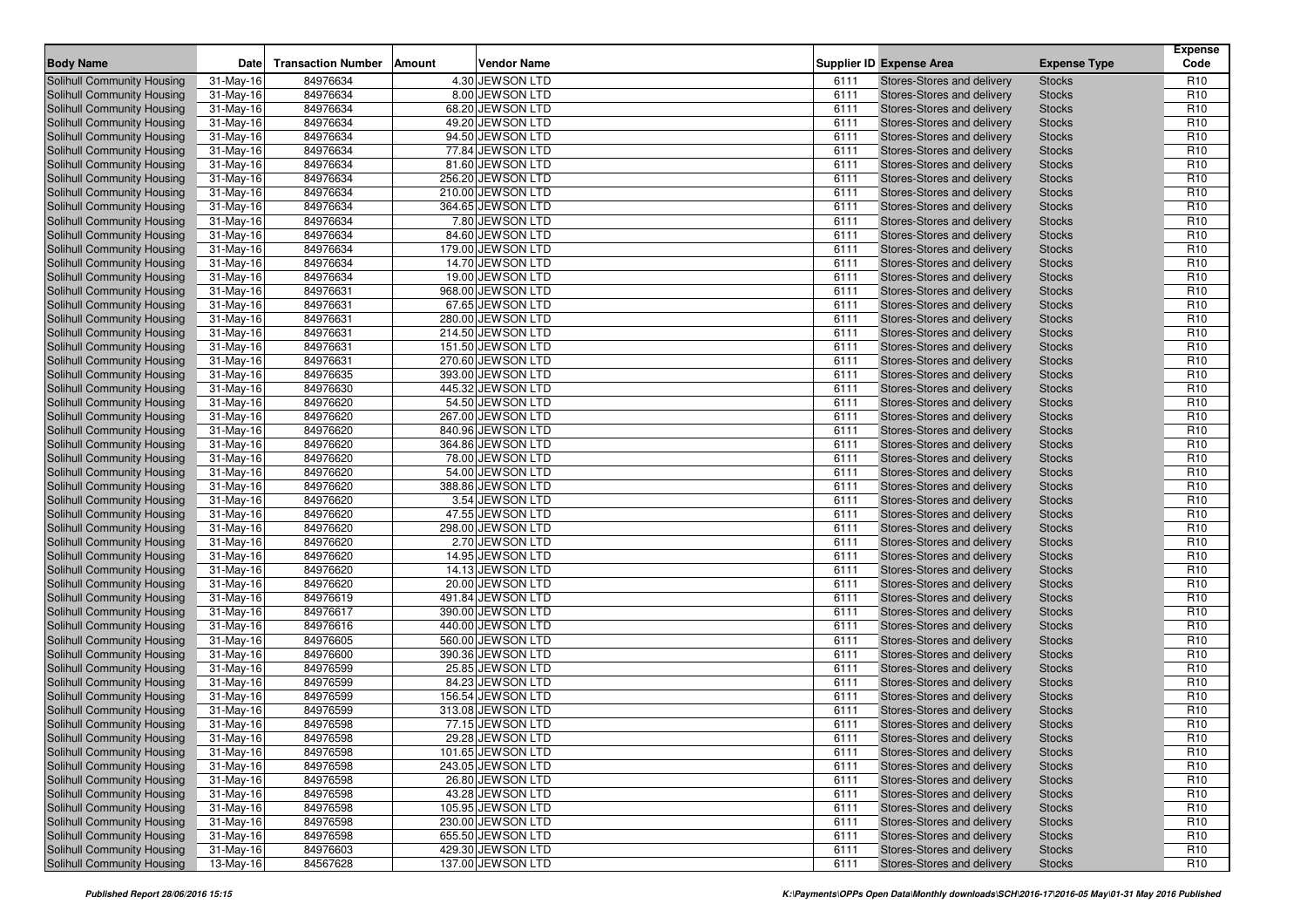| <b>Body Name</b>                                         | <b>Date</b>             | <b>Transaction Number</b> | <b>Amount</b> | <b>Vendor Name</b> |              | <b>Supplier ID Expense Area</b>                          | <b>Expense Type</b>            | <b>Expense</b><br>Code |
|----------------------------------------------------------|-------------------------|---------------------------|---------------|--------------------|--------------|----------------------------------------------------------|--------------------------------|------------------------|
|                                                          |                         | 84976634                  |               | 4.30 JEWSON LTD    |              |                                                          |                                | R <sub>10</sub>        |
| Solihull Community Housing<br>Solihull Community Housing | 31-May-16<br>31-May-16  | 84976634                  |               | 8.00 JEWSON LTD    | 6111<br>6111 | Stores-Stores and delivery<br>Stores-Stores and delivery | <b>Stocks</b><br><b>Stocks</b> | R <sub>10</sub>        |
| Solihull Community Housing                               | 31-May-16               | 84976634                  |               | 68.20 JEWSON LTD   | 6111         | Stores-Stores and delivery                               | <b>Stocks</b>                  | R <sub>10</sub>        |
| Solihull Community Housing                               | 31-May-16               | 84976634                  |               | 49.20 JEWSON LTD   | 6111         | Stores-Stores and delivery                               | <b>Stocks</b>                  | R <sub>10</sub>        |
| <b>Solihull Community Housing</b>                        | 31-May-16               | 84976634                  |               | 94.50 JEWSON LTD   | 6111         | Stores-Stores and delivery                               | <b>Stocks</b>                  | R <sub>10</sub>        |
| Solihull Community Housing                               | 31-May-16               | 84976634                  |               | 77.84 JEWSON LTD   | 6111         | Stores-Stores and delivery                               | <b>Stocks</b>                  | R <sub>10</sub>        |
| Solihull Community Housing                               | 31-May-16               | 84976634                  |               | 81.60 JEWSON LTD   | 6111         | Stores-Stores and delivery                               | <b>Stocks</b>                  | R <sub>10</sub>        |
| Solihull Community Housing                               | 31-May-16               | 84976634                  |               | 256.20 JEWSON LTD  | 6111         | Stores-Stores and delivery                               | <b>Stocks</b>                  | R <sub>10</sub>        |
| Solihull Community Housing                               | 31-May-16               | 84976634                  |               | 210.00 JEWSON LTD  | 6111         | Stores-Stores and delivery                               | <b>Stocks</b>                  | R <sub>10</sub>        |
| Solihull Community Housing                               | 31-May-16               | 84976634                  |               | 364.65 JEWSON LTD  | 6111         | Stores-Stores and delivery                               | <b>Stocks</b>                  | R <sub>10</sub>        |
| Solihull Community Housing                               | 31-May-16               | 84976634                  |               | 7.80 JEWSON LTD    | 6111         | Stores-Stores and delivery                               | <b>Stocks</b>                  | R <sub>10</sub>        |
| Solihull Community Housing                               | 31-May-16               | 84976634                  |               | 84.60 JEWSON LTD   | 6111         | Stores-Stores and delivery                               | <b>Stocks</b>                  | R <sub>10</sub>        |
| <b>Solihull Community Housing</b>                        | 31-May-16               | 84976634                  |               | 179.00 JEWSON LTD  | 6111         | Stores-Stores and delivery                               | <b>Stocks</b>                  | R <sub>10</sub>        |
| Solihull Community Housing                               | 31-May-16               | 84976634                  |               | 14.70 JEWSON LTD   | 6111         | Stores-Stores and delivery                               | <b>Stocks</b>                  | R <sub>10</sub>        |
| Solihull Community Housing                               | 31-May-16               | 84976634                  |               | 19.00 JEWSON LTD   | 6111         | Stores-Stores and delivery                               | <b>Stocks</b>                  | R <sub>10</sub>        |
| Solihull Community Housing                               | 31-May-16               | 84976631                  |               | 968.00 JEWSON LTD  | 6111         | Stores-Stores and delivery                               | <b>Stocks</b>                  | R <sub>10</sub>        |
| <b>Solihull Community Housing</b>                        | 31-May-16               | 84976631                  |               | 67.65 JEWSON LTD   | 6111         | Stores-Stores and delivery                               | <b>Stocks</b>                  | R <sub>10</sub>        |
| Solihull Community Housing                               | 31-May-16               | 84976631                  |               | 280.00 JEWSON LTD  | 6111         | Stores-Stores and delivery                               | <b>Stocks</b>                  | R <sub>10</sub>        |
| Solihull Community Housing                               | 31-May-16               | 84976631                  |               | 214.50 JEWSON LTD  | 6111         | Stores-Stores and delivery                               | <b>Stocks</b>                  | R <sub>10</sub>        |
| Solihull Community Housing                               | 31-May-16               | 84976631                  |               | 151.50 JEWSON LTD  | 6111         | Stores-Stores and delivery                               | <b>Stocks</b>                  | R <sub>10</sub>        |
| <b>Solihull Community Housing</b>                        | 31-May-16               | 84976631                  |               | 270.60 JEWSON LTD  | 6111         | Stores-Stores and delivery                               | <b>Stocks</b>                  | R <sub>10</sub>        |
| Solihull Community Housing                               | 31-May-16               | 84976635                  |               | 393.00 JEWSON LTD  | 6111         | Stores-Stores and delivery                               | <b>Stocks</b>                  | R <sub>10</sub>        |
| Solihull Community Housing                               | $\overline{31}$ -May-16 | 84976630                  |               | 445.32 JEWSON LTD  | 6111         | Stores-Stores and delivery                               | <b>Stocks</b>                  | R <sub>10</sub>        |
| Solihull Community Housing                               | 31-May-16               | 84976620                  |               | 54.50 JEWSON LTD   | 6111         | Stores-Stores and delivery                               | <b>Stocks</b>                  | R <sub>10</sub>        |
| <b>Solihull Community Housing</b>                        | 31-May-16               | 84976620                  |               | 267.00 JEWSON LTD  | 6111         | Stores-Stores and delivery                               | <b>Stocks</b>                  | R <sub>10</sub>        |
| Solihull Community Housing                               | 31-May-16               | 84976620                  |               | 840.96 JEWSON LTD  | 6111         | Stores-Stores and delivery                               | <b>Stocks</b>                  | R <sub>10</sub>        |
| Solihull Community Housing                               | 31-May-16               | 84976620                  |               | 364.86 JEWSON LTD  | 6111         | Stores-Stores and delivery                               | <b>Stocks</b>                  | R <sub>10</sub>        |
| Solihull Community Housing                               | 31-May-16               | 84976620                  |               | 78.00 JEWSON LTD   | 6111         | Stores-Stores and delivery                               | <b>Stocks</b>                  | R <sub>10</sub>        |
| Solihull Community Housing                               | 31-May-16               | 84976620                  |               | 54.00 JEWSON LTD   | 6111         | Stores-Stores and delivery                               | <b>Stocks</b>                  | R <sub>10</sub>        |
| Solihull Community Housing                               | 31-May-16               | 84976620                  |               | 388.86 JEWSON LTD  | 6111         | Stores-Stores and delivery                               | <b>Stocks</b>                  | R <sub>10</sub>        |
| Solihull Community Housing                               | 31-May-16               | 84976620                  |               | 3.54 JEWSON LTD    | 6111         | Stores-Stores and delivery                               | <b>Stocks</b>                  | R <sub>10</sub>        |
| Solihull Community Housing                               | 31-May-16               | 84976620                  |               | 47.55 JEWSON LTD   | 6111         | Stores-Stores and delivery                               | <b>Stocks</b>                  | R <sub>10</sub>        |
| <b>Solihull Community Housing</b>                        | 31-May-16               | 84976620                  |               | 298.00 JEWSON LTD  | 6111         | Stores-Stores and delivery                               | <b>Stocks</b>                  | R <sub>10</sub>        |
| Solihull Community Housing                               | 31-May-16               | 84976620                  |               | 2.70 JEWSON LTD    | 6111         | Stores-Stores and delivery                               | <b>Stocks</b>                  | R <sub>10</sub>        |
| Solihull Community Housing                               | $\overline{31}$ -May-16 | 84976620                  |               | 14.95 JEWSON LTD   | 6111         | Stores-Stores and delivery                               | <b>Stocks</b>                  | R <sub>10</sub>        |
| Solihull Community Housing                               | 31-May-16               | 84976620                  |               | 14.13 JEWSON LTD   | 6111         | Stores-Stores and delivery                               | <b>Stocks</b>                  | R <sub>10</sub>        |
| <b>Solihull Community Housing</b>                        | 31-May-16               | 84976620                  |               | 20.00 JEWSON LTD   | 6111         | Stores-Stores and delivery                               | <b>Stocks</b>                  | R <sub>10</sub>        |
| Solihull Community Housing                               | 31-May-16               | 84976619                  |               | 491.84 JEWSON LTD  | 6111         | Stores-Stores and delivery                               | <b>Stocks</b>                  | R <sub>10</sub>        |
| Solihull Community Housing                               | 31-May-16               | 84976617                  |               | 390.00 JEWSON LTD  | 6111         | Stores-Stores and delivery                               | <b>Stocks</b>                  | R <sub>10</sub>        |
| Solihull Community Housing                               | 31-May-16               | 84976616                  |               | 440.00 JEWSON LTD  | 6111         | Stores-Stores and delivery                               | <b>Stocks</b>                  | R <sub>10</sub>        |
| <b>Solihull Community Housing</b>                        | 31-May-16               | 84976605                  |               | 560.00 JEWSON LTD  | 6111         | Stores-Stores and delivery                               | <b>Stocks</b>                  | R <sub>10</sub>        |
| Solihull Community Housing                               | 31-May-16               | 84976600                  |               | 390.36 JEWSON LTD  | 6111         | <b>Stores-Stores and delivery</b>                        | <b>Stocks</b>                  | R <sub>10</sub>        |
| Solihull Community Housing                               | 31-May-16               | 84976599                  |               | 25.85 JEWSON LTD   | 6111         | Stores-Stores and delivery                               | <b>Stocks</b>                  | R <sub>10</sub>        |
| <b>Solihull Community Housing</b>                        | 31-May-16               | 84976599                  |               | 84.23 JEWSON LTD   | 6111         | Stores-Stores and delivery                               | <b>Stocks</b>                  | R <sub>10</sub>        |
| <b>Solihull Community Housing</b>                        | 31-May-16               | 84976599                  |               | 156.54 JEWSON LTD  | 6111         | Stores-Stores and delivery                               | <b>Stocks</b>                  | R <sub>10</sub>        |
| <b>Solihull Community Housing</b>                        | 31-May-16               | 84976599                  |               | 313.08 JEWSON LTD  | 6111         | Stores-Stores and delivery                               | <b>Stocks</b>                  | R <sub>10</sub>        |
| Solihull Community Housing                               | 31-May-16               | 84976598                  |               | 77.15 JEWSON LTD   | 6111         | Stores-Stores and delivery                               | <b>Stocks</b>                  | R <sub>10</sub>        |
| <b>Solihull Community Housing</b>                        | 31-May-16               | 84976598                  |               | 29.28 JEWSON LTD   | 6111         | Stores-Stores and delivery                               | <b>Stocks</b>                  | R <sub>10</sub>        |
| Solihull Community Housing                               | 31-May-16               | 84976598                  |               | 101.65 JEWSON LTD  | 6111         | Stores-Stores and delivery                               | <b>Stocks</b>                  | R <sub>10</sub>        |
| Solihull Community Housing                               | $31-May-16$             | 84976598                  |               | 243.05 JEWSON LTD  | 6111         | Stores-Stores and delivery                               | <b>Stocks</b>                  | R <sub>10</sub>        |
| Solihull Community Housing                               | $31-May-16$             | 84976598                  |               | 26.80 JEWSON LTD   | 6111         | Stores-Stores and delivery                               | <b>Stocks</b>                  | R <sub>10</sub>        |
| Solihull Community Housing                               | $31-May-16$             | 84976598                  |               | 43.28 JEWSON LTD   | 6111         | Stores-Stores and delivery                               | <b>Stocks</b>                  | R <sub>10</sub>        |
| Solihull Community Housing                               | $31-May-16$             | 84976598                  |               | 105.95 JEWSON LTD  | 6111         | Stores-Stores and delivery                               | <b>Stocks</b>                  | R <sub>10</sub>        |
| Solihull Community Housing                               | $31-May-16$             | 84976598                  |               | 230.00 JEWSON LTD  | 6111         | Stores-Stores and delivery                               | <b>Stocks</b>                  | R <sub>10</sub>        |
| Solihull Community Housing                               | $31-May-16$             | 84976598                  |               | 655.50 JEWSON LTD  | 6111         | Stores-Stores and delivery                               | <b>Stocks</b>                  | R <sub>10</sub>        |
| Solihull Community Housing                               | $31-May-16$             | 84976603                  |               | 429.30 JEWSON LTD  | 6111         | Stores-Stores and delivery                               | <b>Stocks</b>                  | R <sub>10</sub>        |
| Solihull Community Housing                               | 13-May-16               | 84567628                  |               | 137.00 JEWSON LTD  | 6111         | Stores-Stores and delivery                               | <b>Stocks</b>                  | R <sub>10</sub>        |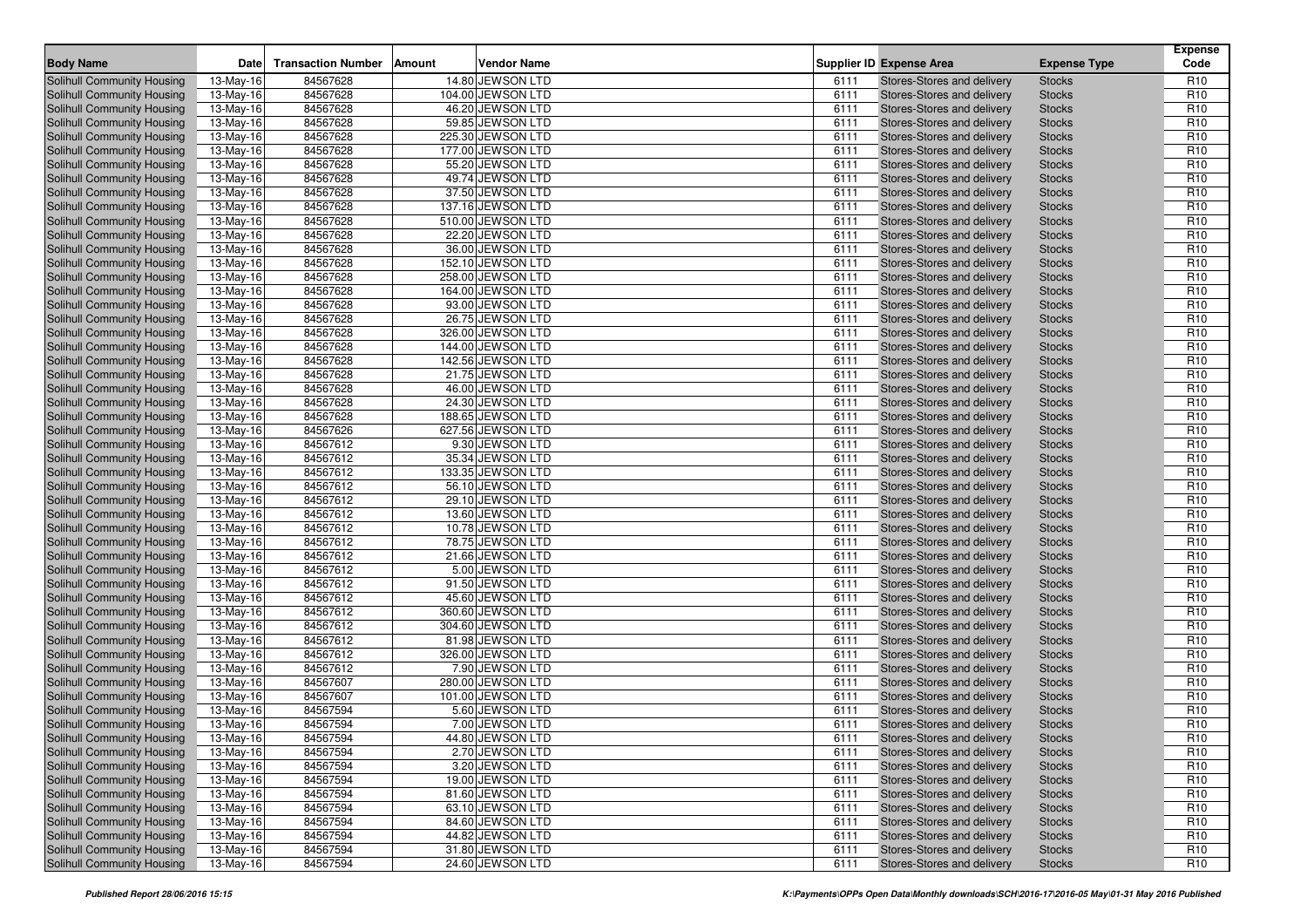| <b>Body Name</b>                                         | <b>Date</b>             | <b>Transaction Number</b> | <b>Amount</b> | <b>Vendor Name</b>                    |              | <b>Supplier ID Expense Area</b>                          | <b>Expense Type</b>            | <b>Expense</b><br>Code             |
|----------------------------------------------------------|-------------------------|---------------------------|---------------|---------------------------------------|--------------|----------------------------------------------------------|--------------------------------|------------------------------------|
|                                                          |                         |                           |               |                                       |              |                                                          |                                |                                    |
| Solihull Community Housing                               | 13-May-16<br>13-May-16  | 84567628                  |               | 14.80 JEWSON LTD                      | 6111         | Stores-Stores and delivery                               | <b>Stocks</b>                  | R <sub>10</sub>                    |
| Solihull Community Housing<br>Solihull Community Housing | 13-May-16               | 84567628<br>84567628      |               | 104.00 JEWSON LTD<br>46.20 JEWSON LTD | 6111<br>6111 | Stores-Stores and delivery<br>Stores-Stores and delivery | <b>Stocks</b><br><b>Stocks</b> | R <sub>10</sub><br>R <sub>10</sub> |
| Solihull Community Housing                               | 13-May-16               | 84567628                  |               | 59.85 JEWSON LTD                      | 6111         | Stores-Stores and delivery                               |                                | R <sub>10</sub>                    |
| <b>Solihull Community Housing</b>                        | 13-May-16               | 84567628                  |               | 225.30 JEWSON LTD                     | 6111         | Stores-Stores and delivery                               | <b>Stocks</b><br><b>Stocks</b> | R <sub>10</sub>                    |
|                                                          |                         | 84567628                  |               |                                       |              |                                                          |                                | R <sub>10</sub>                    |
| Solihull Community Housing                               | 13-May-16               |                           |               | 177.00 JEWSON LTD                     | 6111         | Stores-Stores and delivery                               | <b>Stocks</b>                  |                                    |
| Solihull Community Housing                               | 13-May-16               | 84567628                  |               | 55.20 JEWSON LTD                      | 6111         | Stores-Stores and delivery                               | <b>Stocks</b>                  | R <sub>10</sub><br>R <sub>10</sub> |
| Solihull Community Housing                               | 13-May-16               | 84567628                  |               | 49.74 JEWSON LTD                      | 6111         | Stores-Stores and delivery                               | <b>Stocks</b>                  |                                    |
| Solihull Community Housing                               | 13-May-16               | 84567628                  |               | 37.50 JEWSON LTD                      | 6111         | Stores-Stores and delivery                               | <b>Stocks</b>                  | R <sub>10</sub>                    |
| Solihull Community Housing                               | 13-May-16               | 84567628                  |               | 137.16 JEWSON LTD                     | 6111         | Stores-Stores and delivery                               | <b>Stocks</b>                  | R <sub>10</sub>                    |
| Solihull Community Housing                               | 13-May-16               | 84567628                  |               | 510.00 JEWSON LTD                     | 6111         | Stores-Stores and delivery                               | <b>Stocks</b>                  | R <sub>10</sub>                    |
| Solihull Community Housing                               | 13-May-16               | 84567628                  |               | 22.20 JEWSON LTD                      | 6111         | Stores-Stores and delivery                               | <b>Stocks</b>                  | R <sub>10</sub>                    |
| <b>Solihull Community Housing</b>                        | 13-May-16               | 84567628                  |               | 36.00 JEWSON LTD                      | 6111         | Stores-Stores and delivery                               | <b>Stocks</b>                  | R <sub>10</sub>                    |
| Solihull Community Housing                               | 13-May-16               | 84567628                  |               | 152.10 JEWSON LTD                     | 6111         | Stores-Stores and delivery                               | <b>Stocks</b>                  | R <sub>10</sub>                    |
| Solihull Community Housing                               | 13-May-16               | 84567628                  |               | 258.00 JEWSON LTD                     | 6111         | Stores-Stores and delivery                               | <b>Stocks</b>                  | R <sub>10</sub>                    |
| Solihull Community Housing                               | 13-May-16               | 84567628                  |               | 164.00 JEWSON LTD                     | 6111         | Stores-Stores and delivery                               | <b>Stocks</b>                  | R <sub>10</sub>                    |
| <b>Solihull Community Housing</b>                        | 13-May-16               | 84567628                  |               | 93.00 JEWSON LTD                      | 6111         | Stores-Stores and delivery                               | <b>Stocks</b>                  | R <sub>10</sub>                    |
| Solihull Community Housing                               | 13-May-16               | 84567628                  |               | 26.75 JEWSON LTD                      | 6111         | Stores-Stores and delivery                               | <b>Stocks</b>                  | R <sub>10</sub>                    |
| Solihull Community Housing                               | 13-May-16               | 84567628                  |               | 326.00 JEWSON LTD                     | 6111         | Stores-Stores and delivery                               | <b>Stocks</b>                  | R <sub>10</sub>                    |
| Solihull Community Housing                               | 13-May-16               | 84567628                  |               | 144.00 JEWSON LTD                     | 6111         | Stores-Stores and delivery                               | <b>Stocks</b>                  | R <sub>10</sub>                    |
| <b>Solihull Community Housing</b>                        | 13-May-16               | 84567628                  |               | 142.56 JEWSON LTD                     | 6111         | Stores-Stores and delivery                               | <b>Stocks</b>                  | R <sub>10</sub>                    |
| Solihull Community Housing                               | 13-May-16               | 84567628                  |               | 21.75 JEWSON LTD                      | 6111         | Stores-Stores and delivery                               | <b>Stocks</b>                  | R <sub>10</sub>                    |
| Solihull Community Housing                               | $\overline{13}$ -May-16 | 84567628                  |               | 46.00 JEWSON LTD                      | 6111         | Stores-Stores and delivery                               | <b>Stocks</b>                  | R <sub>10</sub>                    |
| Solihull Community Housing                               | 13-May-16               | 84567628                  |               | 24.30 JEWSON LTD                      | 6111         | Stores-Stores and delivery                               | <b>Stocks</b>                  | R <sub>10</sub>                    |
| <b>Solihull Community Housing</b>                        | 13-May-16               | 84567628                  |               | 188.65 JEWSON LTD                     | 6111         | Stores-Stores and delivery                               | <b>Stocks</b>                  | R <sub>10</sub>                    |
| Solihull Community Housing                               | 13-May-16               | 84567626                  |               | 627.56 JEWSON LTD                     | 6111         | Stores-Stores and delivery                               | <b>Stocks</b>                  | R <sub>10</sub>                    |
| Solihull Community Housing                               | 13-May-16               | 84567612                  |               | 9.30 JEWSON LTD                       | 6111         | Stores-Stores and delivery                               | <b>Stocks</b>                  | R <sub>10</sub>                    |
| Solihull Community Housing                               | 13-May-16               | 84567612                  |               | 35.34 JEWSON LTD                      | 6111         | Stores-Stores and delivery                               | <b>Stocks</b>                  | R <sub>10</sub>                    |
| <b>Solihull Community Housing</b>                        | 13-May-16               | 84567612                  |               | 133.35 JEWSON LTD                     | 6111         | Stores-Stores and delivery                               | <b>Stocks</b>                  | R <sub>10</sub>                    |
| Solihull Community Housing                               | 13-May-16               | 84567612                  |               | 56.10 JEWSON LTD                      | 6111         | Stores-Stores and delivery                               | <b>Stocks</b>                  | R <sub>10</sub>                    |
| Solihull Community Housing                               | 13-May-16               | 84567612                  |               | 29.10 JEWSON LTD                      | 6111         | Stores-Stores and delivery                               | <b>Stocks</b>                  | R <sub>10</sub>                    |
| Solihull Community Housing                               | 13-May-16               | 84567612                  |               | 13.60 JEWSON LTD                      | 6111         | Stores-Stores and delivery                               | <b>Stocks</b>                  | R <sub>10</sub>                    |
| <b>Solihull Community Housing</b>                        | 13-May-16               | 84567612                  |               | 10.78 JEWSON LTD                      | 6111         | Stores-Stores and delivery                               | <b>Stocks</b>                  | R <sub>10</sub>                    |
| Solihull Community Housing                               | 13-May-16               | 84567612                  |               | 78.75 JEWSON LTD                      | 6111         | Stores-Stores and delivery                               | <b>Stocks</b>                  | R <sub>10</sub>                    |
| Solihull Community Housing                               | 13-May-16               | 84567612                  |               | 21.66 JEWSON LTD                      | 6111         | Stores-Stores and delivery                               | <b>Stocks</b>                  | R <sub>10</sub>                    |
| Solihull Community Housing                               | 13-May-16               | 84567612                  |               | 5.00 JEWSON LTD                       | 6111         | Stores-Stores and delivery                               | <b>Stocks</b>                  | R <sub>10</sub>                    |
| Solihull Community Housing                               | 13-May-16               | 84567612                  |               | 91.50 JEWSON LTD                      | 6111         | Stores-Stores and delivery                               | <b>Stocks</b>                  | R <sub>10</sub>                    |
| Solihull Community Housing                               | 13-May-16               | 84567612                  |               | 45.60 JEWSON LTD                      | 6111         | Stores-Stores and delivery                               | <b>Stocks</b>                  | R <sub>10</sub>                    |
| Solihull Community Housing                               | 13-May-16               | 84567612                  |               | 360.60 JEWSON LTD                     | 6111         | Stores-Stores and delivery                               | <b>Stocks</b>                  | R <sub>10</sub>                    |
| Solihull Community Housing                               | 13-May-16               | 84567612                  |               | 304.60 JEWSON LTD                     | 6111         | Stores-Stores and delivery                               | <b>Stocks</b>                  | R <sub>10</sub>                    |
| Solihull Community Housing                               | 13-May-16               | 84567612                  |               | 81.98 JEWSON LTD                      | 6111         | Stores-Stores and delivery                               | <b>Stocks</b>                  | R <sub>10</sub>                    |
| Solihull Community Housing                               | 13-May-16               | 84567612                  |               | 326.00 JEWSON LTD                     | 6111         | Stores-Stores and delivery                               | <b>Stocks</b>                  | R <sub>10</sub>                    |
| Solihull Community Housing                               | 13-May-16               | 84567612                  |               | 7.90 JEWSON LTD                       | 6111         | Stores-Stores and delivery                               | <b>Stocks</b>                  | R <sub>10</sub>                    |
| <b>Solihull Community Housing</b>                        | 13-May-16               | 84567607                  |               | 280.00 JEWSON LTD                     | 6111         | Stores-Stores and delivery                               | <b>Stocks</b>                  | R <sub>10</sub>                    |
| <b>Solihull Community Housing</b>                        | 13-May-16               | 84567607                  |               | 101.00 JEWSON LTD                     | 6111         | Stores-Stores and delivery                               | <b>Stocks</b>                  | R <sub>10</sub>                    |
| <b>Solihull Community Housing</b>                        | 13-May-16               | 84567594                  |               | 5.60 JEWSON LTD                       | 6111         | Stores-Stores and delivery                               | <b>Stocks</b>                  | R <sub>10</sub>                    |
| Solihull Community Housing                               | 13-May-16               | 84567594                  |               | 7.00 JEWSON LTD                       | 6111         | Stores-Stores and delivery                               | <b>Stocks</b>                  | R <sub>10</sub>                    |
| <b>Solihull Community Housing</b>                        | 13-May-16               | 84567594                  |               | 44.80 JEWSON LTD                      | 6111         | Stores-Stores and delivery                               | <b>Stocks</b>                  | R <sub>10</sub>                    |
| Solihull Community Housing                               | 13-May-16               | 84567594                  |               | 2.70 JEWSON LTD                       | 6111         | Stores-Stores and delivery                               | <b>Stocks</b>                  | R <sub>10</sub>                    |
| Solihull Community Housing                               | 13-May-16               | 84567594                  |               | 3.20 JEWSON LTD                       | 6111         | Stores-Stores and delivery                               | <b>Stocks</b>                  | R <sub>10</sub>                    |
| Solihull Community Housing                               | 13-May-16               | 84567594                  |               | 19.00 JEWSON LTD                      | 6111         | Stores-Stores and delivery                               | <b>Stocks</b>                  | R <sub>10</sub>                    |
| Solihull Community Housing                               | 13-May-16               | 84567594                  |               | 81.60 JEWSON LTD                      | 6111         | Stores-Stores and delivery                               | <b>Stocks</b>                  | R <sub>10</sub>                    |
| Solihull Community Housing                               | 13-May-16               | 84567594                  |               | 63.10 JEWSON LTD                      | 6111         | Stores-Stores and delivery                               | <b>Stocks</b>                  | R <sub>10</sub>                    |
| Solihull Community Housing                               | 13-May-16               | 84567594                  |               | 84.60 JEWSON LTD                      | 6111         | Stores-Stores and delivery                               | <b>Stocks</b>                  | R <sub>10</sub>                    |
| Solihull Community Housing                               | 13-May-16               | 84567594                  |               | 44.82 JEWSON LTD                      | 6111         | Stores-Stores and delivery                               | <b>Stocks</b>                  | R <sub>10</sub>                    |
| Solihull Community Housing                               | 13-May-16               | 84567594                  |               | 31.80 JEWSON LTD                      | 6111         | Stores-Stores and delivery                               | <b>Stocks</b>                  | R <sub>10</sub>                    |
| Solihull Community Housing                               | 13-May-16               | 84567594                  |               | 24.60 JEWSON LTD                      | 6111         | Stores-Stores and delivery                               | <b>Stocks</b>                  | R <sub>10</sub>                    |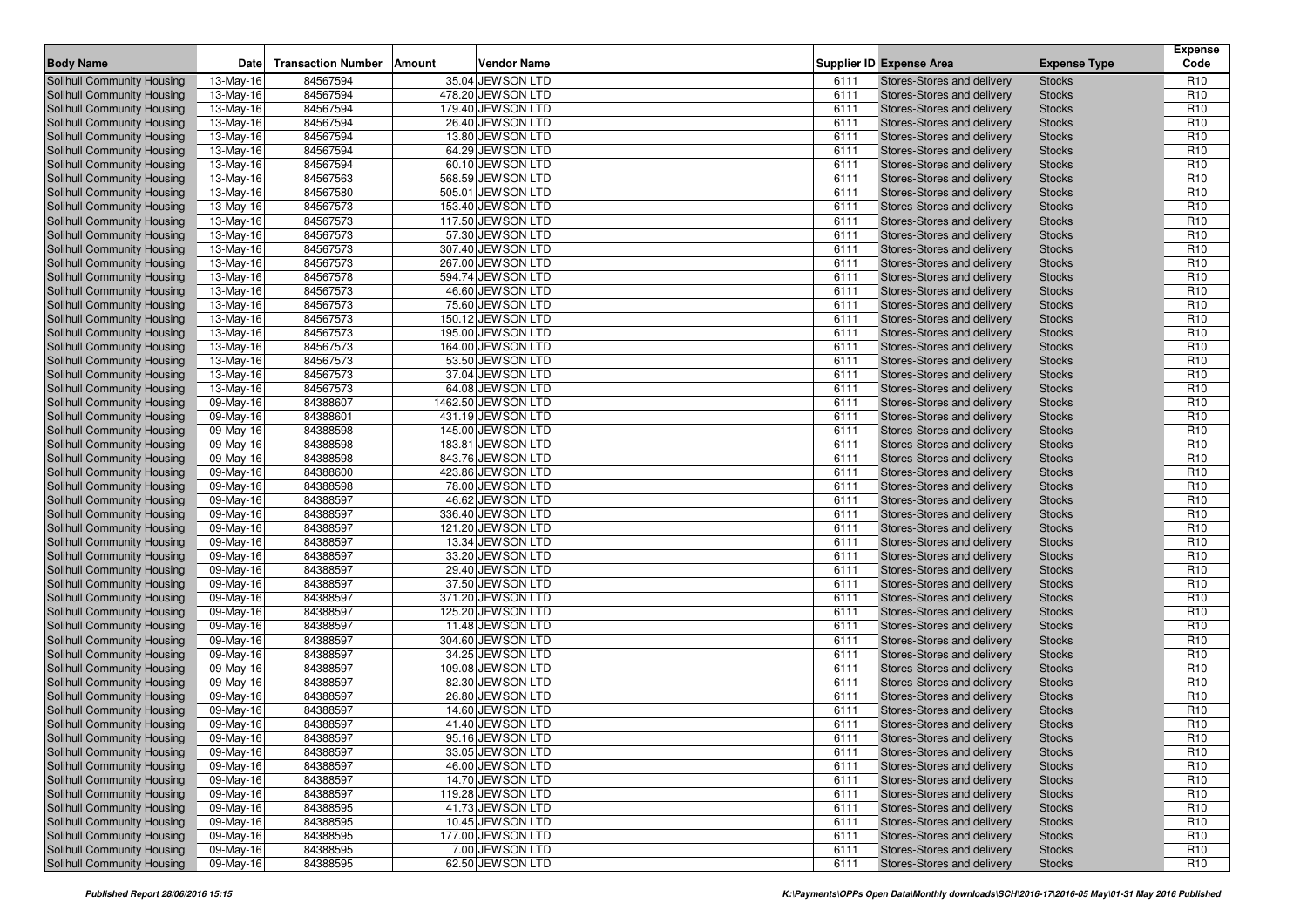| <b>Body Name</b>                  | <b>Date</b>             | <b>Transaction Number</b> | <b>Amount</b> | <b>Vendor Name</b> |              | <b>Supplier ID Expense Area</b>   | <b>Expense Type</b> | <b>Expense</b><br>Code |
|-----------------------------------|-------------------------|---------------------------|---------------|--------------------|--------------|-----------------------------------|---------------------|------------------------|
| Solihull Community Housing        | 13-May-16               | 84567594                  |               | 35.04 JEWSON LTD   | 6111         | Stores-Stores and delivery        | <b>Stocks</b>       | R <sub>10</sub>        |
| Solihull Community Housing        | 13-May-16               | 84567594                  |               | 478.20 JEWSON LTD  | 6111         | Stores-Stores and delivery        | <b>Stocks</b>       | R <sub>10</sub>        |
| Solihull Community Housing        | 13-May-16               | 84567594                  |               | 179.40 JEWSON LTD  | 6111         | Stores-Stores and delivery        | <b>Stocks</b>       | R <sub>10</sub>        |
| Solihull Community Housing        | 13-May-16               | 84567594                  |               | 26.40 JEWSON LTD   | 6111         | Stores-Stores and delivery        | <b>Stocks</b>       | R <sub>10</sub>        |
|                                   |                         |                           |               |                    |              |                                   |                     | R <sub>10</sub>        |
| <b>Solihull Community Housing</b> | 13-May-16               | 84567594                  |               | 13.80 JEWSON LTD   | 6111         | Stores-Stores and delivery        | <b>Stocks</b>       |                        |
| Solihull Community Housing        | 13-May-16               | 84567594                  |               | 64.29 JEWSON LTD   | 6111         | Stores-Stores and delivery        | <b>Stocks</b>       | R <sub>10</sub>        |
| Solihull Community Housing        | 13-May-16               | 84567594                  |               | 60.10 JEWSON LTD   | 6111         | Stores-Stores and delivery        | <b>Stocks</b>       | R <sub>10</sub>        |
| Solihull Community Housing        | 13-May-16               | 84567563                  |               | 568.59 JEWSON LTD  | 6111         | Stores-Stores and delivery        | <b>Stocks</b>       | R <sub>10</sub>        |
| Solihull Community Housing        | 13-May-16               | 84567580                  |               | 505.01 JEWSON LTD  | 6111         | Stores-Stores and delivery        | <b>Stocks</b>       | R <sub>10</sub>        |
| Solihull Community Housing        | 13-May-16               | 84567573                  |               | 153.40 JEWSON LTD  | 6111         | Stores-Stores and delivery        | <b>Stocks</b>       | R <sub>10</sub>        |
| Solihull Community Housing        | 13-May-16               | 84567573                  |               | 117.50 JEWSON LTD  | 6111         | Stores-Stores and delivery        | <b>Stocks</b>       | R <sub>10</sub>        |
| Solihull Community Housing        | 13-May-16               | 84567573                  |               | 57.30 JEWSON LTD   | 6111         | Stores-Stores and delivery        | <b>Stocks</b>       | R <sub>10</sub>        |
| <b>Solihull Community Housing</b> | 13-May-16               | 84567573                  |               | 307.40 JEWSON LTD  | 6111         | Stores-Stores and delivery        | <b>Stocks</b>       | R <sub>10</sub>        |
| Solihull Community Housing        | 13-May-16               | 84567573                  |               | 267.00 JEWSON LTD  | 6111         | Stores-Stores and delivery        | <b>Stocks</b>       | R <sub>10</sub>        |
| Solihull Community Housing        | 13-May-16               | 84567578                  |               | 594.74 JEWSON LTD  | 6111         | Stores-Stores and delivery        | <b>Stocks</b>       | R <sub>10</sub>        |
| Solihull Community Housing        | 13-May-16               | 84567573                  |               | 46.60 JEWSON LTD   | 6111         | Stores-Stores and delivery        | <b>Stocks</b>       | R <sub>10</sub>        |
| <b>Solihull Community Housing</b> | 13-May-16               | 84567573                  |               | 75.60 JEWSON LTD   | 6111         | Stores-Stores and delivery        | <b>Stocks</b>       | R <sub>10</sub>        |
| Solihull Community Housing        | 13-May-16               | 84567573                  |               | 150.12 JEWSON LTD  | 6111         | Stores-Stores and delivery        | <b>Stocks</b>       | R <sub>10</sub>        |
| Solihull Community Housing        | 13-May-16               | 84567573                  |               | 195.00 JEWSON LTD  | 6111         | Stores-Stores and delivery        | <b>Stocks</b>       | R <sub>10</sub>        |
| Solihull Community Housing        | 13-May-16               | 84567573                  |               | 164.00 JEWSON LTD  | 6111         | Stores-Stores and delivery        | <b>Stocks</b>       | R <sub>10</sub>        |
| <b>Solihull Community Housing</b> | 13-May-16               | 84567573                  |               | 53.50 JEWSON LTD   | 6111         | Stores-Stores and delivery        | <b>Stocks</b>       | R <sub>10</sub>        |
| Solihull Community Housing        | 13-May-16               | 84567573                  |               | 37.04 JEWSON LTD   | 6111         | Stores-Stores and delivery        | <b>Stocks</b>       | R <sub>10</sub>        |
| Solihull Community Housing        | $\overline{13}$ -May-16 | 84567573                  |               | 64.08 JEWSON LTD   | 6111         | Stores-Stores and delivery        | <b>Stocks</b>       | R <sub>10</sub>        |
| Solihull Community Housing        | 09-May-16               | 84388607                  |               | 1462.50 JEWSON LTD | 6111         | Stores-Stores and delivery        | <b>Stocks</b>       | R <sub>10</sub>        |
| <b>Solihull Community Housing</b> | 09-May-16               | 84388601                  |               | 431.19 JEWSON LTD  | 6111         | Stores-Stores and delivery        | <b>Stocks</b>       | R <sub>10</sub>        |
| Solihull Community Housing        | 09-May-16               | 84388598                  |               | 145.00 JEWSON LTD  | 6111         | Stores-Stores and delivery        | <b>Stocks</b>       | R <sub>10</sub>        |
| Solihull Community Housing        | 09-May-16               | 84388598                  |               | 183.81 JEWSON LTD  | 6111         | Stores-Stores and delivery        | <b>Stocks</b>       | R <sub>10</sub>        |
| Solihull Community Housing        | 09-May-16               | 84388598                  |               | 843.76 JEWSON LTD  | 6111         | Stores-Stores and delivery        | <b>Stocks</b>       | R <sub>10</sub>        |
| Solihull Community Housing        | 09-May-16               | 84388600                  |               | 423.86 JEWSON LTD  | 6111         | Stores-Stores and delivery        | <b>Stocks</b>       | R <sub>10</sub>        |
| Solihull Community Housing        | 09-May-16               | 84388598                  |               | 78.00 JEWSON LTD   | 6111         | Stores-Stores and delivery        | <b>Stocks</b>       | R <sub>10</sub>        |
| Solihull Community Housing        | 09-May-16               | 84388597                  |               | 46.62 JEWSON LTD   | 6111         | Stores-Stores and delivery        | <b>Stocks</b>       | R <sub>10</sub>        |
| Solihull Community Housing        | 09-May-16               | 84388597                  |               | 336.40 JEWSON LTD  | 6111         | Stores-Stores and delivery        | <b>Stocks</b>       | R <sub>10</sub>        |
| <b>Solihull Community Housing</b> | 09-May-16               | 84388597                  |               | 121.20 JEWSON LTD  | 6111         | Stores-Stores and delivery        | <b>Stocks</b>       | R <sub>10</sub>        |
| Solihull Community Housing        | 09-May-16               | 84388597                  |               | 13.34 JEWSON LTD   | 6111         | Stores-Stores and delivery        | <b>Stocks</b>       | R <sub>10</sub>        |
| Solihull Community Housing        | 09-May-16               | 84388597                  |               | 33.20 JEWSON LTD   | 6111         | Stores-Stores and delivery        | <b>Stocks</b>       | R <sub>10</sub>        |
| Solihull Community Housing        | 09-May-16               | 84388597                  |               | 29.40 JEWSON LTD   | 6111         | Stores-Stores and delivery        | <b>Stocks</b>       | R <sub>10</sub>        |
| Solihull Community Housing        | 09-May-16               | 84388597                  |               | 37.50 JEWSON LTD   | 6111         | Stores-Stores and delivery        | <b>Stocks</b>       | R <sub>10</sub>        |
| Solihull Community Housing        | 09-May-16               | 84388597                  |               | 371.20 JEWSON LTD  | 6111         | Stores-Stores and delivery        | <b>Stocks</b>       | R <sub>10</sub>        |
| Solihull Community Housing        | 09-May-16               | 84388597                  |               | 125.20 JEWSON LTD  | 6111         | Stores-Stores and delivery        | <b>Stocks</b>       | R <sub>10</sub>        |
| Solihull Community Housing        | 09-May-16               | 84388597                  |               | 11.48 JEWSON LTD   | 6111         | Stores-Stores and delivery        | <b>Stocks</b>       | R <sub>10</sub>        |
| <b>Solihull Community Housing</b> | 09-May-16               | 84388597                  |               | 304.60 JEWSON LTD  | 6111         | Stores-Stores and delivery        | <b>Stocks</b>       | R <sub>10</sub>        |
| Solihull Community Housing        | 09-May-16               | 84388597                  |               | 34.25 JEWSON LTD   | 6111         | <b>Stores-Stores and delivery</b> | <b>Stocks</b>       | R <sub>10</sub>        |
| Solihull Community Housing        |                         | 84388597                  |               | 109.08 JEWSON LTD  | 6111         | Stores-Stores and delivery        | <b>Stocks</b>       | R <sub>10</sub>        |
|                                   | 09-May-16               | 84388597                  |               |                    |              |                                   |                     | R <sub>10</sub>        |
| Solihull Community Housing        | 09-May-16               | 84388597                  |               | 82.30 JEWSON LTD   | 6111<br>6111 | Stores-Stores and delivery        | <b>Stocks</b>       |                        |
| <b>Solihull Community Housing</b> | 09-May-16               |                           |               | 26.80 JEWSON LTD   |              | Stores-Stores and delivery        | <b>Stocks</b>       | R <sub>10</sub>        |
| <b>Solihull Community Housing</b> | 09-May-16               | 84388597                  |               | 14.60 JEWSON LTD   | 6111         | Stores-Stores and delivery        | <b>Stocks</b>       | R <sub>10</sub>        |
| Solihull Community Housing        | 09-May-16               | 84388597                  |               | 41.40 JEWSON LTD   | 6111         | Stores-Stores and delivery        | <b>Stocks</b>       | R <sub>10</sub>        |
| <b>Solihull Community Housing</b> | 09-May-16               | 84388597                  |               | 95.16 JEWSON LTD   | 6111         | Stores-Stores and delivery        | <b>Stocks</b>       | R <sub>10</sub>        |
| Solihull Community Housing        | 09-May-16               | 84388597                  |               | 33.05 JEWSON LTD   | 6111         | Stores-Stores and delivery        | <b>Stocks</b>       | R <sub>10</sub>        |
| Solihull Community Housing        | 09-May-16               | 84388597                  |               | 46.00 JEWSON LTD   | 6111         | Stores-Stores and delivery        | <b>Stocks</b>       | R <sub>10</sub>        |
| Solihull Community Housing        | 09-May-16               | 84388597                  |               | 14.70 JEWSON LTD   | 6111         | Stores-Stores and delivery        | <b>Stocks</b>       | R <sub>10</sub>        |
| Solihull Community Housing        | 09-May-16               | 84388597                  |               | 119.28 JEWSON LTD  | 6111         | Stores-Stores and delivery        | <b>Stocks</b>       | R <sub>10</sub>        |
| Solihull Community Housing        | 09-May-16               | 84388595                  |               | 41.73 JEWSON LTD   | 6111         | Stores-Stores and delivery        | <b>Stocks</b>       | R <sub>10</sub>        |
| Solihull Community Housing        | 09-May-16               | 84388595                  |               | 10.45 JEWSON LTD   | 6111         | Stores-Stores and delivery        | <b>Stocks</b>       | R <sub>10</sub>        |
| Solihull Community Housing        | 09-May-16               | 84388595                  |               | 177.00 JEWSON LTD  | 6111         | Stores-Stores and delivery        | <b>Stocks</b>       | R <sub>10</sub>        |
| Solihull Community Housing        | 09-May-16               | 84388595                  |               | 7.00 JEWSON LTD    | 6111         | Stores-Stores and delivery        | <b>Stocks</b>       | R <sub>10</sub>        |
| Solihull Community Housing        | 09-May-16               | 84388595                  |               | 62.50 JEWSON LTD   | 6111         | Stores-Stores and delivery        | <b>Stocks</b>       | R <sub>10</sub>        |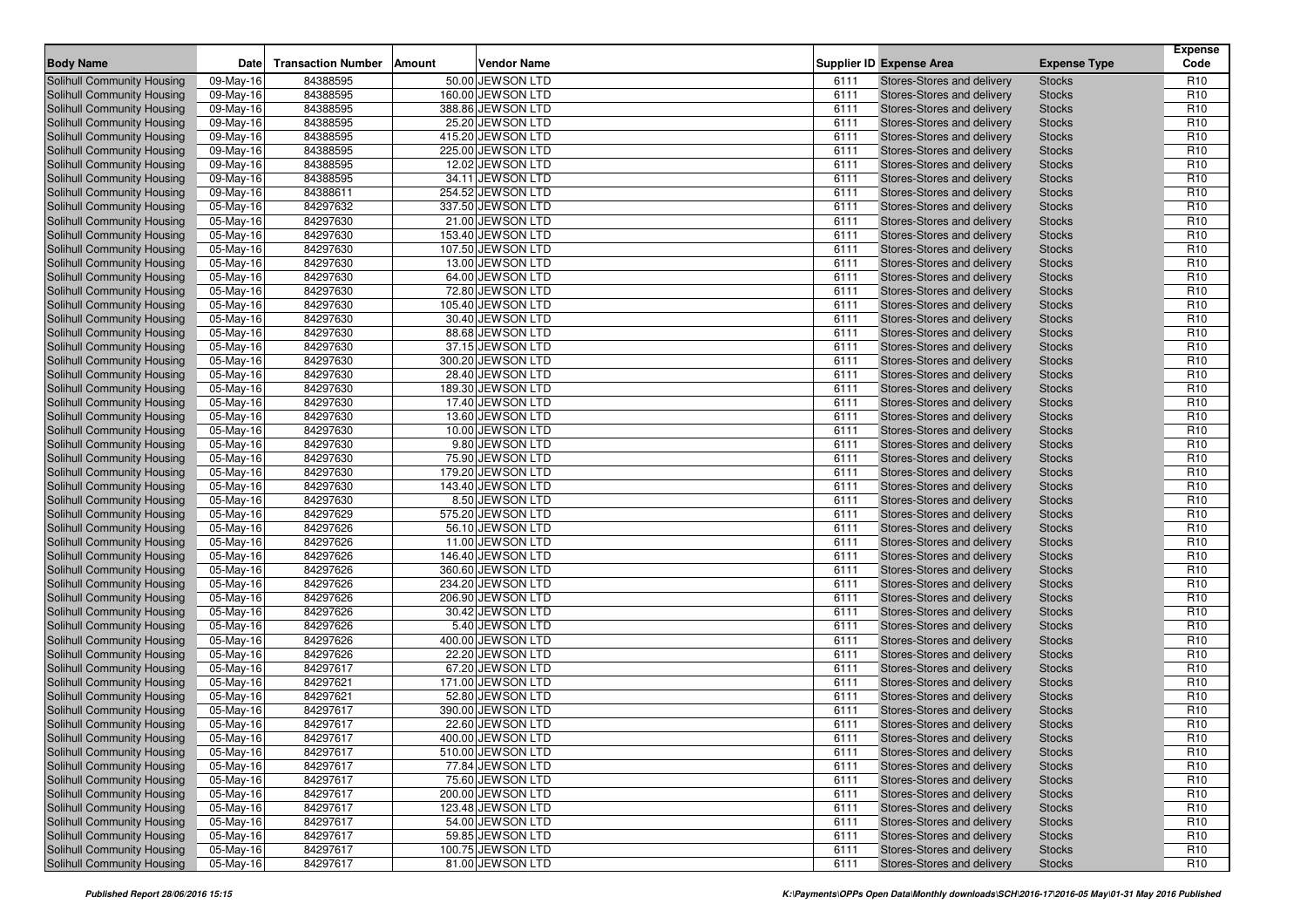| <b>Body Name</b>                  | <b>Date</b>            | <b>Transaction Number</b> | <b>Amount</b> | <b>Vendor Name</b> |      | <b>Supplier ID Expense Area</b>   | <b>Expense Type</b> | <b>Expense</b><br>Code |
|-----------------------------------|------------------------|---------------------------|---------------|--------------------|------|-----------------------------------|---------------------|------------------------|
| Solihull Community Housing        | 09-May-16              | 84388595                  |               | 50.00 JEWSON LTD   | 6111 | Stores-Stores and delivery        | <b>Stocks</b>       | R <sub>10</sub>        |
| Solihull Community Housing        | 09-May-16              | 84388595                  |               | 160.00 JEWSON LTD  | 6111 | Stores-Stores and delivery        | <b>Stocks</b>       | R <sub>10</sub>        |
| Solihull Community Housing        | 09-May-16              | 84388595                  |               | 388.86 JEWSON LTD  | 6111 | Stores-Stores and delivery        | <b>Stocks</b>       | R <sub>10</sub>        |
| Solihull Community Housing        | 09-May-16              | 84388595                  |               | 25.20 JEWSON LTD   | 6111 | Stores-Stores and delivery        | <b>Stocks</b>       | R <sub>10</sub>        |
|                                   |                        | 84388595                  |               |                    |      |                                   |                     | R <sub>10</sub>        |
| <b>Solihull Community Housing</b> | 09-May-16              |                           |               | 415.20 JEWSON LTD  | 6111 | Stores-Stores and delivery        | <b>Stocks</b>       |                        |
| Solihull Community Housing        | 09-May-16              | 84388595                  |               | 225.00 JEWSON LTD  | 6111 | Stores-Stores and delivery        | <b>Stocks</b>       | R <sub>10</sub>        |
| Solihull Community Housing        | 09-May-16              | 84388595                  |               | 12.02 JEWSON LTD   | 6111 | Stores-Stores and delivery        | <b>Stocks</b>       | R <sub>10</sub>        |
| Solihull Community Housing        | 09-May-16              | 84388595                  |               | 34.11 JEWSON LTD   | 6111 | Stores-Stores and delivery        | <b>Stocks</b>       | R <sub>10</sub>        |
| Solihull Community Housing        | 09-May-16              | 84388611                  |               | 254.52 JEWSON LTD  | 6111 | Stores-Stores and delivery        | <b>Stocks</b>       | R <sub>10</sub>        |
| Solihull Community Housing        | 05-May-16              | 84297632                  |               | 337.50 JEWSON LTD  | 6111 | Stores-Stores and delivery        | <b>Stocks</b>       | R <sub>10</sub>        |
| Solihull Community Housing        | 05-May-16              | 84297630                  |               | 21.00 JEWSON LTD   | 6111 | Stores-Stores and delivery        | <b>Stocks</b>       | R <sub>10</sub>        |
| Solihull Community Housing        | 05-May-16              | 84297630                  |               | 153.40 JEWSON LTD  | 6111 | Stores-Stores and delivery        | <b>Stocks</b>       | R <sub>10</sub>        |
| <b>Solihull Community Housing</b> | 05-May-16              | 84297630                  |               | 107.50 JEWSON LTD  | 6111 | Stores-Stores and delivery        | <b>Stocks</b>       | R <sub>10</sub>        |
| Solihull Community Housing        | 05-May-16              | 84297630                  |               | 13.00 JEWSON LTD   | 6111 | Stores-Stores and delivery        | <b>Stocks</b>       | R <sub>10</sub>        |
| Solihull Community Housing        | 05-May-16              | 84297630                  |               | 64.00 JEWSON LTD   | 6111 | Stores-Stores and delivery        | <b>Stocks</b>       | R <sub>10</sub>        |
| Solihull Community Housing        | 05-May-16              | 84297630                  |               | 72.80 JEWSON LTD   | 6111 | Stores-Stores and delivery        | <b>Stocks</b>       | R <sub>10</sub>        |
| <b>Solihull Community Housing</b> | 05-May-16              | 84297630                  |               | 105.40 JEWSON LTD  | 6111 | Stores-Stores and delivery        | <b>Stocks</b>       | R <sub>10</sub>        |
| Solihull Community Housing        | 05-May-16              | 84297630                  |               | 30.40 JEWSON LTD   | 6111 | Stores-Stores and delivery        | <b>Stocks</b>       | R <sub>10</sub>        |
| Solihull Community Housing        | 05-May-16              | 84297630                  |               | 88.68 JEWSON LTD   | 6111 | Stores-Stores and delivery        | <b>Stocks</b>       | R <sub>10</sub>        |
| Solihull Community Housing        | 05-May-16              | 84297630                  |               | 37.15 JEWSON LTD   | 6111 | Stores-Stores and delivery        | <b>Stocks</b>       | R <sub>10</sub>        |
| <b>Solihull Community Housing</b> | 05-May-16              | 84297630                  |               | 300.20 JEWSON LTD  | 6111 | Stores-Stores and delivery        | <b>Stocks</b>       | R <sub>10</sub>        |
| Solihull Community Housing        | 05-May-16              | 84297630                  |               | 28.40 JEWSON LTD   | 6111 | Stores-Stores and delivery        | <b>Stocks</b>       | R <sub>10</sub>        |
| Solihull Community Housing        | 05-May-16              | 84297630                  |               | 189.30 JEWSON LTD  | 6111 | Stores-Stores and delivery        | <b>Stocks</b>       | R <sub>10</sub>        |
| Solihull Community Housing        | 05-May-16              | 84297630                  |               | 17.40 JEWSON LTD   | 6111 | Stores-Stores and delivery        | <b>Stocks</b>       | R <sub>10</sub>        |
| <b>Solihull Community Housing</b> | 05-May-16              | 84297630                  |               | 13.60 JEWSON LTD   | 6111 | Stores-Stores and delivery        | <b>Stocks</b>       | R <sub>10</sub>        |
| Solihull Community Housing        | 05-May-16              | 84297630                  |               | 10.00 JEWSON LTD   | 6111 | Stores-Stores and delivery        | <b>Stocks</b>       | R <sub>10</sub>        |
| Solihull Community Housing        | 05-May-16              | 84297630                  |               | 9.80 JEWSON LTD    | 6111 | Stores-Stores and delivery        | <b>Stocks</b>       | R <sub>10</sub>        |
| Solihull Community Housing        | 05-May-16              | 84297630                  |               | 75.90 JEWSON LTD   | 6111 | Stores-Stores and delivery        | <b>Stocks</b>       | R <sub>10</sub>        |
| <b>Solihull Community Housing</b> | 05-May-16              | 84297630                  |               | 179.20 JEWSON LTD  | 6111 | Stores-Stores and delivery        | <b>Stocks</b>       | R <sub>10</sub>        |
| Solihull Community Housing        | 05-May-16              | 84297630                  |               | 143.40 JEWSON LTD  | 6111 | Stores-Stores and delivery        | <b>Stocks</b>       | R <sub>10</sub>        |
| Solihull Community Housing        | 05-May-16              | 84297630                  |               | 8.50 JEWSON LTD    | 6111 | Stores-Stores and delivery        | <b>Stocks</b>       | R <sub>10</sub>        |
| Solihull Community Housing        | 05-May-16              | 84297629                  |               | 575.20 JEWSON LTD  | 6111 | Stores-Stores and delivery        | <b>Stocks</b>       | R <sub>10</sub>        |
| <b>Solihull Community Housing</b> | 05-May-16              | 84297626                  |               | 56.10 JEWSON LTD   | 6111 | Stores-Stores and delivery        | <b>Stocks</b>       | R <sub>10</sub>        |
| Solihull Community Housing        | 05-May-16              | 84297626                  |               | 11.00 JEWSON LTD   | 6111 | Stores-Stores and delivery        | <b>Stocks</b>       | R <sub>10</sub>        |
| Solihull Community Housing        | 05-May-16              | 84297626                  |               | 146.40 JEWSON LTD  | 6111 | Stores-Stores and delivery        | <b>Stocks</b>       | R <sub>10</sub>        |
| Solihull Community Housing        | 05-May-16              | 84297626                  |               | 360.60 JEWSON LTD  | 6111 | Stores-Stores and delivery        | <b>Stocks</b>       | R <sub>10</sub>        |
| <b>Solihull Community Housing</b> | 05-May-16              | 84297626                  |               | 234.20 JEWSON LTD  | 6111 | Stores-Stores and delivery        | <b>Stocks</b>       | R <sub>10</sub>        |
| Solihull Community Housing        | 05-May-16              | 84297626                  |               | 206.90 JEWSON LTD  | 6111 | Stores-Stores and delivery        | <b>Stocks</b>       | R <sub>10</sub>        |
| Solihull Community Housing        | 05-May-16              | 84297626                  |               | 30.42 JEWSON LTD   | 6111 | Stores-Stores and delivery        | <b>Stocks</b>       | R <sub>10</sub>        |
| Solihull Community Housing        | 05-May-16              | 84297626                  |               | 5.40 JEWSON LTD    | 6111 | Stores-Stores and delivery        | <b>Stocks</b>       | R <sub>10</sub>        |
| Solihull Community Housing        | 05-May-16              | 84297626                  |               | 400.00 JEWSON LTD  | 6111 | Stores-Stores and delivery        | <b>Stocks</b>       | R <sub>10</sub>        |
| Solihull Community Housing        | 05-May-16              | 84297626                  |               | 22.20 JEWSON LTD   | 6111 | <b>Stores-Stores and delivery</b> | <b>Stocks</b>       | R <sub>10</sub>        |
| Solihull Community Housing        |                        | 84297617                  |               | 67.20 JEWSON LTD   | 6111 | Stores-Stores and delivery        | <b>Stocks</b>       | R <sub>10</sub>        |
| <b>Solihull Community Housing</b> | 05-May-16<br>05-May-16 | 84297621                  |               | 171.00 JEWSON LTD  | 6111 | Stores-Stores and delivery        |                     | R <sub>10</sub>        |
|                                   |                        | 84297621                  |               |                    | 6111 |                                   | <b>Stocks</b>       |                        |
| <b>Solihull Community Housing</b> | 05-May-16              |                           |               | 52.80 JEWSON LTD   |      | Stores-Stores and delivery        | <b>Stocks</b>       | R <sub>10</sub>        |
| <b>Solihull Community Housing</b> | 05-May-16              | 84297617                  |               | 390.00 JEWSON LTD  | 6111 | Stores-Stores and delivery        | <b>Stocks</b>       | R <sub>10</sub>        |
| Solihull Community Housing        | 05-May-16              | 84297617                  |               | 22.60 JEWSON LTD   | 6111 | Stores-Stores and delivery        | <b>Stocks</b>       | R <sub>10</sub>        |
| <b>Solihull Community Housing</b> | 05-May-16              | 84297617                  |               | 400.00 JEWSON LTD  | 6111 | Stores-Stores and delivery        | <b>Stocks</b>       | R <sub>10</sub>        |
| Solihull Community Housing        | 05-May-16              | 84297617                  |               | 510.00 JEWSON LTD  | 6111 | Stores-Stores and delivery        | <b>Stocks</b>       | R <sub>10</sub>        |
| Solihull Community Housing        | 05-May-16              | 84297617                  |               | 77.84 JEWSON LTD   | 6111 | Stores-Stores and delivery        | <b>Stocks</b>       | R <sub>10</sub>        |
| Solihull Community Housing        | 05-May-16              | 84297617                  |               | 75.60 JEWSON LTD   | 6111 | Stores-Stores and delivery        | <b>Stocks</b>       | R <sub>10</sub>        |
| Solihull Community Housing        | 05-May-16              | 84297617                  |               | 200.00 JEWSON LTD  | 6111 | Stores-Stores and delivery        | <b>Stocks</b>       | R <sub>10</sub>        |
| Solihull Community Housing        | 05-May-16              | 84297617                  |               | 123.48 JEWSON LTD  | 6111 | Stores-Stores and delivery        | <b>Stocks</b>       | R <sub>10</sub>        |
| Solihull Community Housing        | 05-May-16              | 84297617                  |               | 54.00 JEWSON LTD   | 6111 | Stores-Stores and delivery        | <b>Stocks</b>       | R <sub>10</sub>        |
| Solihull Community Housing        | 05-May-16              | 84297617                  |               | 59.85 JEWSON LTD   | 6111 | Stores-Stores and delivery        | <b>Stocks</b>       | R <sub>10</sub>        |
| Solihull Community Housing        | 05-May-16              | 84297617                  |               | 100.75 JEWSON LTD  | 6111 | Stores-Stores and delivery        | <b>Stocks</b>       | R <sub>10</sub>        |
| Solihull Community Housing        | 05-May-16              | 84297617                  |               | 81.00 JEWSON LTD   | 6111 | Stores-Stores and delivery        | <b>Stocks</b>       | R <sub>10</sub>        |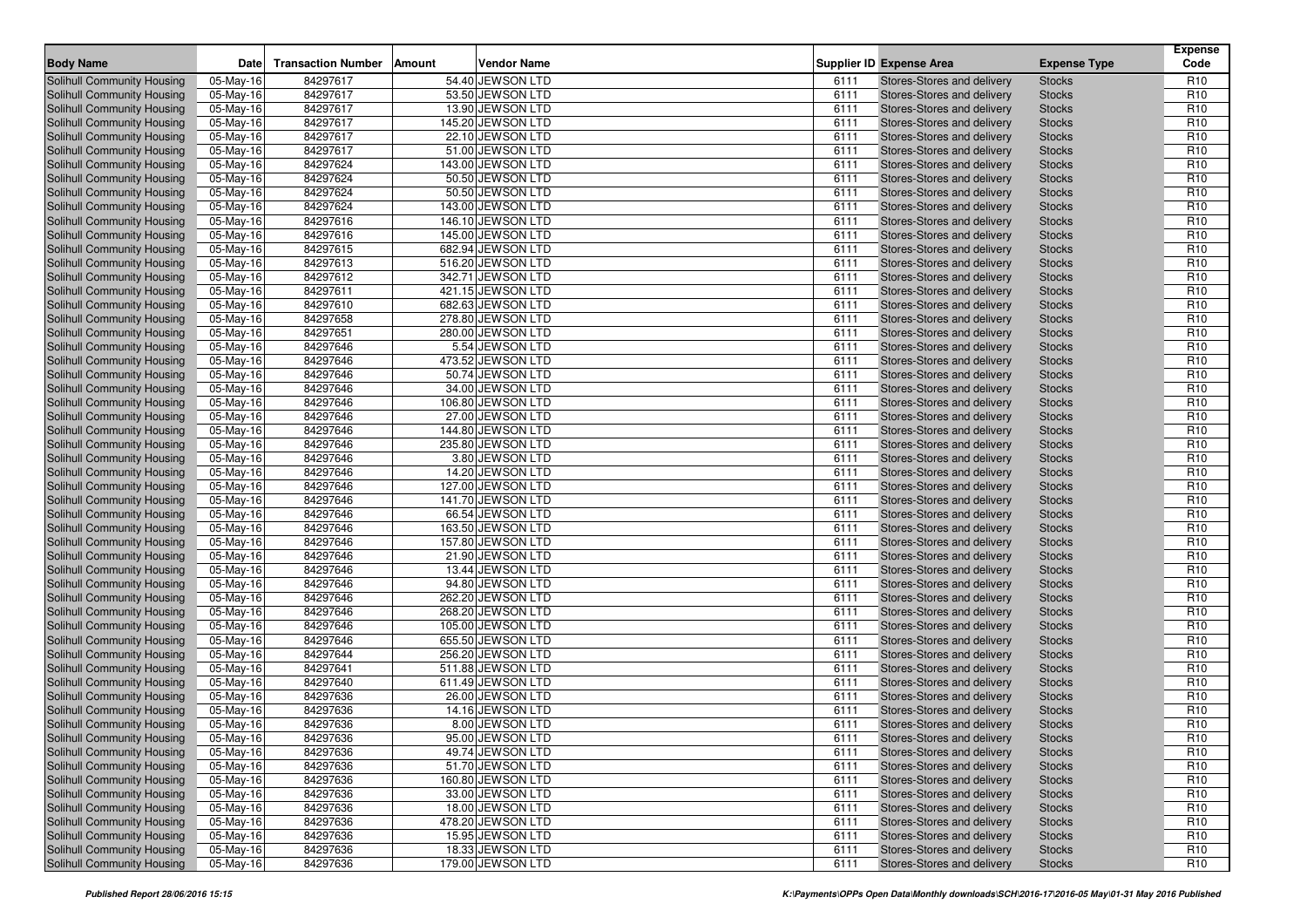| <b>Body Name</b>                                                       | <b>Date</b>            | <b>Transaction Number</b> | <b>Amount</b> | <b>Vendor Name</b>                     |              | <b>Supplier ID Expense Area</b>                                 | <b>Expense Type</b>            | <b>Expense</b><br>Code             |
|------------------------------------------------------------------------|------------------------|---------------------------|---------------|----------------------------------------|--------------|-----------------------------------------------------------------|--------------------------------|------------------------------------|
|                                                                        |                        |                           |               |                                        |              |                                                                 |                                |                                    |
| Solihull Community Housing                                             | 05-May-16              | 84297617                  |               | 54.40 JEWSON LTD<br>53.50 JEWSON LTD   | 6111         | Stores-Stores and delivery                                      | <b>Stocks</b>                  | R <sub>10</sub>                    |
| Solihull Community Housing                                             | 05-May-16              | 84297617                  |               |                                        | 6111         | Stores-Stores and delivery                                      | <b>Stocks</b>                  | R <sub>10</sub>                    |
| Solihull Community Housing                                             | 05-May-16              | 84297617                  |               | 13.90 JEWSON LTD                       | 6111         | Stores-Stores and delivery                                      | <b>Stocks</b>                  | R <sub>10</sub>                    |
| Solihull Community Housing                                             | 05-May-16              | 84297617                  |               | 145.20 JEWSON LTD                      | 6111         | Stores-Stores and delivery                                      | <b>Stocks</b>                  | R <sub>10</sub>                    |
| Solihull Community Housing                                             | 05-May-16              | 84297617                  |               | 22.10 JEWSON LTD                       | 6111         | Stores-Stores and delivery                                      | <b>Stocks</b>                  | R <sub>10</sub>                    |
| Solihull Community Housing                                             | 05-May-16              | 84297617                  |               | 51.00 JEWSON LTD                       | 6111         | Stores-Stores and delivery                                      | <b>Stocks</b>                  | R <sub>10</sub>                    |
| Solihull Community Housing                                             | 05-May-16              | 84297624                  |               | 143.00 JEWSON LTD                      | 6111         | Stores-Stores and delivery                                      | <b>Stocks</b>                  | R <sub>10</sub>                    |
| Solihull Community Housing                                             | 05-May-16              | 84297624                  |               | 50.50 JEWSON LTD                       | 6111         | Stores-Stores and delivery                                      | <b>Stocks</b>                  | R <sub>10</sub>                    |
| <b>Solihull Community Housing</b>                                      | 05-May-16              | 84297624                  |               | 50.50 JEWSON LTD                       | 6111         | Stores-Stores and delivery                                      | <b>Stocks</b>                  | R <sub>10</sub>                    |
| Solihull Community Housing                                             | 05-May-16              | 84297624                  |               | 143.00 JEWSON LTD                      | 6111         | Stores-Stores and delivery                                      | <b>Stocks</b>                  | R <sub>10</sub>                    |
| Solihull Community Housing                                             | 05-May-16              | 84297616                  |               | 146.10 JEWSON LTD                      | 6111         | Stores-Stores and delivery                                      | <b>Stocks</b>                  | R <sub>10</sub>                    |
| Solihull Community Housing                                             | 05-May-16              | 84297616                  |               | 145.00 JEWSON LTD                      | 6111         | Stores-Stores and delivery                                      | <b>Stocks</b>                  | R <sub>10</sub>                    |
| Solihull Community Housing                                             | 05-May-16              | 84297615                  |               | 682.94 JEWSON LTD                      | 6111         | Stores-Stores and delivery                                      | <b>Stocks</b>                  | R <sub>10</sub>                    |
| Solihull Community Housing                                             | 05-May-16              | 84297613                  |               | 516.20 JEWSON LTD                      | 6111         | Stores-Stores and delivery                                      | <b>Stocks</b>                  | R <sub>10</sub>                    |
| Solihull Community Housing                                             | 05-May-16              | 84297612                  |               | 342.71 JEWSON LTD                      | 6111         | Stores-Stores and delivery                                      | <b>Stocks</b>                  | R <sub>10</sub>                    |
| Solihull Community Housing                                             | 05-May-16              | 84297611                  |               | 421.15 JEWSON LTD                      | 6111         | Stores-Stores and delivery                                      | <b>Stocks</b>                  | R <sub>10</sub>                    |
| <b>Solihull Community Housing</b>                                      | 05-May-16              | 84297610                  |               | 682.63 JEWSON LTD                      | 6111         | Stores-Stores and delivery                                      | <b>Stocks</b>                  | R <sub>10</sub>                    |
| Solihull Community Housing                                             | 05-May-16              | 84297658                  |               | 278.80 JEWSON LTD                      | 6111         | Stores-Stores and delivery                                      | <b>Stocks</b>                  | R <sub>10</sub>                    |
| Solihull Community Housing                                             | 05-May-16              | 84297651                  |               | 280.00 JEWSON LTD                      | 6111         | Stores-Stores and delivery                                      | <b>Stocks</b>                  | R <sub>10</sub>                    |
| Solihull Community Housing                                             | 05-May-16              | 84297646                  |               | 5.54 JEWSON LTD                        | 6111         | Stores-Stores and delivery                                      | <b>Stocks</b>                  | R <sub>10</sub>                    |
| Solihull Community Housing                                             | 05-May-16              | 84297646                  |               | 473.52 JEWSON LTD                      | 6111         | Stores-Stores and delivery                                      | <b>Stocks</b>                  | R <sub>10</sub>                    |
| Solihull Community Housing                                             | 05-May-16              | 84297646                  |               | 50.74 JEWSON LTD                       | 6111         | Stores-Stores and delivery                                      | <b>Stocks</b>                  | R <sub>10</sub>                    |
| Solihull Community Housing                                             | 05-May-16              | 84297646                  |               | 34.00 JEWSON LTD                       | 6111         | Stores-Stores and delivery                                      | <b>Stocks</b>                  | R <sub>10</sub>                    |
| Solihull Community Housing                                             | 05-May-16              | 84297646                  |               | 106.80 JEWSON LTD                      | 6111         | Stores-Stores and delivery                                      | <b>Stocks</b>                  | R <sub>10</sub>                    |
| Solihull Community Housing                                             | 05-May-16              | 84297646                  |               | 27.00 JEWSON LTD                       | 6111         | Stores-Stores and delivery                                      | <b>Stocks</b>                  | R <sub>10</sub>                    |
| Solihull Community Housing                                             | 05-May-16              | 84297646                  |               | 144.80 JEWSON LTD                      | 6111         | Stores-Stores and delivery                                      | <b>Stocks</b>                  | R <sub>10</sub>                    |
| Solihull Community Housing                                             | 05-May-16              | 84297646                  |               | 235.80 JEWSON LTD                      | 6111         | Stores-Stores and delivery                                      | <b>Stocks</b>                  | R <sub>10</sub>                    |
| Solihull Community Housing                                             | 05-May-16              | 84297646                  |               | 3.80 JEWSON LTD                        | 6111         | Stores-Stores and delivery                                      | <b>Stocks</b>                  | R <sub>10</sub>                    |
| Solihull Community Housing                                             | 05-May-16              | 84297646                  |               | 14.20 JEWSON LTD                       | 6111         | Stores-Stores and delivery                                      | <b>Stocks</b>                  | R <sub>10</sub>                    |
| Solihull Community Housing                                             | 05-May-16              | 84297646                  |               | 127.00 JEWSON LTD                      | 6111         | Stores-Stores and delivery                                      | <b>Stocks</b>                  | R <sub>10</sub>                    |
| Solihull Community Housing                                             | 05-May-16              | 84297646                  |               | 141.70 JEWSON LTD                      | 6111         | Stores-Stores and delivery                                      | <b>Stocks</b>                  | R <sub>10</sub>                    |
| Solihull Community Housing                                             | 05-May-16              | 84297646                  |               | 66.54 JEWSON LTD                       | 6111         | Stores-Stores and delivery                                      | <b>Stocks</b>                  | R <sub>10</sub>                    |
| Solihull Community Housing                                             | 05-May-16              | 84297646                  |               | 163.50 JEWSON LTD                      | 6111         | Stores-Stores and delivery                                      | <b>Stocks</b>                  | R <sub>10</sub>                    |
| Solihull Community Housing                                             | 05-May-16              | 84297646                  |               | 157.80 JEWSON LTD                      | 6111         | Stores-Stores and delivery                                      | <b>Stocks</b>                  | R <sub>10</sub>                    |
| Solihull Community Housing                                             | 05-May-16              | 84297646                  |               | 21.90 JEWSON LTD                       | 6111         | Stores-Stores and delivery                                      | <b>Stocks</b>                  | R <sub>10</sub>                    |
| Solihull Community Housing                                             | 05-May-16              | 84297646                  |               | 13.44 JEWSON LTD                       | 6111         | Stores-Stores and delivery                                      | <b>Stocks</b>                  | R <sub>10</sub>                    |
| Solihull Community Housing                                             | 05-May-16              | 84297646                  |               | 94.80 JEWSON LTD                       | 6111         | Stores-Stores and delivery                                      | <b>Stocks</b>                  | R <sub>10</sub>                    |
| Solihull Community Housing                                             | 05-May-16              | 84297646                  |               | 262.20 JEWSON LTD                      | 6111         | Stores-Stores and delivery                                      | <b>Stocks</b>                  | R <sub>10</sub>                    |
| Solihull Community Housing                                             | 05-May-16              | 84297646                  |               | 268.20 JEWSON LTD                      | 6111         | Stores-Stores and delivery                                      | <b>Stocks</b>                  | R <sub>10</sub>                    |
| Solihull Community Housing                                             | 05-May-16              | 84297646                  |               | 105.00 JEWSON LTD                      | 6111<br>6111 | Stores-Stores and delivery                                      | <b>Stocks</b>                  | R <sub>10</sub>                    |
| Solihull Community Housing                                             | 05-May-16              | 84297646<br>84297644      |               | 655.50 JEWSON LTD                      |              | Stores-Stores and delivery<br><b>Stores-Stores and delivery</b> | <b>Stocks</b>                  | R <sub>10</sub><br>R <sub>10</sub> |
| Solihull Community Housing<br>Solihull Community Housing               | 05-May-16              | 84297641                  |               | 256.20 JEWSON LTD<br>511.88 JEWSON LTD | 6111<br>6111 | Stores-Stores and delivery                                      | <b>Stocks</b><br><b>Stocks</b> | R <sub>10</sub>                    |
|                                                                        | 05-May-16              |                           |               |                                        |              |                                                                 |                                | R <sub>10</sub>                    |
| <b>Solihull Community Housing</b><br><b>Solihull Community Housing</b> | 05-May-16              | 84297640<br>84297636      |               | 611.49 JEWSON LTD<br>26.00 JEWSON LTD  | 6111<br>6111 | Stores-Stores and delivery<br>Stores-Stores and delivery        | <b>Stocks</b>                  | R <sub>10</sub>                    |
| <b>Solihull Community Housing</b>                                      | 05-May-16<br>05-May-16 | 84297636                  |               | 14.16 JEWSON LTD                       | 6111         | Stores-Stores and delivery                                      | <b>Stocks</b><br><b>Stocks</b> | R <sub>10</sub>                    |
| Solihull Community Housing                                             |                        | 84297636                  |               | 8.00 JEWSON LTD                        | 6111         | Stores-Stores and delivery                                      | <b>Stocks</b>                  | R <sub>10</sub>                    |
| <b>Solihull Community Housing</b>                                      | 05-May-16<br>05-May-16 | 84297636                  |               | 95.00 JEWSON LTD                       | 6111         | Stores-Stores and delivery                                      | <b>Stocks</b>                  | R <sub>10</sub>                    |
| Solihull Community Housing                                             | 05-May-16              | 84297636                  |               | 49.74 JEWSON LTD                       | 6111         | Stores-Stores and delivery                                      | <b>Stocks</b>                  | R <sub>10</sub>                    |
| Solihull Community Housing                                             | 05-May-16              | 84297636                  |               | 51.70 JEWSON LTD                       | 6111         | Stores-Stores and delivery                                      | <b>Stocks</b>                  | R <sub>10</sub>                    |
| Solihull Community Housing                                             | 05-May-16              | 84297636                  |               | 160.80 JEWSON LTD                      | 6111         | Stores-Stores and delivery                                      | <b>Stocks</b>                  | R <sub>10</sub>                    |
| Solihull Community Housing                                             | 05-May-16              | 84297636                  |               | 33.00 JEWSON LTD                       | 6111         | Stores-Stores and delivery                                      | <b>Stocks</b>                  | R <sub>10</sub>                    |
| Solihull Community Housing                                             | 05-May-16              | 84297636                  |               | 18.00 JEWSON LTD                       | 6111         | Stores-Stores and delivery                                      | <b>Stocks</b>                  | R <sub>10</sub>                    |
| Solihull Community Housing                                             | 05-May-16              | 84297636                  |               | 478.20 JEWSON LTD                      | 6111         | Stores-Stores and delivery                                      | <b>Stocks</b>                  | R <sub>10</sub>                    |
| Solihull Community Housing                                             | 05-May-16              | 84297636                  |               | 15.95 JEWSON LTD                       | 6111         | Stores-Stores and delivery                                      | <b>Stocks</b>                  | R <sub>10</sub>                    |
| Solihull Community Housing                                             | 05-May-16              | 84297636                  |               | 18.33 JEWSON LTD                       | 6111         | Stores-Stores and delivery                                      | <b>Stocks</b>                  | R <sub>10</sub>                    |
| Solihull Community Housing                                             | 05-May-16              | 84297636                  |               | 179.00 JEWSON LTD                      | 6111         | Stores-Stores and delivery                                      | <b>Stocks</b>                  | R <sub>10</sub>                    |
|                                                                        |                        |                           |               |                                        |              |                                                                 |                                |                                    |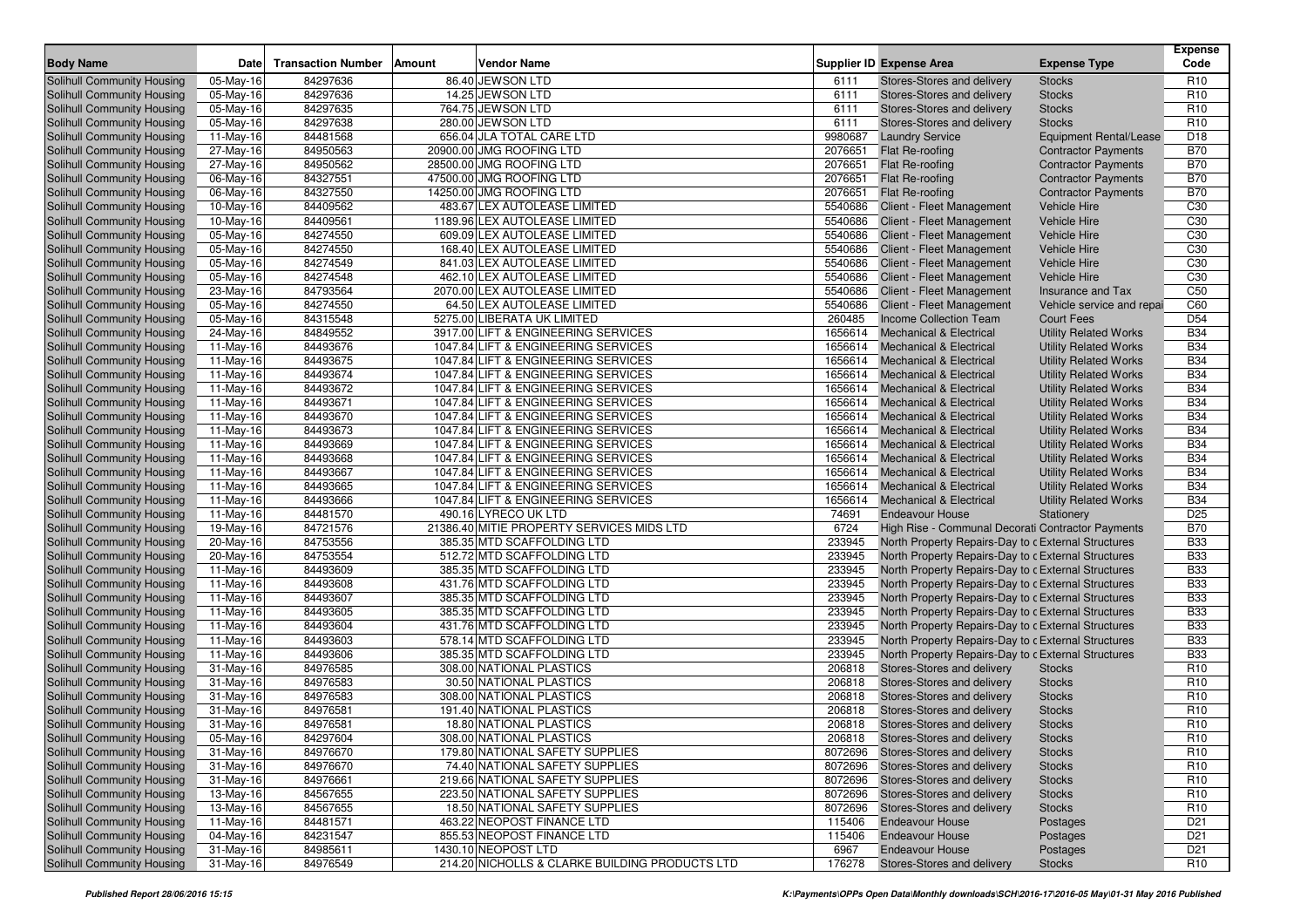| <b>Transaction Number</b><br><b>Vendor Name</b><br><b>Supplier ID Expense Area</b><br>Code<br><b>Body Name</b><br>Date<br>Amount<br><b>Expense Type</b><br>Solihull Community Housing<br>05-May-16<br>84297636<br>86.40 JEWSON LTD<br>Stores-Stores and delivery<br>R <sub>10</sub><br>6111<br><b>Stocks</b><br>05-May-16<br>84297636<br>14.25 JEWSON LTD<br>6111<br>R <sub>10</sub><br>Solihull Community Housing<br>Stores-Stores and delivery<br><b>Stocks</b><br>764.75 JEWSON LTD<br>84297635<br>6111<br>R <sub>10</sub><br>Solihull Community Housing<br>05-May-16<br>Stores-Stores and delivery<br><b>Stocks</b><br>Solihull Community Housing<br>05-May-16<br>84297638<br>280.00 JEWSON LTD<br>6111<br>R <sub>10</sub><br>Stores-Stores and delivery<br><b>Stocks</b><br>84481568<br>656.04 JLA TOTAL CARE LTD<br>9980687<br><b>Laundry Service</b><br>D <sub>18</sub><br>Solihull Community Housing<br>11-May-16<br><b>Equipment Rental/Lease</b><br>Solihull Community Housing<br>27-May-16<br>84950563<br>20900.00 JMG ROOFING LTD<br>2076651<br><b>B70</b><br>Flat Re-roofing<br><b>Contractor Payments</b><br>$\overline{27}$ -May-16<br>84950562<br>28500.00 JMG ROOFING LTD<br>2076651<br>Flat Re-roofing<br><b>B70</b><br>Solihull Community Housing<br><b>Contractor Payments</b><br>84327551<br>2076651<br>Solihull Community Housing<br>47500.00 JMG ROOFING LTD<br>Flat Re-roofing<br><b>B70</b><br>06-May-16<br><b>Contractor Payments</b><br>84327550<br><b>B70</b><br>14250.00 JMG ROOFING LTD<br>2076651<br>Flat Re-roofing<br>Solihull Community Housing<br>06-May-16<br><b>Contractor Payments</b><br>Solihull Community Housing<br>10-May-16<br>84409562<br>483.67 LEX AUTOLEASE LIMITED<br>5540686<br>C <sub>30</sub><br>Client - Fleet Management<br><b>Vehicle Hire</b><br>C <sub>30</sub><br>84409561<br>1189.96 LEX AUTOLEASE LIMITED<br>5540686<br><b>Vehicle Hire</b><br>Solihull Community Housing<br>10-May-16<br>Client - Fleet Management<br>609.09 LEX AUTOLEASE LIMITED<br>C <sub>30</sub><br>Solihull Community Housing<br>05-May-16<br>84274550<br>5540686<br><b>Vehicle Hire</b><br>Client - Fleet Management<br>168.40 LEX AUTOLEASE LIMITED<br>C <sub>30</sub><br>84274550<br>5540686<br>Solihull Community Housing<br>05-May-16<br>Client - Fleet Management<br><b>Vehicle Hire</b><br>841.03 LEX AUTOLEASE LIMITED<br>Solihull Community Housing<br>05-May-16<br>84274549<br>5540686<br>C <sub>30</sub><br>Client - Fleet Management<br><b>Vehicle Hire</b><br>84274548<br>462.10 LEX AUTOLEASE LIMITED<br>5540686<br><b>Vehicle Hire</b><br>C <sub>30</sub><br>Solihull Community Housing<br>05-May-16<br>Client - Fleet Management<br>84793564<br>Solihull Community Housing<br>2070.00 LEX AUTOLEASE LIMITED<br>5540686<br>C <sub>50</sub><br>23-May-16<br>Client - Fleet Management<br>Insurance and Tax<br>64.50 LEX AUTOLEASE LIMITED<br>84274550<br>5540686<br>C60<br>Solihull Community Housing<br>05-May-16<br>Client - Fleet Management<br>Vehicle service and repai<br>5275.00 LIBERATA UK LIMITED<br>Solihull Community Housing<br>05-May-16<br>84315548<br>260485<br>Income Collection Team<br>D <sub>54</sub><br><b>Court Fees</b><br><b>B34</b><br>84849552<br>3917.00 LIFT & ENGINEERING SERVICES<br>1656614<br><b>Mechanical &amp; Electrical</b><br><b>Utility Related Works</b><br>Solihull Community Housing<br>24-May-16<br>Solihull Community Housing<br>84493676<br>1047.84 LIFT & ENGINEERING SERVICES<br>1656614<br><b>B34</b><br>11-May-16<br><b>Mechanical &amp; Electrical</b><br><b>Utility Related Works</b><br><b>B34</b><br>84493675<br>1047.84 LIFT & ENGINEERING SERVICES<br>1656614<br>Solihull Community Housing<br>11-May-16<br><b>Mechanical &amp; Electrical</b><br><b>Utility Related Works</b><br>Solihull Community Housing<br>11-May-16<br>84493674<br>1047.84 LIFT & ENGINEERING SERVICES<br>1656614<br><b>B34</b><br><b>Mechanical &amp; Electrical</b><br><b>Utility Related Works</b><br>84493672<br>1047.84 LIFT & ENGINEERING SERVICES<br>1656614<br><b>B34</b><br>Solihull Community Housing<br>11-May-16<br><b>Mechanical &amp; Electrical</b><br><b>Utility Related Works</b><br>Solihull Community Housing<br>84493671<br>1047.84 LIFT & ENGINEERING SERVICES<br>1656614<br><b>B34</b><br>11-May-16<br><b>Mechanical &amp; Electrical</b><br><b>Utility Related Works</b><br>84493670<br>1047.84 LIFT & ENGINEERING SERVICES<br>1656614<br><b>B34</b><br>Solihull Community Housing<br>11-May-16<br><b>Mechanical &amp; Electrical</b><br><b>Utility Related Works</b><br>Solihull Community Housing<br>11-May-16<br>84493673<br>1047.84 LIFT & ENGINEERING SERVICES<br>1656614<br><b>B34</b><br><b>Mechanical &amp; Electrical</b><br><b>Utility Related Works</b><br>84493669<br>1047.84 LIFT & ENGINEERING SERVICES<br>1656614<br><b>B34</b><br>Solihull Community Housing<br>11-May-16<br><b>Mechanical &amp; Electrical</b><br><b>Utility Related Works</b><br>Solihull Community Housing<br>84493668<br>1047.84 LIFT & ENGINEERING SERVICES<br>1656614<br><b>B34</b><br>11-May-16<br><b>Mechanical &amp; Electrical</b><br><b>Utility Related Works</b><br>84493667<br>1047.84 LIFT & ENGINEERING SERVICES<br>1656614<br><b>B34</b><br>Solihull Community Housing<br>$11-May-16$<br><b>Mechanical &amp; Electrical</b><br><b>Utility Related Works</b><br>Solihull Community Housing<br>11-May-16<br>84493665<br>1047.84 LIFT & ENGINEERING SERVICES<br>1656614<br><b>B34</b><br><b>Mechanical &amp; Electrical</b><br><b>Utility Related Works</b><br>84493666<br>1047.84 LIFT & ENGINEERING SERVICES<br>1656614<br><b>Mechanical &amp; Electrical</b><br><b>B34</b><br>Solihull Community Housing<br>11-May-16<br><b>Utility Related Works</b><br>Solihull Community Housing<br>84481570<br>490.16 LYRECO UK LTD<br>74691<br>D <sub>25</sub><br>11-May-16<br><b>Endeavour House</b><br>Stationery<br><b>B70</b><br>19-May-16<br>84721576<br>21386.40 MITIE PROPERTY SERVICES MIDS LTD<br>6724<br>High Rise - Communal Decorati Contractor Payments<br>Solihull Community Housing<br>233945<br>Solihull Community Housing<br>84753556<br>385.35 MTD SCAFFOLDING LTD<br>North Property Repairs-Day to c External Structures<br><b>B33</b><br>20-May-16<br>84753554<br>233945<br><b>B33</b><br>512.72 MTD SCAFFOLDING LTD<br>North Property Repairs-Day to c External Structures<br>Solihull Community Housing<br>20-May-16<br>233945<br>Solihull Community Housing<br>84493609<br>385.35 MTD SCAFFOLDING LTD<br>North Property Repairs-Day to c External Structures<br><b>B33</b><br>11-May-16<br><b>B33</b><br>84493608<br>431.76 MTD SCAFFOLDING LTD<br>233945<br>North Property Repairs-Day to c External Structures<br>Solihull Community Housing<br>$11-May-16$<br>233945<br>Solihull Community Housing<br>84493607<br>385.35 MTD SCAFFOLDING LTD<br>North Property Repairs-Day to c External Structures<br><b>B33</b><br>11-May-16<br><b>B33</b><br>84493605<br>385.35 MTD SCAFFOLDING LTD<br>233945<br>North Property Repairs-Day to c External Structures<br>Solihull Community Housing<br>11-May-16<br>Solihull Community Housing<br>84493604<br>431.76 MTD SCAFFOLDING LTD<br>233945<br>North Property Repairs-Day to c External Structures<br><b>B33</b><br>11-May-16<br><b>B33</b><br>84493603<br>578.14 MTD SCAFFOLDING LTD<br>233945<br>Solihull Community Housing<br>11-May-16<br>North Property Repairs-Day to c External Structures<br>Solihull Community Housing<br>84493606<br>385.35 MTD SCAFFOLDING LTD<br>233945<br><b>B33</b><br>11-May-16<br>North Property Repairs-Day to c External Structures<br>84976585<br>308.00 NATIONAL PLASTICS<br>206818<br>R <sub>10</sub><br>Solihull Community Housing<br>31-May-16<br>Stores-Stores and delivery<br><b>Stocks</b><br>Solihull Community Housing<br>84976583<br>30.50 NATIONAL PLASTICS<br>206818<br>Stores-Stores and delivery<br>R <sub>10</sub><br>31-May-16<br><b>Stocks</b><br>84976583<br>308.00 NATIONAL PLASTICS<br>206818<br>R <sub>10</sub><br>Solihull Community Housing<br>31-May-16<br>Stores-Stores and delivery<br><b>Stocks</b><br>84976581<br>Solihull Community Housing<br>31-May-16<br>191.40 NATIONAL PLASTICS<br>206818<br>R <sub>10</sub><br>Stores-Stores and delivery<br><b>Stocks</b><br>Solihull Community Housing<br>84976581<br>18.80 NATIONAL PLASTICS<br>206818<br>Stores-Stores and delivery<br>R <sub>10</sub><br>31-May-16<br><b>Stocks</b><br>84297604<br>308.00 NATIONAL PLASTICS<br>Solihull Community Housing<br>05-May-16<br>206818 Stores-Stores and delivery<br><b>Stocks</b><br>R <sub>10</sub><br>Solihull Community Housing<br>179.80 NATIONAL SAFETY SUPPLIES<br>R <sub>10</sub><br>31-May-16<br>84976670<br>8072696 Stores-Stores and delivery<br><b>Stocks</b><br>Solihull Community Housing<br>31-May-16<br>84976670<br>74.40 NATIONAL SAFETY SUPPLIES<br>8072696 Stores-Stores and delivery<br><b>Stocks</b><br>R <sub>10</sub><br>Solihull Community Housing<br>31-May-16<br>84976661<br>219.66 NATIONAL SAFETY SUPPLIES<br>8072696 Stores-Stores and delivery<br><b>Stocks</b><br>R <sub>10</sub><br>Solihull Community Housing<br>13-May-16<br>84567655<br>223.50 NATIONAL SAFETY SUPPLIES<br>8072696 Stores-Stores and delivery<br>R <sub>10</sub><br><b>Stocks</b><br>Solihull Community Housing<br>13-May-16<br>84567655<br>18.50 NATIONAL SAFETY SUPPLIES<br>8072696 Stores-Stores and delivery<br>R <sub>10</sub><br><b>Stocks</b><br>463.22 NEOPOST FINANCE LTD<br>Solihull Community Housing<br>11-May-16<br>84481571<br>115406<br><b>Endeavour House</b><br>D <sub>21</sub><br>Postages<br>855.53 NEOPOST FINANCE LTD<br>Solihull Community Housing<br>04-May-16<br>84231547<br><b>Endeavour House</b><br>D <sub>21</sub><br>115406<br>Postages<br>1430.10 NEOPOST LTD<br>Solihull Community Housing<br>31-May-16<br>84985611<br>6967<br><b>Endeavour House</b><br>D <sub>21</sub><br>Postages<br>214.20 NICHOLLS & CLARKE BUILDING PRODUCTS LTD<br>Solihull Community Housing<br>31-May-16<br>84976549<br>176278<br>Stores-Stores and delivery<br><b>Stocks</b><br>R <sub>10</sub> |  |  |  |  | Expense |
|-------------------------------------------------------------------------------------------------------------------------------------------------------------------------------------------------------------------------------------------------------------------------------------------------------------------------------------------------------------------------------------------------------------------------------------------------------------------------------------------------------------------------------------------------------------------------------------------------------------------------------------------------------------------------------------------------------------------------------------------------------------------------------------------------------------------------------------------------------------------------------------------------------------------------------------------------------------------------------------------------------------------------------------------------------------------------------------------------------------------------------------------------------------------------------------------------------------------------------------------------------------------------------------------------------------------------------------------------------------------------------------------------------------------------------------------------------------------------------------------------------------------------------------------------------------------------------------------------------------------------------------------------------------------------------------------------------------------------------------------------------------------------------------------------------------------------------------------------------------------------------------------------------------------------------------------------------------------------------------------------------------------------------------------------------------------------------------------------------------------------------------------------------------------------------------------------------------------------------------------------------------------------------------------------------------------------------------------------------------------------------------------------------------------------------------------------------------------------------------------------------------------------------------------------------------------------------------------------------------------------------------------------------------------------------------------------------------------------------------------------------------------------------------------------------------------------------------------------------------------------------------------------------------------------------------------------------------------------------------------------------------------------------------------------------------------------------------------------------------------------------------------------------------------------------------------------------------------------------------------------------------------------------------------------------------------------------------------------------------------------------------------------------------------------------------------------------------------------------------------------------------------------------------------------------------------------------------------------------------------------------------------------------------------------------------------------------------------------------------------------------------------------------------------------------------------------------------------------------------------------------------------------------------------------------------------------------------------------------------------------------------------------------------------------------------------------------------------------------------------------------------------------------------------------------------------------------------------------------------------------------------------------------------------------------------------------------------------------------------------------------------------------------------------------------------------------------------------------------------------------------------------------------------------------------------------------------------------------------------------------------------------------------------------------------------------------------------------------------------------------------------------------------------------------------------------------------------------------------------------------------------------------------------------------------------------------------------------------------------------------------------------------------------------------------------------------------------------------------------------------------------------------------------------------------------------------------------------------------------------------------------------------------------------------------------------------------------------------------------------------------------------------------------------------------------------------------------------------------------------------------------------------------------------------------------------------------------------------------------------------------------------------------------------------------------------------------------------------------------------------------------------------------------------------------------------------------------------------------------------------------------------------------------------------------------------------------------------------------------------------------------------------------------------------------------------------------------------------------------------------------------------------------------------------------------------------------------------------------------------------------------------------------------------------------------------------------------------------------------------------------------------------------------------------------------------------------------------------------------------------------------------------------------------------------------------------------------------------------------------------------------------------------------------------------------------------------------------------------------------------------------------------------------------------------------------------------------------------------------------------------------------------------------------------------------------------------------------------------------------------------------------------------------------------------------------------------------------------------------------------------------------------------------------------------------------------------------------------------------------------------------------------------------------------------------------------------------------------------------------------------------------------------------------------------------------------------------------------------------------------------------------------------------------------------------------------------------------------------------------------------------------------------------------------------------------------------------------------------------------------------------------------------------------------------------------------------------------------------------------------------------------------------------------------------------------------------------------------------------------------------------------------------------------------------------------------------------------------------------------------------------------------------------------------------------------------------------------------------------------------------------------------------------------------------------------------------------------------------------------------------------------------------------------------------------------------------------------------------------------------------------------------------------------------------------------------------------------------------------------------------------------------------------------------------------------------------------------------------------------------------------------------------------------------------------------------------------------------------------------------------------------------------------------------------------------------------------------------------------------------------------------------------------------------------------------------------------------------------------------------------------------------------------------------------------------------------------------------------------------------------------------------------------------------------------------------------------------------------------------------------------------------------------------------------------------------------------------------------------------------------------------------------------------------------------------------------------------------------------------------------------------------------------------------------------------------------------------------------------------------------------------------------------------------------------------------------------------------------------------------------------------------------------------------------------------------------------------------------------------------------------------------------------------------------------------------------------------------------------------------------|--|--|--|--|---------|
|                                                                                                                                                                                                                                                                                                                                                                                                                                                                                                                                                                                                                                                                                                                                                                                                                                                                                                                                                                                                                                                                                                                                                                                                                                                                                                                                                                                                                                                                                                                                                                                                                                                                                                                                                                                                                                                                                                                                                                                                                                                                                                                                                                                                                                                                                                                                                                                                                                                                                                                                                                                                                                                                                                                                                                                                                                                                                                                                                                                                                                                                                                                                                                                                                                                                                                                                                                                                                                                                                                                                                                                                                                                                                                                                                                                                                                                                                                                                                                                                                                                                                                                                                                                                                                                                                                                                                                                                                                                                                                                                                                                                                                                                                                                                                                                                                                                                                                                                                                                                                                                                                                                                                                                                                                                                                                                                                                                                                                                                                                                                                                                                                                                                                                                                                                                                                                                                                                                                                                                                                                                                                                                                                                                                                                                                                                                                                                                                                                                                                                                                                                                                                                                                                                                                                                                                                                                                                                                                                                                                                                                                                                                                                                                                                                                                                                                                                                                                                                                                                                                                                                                                                                                                                                                                                                                                                                                                                                                                                                                                                                                                                                                                                                                                                                                                                                                                                                                                                                                                                                                                                                                                                                                                                                                                                                                                                                                                                                                                                                                                                                                                                                                                                                                                                                                                                                                                                                                                                                                                                                                                                                                                                                                                                                                                                                                                                                                                                                                                                                                                                                                                                                                               |  |  |  |  |         |
|                                                                                                                                                                                                                                                                                                                                                                                                                                                                                                                                                                                                                                                                                                                                                                                                                                                                                                                                                                                                                                                                                                                                                                                                                                                                                                                                                                                                                                                                                                                                                                                                                                                                                                                                                                                                                                                                                                                                                                                                                                                                                                                                                                                                                                                                                                                                                                                                                                                                                                                                                                                                                                                                                                                                                                                                                                                                                                                                                                                                                                                                                                                                                                                                                                                                                                                                                                                                                                                                                                                                                                                                                                                                                                                                                                                                                                                                                                                                                                                                                                                                                                                                                                                                                                                                                                                                                                                                                                                                                                                                                                                                                                                                                                                                                                                                                                                                                                                                                                                                                                                                                                                                                                                                                                                                                                                                                                                                                                                                                                                                                                                                                                                                                                                                                                                                                                                                                                                                                                                                                                                                                                                                                                                                                                                                                                                                                                                                                                                                                                                                                                                                                                                                                                                                                                                                                                                                                                                                                                                                                                                                                                                                                                                                                                                                                                                                                                                                                                                                                                                                                                                                                                                                                                                                                                                                                                                                                                                                                                                                                                                                                                                                                                                                                                                                                                                                                                                                                                                                                                                                                                                                                                                                                                                                                                                                                                                                                                                                                                                                                                                                                                                                                                                                                                                                                                                                                                                                                                                                                                                                                                                                                                                                                                                                                                                                                                                                                                                                                                                                                                                                                                                               |  |  |  |  |         |
|                                                                                                                                                                                                                                                                                                                                                                                                                                                                                                                                                                                                                                                                                                                                                                                                                                                                                                                                                                                                                                                                                                                                                                                                                                                                                                                                                                                                                                                                                                                                                                                                                                                                                                                                                                                                                                                                                                                                                                                                                                                                                                                                                                                                                                                                                                                                                                                                                                                                                                                                                                                                                                                                                                                                                                                                                                                                                                                                                                                                                                                                                                                                                                                                                                                                                                                                                                                                                                                                                                                                                                                                                                                                                                                                                                                                                                                                                                                                                                                                                                                                                                                                                                                                                                                                                                                                                                                                                                                                                                                                                                                                                                                                                                                                                                                                                                                                                                                                                                                                                                                                                                                                                                                                                                                                                                                                                                                                                                                                                                                                                                                                                                                                                                                                                                                                                                                                                                                                                                                                                                                                                                                                                                                                                                                                                                                                                                                                                                                                                                                                                                                                                                                                                                                                                                                                                                                                                                                                                                                                                                                                                                                                                                                                                                                                                                                                                                                                                                                                                                                                                                                                                                                                                                                                                                                                                                                                                                                                                                                                                                                                                                                                                                                                                                                                                                                                                                                                                                                                                                                                                                                                                                                                                                                                                                                                                                                                                                                                                                                                                                                                                                                                                                                                                                                                                                                                                                                                                                                                                                                                                                                                                                                                                                                                                                                                                                                                                                                                                                                                                                                                                                                               |  |  |  |  |         |
|                                                                                                                                                                                                                                                                                                                                                                                                                                                                                                                                                                                                                                                                                                                                                                                                                                                                                                                                                                                                                                                                                                                                                                                                                                                                                                                                                                                                                                                                                                                                                                                                                                                                                                                                                                                                                                                                                                                                                                                                                                                                                                                                                                                                                                                                                                                                                                                                                                                                                                                                                                                                                                                                                                                                                                                                                                                                                                                                                                                                                                                                                                                                                                                                                                                                                                                                                                                                                                                                                                                                                                                                                                                                                                                                                                                                                                                                                                                                                                                                                                                                                                                                                                                                                                                                                                                                                                                                                                                                                                                                                                                                                                                                                                                                                                                                                                                                                                                                                                                                                                                                                                                                                                                                                                                                                                                                                                                                                                                                                                                                                                                                                                                                                                                                                                                                                                                                                                                                                                                                                                                                                                                                                                                                                                                                                                                                                                                                                                                                                                                                                                                                                                                                                                                                                                                                                                                                                                                                                                                                                                                                                                                                                                                                                                                                                                                                                                                                                                                                                                                                                                                                                                                                                                                                                                                                                                                                                                                                                                                                                                                                                                                                                                                                                                                                                                                                                                                                                                                                                                                                                                                                                                                                                                                                                                                                                                                                                                                                                                                                                                                                                                                                                                                                                                                                                                                                                                                                                                                                                                                                                                                                                                                                                                                                                                                                                                                                                                                                                                                                                                                                                                                               |  |  |  |  |         |
|                                                                                                                                                                                                                                                                                                                                                                                                                                                                                                                                                                                                                                                                                                                                                                                                                                                                                                                                                                                                                                                                                                                                                                                                                                                                                                                                                                                                                                                                                                                                                                                                                                                                                                                                                                                                                                                                                                                                                                                                                                                                                                                                                                                                                                                                                                                                                                                                                                                                                                                                                                                                                                                                                                                                                                                                                                                                                                                                                                                                                                                                                                                                                                                                                                                                                                                                                                                                                                                                                                                                                                                                                                                                                                                                                                                                                                                                                                                                                                                                                                                                                                                                                                                                                                                                                                                                                                                                                                                                                                                                                                                                                                                                                                                                                                                                                                                                                                                                                                                                                                                                                                                                                                                                                                                                                                                                                                                                                                                                                                                                                                                                                                                                                                                                                                                                                                                                                                                                                                                                                                                                                                                                                                                                                                                                                                                                                                                                                                                                                                                                                                                                                                                                                                                                                                                                                                                                                                                                                                                                                                                                                                                                                                                                                                                                                                                                                                                                                                                                                                                                                                                                                                                                                                                                                                                                                                                                                                                                                                                                                                                                                                                                                                                                                                                                                                                                                                                                                                                                                                                                                                                                                                                                                                                                                                                                                                                                                                                                                                                                                                                                                                                                                                                                                                                                                                                                                                                                                                                                                                                                                                                                                                                                                                                                                                                                                                                                                                                                                                                                                                                                                                                               |  |  |  |  |         |
|                                                                                                                                                                                                                                                                                                                                                                                                                                                                                                                                                                                                                                                                                                                                                                                                                                                                                                                                                                                                                                                                                                                                                                                                                                                                                                                                                                                                                                                                                                                                                                                                                                                                                                                                                                                                                                                                                                                                                                                                                                                                                                                                                                                                                                                                                                                                                                                                                                                                                                                                                                                                                                                                                                                                                                                                                                                                                                                                                                                                                                                                                                                                                                                                                                                                                                                                                                                                                                                                                                                                                                                                                                                                                                                                                                                                                                                                                                                                                                                                                                                                                                                                                                                                                                                                                                                                                                                                                                                                                                                                                                                                                                                                                                                                                                                                                                                                                                                                                                                                                                                                                                                                                                                                                                                                                                                                                                                                                                                                                                                                                                                                                                                                                                                                                                                                                                                                                                                                                                                                                                                                                                                                                                                                                                                                                                                                                                                                                                                                                                                                                                                                                                                                                                                                                                                                                                                                                                                                                                                                                                                                                                                                                                                                                                                                                                                                                                                                                                                                                                                                                                                                                                                                                                                                                                                                                                                                                                                                                                                                                                                                                                                                                                                                                                                                                                                                                                                                                                                                                                                                                                                                                                                                                                                                                                                                                                                                                                                                                                                                                                                                                                                                                                                                                                                                                                                                                                                                                                                                                                                                                                                                                                                                                                                                                                                                                                                                                                                                                                                                                                                                                                                               |  |  |  |  |         |
|                                                                                                                                                                                                                                                                                                                                                                                                                                                                                                                                                                                                                                                                                                                                                                                                                                                                                                                                                                                                                                                                                                                                                                                                                                                                                                                                                                                                                                                                                                                                                                                                                                                                                                                                                                                                                                                                                                                                                                                                                                                                                                                                                                                                                                                                                                                                                                                                                                                                                                                                                                                                                                                                                                                                                                                                                                                                                                                                                                                                                                                                                                                                                                                                                                                                                                                                                                                                                                                                                                                                                                                                                                                                                                                                                                                                                                                                                                                                                                                                                                                                                                                                                                                                                                                                                                                                                                                                                                                                                                                                                                                                                                                                                                                                                                                                                                                                                                                                                                                                                                                                                                                                                                                                                                                                                                                                                                                                                                                                                                                                                                                                                                                                                                                                                                                                                                                                                                                                                                                                                                                                                                                                                                                                                                                                                                                                                                                                                                                                                                                                                                                                                                                                                                                                                                                                                                                                                                                                                                                                                                                                                                                                                                                                                                                                                                                                                                                                                                                                                                                                                                                                                                                                                                                                                                                                                                                                                                                                                                                                                                                                                                                                                                                                                                                                                                                                                                                                                                                                                                                                                                                                                                                                                                                                                                                                                                                                                                                                                                                                                                                                                                                                                                                                                                                                                                                                                                                                                                                                                                                                                                                                                                                                                                                                                                                                                                                                                                                                                                                                                                                                                                                               |  |  |  |  |         |
|                                                                                                                                                                                                                                                                                                                                                                                                                                                                                                                                                                                                                                                                                                                                                                                                                                                                                                                                                                                                                                                                                                                                                                                                                                                                                                                                                                                                                                                                                                                                                                                                                                                                                                                                                                                                                                                                                                                                                                                                                                                                                                                                                                                                                                                                                                                                                                                                                                                                                                                                                                                                                                                                                                                                                                                                                                                                                                                                                                                                                                                                                                                                                                                                                                                                                                                                                                                                                                                                                                                                                                                                                                                                                                                                                                                                                                                                                                                                                                                                                                                                                                                                                                                                                                                                                                                                                                                                                                                                                                                                                                                                                                                                                                                                                                                                                                                                                                                                                                                                                                                                                                                                                                                                                                                                                                                                                                                                                                                                                                                                                                                                                                                                                                                                                                                                                                                                                                                                                                                                                                                                                                                                                                                                                                                                                                                                                                                                                                                                                                                                                                                                                                                                                                                                                                                                                                                                                                                                                                                                                                                                                                                                                                                                                                                                                                                                                                                                                                                                                                                                                                                                                                                                                                                                                                                                                                                                                                                                                                                                                                                                                                                                                                                                                                                                                                                                                                                                                                                                                                                                                                                                                                                                                                                                                                                                                                                                                                                                                                                                                                                                                                                                                                                                                                                                                                                                                                                                                                                                                                                                                                                                                                                                                                                                                                                                                                                                                                                                                                                                                                                                                                                               |  |  |  |  |         |
|                                                                                                                                                                                                                                                                                                                                                                                                                                                                                                                                                                                                                                                                                                                                                                                                                                                                                                                                                                                                                                                                                                                                                                                                                                                                                                                                                                                                                                                                                                                                                                                                                                                                                                                                                                                                                                                                                                                                                                                                                                                                                                                                                                                                                                                                                                                                                                                                                                                                                                                                                                                                                                                                                                                                                                                                                                                                                                                                                                                                                                                                                                                                                                                                                                                                                                                                                                                                                                                                                                                                                                                                                                                                                                                                                                                                                                                                                                                                                                                                                                                                                                                                                                                                                                                                                                                                                                                                                                                                                                                                                                                                                                                                                                                                                                                                                                                                                                                                                                                                                                                                                                                                                                                                                                                                                                                                                                                                                                                                                                                                                                                                                                                                                                                                                                                                                                                                                                                                                                                                                                                                                                                                                                                                                                                                                                                                                                                                                                                                                                                                                                                                                                                                                                                                                                                                                                                                                                                                                                                                                                                                                                                                                                                                                                                                                                                                                                                                                                                                                                                                                                                                                                                                                                                                                                                                                                                                                                                                                                                                                                                                                                                                                                                                                                                                                                                                                                                                                                                                                                                                                                                                                                                                                                                                                                                                                                                                                                                                                                                                                                                                                                                                                                                                                                                                                                                                                                                                                                                                                                                                                                                                                                                                                                                                                                                                                                                                                                                                                                                                                                                                                                                               |  |  |  |  |         |
|                                                                                                                                                                                                                                                                                                                                                                                                                                                                                                                                                                                                                                                                                                                                                                                                                                                                                                                                                                                                                                                                                                                                                                                                                                                                                                                                                                                                                                                                                                                                                                                                                                                                                                                                                                                                                                                                                                                                                                                                                                                                                                                                                                                                                                                                                                                                                                                                                                                                                                                                                                                                                                                                                                                                                                                                                                                                                                                                                                                                                                                                                                                                                                                                                                                                                                                                                                                                                                                                                                                                                                                                                                                                                                                                                                                                                                                                                                                                                                                                                                                                                                                                                                                                                                                                                                                                                                                                                                                                                                                                                                                                                                                                                                                                                                                                                                                                                                                                                                                                                                                                                                                                                                                                                                                                                                                                                                                                                                                                                                                                                                                                                                                                                                                                                                                                                                                                                                                                                                                                                                                                                                                                                                                                                                                                                                                                                                                                                                                                                                                                                                                                                                                                                                                                                                                                                                                                                                                                                                                                                                                                                                                                                                                                                                                                                                                                                                                                                                                                                                                                                                                                                                                                                                                                                                                                                                                                                                                                                                                                                                                                                                                                                                                                                                                                                                                                                                                                                                                                                                                                                                                                                                                                                                                                                                                                                                                                                                                                                                                                                                                                                                                                                                                                                                                                                                                                                                                                                                                                                                                                                                                                                                                                                                                                                                                                                                                                                                                                                                                                                                                                                                                               |  |  |  |  |         |
|                                                                                                                                                                                                                                                                                                                                                                                                                                                                                                                                                                                                                                                                                                                                                                                                                                                                                                                                                                                                                                                                                                                                                                                                                                                                                                                                                                                                                                                                                                                                                                                                                                                                                                                                                                                                                                                                                                                                                                                                                                                                                                                                                                                                                                                                                                                                                                                                                                                                                                                                                                                                                                                                                                                                                                                                                                                                                                                                                                                                                                                                                                                                                                                                                                                                                                                                                                                                                                                                                                                                                                                                                                                                                                                                                                                                                                                                                                                                                                                                                                                                                                                                                                                                                                                                                                                                                                                                                                                                                                                                                                                                                                                                                                                                                                                                                                                                                                                                                                                                                                                                                                                                                                                                                                                                                                                                                                                                                                                                                                                                                                                                                                                                                                                                                                                                                                                                                                                                                                                                                                                                                                                                                                                                                                                                                                                                                                                                                                                                                                                                                                                                                                                                                                                                                                                                                                                                                                                                                                                                                                                                                                                                                                                                                                                                                                                                                                                                                                                                                                                                                                                                                                                                                                                                                                                                                                                                                                                                                                                                                                                                                                                                                                                                                                                                                                                                                                                                                                                                                                                                                                                                                                                                                                                                                                                                                                                                                                                                                                                                                                                                                                                                                                                                                                                                                                                                                                                                                                                                                                                                                                                                                                                                                                                                                                                                                                                                                                                                                                                                                                                                                                                               |  |  |  |  |         |
|                                                                                                                                                                                                                                                                                                                                                                                                                                                                                                                                                                                                                                                                                                                                                                                                                                                                                                                                                                                                                                                                                                                                                                                                                                                                                                                                                                                                                                                                                                                                                                                                                                                                                                                                                                                                                                                                                                                                                                                                                                                                                                                                                                                                                                                                                                                                                                                                                                                                                                                                                                                                                                                                                                                                                                                                                                                                                                                                                                                                                                                                                                                                                                                                                                                                                                                                                                                                                                                                                                                                                                                                                                                                                                                                                                                                                                                                                                                                                                                                                                                                                                                                                                                                                                                                                                                                                                                                                                                                                                                                                                                                                                                                                                                                                                                                                                                                                                                                                                                                                                                                                                                                                                                                                                                                                                                                                                                                                                                                                                                                                                                                                                                                                                                                                                                                                                                                                                                                                                                                                                                                                                                                                                                                                                                                                                                                                                                                                                                                                                                                                                                                                                                                                                                                                                                                                                                                                                                                                                                                                                                                                                                                                                                                                                                                                                                                                                                                                                                                                                                                                                                                                                                                                                                                                                                                                                                                                                                                                                                                                                                                                                                                                                                                                                                                                                                                                                                                                                                                                                                                                                                                                                                                                                                                                                                                                                                                                                                                                                                                                                                                                                                                                                                                                                                                                                                                                                                                                                                                                                                                                                                                                                                                                                                                                                                                                                                                                                                                                                                                                                                                                                                               |  |  |  |  |         |
|                                                                                                                                                                                                                                                                                                                                                                                                                                                                                                                                                                                                                                                                                                                                                                                                                                                                                                                                                                                                                                                                                                                                                                                                                                                                                                                                                                                                                                                                                                                                                                                                                                                                                                                                                                                                                                                                                                                                                                                                                                                                                                                                                                                                                                                                                                                                                                                                                                                                                                                                                                                                                                                                                                                                                                                                                                                                                                                                                                                                                                                                                                                                                                                                                                                                                                                                                                                                                                                                                                                                                                                                                                                                                                                                                                                                                                                                                                                                                                                                                                                                                                                                                                                                                                                                                                                                                                                                                                                                                                                                                                                                                                                                                                                                                                                                                                                                                                                                                                                                                                                                                                                                                                                                                                                                                                                                                                                                                                                                                                                                                                                                                                                                                                                                                                                                                                                                                                                                                                                                                                                                                                                                                                                                                                                                                                                                                                                                                                                                                                                                                                                                                                                                                                                                                                                                                                                                                                                                                                                                                                                                                                                                                                                                                                                                                                                                                                                                                                                                                                                                                                                                                                                                                                                                                                                                                                                                                                                                                                                                                                                                                                                                                                                                                                                                                                                                                                                                                                                                                                                                                                                                                                                                                                                                                                                                                                                                                                                                                                                                                                                                                                                                                                                                                                                                                                                                                                                                                                                                                                                                                                                                                                                                                                                                                                                                                                                                                                                                                                                                                                                                                                                               |  |  |  |  |         |
|                                                                                                                                                                                                                                                                                                                                                                                                                                                                                                                                                                                                                                                                                                                                                                                                                                                                                                                                                                                                                                                                                                                                                                                                                                                                                                                                                                                                                                                                                                                                                                                                                                                                                                                                                                                                                                                                                                                                                                                                                                                                                                                                                                                                                                                                                                                                                                                                                                                                                                                                                                                                                                                                                                                                                                                                                                                                                                                                                                                                                                                                                                                                                                                                                                                                                                                                                                                                                                                                                                                                                                                                                                                                                                                                                                                                                                                                                                                                                                                                                                                                                                                                                                                                                                                                                                                                                                                                                                                                                                                                                                                                                                                                                                                                                                                                                                                                                                                                                                                                                                                                                                                                                                                                                                                                                                                                                                                                                                                                                                                                                                                                                                                                                                                                                                                                                                                                                                                                                                                                                                                                                                                                                                                                                                                                                                                                                                                                                                                                                                                                                                                                                                                                                                                                                                                                                                                                                                                                                                                                                                                                                                                                                                                                                                                                                                                                                                                                                                                                                                                                                                                                                                                                                                                                                                                                                                                                                                                                                                                                                                                                                                                                                                                                                                                                                                                                                                                                                                                                                                                                                                                                                                                                                                                                                                                                                                                                                                                                                                                                                                                                                                                                                                                                                                                                                                                                                                                                                                                                                                                                                                                                                                                                                                                                                                                                                                                                                                                                                                                                                                                                                                                               |  |  |  |  |         |
|                                                                                                                                                                                                                                                                                                                                                                                                                                                                                                                                                                                                                                                                                                                                                                                                                                                                                                                                                                                                                                                                                                                                                                                                                                                                                                                                                                                                                                                                                                                                                                                                                                                                                                                                                                                                                                                                                                                                                                                                                                                                                                                                                                                                                                                                                                                                                                                                                                                                                                                                                                                                                                                                                                                                                                                                                                                                                                                                                                                                                                                                                                                                                                                                                                                                                                                                                                                                                                                                                                                                                                                                                                                                                                                                                                                                                                                                                                                                                                                                                                                                                                                                                                                                                                                                                                                                                                                                                                                                                                                                                                                                                                                                                                                                                                                                                                                                                                                                                                                                                                                                                                                                                                                                                                                                                                                                                                                                                                                                                                                                                                                                                                                                                                                                                                                                                                                                                                                                                                                                                                                                                                                                                                                                                                                                                                                                                                                                                                                                                                                                                                                                                                                                                                                                                                                                                                                                                                                                                                                                                                                                                                                                                                                                                                                                                                                                                                                                                                                                                                                                                                                                                                                                                                                                                                                                                                                                                                                                                                                                                                                                                                                                                                                                                                                                                                                                                                                                                                                                                                                                                                                                                                                                                                                                                                                                                                                                                                                                                                                                                                                                                                                                                                                                                                                                                                                                                                                                                                                                                                                                                                                                                                                                                                                                                                                                                                                                                                                                                                                                                                                                                                                               |  |  |  |  |         |
|                                                                                                                                                                                                                                                                                                                                                                                                                                                                                                                                                                                                                                                                                                                                                                                                                                                                                                                                                                                                                                                                                                                                                                                                                                                                                                                                                                                                                                                                                                                                                                                                                                                                                                                                                                                                                                                                                                                                                                                                                                                                                                                                                                                                                                                                                                                                                                                                                                                                                                                                                                                                                                                                                                                                                                                                                                                                                                                                                                                                                                                                                                                                                                                                                                                                                                                                                                                                                                                                                                                                                                                                                                                                                                                                                                                                                                                                                                                                                                                                                                                                                                                                                                                                                                                                                                                                                                                                                                                                                                                                                                                                                                                                                                                                                                                                                                                                                                                                                                                                                                                                                                                                                                                                                                                                                                                                                                                                                                                                                                                                                                                                                                                                                                                                                                                                                                                                                                                                                                                                                                                                                                                                                                                                                                                                                                                                                                                                                                                                                                                                                                                                                                                                                                                                                                                                                                                                                                                                                                                                                                                                                                                                                                                                                                                                                                                                                                                                                                                                                                                                                                                                                                                                                                                                                                                                                                                                                                                                                                                                                                                                                                                                                                                                                                                                                                                                                                                                                                                                                                                                                                                                                                                                                                                                                                                                                                                                                                                                                                                                                                                                                                                                                                                                                                                                                                                                                                                                                                                                                                                                                                                                                                                                                                                                                                                                                                                                                                                                                                                                                                                                                                                               |  |  |  |  |         |
|                                                                                                                                                                                                                                                                                                                                                                                                                                                                                                                                                                                                                                                                                                                                                                                                                                                                                                                                                                                                                                                                                                                                                                                                                                                                                                                                                                                                                                                                                                                                                                                                                                                                                                                                                                                                                                                                                                                                                                                                                                                                                                                                                                                                                                                                                                                                                                                                                                                                                                                                                                                                                                                                                                                                                                                                                                                                                                                                                                                                                                                                                                                                                                                                                                                                                                                                                                                                                                                                                                                                                                                                                                                                                                                                                                                                                                                                                                                                                                                                                                                                                                                                                                                                                                                                                                                                                                                                                                                                                                                                                                                                                                                                                                                                                                                                                                                                                                                                                                                                                                                                                                                                                                                                                                                                                                                                                                                                                                                                                                                                                                                                                                                                                                                                                                                                                                                                                                                                                                                                                                                                                                                                                                                                                                                                                                                                                                                                                                                                                                                                                                                                                                                                                                                                                                                                                                                                                                                                                                                                                                                                                                                                                                                                                                                                                                                                                                                                                                                                                                                                                                                                                                                                                                                                                                                                                                                                                                                                                                                                                                                                                                                                                                                                                                                                                                                                                                                                                                                                                                                                                                                                                                                                                                                                                                                                                                                                                                                                                                                                                                                                                                                                                                                                                                                                                                                                                                                                                                                                                                                                                                                                                                                                                                                                                                                                                                                                                                                                                                                                                                                                                                                               |  |  |  |  |         |
|                                                                                                                                                                                                                                                                                                                                                                                                                                                                                                                                                                                                                                                                                                                                                                                                                                                                                                                                                                                                                                                                                                                                                                                                                                                                                                                                                                                                                                                                                                                                                                                                                                                                                                                                                                                                                                                                                                                                                                                                                                                                                                                                                                                                                                                                                                                                                                                                                                                                                                                                                                                                                                                                                                                                                                                                                                                                                                                                                                                                                                                                                                                                                                                                                                                                                                                                                                                                                                                                                                                                                                                                                                                                                                                                                                                                                                                                                                                                                                                                                                                                                                                                                                                                                                                                                                                                                                                                                                                                                                                                                                                                                                                                                                                                                                                                                                                                                                                                                                                                                                                                                                                                                                                                                                                                                                                                                                                                                                                                                                                                                                                                                                                                                                                                                                                                                                                                                                                                                                                                                                                                                                                                                                                                                                                                                                                                                                                                                                                                                                                                                                                                                                                                                                                                                                                                                                                                                                                                                                                                                                                                                                                                                                                                                                                                                                                                                                                                                                                                                                                                                                                                                                                                                                                                                                                                                                                                                                                                                                                                                                                                                                                                                                                                                                                                                                                                                                                                                                                                                                                                                                                                                                                                                                                                                                                                                                                                                                                                                                                                                                                                                                                                                                                                                                                                                                                                                                                                                                                                                                                                                                                                                                                                                                                                                                                                                                                                                                                                                                                                                                                                                                                               |  |  |  |  |         |
|                                                                                                                                                                                                                                                                                                                                                                                                                                                                                                                                                                                                                                                                                                                                                                                                                                                                                                                                                                                                                                                                                                                                                                                                                                                                                                                                                                                                                                                                                                                                                                                                                                                                                                                                                                                                                                                                                                                                                                                                                                                                                                                                                                                                                                                                                                                                                                                                                                                                                                                                                                                                                                                                                                                                                                                                                                                                                                                                                                                                                                                                                                                                                                                                                                                                                                                                                                                                                                                                                                                                                                                                                                                                                                                                                                                                                                                                                                                                                                                                                                                                                                                                                                                                                                                                                                                                                                                                                                                                                                                                                                                                                                                                                                                                                                                                                                                                                                                                                                                                                                                                                                                                                                                                                                                                                                                                                                                                                                                                                                                                                                                                                                                                                                                                                                                                                                                                                                                                                                                                                                                                                                                                                                                                                                                                                                                                                                                                                                                                                                                                                                                                                                                                                                                                                                                                                                                                                                                                                                                                                                                                                                                                                                                                                                                                                                                                                                                                                                                                                                                                                                                                                                                                                                                                                                                                                                                                                                                                                                                                                                                                                                                                                                                                                                                                                                                                                                                                                                                                                                                                                                                                                                                                                                                                                                                                                                                                                                                                                                                                                                                                                                                                                                                                                                                                                                                                                                                                                                                                                                                                                                                                                                                                                                                                                                                                                                                                                                                                                                                                                                                                                                                               |  |  |  |  |         |
|                                                                                                                                                                                                                                                                                                                                                                                                                                                                                                                                                                                                                                                                                                                                                                                                                                                                                                                                                                                                                                                                                                                                                                                                                                                                                                                                                                                                                                                                                                                                                                                                                                                                                                                                                                                                                                                                                                                                                                                                                                                                                                                                                                                                                                                                                                                                                                                                                                                                                                                                                                                                                                                                                                                                                                                                                                                                                                                                                                                                                                                                                                                                                                                                                                                                                                                                                                                                                                                                                                                                                                                                                                                                                                                                                                                                                                                                                                                                                                                                                                                                                                                                                                                                                                                                                                                                                                                                                                                                                                                                                                                                                                                                                                                                                                                                                                                                                                                                                                                                                                                                                                                                                                                                                                                                                                                                                                                                                                                                                                                                                                                                                                                                                                                                                                                                                                                                                                                                                                                                                                                                                                                                                                                                                                                                                                                                                                                                                                                                                                                                                                                                                                                                                                                                                                                                                                                                                                                                                                                                                                                                                                                                                                                                                                                                                                                                                                                                                                                                                                                                                                                                                                                                                                                                                                                                                                                                                                                                                                                                                                                                                                                                                                                                                                                                                                                                                                                                                                                                                                                                                                                                                                                                                                                                                                                                                                                                                                                                                                                                                                                                                                                                                                                                                                                                                                                                                                                                                                                                                                                                                                                                                                                                                                                                                                                                                                                                                                                                                                                                                                                                                                                               |  |  |  |  |         |
|                                                                                                                                                                                                                                                                                                                                                                                                                                                                                                                                                                                                                                                                                                                                                                                                                                                                                                                                                                                                                                                                                                                                                                                                                                                                                                                                                                                                                                                                                                                                                                                                                                                                                                                                                                                                                                                                                                                                                                                                                                                                                                                                                                                                                                                                                                                                                                                                                                                                                                                                                                                                                                                                                                                                                                                                                                                                                                                                                                                                                                                                                                                                                                                                                                                                                                                                                                                                                                                                                                                                                                                                                                                                                                                                                                                                                                                                                                                                                                                                                                                                                                                                                                                                                                                                                                                                                                                                                                                                                                                                                                                                                                                                                                                                                                                                                                                                                                                                                                                                                                                                                                                                                                                                                                                                                                                                                                                                                                                                                                                                                                                                                                                                                                                                                                                                                                                                                                                                                                                                                                                                                                                                                                                                                                                                                                                                                                                                                                                                                                                                                                                                                                                                                                                                                                                                                                                                                                                                                                                                                                                                                                                                                                                                                                                                                                                                                                                                                                                                                                                                                                                                                                                                                                                                                                                                                                                                                                                                                                                                                                                                                                                                                                                                                                                                                                                                                                                                                                                                                                                                                                                                                                                                                                                                                                                                                                                                                                                                                                                                                                                                                                                                                                                                                                                                                                                                                                                                                                                                                                                                                                                                                                                                                                                                                                                                                                                                                                                                                                                                                                                                                                                               |  |  |  |  |         |
|                                                                                                                                                                                                                                                                                                                                                                                                                                                                                                                                                                                                                                                                                                                                                                                                                                                                                                                                                                                                                                                                                                                                                                                                                                                                                                                                                                                                                                                                                                                                                                                                                                                                                                                                                                                                                                                                                                                                                                                                                                                                                                                                                                                                                                                                                                                                                                                                                                                                                                                                                                                                                                                                                                                                                                                                                                                                                                                                                                                                                                                                                                                                                                                                                                                                                                                                                                                                                                                                                                                                                                                                                                                                                                                                                                                                                                                                                                                                                                                                                                                                                                                                                                                                                                                                                                                                                                                                                                                                                                                                                                                                                                                                                                                                                                                                                                                                                                                                                                                                                                                                                                                                                                                                                                                                                                                                                                                                                                                                                                                                                                                                                                                                                                                                                                                                                                                                                                                                                                                                                                                                                                                                                                                                                                                                                                                                                                                                                                                                                                                                                                                                                                                                                                                                                                                                                                                                                                                                                                                                                                                                                                                                                                                                                                                                                                                                                                                                                                                                                                                                                                                                                                                                                                                                                                                                                                                                                                                                                                                                                                                                                                                                                                                                                                                                                                                                                                                                                                                                                                                                                                                                                                                                                                                                                                                                                                                                                                                                                                                                                                                                                                                                                                                                                                                                                                                                                                                                                                                                                                                                                                                                                                                                                                                                                                                                                                                                                                                                                                                                                                                                                                                               |  |  |  |  |         |
|                                                                                                                                                                                                                                                                                                                                                                                                                                                                                                                                                                                                                                                                                                                                                                                                                                                                                                                                                                                                                                                                                                                                                                                                                                                                                                                                                                                                                                                                                                                                                                                                                                                                                                                                                                                                                                                                                                                                                                                                                                                                                                                                                                                                                                                                                                                                                                                                                                                                                                                                                                                                                                                                                                                                                                                                                                                                                                                                                                                                                                                                                                                                                                                                                                                                                                                                                                                                                                                                                                                                                                                                                                                                                                                                                                                                                                                                                                                                                                                                                                                                                                                                                                                                                                                                                                                                                                                                                                                                                                                                                                                                                                                                                                                                                                                                                                                                                                                                                                                                                                                                                                                                                                                                                                                                                                                                                                                                                                                                                                                                                                                                                                                                                                                                                                                                                                                                                                                                                                                                                                                                                                                                                                                                                                                                                                                                                                                                                                                                                                                                                                                                                                                                                                                                                                                                                                                                                                                                                                                                                                                                                                                                                                                                                                                                                                                                                                                                                                                                                                                                                                                                                                                                                                                                                                                                                                                                                                                                                                                                                                                                                                                                                                                                                                                                                                                                                                                                                                                                                                                                                                                                                                                                                                                                                                                                                                                                                                                                                                                                                                                                                                                                                                                                                                                                                                                                                                                                                                                                                                                                                                                                                                                                                                                                                                                                                                                                                                                                                                                                                                                                                                                               |  |  |  |  |         |
|                                                                                                                                                                                                                                                                                                                                                                                                                                                                                                                                                                                                                                                                                                                                                                                                                                                                                                                                                                                                                                                                                                                                                                                                                                                                                                                                                                                                                                                                                                                                                                                                                                                                                                                                                                                                                                                                                                                                                                                                                                                                                                                                                                                                                                                                                                                                                                                                                                                                                                                                                                                                                                                                                                                                                                                                                                                                                                                                                                                                                                                                                                                                                                                                                                                                                                                                                                                                                                                                                                                                                                                                                                                                                                                                                                                                                                                                                                                                                                                                                                                                                                                                                                                                                                                                                                                                                                                                                                                                                                                                                                                                                                                                                                                                                                                                                                                                                                                                                                                                                                                                                                                                                                                                                                                                                                                                                                                                                                                                                                                                                                                                                                                                                                                                                                                                                                                                                                                                                                                                                                                                                                                                                                                                                                                                                                                                                                                                                                                                                                                                                                                                                                                                                                                                                                                                                                                                                                                                                                                                                                                                                                                                                                                                                                                                                                                                                                                                                                                                                                                                                                                                                                                                                                                                                                                                                                                                                                                                                                                                                                                                                                                                                                                                                                                                                                                                                                                                                                                                                                                                                                                                                                                                                                                                                                                                                                                                                                                                                                                                                                                                                                                                                                                                                                                                                                                                                                                                                                                                                                                                                                                                                                                                                                                                                                                                                                                                                                                                                                                                                                                                                                                               |  |  |  |  |         |
|                                                                                                                                                                                                                                                                                                                                                                                                                                                                                                                                                                                                                                                                                                                                                                                                                                                                                                                                                                                                                                                                                                                                                                                                                                                                                                                                                                                                                                                                                                                                                                                                                                                                                                                                                                                                                                                                                                                                                                                                                                                                                                                                                                                                                                                                                                                                                                                                                                                                                                                                                                                                                                                                                                                                                                                                                                                                                                                                                                                                                                                                                                                                                                                                                                                                                                                                                                                                                                                                                                                                                                                                                                                                                                                                                                                                                                                                                                                                                                                                                                                                                                                                                                                                                                                                                                                                                                                                                                                                                                                                                                                                                                                                                                                                                                                                                                                                                                                                                                                                                                                                                                                                                                                                                                                                                                                                                                                                                                                                                                                                                                                                                                                                                                                                                                                                                                                                                                                                                                                                                                                                                                                                                                                                                                                                                                                                                                                                                                                                                                                                                                                                                                                                                                                                                                                                                                                                                                                                                                                                                                                                                                                                                                                                                                                                                                                                                                                                                                                                                                                                                                                                                                                                                                                                                                                                                                                                                                                                                                                                                                                                                                                                                                                                                                                                                                                                                                                                                                                                                                                                                                                                                                                                                                                                                                                                                                                                                                                                                                                                                                                                                                                                                                                                                                                                                                                                                                                                                                                                                                                                                                                                                                                                                                                                                                                                                                                                                                                                                                                                                                                                                                                               |  |  |  |  |         |
|                                                                                                                                                                                                                                                                                                                                                                                                                                                                                                                                                                                                                                                                                                                                                                                                                                                                                                                                                                                                                                                                                                                                                                                                                                                                                                                                                                                                                                                                                                                                                                                                                                                                                                                                                                                                                                                                                                                                                                                                                                                                                                                                                                                                                                                                                                                                                                                                                                                                                                                                                                                                                                                                                                                                                                                                                                                                                                                                                                                                                                                                                                                                                                                                                                                                                                                                                                                                                                                                                                                                                                                                                                                                                                                                                                                                                                                                                                                                                                                                                                                                                                                                                                                                                                                                                                                                                                                                                                                                                                                                                                                                                                                                                                                                                                                                                                                                                                                                                                                                                                                                                                                                                                                                                                                                                                                                                                                                                                                                                                                                                                                                                                                                                                                                                                                                                                                                                                                                                                                                                                                                                                                                                                                                                                                                                                                                                                                                                                                                                                                                                                                                                                                                                                                                                                                                                                                                                                                                                                                                                                                                                                                                                                                                                                                                                                                                                                                                                                                                                                                                                                                                                                                                                                                                                                                                                                                                                                                                                                                                                                                                                                                                                                                                                                                                                                                                                                                                                                                                                                                                                                                                                                                                                                                                                                                                                                                                                                                                                                                                                                                                                                                                                                                                                                                                                                                                                                                                                                                                                                                                                                                                                                                                                                                                                                                                                                                                                                                                                                                                                                                                                                                               |  |  |  |  |         |
|                                                                                                                                                                                                                                                                                                                                                                                                                                                                                                                                                                                                                                                                                                                                                                                                                                                                                                                                                                                                                                                                                                                                                                                                                                                                                                                                                                                                                                                                                                                                                                                                                                                                                                                                                                                                                                                                                                                                                                                                                                                                                                                                                                                                                                                                                                                                                                                                                                                                                                                                                                                                                                                                                                                                                                                                                                                                                                                                                                                                                                                                                                                                                                                                                                                                                                                                                                                                                                                                                                                                                                                                                                                                                                                                                                                                                                                                                                                                                                                                                                                                                                                                                                                                                                                                                                                                                                                                                                                                                                                                                                                                                                                                                                                                                                                                                                                                                                                                                                                                                                                                                                                                                                                                                                                                                                                                                                                                                                                                                                                                                                                                                                                                                                                                                                                                                                                                                                                                                                                                                                                                                                                                                                                                                                                                                                                                                                                                                                                                                                                                                                                                                                                                                                                                                                                                                                                                                                                                                                                                                                                                                                                                                                                                                                                                                                                                                                                                                                                                                                                                                                                                                                                                                                                                                                                                                                                                                                                                                                                                                                                                                                                                                                                                                                                                                                                                                                                                                                                                                                                                                                                                                                                                                                                                                                                                                                                                                                                                                                                                                                                                                                                                                                                                                                                                                                                                                                                                                                                                                                                                                                                                                                                                                                                                                                                                                                                                                                                                                                                                                                                                                                                               |  |  |  |  |         |
|                                                                                                                                                                                                                                                                                                                                                                                                                                                                                                                                                                                                                                                                                                                                                                                                                                                                                                                                                                                                                                                                                                                                                                                                                                                                                                                                                                                                                                                                                                                                                                                                                                                                                                                                                                                                                                                                                                                                                                                                                                                                                                                                                                                                                                                                                                                                                                                                                                                                                                                                                                                                                                                                                                                                                                                                                                                                                                                                                                                                                                                                                                                                                                                                                                                                                                                                                                                                                                                                                                                                                                                                                                                                                                                                                                                                                                                                                                                                                                                                                                                                                                                                                                                                                                                                                                                                                                                                                                                                                                                                                                                                                                                                                                                                                                                                                                                                                                                                                                                                                                                                                                                                                                                                                                                                                                                                                                                                                                                                                                                                                                                                                                                                                                                                                                                                                                                                                                                                                                                                                                                                                                                                                                                                                                                                                                                                                                                                                                                                                                                                                                                                                                                                                                                                                                                                                                                                                                                                                                                                                                                                                                                                                                                                                                                                                                                                                                                                                                                                                                                                                                                                                                                                                                                                                                                                                                                                                                                                                                                                                                                                                                                                                                                                                                                                                                                                                                                                                                                                                                                                                                                                                                                                                                                                                                                                                                                                                                                                                                                                                                                                                                                                                                                                                                                                                                                                                                                                                                                                                                                                                                                                                                                                                                                                                                                                                                                                                                                                                                                                                                                                                                                               |  |  |  |  |         |
|                                                                                                                                                                                                                                                                                                                                                                                                                                                                                                                                                                                                                                                                                                                                                                                                                                                                                                                                                                                                                                                                                                                                                                                                                                                                                                                                                                                                                                                                                                                                                                                                                                                                                                                                                                                                                                                                                                                                                                                                                                                                                                                                                                                                                                                                                                                                                                                                                                                                                                                                                                                                                                                                                                                                                                                                                                                                                                                                                                                                                                                                                                                                                                                                                                                                                                                                                                                                                                                                                                                                                                                                                                                                                                                                                                                                                                                                                                                                                                                                                                                                                                                                                                                                                                                                                                                                                                                                                                                                                                                                                                                                                                                                                                                                                                                                                                                                                                                                                                                                                                                                                                                                                                                                                                                                                                                                                                                                                                                                                                                                                                                                                                                                                                                                                                                                                                                                                                                                                                                                                                                                                                                                                                                                                                                                                                                                                                                                                                                                                                                                                                                                                                                                                                                                                                                                                                                                                                                                                                                                                                                                                                                                                                                                                                                                                                                                                                                                                                                                                                                                                                                                                                                                                                                                                                                                                                                                                                                                                                                                                                                                                                                                                                                                                                                                                                                                                                                                                                                                                                                                                                                                                                                                                                                                                                                                                                                                                                                                                                                                                                                                                                                                                                                                                                                                                                                                                                                                                                                                                                                                                                                                                                                                                                                                                                                                                                                                                                                                                                                                                                                                                                                               |  |  |  |  |         |
|                                                                                                                                                                                                                                                                                                                                                                                                                                                                                                                                                                                                                                                                                                                                                                                                                                                                                                                                                                                                                                                                                                                                                                                                                                                                                                                                                                                                                                                                                                                                                                                                                                                                                                                                                                                                                                                                                                                                                                                                                                                                                                                                                                                                                                                                                                                                                                                                                                                                                                                                                                                                                                                                                                                                                                                                                                                                                                                                                                                                                                                                                                                                                                                                                                                                                                                                                                                                                                                                                                                                                                                                                                                                                                                                                                                                                                                                                                                                                                                                                                                                                                                                                                                                                                                                                                                                                                                                                                                                                                                                                                                                                                                                                                                                                                                                                                                                                                                                                                                                                                                                                                                                                                                                                                                                                                                                                                                                                                                                                                                                                                                                                                                                                                                                                                                                                                                                                                                                                                                                                                                                                                                                                                                                                                                                                                                                                                                                                                                                                                                                                                                                                                                                                                                                                                                                                                                                                                                                                                                                                                                                                                                                                                                                                                                                                                                                                                                                                                                                                                                                                                                                                                                                                                                                                                                                                                                                                                                                                                                                                                                                                                                                                                                                                                                                                                                                                                                                                                                                                                                                                                                                                                                                                                                                                                                                                                                                                                                                                                                                                                                                                                                                                                                                                                                                                                                                                                                                                                                                                                                                                                                                                                                                                                                                                                                                                                                                                                                                                                                                                                                                                                                               |  |  |  |  |         |
|                                                                                                                                                                                                                                                                                                                                                                                                                                                                                                                                                                                                                                                                                                                                                                                                                                                                                                                                                                                                                                                                                                                                                                                                                                                                                                                                                                                                                                                                                                                                                                                                                                                                                                                                                                                                                                                                                                                                                                                                                                                                                                                                                                                                                                                                                                                                                                                                                                                                                                                                                                                                                                                                                                                                                                                                                                                                                                                                                                                                                                                                                                                                                                                                                                                                                                                                                                                                                                                                                                                                                                                                                                                                                                                                                                                                                                                                                                                                                                                                                                                                                                                                                                                                                                                                                                                                                                                                                                                                                                                                                                                                                                                                                                                                                                                                                                                                                                                                                                                                                                                                                                                                                                                                                                                                                                                                                                                                                                                                                                                                                                                                                                                                                                                                                                                                                                                                                                                                                                                                                                                                                                                                                                                                                                                                                                                                                                                                                                                                                                                                                                                                                                                                                                                                                                                                                                                                                                                                                                                                                                                                                                                                                                                                                                                                                                                                                                                                                                                                                                                                                                                                                                                                                                                                                                                                                                                                                                                                                                                                                                                                                                                                                                                                                                                                                                                                                                                                                                                                                                                                                                                                                                                                                                                                                                                                                                                                                                                                                                                                                                                                                                                                                                                                                                                                                                                                                                                                                                                                                                                                                                                                                                                                                                                                                                                                                                                                                                                                                                                                                                                                                                                               |  |  |  |  |         |
|                                                                                                                                                                                                                                                                                                                                                                                                                                                                                                                                                                                                                                                                                                                                                                                                                                                                                                                                                                                                                                                                                                                                                                                                                                                                                                                                                                                                                                                                                                                                                                                                                                                                                                                                                                                                                                                                                                                                                                                                                                                                                                                                                                                                                                                                                                                                                                                                                                                                                                                                                                                                                                                                                                                                                                                                                                                                                                                                                                                                                                                                                                                                                                                                                                                                                                                                                                                                                                                                                                                                                                                                                                                                                                                                                                                                                                                                                                                                                                                                                                                                                                                                                                                                                                                                                                                                                                                                                                                                                                                                                                                                                                                                                                                                                                                                                                                                                                                                                                                                                                                                                                                                                                                                                                                                                                                                                                                                                                                                                                                                                                                                                                                                                                                                                                                                                                                                                                                                                                                                                                                                                                                                                                                                                                                                                                                                                                                                                                                                                                                                                                                                                                                                                                                                                                                                                                                                                                                                                                                                                                                                                                                                                                                                                                                                                                                                                                                                                                                                                                                                                                                                                                                                                                                                                                                                                                                                                                                                                                                                                                                                                                                                                                                                                                                                                                                                                                                                                                                                                                                                                                                                                                                                                                                                                                                                                                                                                                                                                                                                                                                                                                                                                                                                                                                                                                                                                                                                                                                                                                                                                                                                                                                                                                                                                                                                                                                                                                                                                                                                                                                                                                                               |  |  |  |  |         |
|                                                                                                                                                                                                                                                                                                                                                                                                                                                                                                                                                                                                                                                                                                                                                                                                                                                                                                                                                                                                                                                                                                                                                                                                                                                                                                                                                                                                                                                                                                                                                                                                                                                                                                                                                                                                                                                                                                                                                                                                                                                                                                                                                                                                                                                                                                                                                                                                                                                                                                                                                                                                                                                                                                                                                                                                                                                                                                                                                                                                                                                                                                                                                                                                                                                                                                                                                                                                                                                                                                                                                                                                                                                                                                                                                                                                                                                                                                                                                                                                                                                                                                                                                                                                                                                                                                                                                                                                                                                                                                                                                                                                                                                                                                                                                                                                                                                                                                                                                                                                                                                                                                                                                                                                                                                                                                                                                                                                                                                                                                                                                                                                                                                                                                                                                                                                                                                                                                                                                                                                                                                                                                                                                                                                                                                                                                                                                                                                                                                                                                                                                                                                                                                                                                                                                                                                                                                                                                                                                                                                                                                                                                                                                                                                                                                                                                                                                                                                                                                                                                                                                                                                                                                                                                                                                                                                                                                                                                                                                                                                                                                                                                                                                                                                                                                                                                                                                                                                                                                                                                                                                                                                                                                                                                                                                                                                                                                                                                                                                                                                                                                                                                                                                                                                                                                                                                                                                                                                                                                                                                                                                                                                                                                                                                                                                                                                                                                                                                                                                                                                                                                                                                                               |  |  |  |  |         |
|                                                                                                                                                                                                                                                                                                                                                                                                                                                                                                                                                                                                                                                                                                                                                                                                                                                                                                                                                                                                                                                                                                                                                                                                                                                                                                                                                                                                                                                                                                                                                                                                                                                                                                                                                                                                                                                                                                                                                                                                                                                                                                                                                                                                                                                                                                                                                                                                                                                                                                                                                                                                                                                                                                                                                                                                                                                                                                                                                                                                                                                                                                                                                                                                                                                                                                                                                                                                                                                                                                                                                                                                                                                                                                                                                                                                                                                                                                                                                                                                                                                                                                                                                                                                                                                                                                                                                                                                                                                                                                                                                                                                                                                                                                                                                                                                                                                                                                                                                                                                                                                                                                                                                                                                                                                                                                                                                                                                                                                                                                                                                                                                                                                                                                                                                                                                                                                                                                                                                                                                                                                                                                                                                                                                                                                                                                                                                                                                                                                                                                                                                                                                                                                                                                                                                                                                                                                                                                                                                                                                                                                                                                                                                                                                                                                                                                                                                                                                                                                                                                                                                                                                                                                                                                                                                                                                                                                                                                                                                                                                                                                                                                                                                                                                                                                                                                                                                                                                                                                                                                                                                                                                                                                                                                                                                                                                                                                                                                                                                                                                                                                                                                                                                                                                                                                                                                                                                                                                                                                                                                                                                                                                                                                                                                                                                                                                                                                                                                                                                                                                                                                                                                                               |  |  |  |  |         |
|                                                                                                                                                                                                                                                                                                                                                                                                                                                                                                                                                                                                                                                                                                                                                                                                                                                                                                                                                                                                                                                                                                                                                                                                                                                                                                                                                                                                                                                                                                                                                                                                                                                                                                                                                                                                                                                                                                                                                                                                                                                                                                                                                                                                                                                                                                                                                                                                                                                                                                                                                                                                                                                                                                                                                                                                                                                                                                                                                                                                                                                                                                                                                                                                                                                                                                                                                                                                                                                                                                                                                                                                                                                                                                                                                                                                                                                                                                                                                                                                                                                                                                                                                                                                                                                                                                                                                                                                                                                                                                                                                                                                                                                                                                                                                                                                                                                                                                                                                                                                                                                                                                                                                                                                                                                                                                                                                                                                                                                                                                                                                                                                                                                                                                                                                                                                                                                                                                                                                                                                                                                                                                                                                                                                                                                                                                                                                                                                                                                                                                                                                                                                                                                                                                                                                                                                                                                                                                                                                                                                                                                                                                                                                                                                                                                                                                                                                                                                                                                                                                                                                                                                                                                                                                                                                                                                                                                                                                                                                                                                                                                                                                                                                                                                                                                                                                                                                                                                                                                                                                                                                                                                                                                                                                                                                                                                                                                                                                                                                                                                                                                                                                                                                                                                                                                                                                                                                                                                                                                                                                                                                                                                                                                                                                                                                                                                                                                                                                                                                                                                                                                                                                                               |  |  |  |  |         |
|                                                                                                                                                                                                                                                                                                                                                                                                                                                                                                                                                                                                                                                                                                                                                                                                                                                                                                                                                                                                                                                                                                                                                                                                                                                                                                                                                                                                                                                                                                                                                                                                                                                                                                                                                                                                                                                                                                                                                                                                                                                                                                                                                                                                                                                                                                                                                                                                                                                                                                                                                                                                                                                                                                                                                                                                                                                                                                                                                                                                                                                                                                                                                                                                                                                                                                                                                                                                                                                                                                                                                                                                                                                                                                                                                                                                                                                                                                                                                                                                                                                                                                                                                                                                                                                                                                                                                                                                                                                                                                                                                                                                                                                                                                                                                                                                                                                                                                                                                                                                                                                                                                                                                                                                                                                                                                                                                                                                                                                                                                                                                                                                                                                                                                                                                                                                                                                                                                                                                                                                                                                                                                                                                                                                                                                                                                                                                                                                                                                                                                                                                                                                                                                                                                                                                                                                                                                                                                                                                                                                                                                                                                                                                                                                                                                                                                                                                                                                                                                                                                                                                                                                                                                                                                                                                                                                                                                                                                                                                                                                                                                                                                                                                                                                                                                                                                                                                                                                                                                                                                                                                                                                                                                                                                                                                                                                                                                                                                                                                                                                                                                                                                                                                                                                                                                                                                                                                                                                                                                                                                                                                                                                                                                                                                                                                                                                                                                                                                                                                                                                                                                                                                                               |  |  |  |  |         |
|                                                                                                                                                                                                                                                                                                                                                                                                                                                                                                                                                                                                                                                                                                                                                                                                                                                                                                                                                                                                                                                                                                                                                                                                                                                                                                                                                                                                                                                                                                                                                                                                                                                                                                                                                                                                                                                                                                                                                                                                                                                                                                                                                                                                                                                                                                                                                                                                                                                                                                                                                                                                                                                                                                                                                                                                                                                                                                                                                                                                                                                                                                                                                                                                                                                                                                                                                                                                                                                                                                                                                                                                                                                                                                                                                                                                                                                                                                                                                                                                                                                                                                                                                                                                                                                                                                                                                                                                                                                                                                                                                                                                                                                                                                                                                                                                                                                                                                                                                                                                                                                                                                                                                                                                                                                                                                                                                                                                                                                                                                                                                                                                                                                                                                                                                                                                                                                                                                                                                                                                                                                                                                                                                                                                                                                                                                                                                                                                                                                                                                                                                                                                                                                                                                                                                                                                                                                                                                                                                                                                                                                                                                                                                                                                                                                                                                                                                                                                                                                                                                                                                                                                                                                                                                                                                                                                                                                                                                                                                                                                                                                                                                                                                                                                                                                                                                                                                                                                                                                                                                                                                                                                                                                                                                                                                                                                                                                                                                                                                                                                                                                                                                                                                                                                                                                                                                                                                                                                                                                                                                                                                                                                                                                                                                                                                                                                                                                                                                                                                                                                                                                                                                                               |  |  |  |  |         |
|                                                                                                                                                                                                                                                                                                                                                                                                                                                                                                                                                                                                                                                                                                                                                                                                                                                                                                                                                                                                                                                                                                                                                                                                                                                                                                                                                                                                                                                                                                                                                                                                                                                                                                                                                                                                                                                                                                                                                                                                                                                                                                                                                                                                                                                                                                                                                                                                                                                                                                                                                                                                                                                                                                                                                                                                                                                                                                                                                                                                                                                                                                                                                                                                                                                                                                                                                                                                                                                                                                                                                                                                                                                                                                                                                                                                                                                                                                                                                                                                                                                                                                                                                                                                                                                                                                                                                                                                                                                                                                                                                                                                                                                                                                                                                                                                                                                                                                                                                                                                                                                                                                                                                                                                                                                                                                                                                                                                                                                                                                                                                                                                                                                                                                                                                                                                                                                                                                                                                                                                                                                                                                                                                                                                                                                                                                                                                                                                                                                                                                                                                                                                                                                                                                                                                                                                                                                                                                                                                                                                                                                                                                                                                                                                                                                                                                                                                                                                                                                                                                                                                                                                                                                                                                                                                                                                                                                                                                                                                                                                                                                                                                                                                                                                                                                                                                                                                                                                                                                                                                                                                                                                                                                                                                                                                                                                                                                                                                                                                                                                                                                                                                                                                                                                                                                                                                                                                                                                                                                                                                                                                                                                                                                                                                                                                                                                                                                                                                                                                                                                                                                                                                                               |  |  |  |  |         |
|                                                                                                                                                                                                                                                                                                                                                                                                                                                                                                                                                                                                                                                                                                                                                                                                                                                                                                                                                                                                                                                                                                                                                                                                                                                                                                                                                                                                                                                                                                                                                                                                                                                                                                                                                                                                                                                                                                                                                                                                                                                                                                                                                                                                                                                                                                                                                                                                                                                                                                                                                                                                                                                                                                                                                                                                                                                                                                                                                                                                                                                                                                                                                                                                                                                                                                                                                                                                                                                                                                                                                                                                                                                                                                                                                                                                                                                                                                                                                                                                                                                                                                                                                                                                                                                                                                                                                                                                                                                                                                                                                                                                                                                                                                                                                                                                                                                                                                                                                                                                                                                                                                                                                                                                                                                                                                                                                                                                                                                                                                                                                                                                                                                                                                                                                                                                                                                                                                                                                                                                                                                                                                                                                                                                                                                                                                                                                                                                                                                                                                                                                                                                                                                                                                                                                                                                                                                                                                                                                                                                                                                                                                                                                                                                                                                                                                                                                                                                                                                                                                                                                                                                                                                                                                                                                                                                                                                                                                                                                                                                                                                                                                                                                                                                                                                                                                                                                                                                                                                                                                                                                                                                                                                                                                                                                                                                                                                                                                                                                                                                                                                                                                                                                                                                                                                                                                                                                                                                                                                                                                                                                                                                                                                                                                                                                                                                                                                                                                                                                                                                                                                                                                                               |  |  |  |  |         |
|                                                                                                                                                                                                                                                                                                                                                                                                                                                                                                                                                                                                                                                                                                                                                                                                                                                                                                                                                                                                                                                                                                                                                                                                                                                                                                                                                                                                                                                                                                                                                                                                                                                                                                                                                                                                                                                                                                                                                                                                                                                                                                                                                                                                                                                                                                                                                                                                                                                                                                                                                                                                                                                                                                                                                                                                                                                                                                                                                                                                                                                                                                                                                                                                                                                                                                                                                                                                                                                                                                                                                                                                                                                                                                                                                                                                                                                                                                                                                                                                                                                                                                                                                                                                                                                                                                                                                                                                                                                                                                                                                                                                                                                                                                                                                                                                                                                                                                                                                                                                                                                                                                                                                                                                                                                                                                                                                                                                                                                                                                                                                                                                                                                                                                                                                                                                                                                                                                                                                                                                                                                                                                                                                                                                                                                                                                                                                                                                                                                                                                                                                                                                                                                                                                                                                                                                                                                                                                                                                                                                                                                                                                                                                                                                                                                                                                                                                                                                                                                                                                                                                                                                                                                                                                                                                                                                                                                                                                                                                                                                                                                                                                                                                                                                                                                                                                                                                                                                                                                                                                                                                                                                                                                                                                                                                                                                                                                                                                                                                                                                                                                                                                                                                                                                                                                                                                                                                                                                                                                                                                                                                                                                                                                                                                                                                                                                                                                                                                                                                                                                                                                                                                                               |  |  |  |  |         |
|                                                                                                                                                                                                                                                                                                                                                                                                                                                                                                                                                                                                                                                                                                                                                                                                                                                                                                                                                                                                                                                                                                                                                                                                                                                                                                                                                                                                                                                                                                                                                                                                                                                                                                                                                                                                                                                                                                                                                                                                                                                                                                                                                                                                                                                                                                                                                                                                                                                                                                                                                                                                                                                                                                                                                                                                                                                                                                                                                                                                                                                                                                                                                                                                                                                                                                                                                                                                                                                                                                                                                                                                                                                                                                                                                                                                                                                                                                                                                                                                                                                                                                                                                                                                                                                                                                                                                                                                                                                                                                                                                                                                                                                                                                                                                                                                                                                                                                                                                                                                                                                                                                                                                                                                                                                                                                                                                                                                                                                                                                                                                                                                                                                                                                                                                                                                                                                                                                                                                                                                                                                                                                                                                                                                                                                                                                                                                                                                                                                                                                                                                                                                                                                                                                                                                                                                                                                                                                                                                                                                                                                                                                                                                                                                                                                                                                                                                                                                                                                                                                                                                                                                                                                                                                                                                                                                                                                                                                                                                                                                                                                                                                                                                                                                                                                                                                                                                                                                                                                                                                                                                                                                                                                                                                                                                                                                                                                                                                                                                                                                                                                                                                                                                                                                                                                                                                                                                                                                                                                                                                                                                                                                                                                                                                                                                                                                                                                                                                                                                                                                                                                                                                                               |  |  |  |  |         |
|                                                                                                                                                                                                                                                                                                                                                                                                                                                                                                                                                                                                                                                                                                                                                                                                                                                                                                                                                                                                                                                                                                                                                                                                                                                                                                                                                                                                                                                                                                                                                                                                                                                                                                                                                                                                                                                                                                                                                                                                                                                                                                                                                                                                                                                                                                                                                                                                                                                                                                                                                                                                                                                                                                                                                                                                                                                                                                                                                                                                                                                                                                                                                                                                                                                                                                                                                                                                                                                                                                                                                                                                                                                                                                                                                                                                                                                                                                                                                                                                                                                                                                                                                                                                                                                                                                                                                                                                                                                                                                                                                                                                                                                                                                                                                                                                                                                                                                                                                                                                                                                                                                                                                                                                                                                                                                                                                                                                                                                                                                                                                                                                                                                                                                                                                                                                                                                                                                                                                                                                                                                                                                                                                                                                                                                                                                                                                                                                                                                                                                                                                                                                                                                                                                                                                                                                                                                                                                                                                                                                                                                                                                                                                                                                                                                                                                                                                                                                                                                                                                                                                                                                                                                                                                                                                                                                                                                                                                                                                                                                                                                                                                                                                                                                                                                                                                                                                                                                                                                                                                                                                                                                                                                                                                                                                                                                                                                                                                                                                                                                                                                                                                                                                                                                                                                                                                                                                                                                                                                                                                                                                                                                                                                                                                                                                                                                                                                                                                                                                                                                                                                                                                                               |  |  |  |  |         |
|                                                                                                                                                                                                                                                                                                                                                                                                                                                                                                                                                                                                                                                                                                                                                                                                                                                                                                                                                                                                                                                                                                                                                                                                                                                                                                                                                                                                                                                                                                                                                                                                                                                                                                                                                                                                                                                                                                                                                                                                                                                                                                                                                                                                                                                                                                                                                                                                                                                                                                                                                                                                                                                                                                                                                                                                                                                                                                                                                                                                                                                                                                                                                                                                                                                                                                                                                                                                                                                                                                                                                                                                                                                                                                                                                                                                                                                                                                                                                                                                                                                                                                                                                                                                                                                                                                                                                                                                                                                                                                                                                                                                                                                                                                                                                                                                                                                                                                                                                                                                                                                                                                                                                                                                                                                                                                                                                                                                                                                                                                                                                                                                                                                                                                                                                                                                                                                                                                                                                                                                                                                                                                                                                                                                                                                                                                                                                                                                                                                                                                                                                                                                                                                                                                                                                                                                                                                                                                                                                                                                                                                                                                                                                                                                                                                                                                                                                                                                                                                                                                                                                                                                                                                                                                                                                                                                                                                                                                                                                                                                                                                                                                                                                                                                                                                                                                                                                                                                                                                                                                                                                                                                                                                                                                                                                                                                                                                                                                                                                                                                                                                                                                                                                                                                                                                                                                                                                                                                                                                                                                                                                                                                                                                                                                                                                                                                                                                                                                                                                                                                                                                                                                                               |  |  |  |  |         |
|                                                                                                                                                                                                                                                                                                                                                                                                                                                                                                                                                                                                                                                                                                                                                                                                                                                                                                                                                                                                                                                                                                                                                                                                                                                                                                                                                                                                                                                                                                                                                                                                                                                                                                                                                                                                                                                                                                                                                                                                                                                                                                                                                                                                                                                                                                                                                                                                                                                                                                                                                                                                                                                                                                                                                                                                                                                                                                                                                                                                                                                                                                                                                                                                                                                                                                                                                                                                                                                                                                                                                                                                                                                                                                                                                                                                                                                                                                                                                                                                                                                                                                                                                                                                                                                                                                                                                                                                                                                                                                                                                                                                                                                                                                                                                                                                                                                                                                                                                                                                                                                                                                                                                                                                                                                                                                                                                                                                                                                                                                                                                                                                                                                                                                                                                                                                                                                                                                                                                                                                                                                                                                                                                                                                                                                                                                                                                                                                                                                                                                                                                                                                                                                                                                                                                                                                                                                                                                                                                                                                                                                                                                                                                                                                                                                                                                                                                                                                                                                                                                                                                                                                                                                                                                                                                                                                                                                                                                                                                                                                                                                                                                                                                                                                                                                                                                                                                                                                                                                                                                                                                                                                                                                                                                                                                                                                                                                                                                                                                                                                                                                                                                                                                                                                                                                                                                                                                                                                                                                                                                                                                                                                                                                                                                                                                                                                                                                                                                                                                                                                                                                                                                                               |  |  |  |  |         |
|                                                                                                                                                                                                                                                                                                                                                                                                                                                                                                                                                                                                                                                                                                                                                                                                                                                                                                                                                                                                                                                                                                                                                                                                                                                                                                                                                                                                                                                                                                                                                                                                                                                                                                                                                                                                                                                                                                                                                                                                                                                                                                                                                                                                                                                                                                                                                                                                                                                                                                                                                                                                                                                                                                                                                                                                                                                                                                                                                                                                                                                                                                                                                                                                                                                                                                                                                                                                                                                                                                                                                                                                                                                                                                                                                                                                                                                                                                                                                                                                                                                                                                                                                                                                                                                                                                                                                                                                                                                                                                                                                                                                                                                                                                                                                                                                                                                                                                                                                                                                                                                                                                                                                                                                                                                                                                                                                                                                                                                                                                                                                                                                                                                                                                                                                                                                                                                                                                                                                                                                                                                                                                                                                                                                                                                                                                                                                                                                                                                                                                                                                                                                                                                                                                                                                                                                                                                                                                                                                                                                                                                                                                                                                                                                                                                                                                                                                                                                                                                                                                                                                                                                                                                                                                                                                                                                                                                                                                                                                                                                                                                                                                                                                                                                                                                                                                                                                                                                                                                                                                                                                                                                                                                                                                                                                                                                                                                                                                                                                                                                                                                                                                                                                                                                                                                                                                                                                                                                                                                                                                                                                                                                                                                                                                                                                                                                                                                                                                                                                                                                                                                                                                                               |  |  |  |  |         |
|                                                                                                                                                                                                                                                                                                                                                                                                                                                                                                                                                                                                                                                                                                                                                                                                                                                                                                                                                                                                                                                                                                                                                                                                                                                                                                                                                                                                                                                                                                                                                                                                                                                                                                                                                                                                                                                                                                                                                                                                                                                                                                                                                                                                                                                                                                                                                                                                                                                                                                                                                                                                                                                                                                                                                                                                                                                                                                                                                                                                                                                                                                                                                                                                                                                                                                                                                                                                                                                                                                                                                                                                                                                                                                                                                                                                                                                                                                                                                                                                                                                                                                                                                                                                                                                                                                                                                                                                                                                                                                                                                                                                                                                                                                                                                                                                                                                                                                                                                                                                                                                                                                                                                                                                                                                                                                                                                                                                                                                                                                                                                                                                                                                                                                                                                                                                                                                                                                                                                                                                                                                                                                                                                                                                                                                                                                                                                                                                                                                                                                                                                                                                                                                                                                                                                                                                                                                                                                                                                                                                                                                                                                                                                                                                                                                                                                                                                                                                                                                                                                                                                                                                                                                                                                                                                                                                                                                                                                                                                                                                                                                                                                                                                                                                                                                                                                                                                                                                                                                                                                                                                                                                                                                                                                                                                                                                                                                                                                                                                                                                                                                                                                                                                                                                                                                                                                                                                                                                                                                                                                                                                                                                                                                                                                                                                                                                                                                                                                                                                                                                                                                                                                                               |  |  |  |  |         |
|                                                                                                                                                                                                                                                                                                                                                                                                                                                                                                                                                                                                                                                                                                                                                                                                                                                                                                                                                                                                                                                                                                                                                                                                                                                                                                                                                                                                                                                                                                                                                                                                                                                                                                                                                                                                                                                                                                                                                                                                                                                                                                                                                                                                                                                                                                                                                                                                                                                                                                                                                                                                                                                                                                                                                                                                                                                                                                                                                                                                                                                                                                                                                                                                                                                                                                                                                                                                                                                                                                                                                                                                                                                                                                                                                                                                                                                                                                                                                                                                                                                                                                                                                                                                                                                                                                                                                                                                                                                                                                                                                                                                                                                                                                                                                                                                                                                                                                                                                                                                                                                                                                                                                                                                                                                                                                                                                                                                                                                                                                                                                                                                                                                                                                                                                                                                                                                                                                                                                                                                                                                                                                                                                                                                                                                                                                                                                                                                                                                                                                                                                                                                                                                                                                                                                                                                                                                                                                                                                                                                                                                                                                                                                                                                                                                                                                                                                                                                                                                                                                                                                                                                                                                                                                                                                                                                                                                                                                                                                                                                                                                                                                                                                                                                                                                                                                                                                                                                                                                                                                                                                                                                                                                                                                                                                                                                                                                                                                                                                                                                                                                                                                                                                                                                                                                                                                                                                                                                                                                                                                                                                                                                                                                                                                                                                                                                                                                                                                                                                                                                                                                                                                                               |  |  |  |  |         |
|                                                                                                                                                                                                                                                                                                                                                                                                                                                                                                                                                                                                                                                                                                                                                                                                                                                                                                                                                                                                                                                                                                                                                                                                                                                                                                                                                                                                                                                                                                                                                                                                                                                                                                                                                                                                                                                                                                                                                                                                                                                                                                                                                                                                                                                                                                                                                                                                                                                                                                                                                                                                                                                                                                                                                                                                                                                                                                                                                                                                                                                                                                                                                                                                                                                                                                                                                                                                                                                                                                                                                                                                                                                                                                                                                                                                                                                                                                                                                                                                                                                                                                                                                                                                                                                                                                                                                                                                                                                                                                                                                                                                                                                                                                                                                                                                                                                                                                                                                                                                                                                                                                                                                                                                                                                                                                                                                                                                                                                                                                                                                                                                                                                                                                                                                                                                                                                                                                                                                                                                                                                                                                                                                                                                                                                                                                                                                                                                                                                                                                                                                                                                                                                                                                                                                                                                                                                                                                                                                                                                                                                                                                                                                                                                                                                                                                                                                                                                                                                                                                                                                                                                                                                                                                                                                                                                                                                                                                                                                                                                                                                                                                                                                                                                                                                                                                                                                                                                                                                                                                                                                                                                                                                                                                                                                                                                                                                                                                                                                                                                                                                                                                                                                                                                                                                                                                                                                                                                                                                                                                                                                                                                                                                                                                                                                                                                                                                                                                                                                                                                                                                                                                                               |  |  |  |  |         |
|                                                                                                                                                                                                                                                                                                                                                                                                                                                                                                                                                                                                                                                                                                                                                                                                                                                                                                                                                                                                                                                                                                                                                                                                                                                                                                                                                                                                                                                                                                                                                                                                                                                                                                                                                                                                                                                                                                                                                                                                                                                                                                                                                                                                                                                                                                                                                                                                                                                                                                                                                                                                                                                                                                                                                                                                                                                                                                                                                                                                                                                                                                                                                                                                                                                                                                                                                                                                                                                                                                                                                                                                                                                                                                                                                                                                                                                                                                                                                                                                                                                                                                                                                                                                                                                                                                                                                                                                                                                                                                                                                                                                                                                                                                                                                                                                                                                                                                                                                                                                                                                                                                                                                                                                                                                                                                                                                                                                                                                                                                                                                                                                                                                                                                                                                                                                                                                                                                                                                                                                                                                                                                                                                                                                                                                                                                                                                                                                                                                                                                                                                                                                                                                                                                                                                                                                                                                                                                                                                                                                                                                                                                                                                                                                                                                                                                                                                                                                                                                                                                                                                                                                                                                                                                                                                                                                                                                                                                                                                                                                                                                                                                                                                                                                                                                                                                                                                                                                                                                                                                                                                                                                                                                                                                                                                                                                                                                                                                                                                                                                                                                                                                                                                                                                                                                                                                                                                                                                                                                                                                                                                                                                                                                                                                                                                                                                                                                                                                                                                                                                                                                                                                                               |  |  |  |  |         |
|                                                                                                                                                                                                                                                                                                                                                                                                                                                                                                                                                                                                                                                                                                                                                                                                                                                                                                                                                                                                                                                                                                                                                                                                                                                                                                                                                                                                                                                                                                                                                                                                                                                                                                                                                                                                                                                                                                                                                                                                                                                                                                                                                                                                                                                                                                                                                                                                                                                                                                                                                                                                                                                                                                                                                                                                                                                                                                                                                                                                                                                                                                                                                                                                                                                                                                                                                                                                                                                                                                                                                                                                                                                                                                                                                                                                                                                                                                                                                                                                                                                                                                                                                                                                                                                                                                                                                                                                                                                                                                                                                                                                                                                                                                                                                                                                                                                                                                                                                                                                                                                                                                                                                                                                                                                                                                                                                                                                                                                                                                                                                                                                                                                                                                                                                                                                                                                                                                                                                                                                                                                                                                                                                                                                                                                                                                                                                                                                                                                                                                                                                                                                                                                                                                                                                                                                                                                                                                                                                                                                                                                                                                                                                                                                                                                                                                                                                                                                                                                                                                                                                                                                                                                                                                                                                                                                                                                                                                                                                                                                                                                                                                                                                                                                                                                                                                                                                                                                                                                                                                                                                                                                                                                                                                                                                                                                                                                                                                                                                                                                                                                                                                                                                                                                                                                                                                                                                                                                                                                                                                                                                                                                                                                                                                                                                                                                                                                                                                                                                                                                                                                                                                                               |  |  |  |  |         |
|                                                                                                                                                                                                                                                                                                                                                                                                                                                                                                                                                                                                                                                                                                                                                                                                                                                                                                                                                                                                                                                                                                                                                                                                                                                                                                                                                                                                                                                                                                                                                                                                                                                                                                                                                                                                                                                                                                                                                                                                                                                                                                                                                                                                                                                                                                                                                                                                                                                                                                                                                                                                                                                                                                                                                                                                                                                                                                                                                                                                                                                                                                                                                                                                                                                                                                                                                                                                                                                                                                                                                                                                                                                                                                                                                                                                                                                                                                                                                                                                                                                                                                                                                                                                                                                                                                                                                                                                                                                                                                                                                                                                                                                                                                                                                                                                                                                                                                                                                                                                                                                                                                                                                                                                                                                                                                                                                                                                                                                                                                                                                                                                                                                                                                                                                                                                                                                                                                                                                                                                                                                                                                                                                                                                                                                                                                                                                                                                                                                                                                                                                                                                                                                                                                                                                                                                                                                                                                                                                                                                                                                                                                                                                                                                                                                                                                                                                                                                                                                                                                                                                                                                                                                                                                                                                                                                                                                                                                                                                                                                                                                                                                                                                                                                                                                                                                                                                                                                                                                                                                                                                                                                                                                                                                                                                                                                                                                                                                                                                                                                                                                                                                                                                                                                                                                                                                                                                                                                                                                                                                                                                                                                                                                                                                                                                                                                                                                                                                                                                                                                                                                                                                                               |  |  |  |  |         |
|                                                                                                                                                                                                                                                                                                                                                                                                                                                                                                                                                                                                                                                                                                                                                                                                                                                                                                                                                                                                                                                                                                                                                                                                                                                                                                                                                                                                                                                                                                                                                                                                                                                                                                                                                                                                                                                                                                                                                                                                                                                                                                                                                                                                                                                                                                                                                                                                                                                                                                                                                                                                                                                                                                                                                                                                                                                                                                                                                                                                                                                                                                                                                                                                                                                                                                                                                                                                                                                                                                                                                                                                                                                                                                                                                                                                                                                                                                                                                                                                                                                                                                                                                                                                                                                                                                                                                                                                                                                                                                                                                                                                                                                                                                                                                                                                                                                                                                                                                                                                                                                                                                                                                                                                                                                                                                                                                                                                                                                                                                                                                                                                                                                                                                                                                                                                                                                                                                                                                                                                                                                                                                                                                                                                                                                                                                                                                                                                                                                                                                                                                                                                                                                                                                                                                                                                                                                                                                                                                                                                                                                                                                                                                                                                                                                                                                                                                                                                                                                                                                                                                                                                                                                                                                                                                                                                                                                                                                                                                                                                                                                                                                                                                                                                                                                                                                                                                                                                                                                                                                                                                                                                                                                                                                                                                                                                                                                                                                                                                                                                                                                                                                                                                                                                                                                                                                                                                                                                                                                                                                                                                                                                                                                                                                                                                                                                                                                                                                                                                                                                                                                                                                                               |  |  |  |  |         |
|                                                                                                                                                                                                                                                                                                                                                                                                                                                                                                                                                                                                                                                                                                                                                                                                                                                                                                                                                                                                                                                                                                                                                                                                                                                                                                                                                                                                                                                                                                                                                                                                                                                                                                                                                                                                                                                                                                                                                                                                                                                                                                                                                                                                                                                                                                                                                                                                                                                                                                                                                                                                                                                                                                                                                                                                                                                                                                                                                                                                                                                                                                                                                                                                                                                                                                                                                                                                                                                                                                                                                                                                                                                                                                                                                                                                                                                                                                                                                                                                                                                                                                                                                                                                                                                                                                                                                                                                                                                                                                                                                                                                                                                                                                                                                                                                                                                                                                                                                                                                                                                                                                                                                                                                                                                                                                                                                                                                                                                                                                                                                                                                                                                                                                                                                                                                                                                                                                                                                                                                                                                                                                                                                                                                                                                                                                                                                                                                                                                                                                                                                                                                                                                                                                                                                                                                                                                                                                                                                                                                                                                                                                                                                                                                                                                                                                                                                                                                                                                                                                                                                                                                                                                                                                                                                                                                                                                                                                                                                                                                                                                                                                                                                                                                                                                                                                                                                                                                                                                                                                                                                                                                                                                                                                                                                                                                                                                                                                                                                                                                                                                                                                                                                                                                                                                                                                                                                                                                                                                                                                                                                                                                                                                                                                                                                                                                                                                                                                                                                                                                                                                                                                                               |  |  |  |  |         |
|                                                                                                                                                                                                                                                                                                                                                                                                                                                                                                                                                                                                                                                                                                                                                                                                                                                                                                                                                                                                                                                                                                                                                                                                                                                                                                                                                                                                                                                                                                                                                                                                                                                                                                                                                                                                                                                                                                                                                                                                                                                                                                                                                                                                                                                                                                                                                                                                                                                                                                                                                                                                                                                                                                                                                                                                                                                                                                                                                                                                                                                                                                                                                                                                                                                                                                                                                                                                                                                                                                                                                                                                                                                                                                                                                                                                                                                                                                                                                                                                                                                                                                                                                                                                                                                                                                                                                                                                                                                                                                                                                                                                                                                                                                                                                                                                                                                                                                                                                                                                                                                                                                                                                                                                                                                                                                                                                                                                                                                                                                                                                                                                                                                                                                                                                                                                                                                                                                                                                                                                                                                                                                                                                                                                                                                                                                                                                                                                                                                                                                                                                                                                                                                                                                                                                                                                                                                                                                                                                                                                                                                                                                                                                                                                                                                                                                                                                                                                                                                                                                                                                                                                                                                                                                                                                                                                                                                                                                                                                                                                                                                                                                                                                                                                                                                                                                                                                                                                                                                                                                                                                                                                                                                                                                                                                                                                                                                                                                                                                                                                                                                                                                                                                                                                                                                                                                                                                                                                                                                                                                                                                                                                                                                                                                                                                                                                                                                                                                                                                                                                                                                                                                                               |  |  |  |  |         |
|                                                                                                                                                                                                                                                                                                                                                                                                                                                                                                                                                                                                                                                                                                                                                                                                                                                                                                                                                                                                                                                                                                                                                                                                                                                                                                                                                                                                                                                                                                                                                                                                                                                                                                                                                                                                                                                                                                                                                                                                                                                                                                                                                                                                                                                                                                                                                                                                                                                                                                                                                                                                                                                                                                                                                                                                                                                                                                                                                                                                                                                                                                                                                                                                                                                                                                                                                                                                                                                                                                                                                                                                                                                                                                                                                                                                                                                                                                                                                                                                                                                                                                                                                                                                                                                                                                                                                                                                                                                                                                                                                                                                                                                                                                                                                                                                                                                                                                                                                                                                                                                                                                                                                                                                                                                                                                                                                                                                                                                                                                                                                                                                                                                                                                                                                                                                                                                                                                                                                                                                                                                                                                                                                                                                                                                                                                                                                                                                                                                                                                                                                                                                                                                                                                                                                                                                                                                                                                                                                                                                                                                                                                                                                                                                                                                                                                                                                                                                                                                                                                                                                                                                                                                                                                                                                                                                                                                                                                                                                                                                                                                                                                                                                                                                                                                                                                                                                                                                                                                                                                                                                                                                                                                                                                                                                                                                                                                                                                                                                                                                                                                                                                                                                                                                                                                                                                                                                                                                                                                                                                                                                                                                                                                                                                                                                                                                                                                                                                                                                                                                                                                                                                                               |  |  |  |  |         |
|                                                                                                                                                                                                                                                                                                                                                                                                                                                                                                                                                                                                                                                                                                                                                                                                                                                                                                                                                                                                                                                                                                                                                                                                                                                                                                                                                                                                                                                                                                                                                                                                                                                                                                                                                                                                                                                                                                                                                                                                                                                                                                                                                                                                                                                                                                                                                                                                                                                                                                                                                                                                                                                                                                                                                                                                                                                                                                                                                                                                                                                                                                                                                                                                                                                                                                                                                                                                                                                                                                                                                                                                                                                                                                                                                                                                                                                                                                                                                                                                                                                                                                                                                                                                                                                                                                                                                                                                                                                                                                                                                                                                                                                                                                                                                                                                                                                                                                                                                                                                                                                                                                                                                                                                                                                                                                                                                                                                                                                                                                                                                                                                                                                                                                                                                                                                                                                                                                                                                                                                                                                                                                                                                                                                                                                                                                                                                                                                                                                                                                                                                                                                                                                                                                                                                                                                                                                                                                                                                                                                                                                                                                                                                                                                                                                                                                                                                                                                                                                                                                                                                                                                                                                                                                                                                                                                                                                                                                                                                                                                                                                                                                                                                                                                                                                                                                                                                                                                                                                                                                                                                                                                                                                                                                                                                                                                                                                                                                                                                                                                                                                                                                                                                                                                                                                                                                                                                                                                                                                                                                                                                                                                                                                                                                                                                                                                                                                                                                                                                                                                                                                                                                                               |  |  |  |  |         |
|                                                                                                                                                                                                                                                                                                                                                                                                                                                                                                                                                                                                                                                                                                                                                                                                                                                                                                                                                                                                                                                                                                                                                                                                                                                                                                                                                                                                                                                                                                                                                                                                                                                                                                                                                                                                                                                                                                                                                                                                                                                                                                                                                                                                                                                                                                                                                                                                                                                                                                                                                                                                                                                                                                                                                                                                                                                                                                                                                                                                                                                                                                                                                                                                                                                                                                                                                                                                                                                                                                                                                                                                                                                                                                                                                                                                                                                                                                                                                                                                                                                                                                                                                                                                                                                                                                                                                                                                                                                                                                                                                                                                                                                                                                                                                                                                                                                                                                                                                                                                                                                                                                                                                                                                                                                                                                                                                                                                                                                                                                                                                                                                                                                                                                                                                                                                                                                                                                                                                                                                                                                                                                                                                                                                                                                                                                                                                                                                                                                                                                                                                                                                                                                                                                                                                                                                                                                                                                                                                                                                                                                                                                                                                                                                                                                                                                                                                                                                                                                                                                                                                                                                                                                                                                                                                                                                                                                                                                                                                                                                                                                                                                                                                                                                                                                                                                                                                                                                                                                                                                                                                                                                                                                                                                                                                                                                                                                                                                                                                                                                                                                                                                                                                                                                                                                                                                                                                                                                                                                                                                                                                                                                                                                                                                                                                                                                                                                                                                                                                                                                                                                                                                                               |  |  |  |  |         |
|                                                                                                                                                                                                                                                                                                                                                                                                                                                                                                                                                                                                                                                                                                                                                                                                                                                                                                                                                                                                                                                                                                                                                                                                                                                                                                                                                                                                                                                                                                                                                                                                                                                                                                                                                                                                                                                                                                                                                                                                                                                                                                                                                                                                                                                                                                                                                                                                                                                                                                                                                                                                                                                                                                                                                                                                                                                                                                                                                                                                                                                                                                                                                                                                                                                                                                                                                                                                                                                                                                                                                                                                                                                                                                                                                                                                                                                                                                                                                                                                                                                                                                                                                                                                                                                                                                                                                                                                                                                                                                                                                                                                                                                                                                                                                                                                                                                                                                                                                                                                                                                                                                                                                                                                                                                                                                                                                                                                                                                                                                                                                                                                                                                                                                                                                                                                                                                                                                                                                                                                                                                                                                                                                                                                                                                                                                                                                                                                                                                                                                                                                                                                                                                                                                                                                                                                                                                                                                                                                                                                                                                                                                                                                                                                                                                                                                                                                                                                                                                                                                                                                                                                                                                                                                                                                                                                                                                                                                                                                                                                                                                                                                                                                                                                                                                                                                                                                                                                                                                                                                                                                                                                                                                                                                                                                                                                                                                                                                                                                                                                                                                                                                                                                                                                                                                                                                                                                                                                                                                                                                                                                                                                                                                                                                                                                                                                                                                                                                                                                                                                                                                                                                                               |  |  |  |  |         |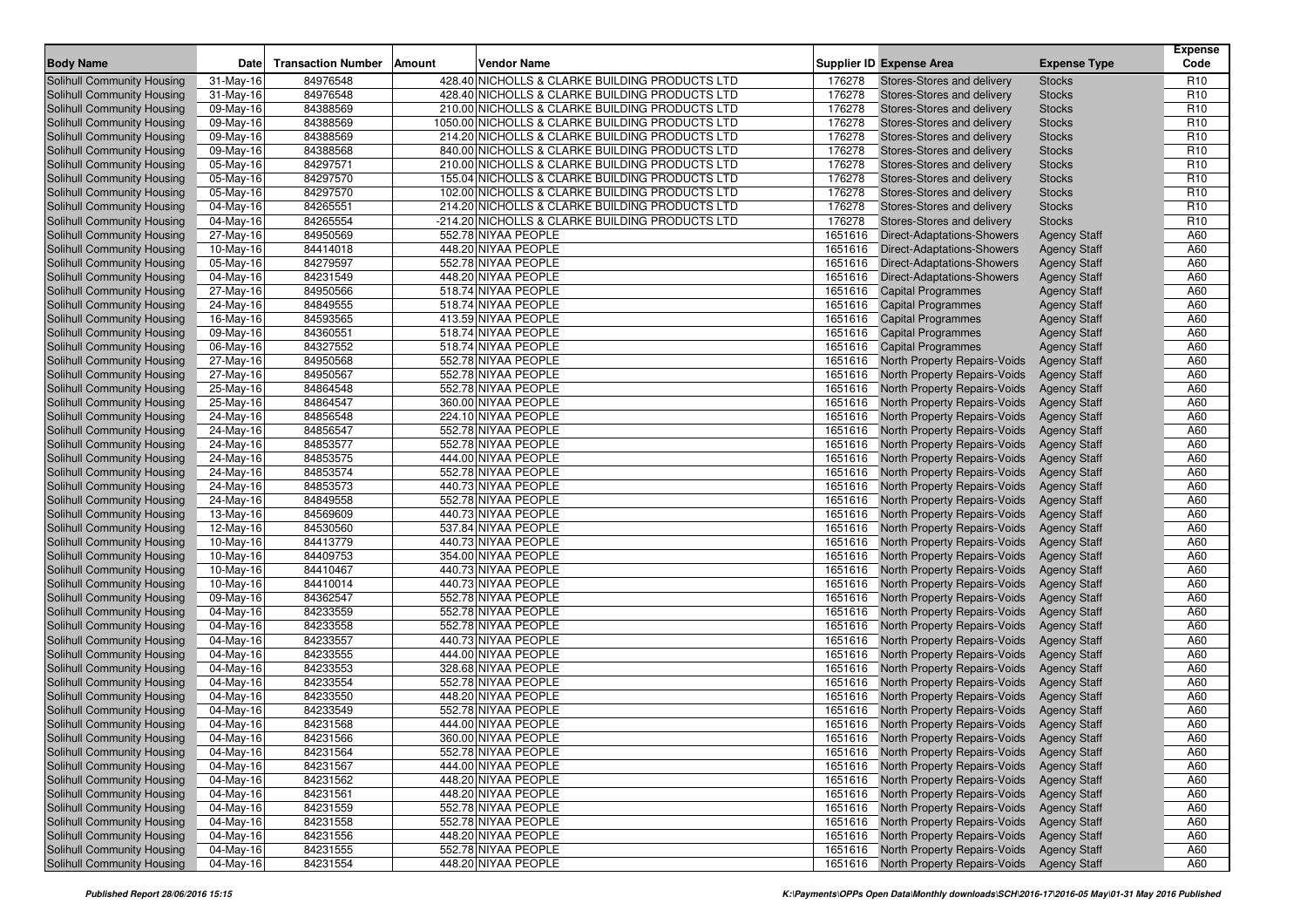| <b>Body Name</b>           | <b>Date</b>  | <b>Transaction Number</b> | Amount | Vendor Name                                     | <b>Supplier ID Expense Area</b>                   | <b>Expense Type</b> | <b>Expense</b><br>Code |
|----------------------------|--------------|---------------------------|--------|-------------------------------------------------|---------------------------------------------------|---------------------|------------------------|
| Solihull Community Housing | $31$ -May-16 | 84976548                  |        | 428.40 NICHOLLS & CLARKE BUILDING PRODUCTS LTD  | 176278<br>Stores-Stores and delivery              | <b>Stocks</b>       | R <sub>10</sub>        |
| Solihull Community Housing | $31$ -May-16 | 84976548                  |        | 428.40 NICHOLLS & CLARKE BUILDING PRODUCTS LTD  | 176278<br>Stores-Stores and delivery              | <b>Stocks</b>       | R <sub>10</sub>        |
| Solihull Community Housing | 09-May-16    | 84388569                  |        | 210.00 NICHOLLS & CLARKE BUILDING PRODUCTS LTD  | 176278<br>Stores-Stores and delivery              | <b>Stocks</b>       | R <sub>10</sub>        |
| Solihull Community Housing | 09-May-16    | 84388569                  |        | 1050.00 NICHOLLS & CLARKE BUILDING PRODUCTS LTD | 176278<br>Stores-Stores and delivery              | <b>Stocks</b>       | R <sub>10</sub>        |
| Solihull Community Housing | 09-May-16    | 84388569                  |        | 214.20 NICHOLLS & CLARKE BUILDING PRODUCTS LTD  | 176278<br>Stores-Stores and delivery              | <b>Stocks</b>       | R <sub>10</sub>        |
| Solihull Community Housing | 09-May-16    | 84388568                  |        | 840.00 NICHOLLS & CLARKE BUILDING PRODUCTS LTD  | 176278<br>Stores-Stores and delivery              | <b>Stocks</b>       | R <sub>10</sub>        |
| Solihull Community Housing | 05-May-16    | 84297571                  |        | 210.00 NICHOLLS & CLARKE BUILDING PRODUCTS LTD  | 176278<br>Stores-Stores and delivery              | <b>Stocks</b>       | R <sub>10</sub>        |
| Solihull Community Housing | 05-May-16    | 84297570                  |        | 155.04 NICHOLLS & CLARKE BUILDING PRODUCTS LTD  | 176278<br>Stores-Stores and delivery              | <b>Stocks</b>       | R <sub>10</sub>        |
| Solihull Community Housing | 05-May-16    | 84297570                  |        | 102.00 NICHOLLS & CLARKE BUILDING PRODUCTS LTD  | 176278<br>Stores-Stores and delivery              | <b>Stocks</b>       | R <sub>10</sub>        |
| Solihull Community Housing | 04-May-16    | 84265551                  |        | 214.20 NICHOLLS & CLARKE BUILDING PRODUCTS LTD  | 176278<br>Stores-Stores and delivery              | <b>Stocks</b>       | R <sub>10</sub>        |
| Solihull Community Housing | 04-May-16    | 84265554                  |        | -214.20 NICHOLLS & CLARKE BUILDING PRODUCTS LTD | 176278<br>Stores-Stores and delivery              | <b>Stocks</b>       | R <sub>10</sub>        |
| Solihull Community Housing | 27-May-16    | 84950569                  |        | 552.78 NIYAA PEOPLE                             | 1651616<br><b>Direct-Adaptations-Showers</b>      | <b>Agency Staff</b> | A60                    |
| Solihull Community Housing | 10-May-16    | 84414018                  |        | 448.20 NIYAA PEOPLE                             | 1651616<br><b>Direct-Adaptations-Showers</b>      | <b>Agency Staff</b> | A60                    |
| Solihull Community Housing | 05-May-16    | 84279597                  |        | 552.78 NIYAA PEOPLE                             | 1651616 Direct-Adaptations-Showers                | <b>Agency Staff</b> | A60                    |
| Solihull Community Housing | 04-May-16    | 84231549                  |        | 448.20 NIYAA PEOPLE                             | 1651616 Direct-Adaptations-Showers                | <b>Agency Staff</b> | A60                    |
| Solihull Community Housing | 27-May-16    | 84950566                  |        | 518.74 NIYAA PEOPLE                             | 1651616 Capital Programmes                        | <b>Agency Staff</b> | A60                    |
| Solihull Community Housing | 24-May-16    | 84849555                  |        | 518.74 NIYAA PEOPLE                             | 1651616 Capital Programmes                        | <b>Agency Staff</b> | A60                    |
| Solihull Community Housing | 16-May-16    | 84593565                  |        | 413.59 NIYAA PEOPLE                             | 1651616 Capital Programmes                        | <b>Agency Staff</b> | A60                    |
| Solihull Community Housing | 09-May-16    | 84360551                  |        | 518.74 NIYAA PEOPLE                             | 1651616 Capital Programmes                        | <b>Agency Staff</b> | A60                    |
| Solihull Community Housing | 06-May-16    | 84327552                  |        | 518.74 NIYAA PEOPLE                             | 1651616 Capital Programmes                        | <b>Agency Staff</b> | A60                    |
| Solihull Community Housing | 27-May-16    | 84950568                  |        | 552.78 NIYAA PEOPLE                             | 1651616 North Property Repairs-Voids              | <b>Agency Staff</b> | A60                    |
| Solihull Community Housing | 27-May-16    | 84950567                  |        | 552.78 NIYAA PEOPLE                             | 1651616 North Property Repairs-Voids              | <b>Agency Staff</b> | A60                    |
| Solihull Community Housing | 25-May-16    | 84864548                  |        | 552.78 NIYAA PEOPLE                             | 1651616 North Property Repairs-Voids              | <b>Agency Staff</b> | A60                    |
| Solihull Community Housing | 25-May-16    | 84864547                  |        | 360.00 NIYAA PEOPLE                             | 1651616 North Property Repairs-Voids              | <b>Agency Staff</b> | A60                    |
| Solihull Community Housing | 24-May-16    | 84856548                  |        | 224.10 NIYAA PEOPLE                             | 1651616<br><b>North Property Repairs-Voids</b>    | <b>Agency Staff</b> | A60                    |
| Solihull Community Housing | 24-May-16    | 84856547                  |        | 552.78 NIYAA PEOPLE                             | 1651616 North Property Repairs-Voids              | <b>Agency Staff</b> | A60                    |
| Solihull Community Housing | 24-May-16    | 84853577                  |        | 552.78 NIYAA PEOPLE                             | 1651616<br><b>North Property Repairs-Voids</b>    | <b>Agency Staff</b> | A60                    |
| Solihull Community Housing | 24-May-16    | 84853575                  |        | 444.00 NIYAA PEOPLE                             | 1651616<br><b>North Property Repairs-Voids</b>    | <b>Agency Staff</b> | A60                    |
| Solihull Community Housing | 24-May-16    | 84853574                  |        | 552.78 NIYAA PEOPLE                             | 1651616<br><b>North Property Repairs-Voids</b>    | <b>Agency Staff</b> | A60                    |
| Solihull Community Housing | 24-May-16    | 84853573                  |        | 440.73 NIYAA PEOPLE                             | 1651616<br><b>North Property Repairs-Voids</b>    | <b>Agency Staff</b> | A60                    |
| Solihull Community Housing | 24-May-16    | 84849558                  |        | 552.78 NIYAA PEOPLE                             | 1651616<br><b>North Property Repairs-Voids</b>    | <b>Agency Staff</b> | A60                    |
| Solihull Community Housing | 13-May-16    | 84569609                  |        | 440.73 NIYAA PEOPLE                             | 1651616<br><b>North Property Repairs-Voids</b>    | <b>Agency Staff</b> | A60                    |
| Solihull Community Housing | 12-May-16    | 84530560                  |        | 537.84 NIYAA PEOPLE                             | 1651616<br><b>North Property Repairs-Voids</b>    | <b>Agency Staff</b> | A60                    |
| Solihull Community Housing | 10-May-16    | 84413779                  |        | 440.73 NIYAA PEOPLE                             | 1651616<br><b>North Property Repairs-Voids</b>    | <b>Agency Staff</b> | A60                    |
| Solihull Community Housing | 10-May-16    | 84409753                  |        | 354.00 NIYAA PEOPLE                             | 1651616<br><b>North Property Repairs-Voids</b>    | <b>Agency Staff</b> | A60                    |
| Solihull Community Housing | 10-May-16    | 84410467                  |        | 440.73 NIYAA PEOPLE                             | 1651616<br><b>North Property Repairs-Voids</b>    | <b>Agency Staff</b> | A60                    |
| Solihull Community Housing | 10-May-16    | 84410014                  |        | 440.73 NIYAA PEOPLE                             | 1651616<br><b>North Property Repairs-Voids</b>    | <b>Agency Staff</b> | A60                    |
| Solihull Community Housing | 09-May-16    | 84362547                  |        | 552.78 NIYAA PEOPLE                             | 1651616<br><b>North Property Repairs-Voids</b>    | <b>Agency Staff</b> | A60                    |
| Solihull Community Housing | 04-May-16    | 84233559                  |        | 552.78 NIYAA PEOPLE                             | 1651616<br><b>North Property Repairs-Voids</b>    | <b>Agency Staff</b> | A60                    |
| Solihull Community Housing | 04-May-16    | 84233558                  |        | 552.78 NIYAA PEOPLE                             | 1651616<br><b>North Property Repairs-Voids</b>    | <b>Agency Staff</b> | A60                    |
| Solihull Community Housing | 04-May-16    | 84233557                  |        | 440.73 NIYAA PEOPLE                             | 1651616<br><b>North Property Repairs-Voids</b>    | <b>Agency Staff</b> | A60                    |
| Solihull Community Housing | 04-May-16    | 84233555                  |        | 444.00 NIYAA PEOPLE                             | 1651616<br><b>North Property Repairs-Voids</b>    | <b>Agency Staff</b> | A60                    |
| Solihull Community Housing | 04-May-16    | 84233553                  |        | 328.68 NIYAA PEOPLE                             | 1651616<br><b>North Property Repairs-Voids</b>    | <b>Agency Staff</b> | A60                    |
| Solihull Community Housing | 04-May-16    | 84233554                  |        | 552.78 NIYAA PEOPLE                             | 1651616<br><b>North Property Repairs-Voids</b>    | <b>Agency Staff</b> | A60                    |
| Solihull Community Housing | 04-May-16    | 84233550                  |        | 448.20 NIYAA PEOPLE                             | 1651616<br>North Property Repairs-Voids           | <b>Agency Staff</b> | A60                    |
| Solihull Community Housing | 04-May-16    | 84233549                  |        | 552.78 NIYAA PEOPLE                             | 1651616<br>North Property Repairs-Voids           | <b>Agency Staff</b> | A60                    |
| Solihull Community Housing | 04-May-16    | 84231568                  |        | 444.00 NIYAA PEOPLE                             | 1651616 North Property Repairs-Voids              | <b>Agency Staff</b> | A60                    |
| Solihull Community Housing | $04-May-16$  | 84231566                  |        | 360.00 NIYAA PEOPLE                             | 1651616 North Property Repairs-Voids Agency Staff |                     | A60                    |
| Solihull Community Housing | 04-May-16    | 84231564                  |        | 552.78 NIYAA PEOPLE                             | 1651616 North Property Repairs-Voids              | Agency Staff        | A60                    |
| Solihull Community Housing | 04-May-16    | 84231567                  |        | 444.00 NIYAA PEOPLE                             | 1651616 North Property Repairs-Voids              | <b>Agency Staff</b> | A60                    |
| Solihull Community Housing | 04-May-16    | 84231562                  |        | 448.20 NIYAA PEOPLE                             | 1651616 North Property Repairs-Voids              | <b>Agency Staff</b> | A60                    |
| Solihull Community Housing | 04-May-16    | 84231561                  |        | 448.20 NIYAA PEOPLE                             | 1651616 North Property Repairs-Voids              | <b>Agency Staff</b> | A60                    |
| Solihull Community Housing | 04-May-16    | 84231559                  |        | 552.78 NIYAA PEOPLE                             | 1651616 North Property Repairs-Voids              | <b>Agency Staff</b> | A60                    |
| Solihull Community Housing | 04-May-16    | 84231558                  |        | 552.78 NIYAA PEOPLE                             | 1651616 North Property Repairs-Voids              | <b>Agency Staff</b> | A60                    |
| Solihull Community Housing | 04-May-16    | 84231556                  |        | 448.20 NIYAA PEOPLE                             | 1651616 North Property Repairs-Voids              | <b>Agency Staff</b> | A60                    |
| Solihull Community Housing | 04-May-16    | 84231555                  |        | 552.78 NIYAA PEOPLE                             | 1651616 North Property Repairs-Voids              | <b>Agency Staff</b> | A60                    |
| Solihull Community Housing | 04-May-16    | 84231554                  |        | 448.20 NIYAA PEOPLE                             | 1651616 North Property Repairs-Voids              | <b>Agency Staff</b> | A60                    |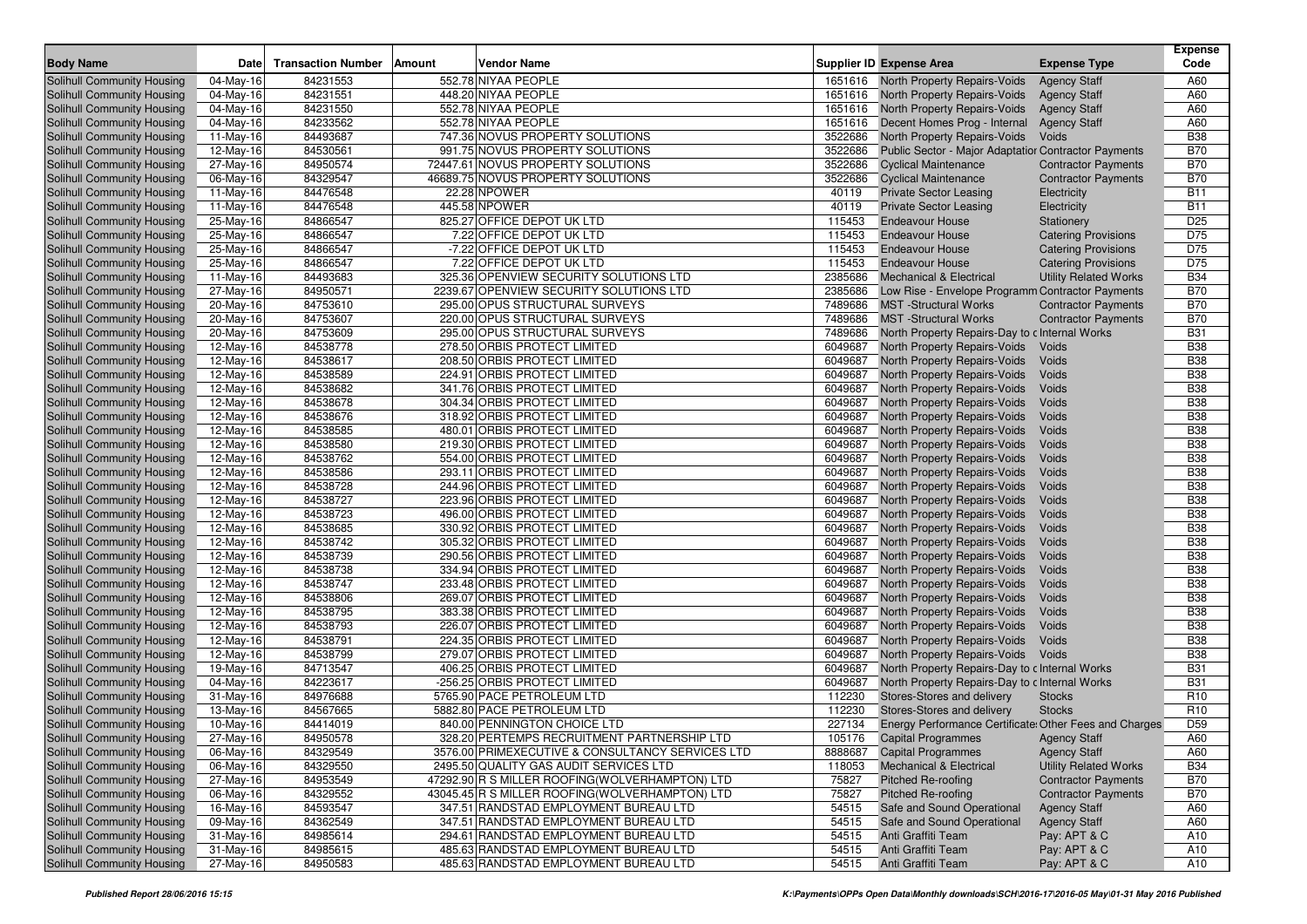| <b>Body Name</b>                                         | <b>Date</b>             | <b>Transaction Number</b> | Amount | <b>Vendor Name</b>                                                     |         | <b>Supplier ID Expense Area</b>                             | <b>Expense Type</b>          | <b>Expense</b><br>Code |
|----------------------------------------------------------|-------------------------|---------------------------|--------|------------------------------------------------------------------------|---------|-------------------------------------------------------------|------------------------------|------------------------|
|                                                          | 04-May-16               | 84231553                  |        | 552.78 NIYAA PEOPLE                                                    |         |                                                             |                              | A60                    |
| Solihull Community Housing                               |                         | 84231551                  |        | 448.20 NIYAA PEOPLE                                                    |         | 1651616 North Property Repairs-Voids                        | <b>Agency Staff</b>          | A60                    |
| Solihull Community Housing                               | 04-May-16               | 84231550                  |        | 552.78 NIYAA PEOPLE                                                    |         | 1651616 North Property Repairs-Voids                        | <b>Agency Staff</b>          | A60                    |
| Solihull Community Housing<br>Solihull Community Housing | 04-May-16               | 84233562                  |        | 552.78 NIYAA PEOPLE                                                    |         | 1651616 North Property Repairs-Voids                        | <b>Agency Staff</b>          | A60                    |
|                                                          | 04-May-16               | 84493687                  |        | 747.36 NOVUS PROPERTY SOLUTIONS                                        | 3522686 | 1651616 Decent Homes Prog - Internal                        | <b>Agency Staff</b>          | <b>B38</b>             |
| Solihull Community Housing                               | 11-May-16               |                           |        | 991.75 NOVUS PROPERTY SOLUTIONS                                        | 3522686 | North Property Repairs-Voids                                | Voids                        | <b>B70</b>             |
| Solihull Community Housing                               | 12-May-16               | 84530561                  |        |                                                                        |         | <b>Public Sector - Major Adaptatior Contractor Payments</b> |                              | <b>B70</b>             |
| Solihull Community Housing                               | $\overline{27}$ -May-16 | 84950574                  |        | 72447.61 NOVUS PROPERTY SOLUTIONS<br>46689.75 NOVUS PROPERTY SOLUTIONS | 3522686 | <b>Cyclical Maintenance</b>                                 | <b>Contractor Payments</b>   | <b>B70</b>             |
| Solihull Community Housing                               | 06-May-16               | 84329547                  |        | 22.28 NPOWER                                                           | 3522686 | <b>Cyclical Maintenance</b>                                 | <b>Contractor Payments</b>   | <b>B11</b>             |
| Solihull Community Housing                               | 11-May-16               | 84476548                  |        | 445.58 NPOWER                                                          | 40119   | <b>Private Sector Leasing</b>                               | Electricity                  |                        |
| Solihull Community Housing                               | 11-May-16               | 84476548                  |        |                                                                        | 40119   | <b>Private Sector Leasing</b>                               | Electricity                  | <b>B11</b>             |
| Solihull Community Housing                               | 25-May-16               | 84866547                  |        | 825.27 OFFICE DEPOT UK LTD                                             | 115453  | <b>Endeavour House</b>                                      | <b>Stationery</b>            | D <sub>25</sub>        |
| Solihull Community Housing                               | 25-May-16               | 84866547                  |        | 7.22 OFFICE DEPOT UK LTD<br>-7.22 OFFICE DEPOT UK LTD                  | 115453  | <b>Endeavour House</b>                                      | <b>Catering Provisions</b>   | D75                    |
| Solihull Community Housing                               | 25-May-16               | 84866547                  |        |                                                                        | 115453  | <b>Endeavour House</b>                                      | <b>Catering Provisions</b>   | D75                    |
| Solihull Community Housing                               | 25-May-16               | 84866547                  |        | 7.22 OFFICE DEPOT UK LTD                                               | 115453  | <b>Endeavour House</b>                                      | <b>Catering Provisions</b>   | D75                    |
| Solihull Community Housing                               | 11-May-16               | 84493683                  |        | 325.36 OPENVIEW SECURITY SOLUTIONS LTD                                 | 2385686 | <b>Mechanical &amp; Electrical</b>                          | <b>Utility Related Works</b> | <b>B34</b>             |
| Solihull Community Housing                               | 27-May-16               | 84950571                  |        | 2239.67 OPENVIEW SECURITY SOLUTIONS LTD                                | 2385686 | Low Rise - Envelope Programm Contractor Payments            |                              | <b>B70</b>             |
| Solihull Community Housing                               | 20-May-16               | 84753610                  |        | 295.00 OPUS STRUCTURAL SURVEYS                                         | 7489686 | <b>MST</b> -Structural Works                                | <b>Contractor Payments</b>   | <b>B70</b>             |
| Solihull Community Housing                               | 20-May-16               | 84753607                  |        | 220.00 OPUS STRUCTURAL SURVEYS                                         | 7489686 | <b>MST</b> -Structural Works                                | <b>Contractor Payments</b>   | <b>B70</b>             |
| Solihull Community Housing                               | 20-May-16               | 84753609                  |        | 295.00 OPUS STRUCTURAL SURVEYS                                         | 7489686 | North Property Repairs-Day to c Internal Works              |                              | <b>B31</b>             |
| Solihull Community Housing                               | 12-May-16               | 84538778                  |        | 278.50 ORBIS PROTECT LIMITED                                           | 6049687 | North Property Repairs-Voids                                | Voids                        | <b>B38</b>             |
| Solihull Community Housing                               | 12-May-16               | 84538617                  |        | 208.50 ORBIS PROTECT LIMITED                                           | 6049687 | North Property Repairs-Voids                                | Voids                        | <b>B38</b>             |
| Solihull Community Housing                               | 12-May-16               | 84538589                  |        | 224.91 ORBIS PROTECT LIMITED                                           | 6049687 | North Property Repairs-Voids                                | Voids                        | <b>B38</b>             |
| Solihull Community Housing                               | 12-May-16               | 84538682                  |        | 341.76 ORBIS PROTECT LIMITED                                           | 6049687 | <b>North Property Repairs-Voids</b>                         | Voids                        | <b>B38</b>             |
| Solihull Community Housing                               | 12-May-16               | 84538678                  |        | 304.34 ORBIS PROTECT LIMITED                                           | 6049687 | North Property Repairs-Voids                                | Voids                        | <b>B38</b>             |
| Solihull Community Housing                               | 12-May-16               | 84538676                  |        | 318.92 ORBIS PROTECT LIMITED                                           | 6049687 | <b>North Property Repairs-Voids</b>                         | Voids                        | <b>B38</b>             |
| Solihull Community Housing                               | 12-May-16               | 84538585                  |        | 480.01 ORBIS PROTECT LIMITED                                           | 6049687 | North Property Repairs-Voids                                | Voids                        | <b>B38</b>             |
| Solihull Community Housing                               | 12-May-16               | 84538580                  |        | 219.30 ORBIS PROTECT LIMITED                                           | 6049687 | <b>North Property Repairs-Voids</b>                         | Voids                        | <b>B38</b>             |
| Solihull Community Housing                               | 12-May-16               | 84538762                  |        | 554.00 ORBIS PROTECT LIMITED                                           | 6049687 | North Property Repairs-Voids                                | Voids                        | <b>B38</b>             |
| Solihull Community Housing                               | 12-May-16               | 84538586                  |        | 293.11 ORBIS PROTECT LIMITED                                           | 6049687 | <b>North Property Repairs-Voids</b>                         | Voids                        | <b>B38</b>             |
| Solihull Community Housing                               | 12-May-16               | 84538728                  |        | 244.96 ORBIS PROTECT LIMITED                                           | 6049687 | North Property Repairs-Voids                                | Voids                        | <b>B38</b>             |
| Solihull Community Housing                               | 12-May-16               | 84538727                  |        | 223.96 ORBIS PROTECT LIMITED                                           | 6049687 | <b>North Property Repairs-Voids</b>                         | Voids                        | <b>B38</b>             |
| Solihull Community Housing                               | 12-May-16               | 84538723                  |        | 496.00 ORBIS PROTECT LIMITED                                           | 6049687 | North Property Repairs-Voids                                | Voids                        | <b>B38</b>             |
| Solihull Community Housing                               | 12-May-16               | 84538685                  |        | 330.92 ORBIS PROTECT LIMITED                                           | 6049687 | North Property Repairs-Voids                                | Voids                        | <b>B38</b>             |
| Solihull Community Housing                               | 12-May-16               | 84538742                  |        | 305.32 ORBIS PROTECT LIMITED                                           | 6049687 | North Property Repairs-Voids                                | Voids                        | <b>B38</b>             |
| Solihull Community Housing                               | 12-May-16               | 84538739                  |        | 290.56 ORBIS PROTECT LIMITED                                           | 6049687 | <b>North Property Repairs-Voids</b>                         | Voids                        | <b>B38</b>             |
| Solihull Community Housing                               | 12-May-16               | 84538738                  |        | 334.94 ORBIS PROTECT LIMITED                                           | 6049687 | North Property Repairs-Voids                                | Voids                        | <b>B38</b>             |
| Solihull Community Housing                               | 12-May-16               | 84538747                  |        | 233.48 ORBIS PROTECT LIMITED                                           | 6049687 | North Property Repairs-Voids                                | Voids                        | <b>B38</b>             |
| Solihull Community Housing                               | 12-May-16               | 84538806                  |        | 269.07 ORBIS PROTECT LIMITED                                           | 6049687 | North Property Repairs-Voids                                | Voids                        | <b>B38</b>             |
| Solihull Community Housing                               | 12-May-16               | 84538795                  |        | 383.38 ORBIS PROTECT LIMITED                                           | 6049687 | <b>North Property Repairs-Voids</b>                         | Voids                        | <b>B38</b>             |
| Solihull Community Housing                               | 12-May-16               | 84538793                  |        | 226.07 ORBIS PROTECT LIMITED                                           | 6049687 | North Property Repairs-Voids                                | Voids                        | <b>B38</b>             |
| <b>Solihull Community Housing</b>                        | 12-May-16               | 84538791                  |        | 224.35 ORBIS PROTECT LIMITED                                           | 6049687 | North Property Repairs-Voids                                | Voids                        | <b>B38</b>             |
| Solihull Community Housing                               | 12-May-16               | 84538799                  |        | 279.07 ORBIS PROTECT LIMITED                                           | 6049687 | North Property Repairs-Voids                                | Voids                        | <b>B38</b>             |
| <b>Solihull Community Housing</b>                        | 19-May-16               | 84713547                  |        | 406.25 ORBIS PROTECT LIMITED                                           | 6049687 | North Property Repairs-Day to c Internal Works              |                              | <b>B31</b>             |
| Solihull Community Housing                               | 04-May-16               | 84223617                  |        | -256.25 ORBIS PROTECT LIMITED                                          | 6049687 | North Property Repairs-Day to c Internal Works              |                              | <b>B31</b>             |
| Solihull Community Housing                               | 31-May-16               | 84976688                  |        | 5765.90 PACE PETROLEUM LTD                                             | 112230  | Stores-Stores and delivery                                  | <b>Stocks</b>                | R <sub>10</sub>        |
| Solihull Community Housing                               | 13-May-16               | 84567665                  |        | 5882.80 PACE PETROLEUM LTD                                             | 112230  | Stores-Stores and delivery                                  | <b>Stocks</b>                | R <sub>10</sub>        |
| Solihull Community Housing                               | 10-May-16               | 84414019                  |        | 840.00 PENNINGTON CHOICE LTD                                           | 227134  | Energy Performance Certificate: Other Fees and Charges      |                              | D <sub>59</sub>        |
| Solihull Community Housing                               | 27-May-16               | 84950578                  |        | 328.20 PERTEMPS RECRUITMENT PARTNERSHIP LTD                            |         | 105176 Capital Programmes Agency Staff                      |                              | A60                    |
| Solihull Community Housing                               | 06-May-16               | 84329549                  |        | 3576.00 PRIMEXECUTIVE & CONSULTANCY SERVICES LTD                       |         | 8888687 Capital Programmes                                  | <b>Agency Staff</b>          | A60                    |
| Solihull Community Housing                               | 06-May-16               | 84329550                  |        | 2495.50 QUALITY GAS AUDIT SERVICES LTD                                 | 118053  | <b>Mechanical &amp; Electrical</b>                          | <b>Utility Related Works</b> | <b>B34</b>             |
| Solihull Community Housing                               | 27-May-16               | 84953549                  |        | 47292.90 R S MILLER ROOFING(WOLVERHAMPTON) LTD                         | 75827   | <b>Pitched Re-roofing</b>                                   | <b>Contractor Payments</b>   | <b>B70</b>             |
| Solihull Community Housing                               | 06-May-16               | 84329552                  |        | 43045.45 R S MILLER ROOFING(WOLVERHAMPTON) LTD                         | 75827   | <b>Pitched Re-roofing</b>                                   | <b>Contractor Payments</b>   | <b>B70</b>             |
| Solihull Community Housing                               | 16-May-16               | 84593547                  |        | 347.51 RANDSTAD EMPLOYMENT BUREAU LTD                                  | 54515   | Safe and Sound Operational                                  | <b>Agency Staff</b>          | A60                    |
| Solihull Community Housing                               | 09-May-16               | 84362549                  |        | 347.51 RANDSTAD EMPLOYMENT BUREAU LTD                                  | 54515   | Safe and Sound Operational                                  | <b>Agency Staff</b>          | A60                    |
| Solihull Community Housing                               | 31-May-16               | 84985614                  |        | 294.61 RANDSTAD EMPLOYMENT BUREAU LTD                                  | 54515   | Anti Graffiti Team                                          | Pay: APT & C                 | A10                    |
| Solihull Community Housing                               | 31-May-16               | 84985615                  |        | 485.63 RANDSTAD EMPLOYMENT BUREAU LTD                                  | 54515   | Anti Graffiti Team                                          | Pay: APT & C                 | A10                    |
| Solihull Community Housing                               | 27-May-16               | 84950583                  |        | 485.63 RANDSTAD EMPLOYMENT BUREAU LTD                                  | 54515   | Anti Graffiti Team                                          | Pay: APT & C                 | A10                    |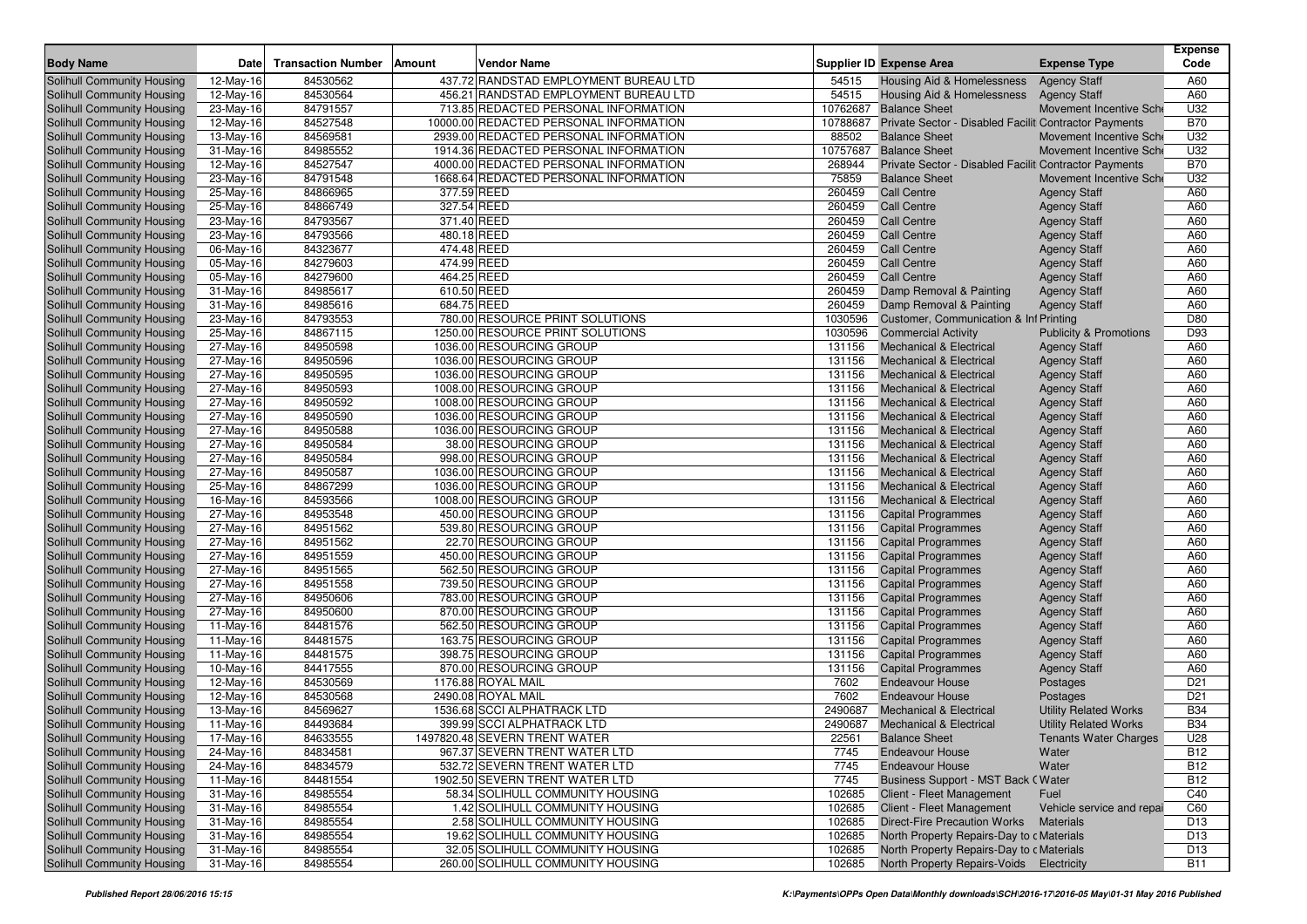| <b>Body Name</b>                                                | Date                    | <b>Transaction Number</b> | <b>Vendor Name</b><br>Amount                                                   |                   | Supplier ID Expense Area                                                       | <b>Expense Type</b>                                      | <b>Expense</b><br>Code |
|-----------------------------------------------------------------|-------------------------|---------------------------|--------------------------------------------------------------------------------|-------------------|--------------------------------------------------------------------------------|----------------------------------------------------------|------------------------|
|                                                                 |                         |                           |                                                                                |                   |                                                                                |                                                          |                        |
| Solihull Community Housing                                      | 12-May-16               | 84530562                  | 437.72 RANDSTAD EMPLOYMENT BUREAU LTD                                          | 54515             | Housing Aid & Homelessness                                                     | <b>Agency Staff</b>                                      | A60                    |
| Solihull Community Housing                                      | 12-May-16               | 84530564                  | 456.21 RANDSTAD EMPLOYMENT BUREAU LTD<br>713.85 REDACTED PERSONAL INFORMATION  | 54515             | Housing Aid & Homelessness<br>10762687 Balance Sheet                           | <b>Agency Staff</b>                                      | A60                    |
| Solihull Community Housing                                      | $\overline{23}$ -May-16 | 84791557                  |                                                                                | 10788687          |                                                                                | Movement Incentive Sche                                  | U32<br><b>B70</b>      |
| Solihull Community Housing                                      | 12-May-16               | 84527548                  | 10000.00 REDACTED PERSONAL INFORMATION                                         |                   | Private Sector - Disabled Faciliti Contractor Payments                         |                                                          | U32                    |
| Solihull Community Housing                                      | 13-May-16               | 84569581<br>84985552      | 2939.00 REDACTED PERSONAL INFORMATION                                          | 88502<br>10757687 | <b>Balance Sheet</b>                                                           | Movement Incentive Sche                                  | U32                    |
| Solihull Community Housing                                      | 31-May-16               | 84527547                  | 1914.36 REDACTED PERSONAL INFORMATION<br>4000.00 REDACTED PERSONAL INFORMATION | 268944            | <b>Balance Sheet</b>                                                           | Movement Incentive Sche                                  | <b>B70</b>             |
| Solihull Community Housing                                      | 12-May-16               | 84791548                  | 1668.64 REDACTED PERSONAL INFORMATION                                          | 75859             | Private Sector - Disabled Faciliti Contractor Payments<br><b>Balance Sheet</b> |                                                          | U32                    |
| Solihull Community Housing                                      | 23-May-16               |                           | 377.59 REED                                                                    |                   | <b>Call Centre</b>                                                             | Movement Incentive Sche                                  |                        |
| Solihull Community Housing                                      | 25-May-16               | 84866965<br>84866749      | 327.54 REED                                                                    | 260459<br>260459  | <b>Call Centre</b>                                                             | <b>Agency Staff</b>                                      | A60                    |
| <b>Solihull Community Housing</b>                               | 25-May-16               | 84793567                  | 371.40 REED                                                                    | 260459            | <b>Call Centre</b>                                                             | <b>Agency Staff</b>                                      | A60<br>A60             |
| Solihull Community Housing<br>Solihull Community Housing        | 23-May-16               | 84793566                  | 480.18 REED                                                                    | 260459            | <b>Call Centre</b>                                                             | <b>Agency Staff</b>                                      | A60                    |
|                                                                 | 23-May-16               | 84323677                  | 474.48 REED                                                                    | 260459            | <b>Call Centre</b>                                                             | <b>Agency Staff</b>                                      | A60                    |
| Solihull Community Housing<br><b>Solihull Community Housing</b> | 06-May-16               | 84279603                  | 474.99 REED                                                                    | 260459            | <b>Call Centre</b>                                                             | <b>Agency Staff</b>                                      | A60                    |
|                                                                 | 05-May-16               | 84279600                  | 464.25 REED                                                                    | 260459            | <b>Call Centre</b>                                                             | <b>Agency Staff</b>                                      | A60                    |
| Solihull Community Housing<br><b>Solihull Community Housing</b> | 05-May-16               | 84985617                  | 610.50 REED                                                                    | 260459            |                                                                                | <b>Agency Staff</b>                                      | A60                    |
|                                                                 | 31-May-16               | 84985616                  | 684.75 REED                                                                    | 260459            | Damp Removal & Painting<br>Damp Removal & Painting                             | <b>Agency Staff</b>                                      | A60                    |
| Solihull Community Housing                                      | 31-May-16               | 84793553                  | 780.00 RESOURCE PRINT SOLUTIONS                                                | 1030596           | Customer, Communication & Inf Printing                                         | <b>Agency Staff</b>                                      | D80                    |
| Solihull Community Housing<br>Solihull Community Housing        | 23-May-16               | 84867115                  | 1250.00 RESOURCE PRINT SOLUTIONS                                               | 1030596           | <b>Commercial Activity</b>                                                     |                                                          | D93                    |
| Solihull Community Housing                                      | 25-May-16<br>27-May-16  | 84950598                  | 1036.00 RESOURCING GROUP                                                       | 131156            | <b>Mechanical &amp; Electrical</b>                                             | <b>Publicity &amp; Promotions</b><br><b>Agency Staff</b> | A60                    |
| Solihull Community Housing                                      | $\overline{27}$ -May-16 | 84950596                  | 1036.00 RESOURCING GROUP                                                       | 131156            | <b>Mechanical &amp; Electrical</b>                                             | <b>Agency Staff</b>                                      | A60                    |
| Solihull Community Housing                                      | 27-May-16               | 84950595                  | 1036.00 RESOURCING GROUP                                                       | 131156            | <b>Mechanical &amp; Electrical</b>                                             | <b>Agency Staff</b>                                      | A60                    |
| Solihull Community Housing                                      | $\overline{27}$ -May-16 | 84950593                  | 1008.00 RESOURCING GROUP                                                       | 131156            | <b>Mechanical &amp; Electrical</b>                                             | <b>Agency Staff</b>                                      | A60                    |
| Solihull Community Housing                                      | 27-May-16               | 84950592                  | 1008.00 RESOURCING GROUP                                                       | 131156            | <b>Mechanical &amp; Electrical</b>                                             | <b>Agency Staff</b>                                      | A60                    |
| Solihull Community Housing                                      | 27-May-16               | 84950590                  | 1036.00 RESOURCING GROUP                                                       | 131156            | <b>Mechanical &amp; Electrical</b>                                             | <b>Agency Staff</b>                                      | A60                    |
| Solihull Community Housing                                      | 27-May-16               | 84950588                  | 1036.00 RESOURCING GROUP                                                       | 131156            | <b>Mechanical &amp; Electrical</b>                                             | <b>Agency Staff</b>                                      | A60                    |
| <b>Solihull Community Housing</b>                               | $\overline{27}$ -May-16 | 84950584                  | 38.00 RESOURCING GROUP                                                         | 131156            | <b>Mechanical &amp; Electrical</b>                                             | <b>Agency Staff</b>                                      | A60                    |
| <b>Solihull Community Housing</b>                               | 27-May-16               | 84950584                  | 998.00 RESOURCING GROUP                                                        | 131156            | <b>Mechanical &amp; Electrical</b>                                             | <b>Agency Staff</b>                                      | A60                    |
| Solihull Community Housing                                      | 27-May-16               | 84950587                  | 1036.00 RESOURCING GROUP                                                       | 131156            | <b>Mechanical &amp; Electrical</b>                                             | <b>Agency Staff</b>                                      | A60                    |
| <b>Solihull Community Housing</b>                               | 25-May-16               | 84867299                  | 1036.00 RESOURCING GROUP                                                       | 131156            | <b>Mechanical &amp; Electrical</b>                                             | <b>Agency Staff</b>                                      | A60                    |
| Solihull Community Housing                                      | 16-May-16               | 84593566                  | 1008.00 RESOURCING GROUP                                                       | 131156            | <b>Mechanical &amp; Electrical</b>                                             | <b>Agency Staff</b>                                      | A60                    |
| <b>Solihull Community Housing</b>                               | 27-May-16               | 84953548                  | 450.00 RESOURCING GROUP                                                        | 131156            | <b>Capital Programmes</b>                                                      | <b>Agency Staff</b>                                      | A60                    |
| Solihull Community Housing                                      | 27-May-16               | 84951562                  | 539.80 RESOURCING GROUP                                                        | 131156            | <b>Capital Programmes</b>                                                      | <b>Agency Staff</b>                                      | A60                    |
| <b>Solihull Community Housing</b>                               | $27$ -May-16            | 84951562                  | 22.70 RESOURCING GROUP                                                         | 131156            | <b>Capital Programmes</b>                                                      | <b>Agency Staff</b>                                      | A60                    |
| Solihull Community Housing                                      | $27-May-16$             | 84951559                  | 450.00 RESOURCING GROUP                                                        | 131156            | <b>Capital Programmes</b>                                                      | <b>Agency Staff</b>                                      | A60                    |
| <b>Solihull Community Housing</b>                               | 27-May-16               | 84951565                  | 562.50 RESOURCING GROUP                                                        | 131156            | <b>Capital Programmes</b>                                                      | <b>Agency Staff</b>                                      | A60                    |
| Solihull Community Housing                                      | 27-May-16               | 84951558                  | 739.50 RESOURCING GROUP                                                        | 131156            | <b>Capital Programmes</b>                                                      | <b>Agency Staff</b>                                      | A60                    |
| Solihull Community Housing                                      | 27-May-16               | 84950606                  | 783.00 RESOURCING GROUP                                                        | 131156            | <b>Capital Programmes</b>                                                      | <b>Agency Staff</b>                                      | A60                    |
| Solihull Community Housing                                      | 27-May-16               | 84950600                  | 870.00 RESOURCING GROUP                                                        | 131156            | <b>Capital Programmes</b>                                                      | <b>Agency Staff</b>                                      | A60                    |
| Solihull Community Housing                                      | 11-May-16               | 84481576                  | 562.50 RESOURCING GROUP                                                        | 131156            | <b>Capital Programmes</b>                                                      | <b>Agency Staff</b>                                      | A60                    |
| Solihull Community Housing                                      | 11-May-16               | 84481575                  | 163.75 RESOURCING GROUP                                                        | 131156            | <b>Capital Programmes</b>                                                      | <b>Agency Staff</b>                                      | A60                    |
| Solihull Community Housing                                      | 11-May-16               | 84481575                  | 398.75 RESOURCING GROUP                                                        | 131156            | <b>Capital Programmes</b>                                                      | <b>Agency Staff</b>                                      | A60                    |
| Solihull Community Housing                                      | 10-May-16               | 84417555                  | 870.00 RESOURCING GROUP                                                        | 131156            | <b>Capital Programmes</b>                                                      | <b>Agency Staff</b>                                      | A60                    |
| <b>Solihull Community Housing</b>                               | 12-May-16               | 84530569                  | 1176.88 ROYAL MAIL                                                             | 7602              | <b>Endeavour House</b>                                                         | Postages                                                 | D <sub>21</sub>        |
| <b>Solihull Community Housing</b>                               | 12-May-16               | 84530568                  | 2490.08 ROYAL MAIL                                                             | 7602              | <b>Endeavour House</b>                                                         | Postages                                                 | D <sub>21</sub>        |
| Solihull Community Housing                                      | 13-May-16               | 84569627                  | 1536.68 SCCI ALPHATRACK LTD                                                    | 2490687           | <b>Mechanical &amp; Electrical</b>                                             | <b>Utility Related Works</b>                             | <b>B34</b>             |
| Solihull Community Housing                                      | 11-May-16               | 84493684                  | 399.99 SCCI ALPHATRACK LTD                                                     | 2490687           | <b>Mechanical &amp; Electrical</b>                                             | <b>Utility Related Works</b>                             | <b>B34</b>             |
| Solihull Community Housing                                      | 17-May-16               | 84633555                  | 1497820.48 SEVERN TRENT WATER                                                  | 22561             | <b>Balance Sheet</b>                                                           | <b>Tenants Water Charges</b>                             | U28                    |
| Solihull Community Housing                                      | 24-May-16               | 84834581                  | 967.37 SEVERN TRENT WATER LTD                                                  | 7745              | <b>Endeavour House</b>                                                         | Water                                                    | <b>B12</b>             |
| Solihull Community Housing                                      | 24-May-16               | 84834579                  | 532.72 SEVERN TRENT WATER LTD                                                  | 7745              | <b>Endeavour House</b>                                                         | Water                                                    | <b>B12</b>             |
| Solihull Community Housing                                      | 11-May-16               | 84481554                  | 1902.50 SEVERN TRENT WATER LTD                                                 | 7745              | Business Support - MST Back (Water                                             |                                                          | <b>B12</b>             |
| Solihull Community Housing                                      | $31-May-16$             | 84985554                  | 58.34 SOLIHULL COMMUNITY HOUSING                                               | 102685            | Client - Fleet Management                                                      | Fuel                                                     | C40                    |
| Solihull Community Housing                                      | $31-May-16$             | 84985554                  | 1.42 SOLIHULL COMMUNITY HOUSING                                                | 102685            | Client - Fleet Management                                                      | Vehicle service and repai                                | C60                    |
| Solihull Community Housing                                      | $31-May-16$             | 84985554                  | 2.58 SOLIHULL COMMUNITY HOUSING                                                | 102685            | <b>Direct-Fire Precaution Works</b>                                            | <b>Materials</b>                                         | D <sub>13</sub>        |
| Solihull Community Housing                                      | 31-May-16               | 84985554                  | 19.62 SOLIHULL COMMUNITY HOUSING                                               | 102685            | North Property Repairs-Day to c Materials                                      |                                                          | D <sub>13</sub>        |
| Solihull Community Housing                                      | $31-May-16$             | 84985554                  | 32.05 SOLIHULL COMMUNITY HOUSING                                               | 102685            | North Property Repairs-Day to c Materials                                      |                                                          | D <sub>13</sub>        |
| Solihull Community Housing                                      | 31-May-16               | 84985554                  | 260.00 SOLIHULL COMMUNITY HOUSING                                              | 102685            | North Property Repairs-Voids Electricity                                       |                                                          | B11                    |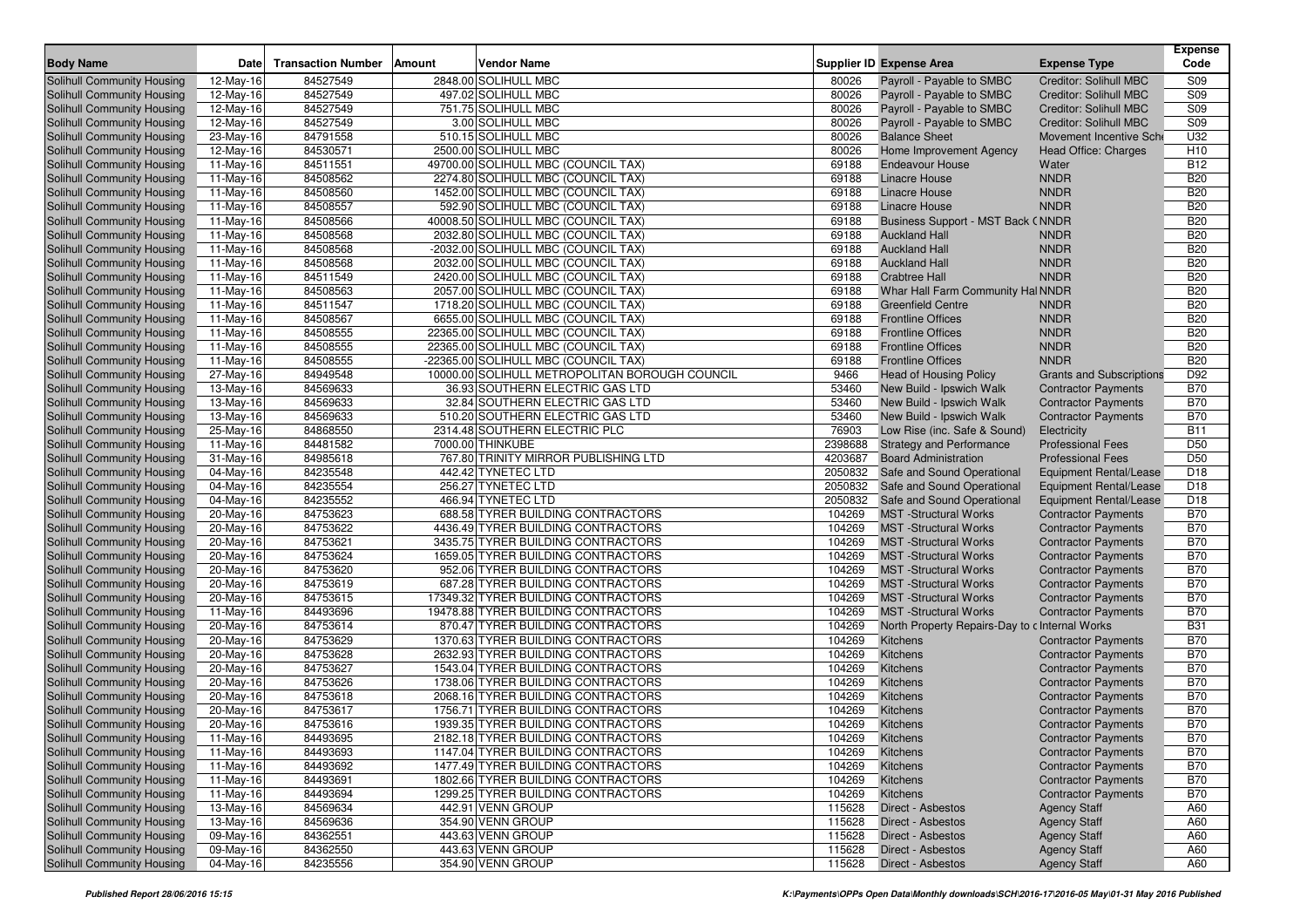|                                   |           |                           |        |                                                |         |                                                |                                 | <b>Expense</b>  |
|-----------------------------------|-----------|---------------------------|--------|------------------------------------------------|---------|------------------------------------------------|---------------------------------|-----------------|
| <b>Body Name</b>                  | Date      | <b>Transaction Number</b> | Amount | <b>Vendor Name</b>                             |         | <b>Supplier ID Expense Area</b>                | <b>Expense Type</b>             | Code            |
| Solihull Community Housing        | 12-May-16 | 84527549                  |        | 2848.00 SOLIHULL MBC                           | 80026   | Payroll - Payable to SMBC                      | <b>Creditor: Solihull MBC</b>   | S09             |
| Solihull Community Housing        | 12-May-16 | 84527549                  |        | 497.02 SOLIHULL MBC                            | 80026   | Payroll - Payable to SMBC                      | <b>Creditor: Solihull MBC</b>   | S09             |
| Solihull Community Housing        | 12-May-16 | 84527549                  |        | 751.75 SOLIHULL MBC                            | 80026   | Payroll - Payable to SMBC                      | Creditor: Solihull MBC          | <b>S09</b>      |
| Solihull Community Housing        | 12-May-16 | 84527549                  |        | 3.00 SOLIHULL MBC                              | 80026   | Payroll - Payable to SMBC                      | <b>Creditor: Solihull MBC</b>   | <b>S09</b>      |
| Solihull Community Housing        | 23-May-16 | 84791558                  |        | 510.15 SOLIHULL MBC                            | 80026   | <b>Balance Sheet</b>                           | Movement Incentive Sche         | U32             |
| Solihull Community Housing        | 12-May-16 | 84530571                  |        | 2500.00 SOLIHULL MBC                           | 80026   | Home Improvement Agency                        | Head Office: Charges            | H <sub>10</sub> |
| Solihull Community Housing        | 11-May-16 | 84511551                  |        | 49700.00 SOLIHULL MBC (COUNCIL TAX)            | 69188   | <b>Endeavour House</b>                         | Water                           | <b>B12</b>      |
| Solihull Community Housing        | 11-May-16 | 84508562                  |        | 2274.80 SOLIHULL MBC (COUNCIL TAX)             | 69188   | <b>Linacre House</b>                           | <b>NNDR</b>                     | <b>B20</b>      |
| Solihull Community Housing        | 11-May-16 | 84508560                  |        | 1452.00 SOLIHULL MBC (COUNCIL TAX)             | 69188   | <b>Linacre House</b>                           | <b>NNDR</b>                     | <b>B20</b>      |
| Solihull Community Housing        | 11-May-16 | 84508557                  |        | 592.90 SOLIHULL MBC (COUNCIL TAX)              | 69188   | Linacre House                                  | <b>NNDR</b>                     | <b>B20</b>      |
| Solihull Community Housing        | 11-May-16 | 84508566                  |        | 40008.50 SOLIHULL MBC (COUNCIL TAX)            | 69188   | Business Support - MST Back (NNDR              |                                 | <b>B20</b>      |
| Solihull Community Housing        | 11-May-16 | 84508568                  |        | 2032.80 SOLIHULL MBC (COUNCIL TAX)             | 69188   | <b>Auckland Hall</b>                           | <b>NNDR</b>                     | <b>B20</b>      |
| Solihull Community Housing        | 11-May-16 | 84508568                  |        | -2032.00 SOLIHULL MBC (COUNCIL TAX)            | 69188   | <b>Auckland Hall</b>                           | <b>NNDR</b>                     | <b>B20</b>      |
| Solihull Community Housing        | 11-May-16 | 84508568                  |        | 2032.00 SOLIHULL MBC (COUNCIL TAX)             | 69188   | <b>Auckland Hall</b>                           | <b>NNDR</b>                     | <b>B20</b>      |
| Solihull Community Housing        | 11-May-16 | 84511549                  |        | 2420.00 SOLIHULL MBC (COUNCIL TAX)             | 69188   | <b>Crabtree Hall</b>                           | <b>NNDR</b>                     | <b>B20</b>      |
| Solihull Community Housing        | 11-May-16 | 84508563                  |        | 2057.00 SOLIHULL MBC (COUNCIL TAX)             | 69188   | Whar Hall Farm Community Hal NNDR              |                                 | <b>B20</b>      |
| Solihull Community Housing        | 11-May-16 | 84511547                  |        | 1718.20 SOLIHULL MBC (COUNCIL TAX)             | 69188   | <b>Greenfield Centre</b>                       | <b>NNDR</b>                     | <b>B20</b>      |
| Solihull Community Housing        | 11-May-16 | 84508567                  |        | 6655.00 SOLIHULL MBC (COUNCIL TAX)             | 69188   | <b>Frontline Offices</b>                       | <b>NNDR</b>                     | <b>B20</b>      |
| Solihull Community Housing        | 11-May-16 | 84508555                  |        | 22365.00 SOLIHULL MBC (COUNCIL TAX)            | 69188   | <b>Frontline Offices</b>                       | <b>NNDR</b>                     | <b>B20</b>      |
| Solihull Community Housing        | 11-May-16 | 84508555                  |        | 22365.00 SOLIHULL MBC (COUNCIL TAX)            | 69188   | <b>Frontline Offices</b>                       | <b>NNDR</b>                     | <b>B20</b>      |
| Solihull Community Housing        | 11-May-16 | 84508555                  |        | -22365.00 SOLIHULL MBC (COUNCIL TAX)           | 69188   | <b>Frontline Offices</b>                       | <b>NNDR</b>                     | <b>B20</b>      |
| Solihull Community Housing        | 27-May-16 | 84949548                  |        | 10000.00 SOLIHULL METROPOLITAN BOROUGH COUNCIL | 9466    | <b>Head of Housing Policy</b>                  | <b>Grants and Subscriptions</b> | D92             |
| Solihull Community Housing        | 13-May-16 | 84569633                  |        | 36.93 SOUTHERN ELECTRIC GAS LTD                | 53460   | New Build - Ipswich Walk                       | <b>Contractor Payments</b>      | <b>B70</b>      |
| Solihull Community Housing        | 13-May-16 | 84569633                  |        | 32.84 SOUTHERN ELECTRIC GAS LTD                | 53460   | New Build - Ipswich Walk                       | <b>Contractor Payments</b>      | <b>B70</b>      |
| Solihull Community Housing        | 13-May-16 | 84569633                  |        | 510.20 SOUTHERN ELECTRIC GAS LTD               | 53460   | New Build - Ipswich Walk                       | <b>Contractor Payments</b>      | <b>B70</b>      |
| Solihull Community Housing        | 25-May-16 | 84868550                  |        | 2314.48 SOUTHERN ELECTRIC PLC                  | 76903   | Low Rise (inc. Safe & Sound)                   | Electricity                     | <b>B11</b>      |
| Solihull Community Housing        | 11-May-16 | 84481582                  |        | 7000.00 THINKUBE                               | 2398688 | <b>Strategy and Performance</b>                | <b>Professional Fees</b>        | D <sub>50</sub> |
| Solihull Community Housing        | 31-May-16 | 84985618                  |        | 767.80 TRINITY MIRROR PUBLISHING LTD           | 4203687 | <b>Board Administration</b>                    | <b>Professional Fees</b>        | D <sub>50</sub> |
| Solihull Community Housing        | 04-May-16 | 84235548                  |        | 442.42 TYNETEC LTD                             | 2050832 | Safe and Sound Operational                     | Equipment Rental/Lease          | D <sub>18</sub> |
| Solihull Community Housing        | 04-May-16 | 84235554                  |        | 256.27 TYNETEC LTD                             | 2050832 | Safe and Sound Operational                     | Equipment Rental/Lease          | D <sub>18</sub> |
| Solihull Community Housing        | 04-May-16 | 84235552                  |        | 466.94 TYNETEC LTD                             | 2050832 | Safe and Sound Operational                     | Equipment Rental/Lease          | D <sub>18</sub> |
| Solihull Community Housing        | 20-May-16 | 84753623                  |        | 688.58 TYRER BUILDING CONTRACTORS              | 104269  | <b>MST</b> -Structural Works                   | <b>Contractor Payments</b>      | <b>B70</b>      |
| Solihull Community Housing        | 20-May-16 | 84753622                  |        | 4436.49 TYRER BUILDING CONTRACTORS             | 104269  | <b>MST</b> -Structural Works                   | <b>Contractor Payments</b>      | <b>B70</b>      |
| Solihull Community Housing        | 20-May-16 | 84753621                  |        | 3435.75 TYRER BUILDING CONTRACTORS             | 104269  | <b>MST</b> -Structural Works                   | <b>Contractor Payments</b>      | <b>B70</b>      |
| Solihull Community Housing        | 20-May-16 | 84753624                  |        | 1659.05 TYRER BUILDING CONTRACTORS             | 104269  | <b>MST</b> -Structural Works                   | <b>Contractor Payments</b>      | <b>B70</b>      |
| Solihull Community Housing        | 20-May-16 | 84753620                  |        | 952.06 TYRER BUILDING CONTRACTORS              | 104269  | <b>MST</b> -Structural Works                   | <b>Contractor Payments</b>      | <b>B70</b>      |
| Solihull Community Housing        | 20-May-16 | 84753619                  |        | 687.28 TYRER BUILDING CONTRACTORS              | 104269  | <b>MST</b> -Structural Works                   | <b>Contractor Payments</b>      | <b>B70</b>      |
| Solihull Community Housing        | 20-May-16 | 84753615                  |        | 17349.32 TYRER BUILDING CONTRACTORS            | 104269  | <b>MST</b> -Structural Works                   | <b>Contractor Payments</b>      | <b>B70</b>      |
| Solihull Community Housing        | 11-May-16 | 84493696                  |        | 19478.88 TYRER BUILDING CONTRACTORS            | 104269  | <b>MST</b> -Structural Works                   | <b>Contractor Payments</b>      | <b>B70</b>      |
| Solihull Community Housing        | 20-May-16 | 84753614                  |        | 870.47 TYRER BUILDING CONTRACTORS              | 104269  | North Property Repairs-Day to c Internal Works |                                 | <b>B31</b>      |
| Solihull Community Housing        | 20-May-16 | 84753629                  |        | 1370.63 TYRER BUILDING CONTRACTORS             | 104269  | Kitchens                                       | <b>Contractor Payments</b>      | <b>B70</b>      |
| Solihull Community Housing        | 20-May-16 | 84753628                  |        | 2632.93 TYRER BUILDING CONTRACTORS             | 104269  | Kitchens                                       | <b>Contractor Payments</b>      | <b>B70</b>      |
| Solihull Community Housing        | 20-May-16 | 84753627                  |        | 1543.04 TYRER BUILDING CONTRACTORS             | 104269  | Kitchens                                       | <b>Contractor Payments</b>      | <b>B70</b>      |
| Solihull Community Housing        | 20-May-16 | 84753626                  |        | 1738.06 TYRER BUILDING CONTRACTORS             | 104269  | Kitchens                                       | <b>Contractor Payments</b>      | <b>B70</b>      |
| <b>Solihull Community Housing</b> | 20-May-16 | 84753618                  |        | 2068.16 TYRER BUILDING CONTRACTORS             | 104269  | Kitchens                                       | <b>Contractor Payments</b>      | <b>B70</b>      |
| <b>Solihull Community Housing</b> | 20-May-16 | 84753617                  |        | 1756.71 TYRER BUILDING CONTRACTORS             | 104269  | Kitchens                                       | <b>Contractor Payments</b>      | <b>B70</b>      |
| Solihull Community Housing        | 20-May-16 | 84753616                  |        | 1939.35 TYRER BUILDING CONTRACTORS             | 104269  | Kitchens                                       | <b>Contractor Payments</b>      | <b>B70</b>      |
| Solihull Community Housing        |           | 84493695                  |        | 2182.18 TYRER BUILDING CONTRACTORS             |         | 104269 Kitchens                                | <b>Contractor Payments</b>      | <b>B70</b>      |
| Solihull Community Housing        | 11-May-16 |                           |        | 1147.04 TYRER BUILDING CONTRACTORS             |         | <b>Kitchens</b>                                | <b>Contractor Payments</b>      | <b>B70</b>      |
|                                   | 11-May-16 | 84493693                  |        |                                                | 104269  |                                                |                                 |                 |
| Solihull Community Housing        | 11-May-16 | 84493692                  |        | 1477.49 TYRER BUILDING CONTRACTORS             | 104269  | Kitchens                                       | <b>Contractor Payments</b>      | <b>B70</b>      |
| Solihull Community Housing        | 11-May-16 | 84493691                  |        | 1802.66 TYRER BUILDING CONTRACTORS             | 104269  | Kitchens                                       | <b>Contractor Payments</b>      | <b>B70</b>      |
| Solihull Community Housing        | 11-May-16 | 84493694                  |        | 1299.25 TYRER BUILDING CONTRACTORS             | 104269  | Kitchens                                       | <b>Contractor Payments</b>      | <b>B70</b>      |
| Solihull Community Housing        | 13-May-16 | 84569634                  |        | 442.91 VENN GROUP                              | 115628  | Direct - Asbestos                              | <b>Agency Staff</b>             | A60             |
| Solihull Community Housing        | 13-May-16 | 84569636                  |        | 354.90 VENN GROUP                              | 115628  | Direct - Asbestos                              | <b>Agency Staff</b>             | A60             |
| Solihull Community Housing        | 09-May-16 | 84362551                  |        | 443.63 VENN GROUP                              | 115628  | Direct - Asbestos                              | <b>Agency Staff</b>             | A60             |
| Solihull Community Housing        | 09-May-16 | 84362550                  |        | 443.63 VENN GROUP                              | 115628  | Direct - Asbestos                              | <b>Agency Staff</b>             | A60             |
| Solihull Community Housing        | 04-May-16 | 84235556                  |        | 354.90 VENN GROUP                              | 115628  | Direct - Asbestos                              | <b>Agency Staff</b>             | A60             |